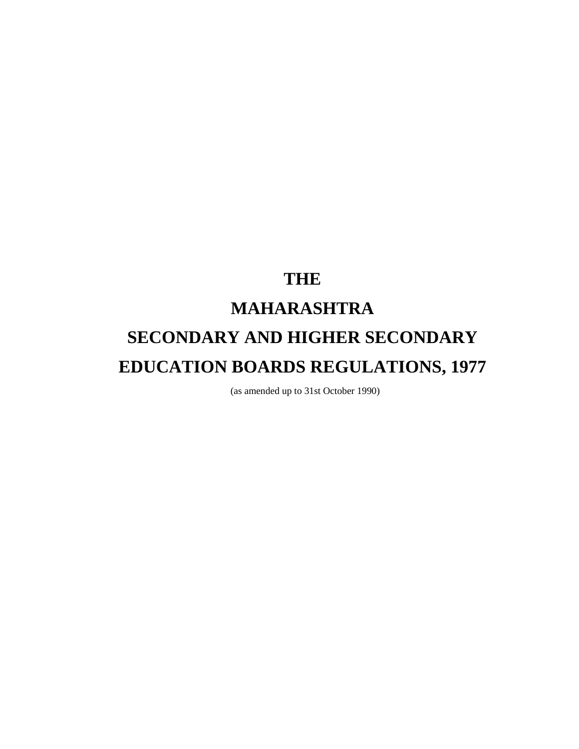# **THE MAHARASHTRA SECONDARY AND HIGHER SECONDARY EDUCATION BOARDS REGULATIONS, 1977**

(as amended up to 31st October 1990)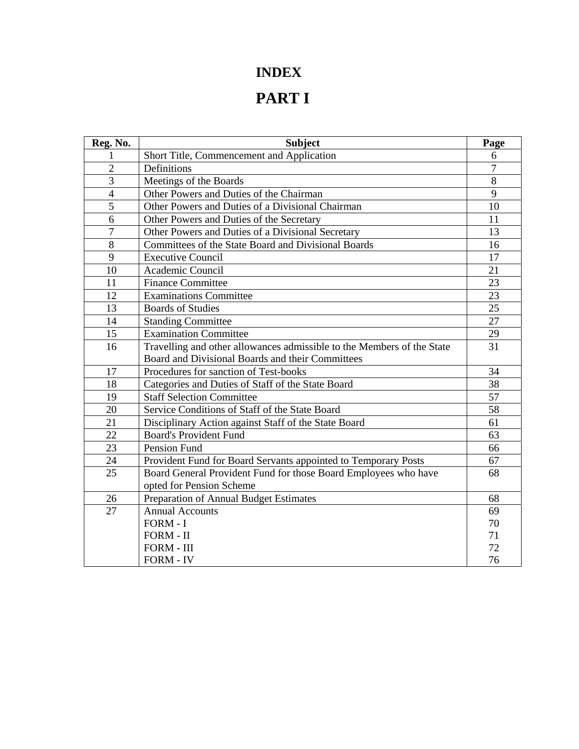### **INDEX**

## **PART I**

| Reg. No.       | <b>Subject</b>                                                         | Page           |
|----------------|------------------------------------------------------------------------|----------------|
| 1              | Short Title, Commencement and Application                              | 6              |
| $\overline{2}$ | Definitions                                                            | $\overline{7}$ |
| 3              | Meetings of the Boards                                                 | 8              |
| $\overline{4}$ | Other Powers and Duties of the Chairman                                | 9              |
| 5              | Other Powers and Duties of a Divisional Chairman                       | 10             |
| 6              | Other Powers and Duties of the Secretary                               | 11             |
| $\overline{7}$ | Other Powers and Duties of a Divisional Secretary                      | 13             |
| 8              | Committees of the State Board and Divisional Boards                    | 16             |
| 9              | <b>Executive Council</b>                                               | 17             |
| 10             | Academic Council                                                       | 21             |
| 11             | <b>Finance Committee</b>                                               | 23             |
| 12             | <b>Examinations Committee</b>                                          | 23             |
| 13             | <b>Boards of Studies</b>                                               | 25             |
| 14             | <b>Standing Committee</b>                                              | 27             |
| 15             | <b>Examination Committee</b>                                           | 29             |
| 16             | Travelling and other allowances admissible to the Members of the State | 31             |
|                | Board and Divisional Boards and their Committees                       |                |
| 17             | Procedures for sanction of Test-books                                  | 34             |
| 18             | Categories and Duties of Staff of the State Board                      | 38             |
| 19             | <b>Staff Selection Committee</b>                                       | 57             |
| 20             | Service Conditions of Staff of the State Board                         | 58             |
| 21             | Disciplinary Action against Staff of the State Board                   | 61             |
| 22             | <b>Board's Provident Fund</b>                                          | 63             |
| 23             | Pension Fund                                                           | 66             |
| 24             | Provident Fund for Board Servants appointed to Temporary Posts         | 67             |
| 25             | Board General Provident Fund for those Board Employees who have        | 68             |
|                | opted for Pension Scheme                                               |                |
| 26             | Preparation of Annual Budget Estimates                                 | 68             |
| 27             | <b>Annual Accounts</b>                                                 | 69             |
|                | FORM - I                                                               | 70             |
|                | FORM - II                                                              | 71             |
|                | FORM - III                                                             | 72             |
|                | <b>FORM - IV</b>                                                       | 76             |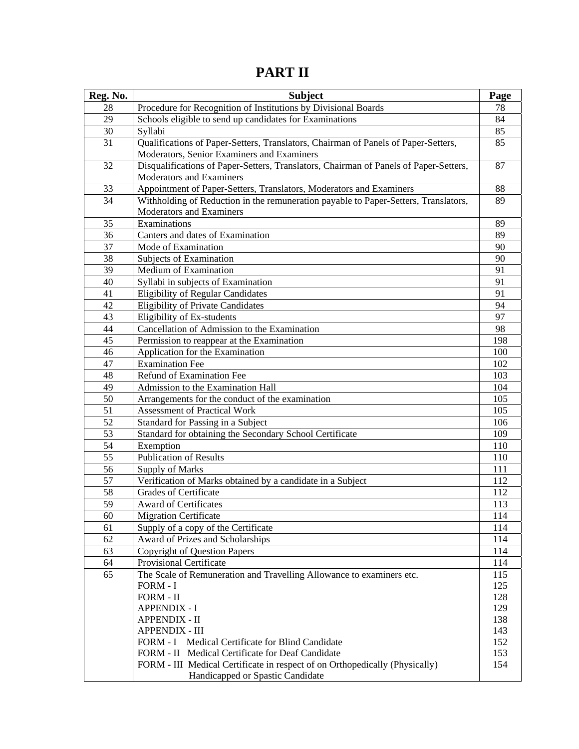| Reg. No. | <b>Subject</b>                                                                                                                   | Page       |
|----------|----------------------------------------------------------------------------------------------------------------------------------|------------|
| 28       | Procedure for Recognition of Institutions by Divisional Boards                                                                   | 78         |
| 29       | Schools eligible to send up candidates for Examinations                                                                          | 84         |
| 30       | Syllabi                                                                                                                          | 85         |
| 31       | Qualifications of Paper-Setters, Translators, Chairman of Panels of Paper-Setters,<br>Moderators, Senior Examiners and Examiners | 85         |
| 32       | Disqualifications of Paper-Setters, Translators, Chairman of Panels of Paper-Setters,<br>Moderators and Examiners                | 87         |
| 33       | Appointment of Paper-Setters, Translators, Moderators and Examiners                                                              | 88         |
| 34       | Withholding of Reduction in the remuneration payable to Paper-Setters, Translators,                                              | 89         |
|          | <b>Moderators and Examiners</b>                                                                                                  |            |
| 35       | Examinations                                                                                                                     | 89         |
| 36       | Canters and dates of Examination                                                                                                 | 89         |
| 37       | Mode of Examination                                                                                                              | 90         |
| 38       | Subjects of Examination                                                                                                          | 90         |
| 39       | Medium of Examination                                                                                                            | 91         |
| 40       | Syllabi in subjects of Examination                                                                                               | 91         |
| 41       | <b>Eligibility of Regular Candidates</b>                                                                                         | 91         |
| 42       | <b>Eligibility of Private Candidates</b>                                                                                         | 94         |
| 43       | Eligibility of Ex-students                                                                                                       | 97         |
| 44       | Cancellation of Admission to the Examination                                                                                     | 98         |
| 45       | Permission to reappear at the Examination                                                                                        | 198        |
| 46       | Application for the Examination                                                                                                  | 100        |
| 47       | <b>Examination Fee</b>                                                                                                           | 102        |
| 48       | Refund of Examination Fee                                                                                                        | 103        |
| 49       | Admission to the Examination Hall                                                                                                | 104        |
| 50       | Arrangements for the conduct of the examination                                                                                  | 105        |
| 51       | <b>Assessment of Practical Work</b>                                                                                              | 105        |
| 52       | Standard for Passing in a Subject                                                                                                | 106        |
| 53       | Standard for obtaining the Secondary School Certificate                                                                          | 109        |
| 54       | Exemption                                                                                                                        | 110        |
| 55       | <b>Publication of Results</b>                                                                                                    | 110        |
| 56       | <b>Supply of Marks</b>                                                                                                           | 111        |
| 57       | Verification of Marks obtained by a candidate in a Subject                                                                       | 112        |
| 58       | <b>Grades of Certificate</b>                                                                                                     | 112        |
| 59       | Award of Certificates                                                                                                            | 113        |
| 60       | <b>Migration Certificate</b>                                                                                                     | 114        |
| 61       | Supply of a copy of the Certificate                                                                                              | 114        |
| 62       | Award of Prizes and Scholarships                                                                                                 | 114        |
| 63       | <b>Copyright of Question Papers</b>                                                                                              | 114        |
| 64       | <b>Provisional Certificate</b>                                                                                                   | 114        |
| 65       | The Scale of Remuneration and Travelling Allowance to examiners etc.                                                             | 115        |
|          | FORM - I                                                                                                                         | 125        |
|          | FORM - II                                                                                                                        | 128        |
|          | <b>APPENDIX - I</b>                                                                                                              | 129        |
|          | <b>APPENDIX - II</b><br>APPENDIX - III                                                                                           | 138<br>143 |
|          | FORM - I Medical Certificate for Blind Candidate                                                                                 | 152        |
|          | FORM - II Medical Certificate for Deaf Candidate                                                                                 | 153        |
|          | FORM - III Medical Certificate in respect of on Orthopedically (Physically)                                                      | 154        |
|          | Handicapped or Spastic Candidate                                                                                                 |            |

**PART II**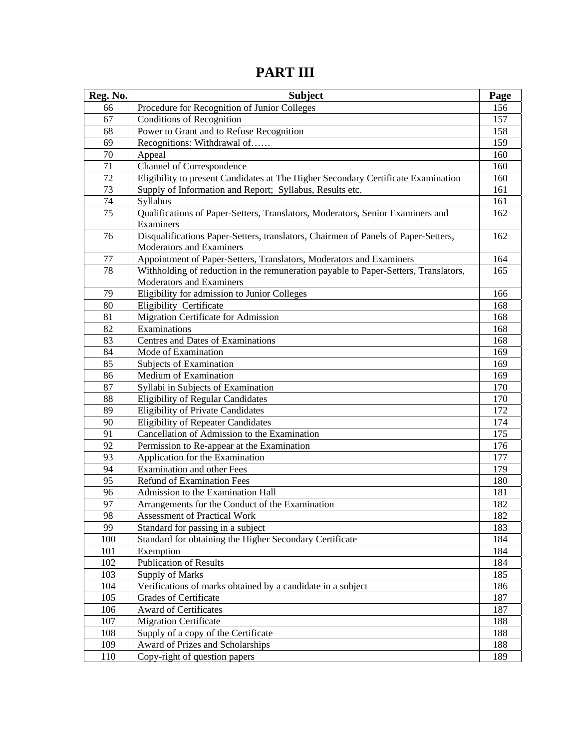| Reg. No. | <b>Subject</b>                                                                      | Page |
|----------|-------------------------------------------------------------------------------------|------|
| 66       | Procedure for Recognition of Junior Colleges                                        | 156  |
| 67       | <b>Conditions of Recognition</b>                                                    | 157  |
| 68       | Power to Grant and to Refuse Recognition                                            | 158  |
| 69       | Recognitions: Withdrawal of                                                         | 159  |
| 70       | Appeal                                                                              | 160  |
| 71       | Channel of Correspondence                                                           | 160  |
| 72       | Eligibility to present Candidates at The Higher Secondary Certificate Examination   | 160  |
| 73       | Supply of Information and Report; Syllabus, Results etc.                            | 161  |
| 74       | Syllabus                                                                            | 161  |
| 75       | Qualifications of Paper-Setters, Translators, Moderators, Senior Examiners and      | 162  |
|          | Examiners                                                                           |      |
| 76       | Disqualifications Paper-Setters, translators, Chairmen of Panels of Paper-Setters,  | 162  |
|          | <b>Moderators and Examiners</b>                                                     |      |
| 77       | Appointment of Paper-Setters, Translators, Moderators and Examiners                 | 164  |
| 78       | Withholding of reduction in the remuneration payable to Paper-Setters, Translators, | 165  |
|          | Moderators and Examiners                                                            |      |
| 79       | Eligibility for admission to Junior Colleges                                        | 166  |
| 80       | Eligibility Certificate                                                             | 168  |
| 81       | Migration Certificate for Admission                                                 | 168  |
| 82       | Examinations                                                                        | 168  |
| 83       | <b>Centres and Dates of Examinations</b>                                            | 168  |
| 84       | Mode of Examination                                                                 | 169  |
| 85       | Subjects of Examination                                                             | 169  |
| 86       | Medium of Examination                                                               | 169  |
| 87       | Syllabi in Subjects of Examination                                                  | 170  |
| 88       | <b>Eligibility of Regular Candidates</b>                                            | 170  |
| 89       | <b>Eligibility of Private Candidates</b>                                            | 172  |
| 90       | <b>Eligibility of Repeater Candidates</b>                                           | 174  |
| 91       | Cancellation of Admission to the Examination                                        | 175  |
| 92       | Permission to Re-appear at the Examination                                          | 176  |
| 93       | Application for the Examination                                                     | 177  |
| 94       | <b>Examination and other Fees</b>                                                   | 179  |
| 95       | <b>Refund of Examination Fees</b>                                                   | 180  |
| 96       | Admission to the Examination Hall                                                   | 181  |
| 97       | Arrangements for the Conduct of the Examination                                     | 182  |
| 98       | <b>Assessment of Practical Work</b>                                                 | 182  |
| 99       | Standard for passing in a subject                                                   | 183  |
| 100      | Standard for obtaining the Higher Secondary Certificate                             | 184  |
| 101      | Exemption                                                                           | 184  |
| 102      | <b>Publication of Results</b>                                                       | 184  |
| 103      | Supply of Marks                                                                     | 185  |
| 104      | Verifications of marks obtained by a candidate in a subject                         | 186  |
| 105      | <b>Grades of Certificate</b>                                                        | 187  |
| 106      | <b>Award of Certificates</b>                                                        | 187  |
| 107      | <b>Migration Certificate</b>                                                        | 188  |
| 108      | Supply of a copy of the Certificate                                                 | 188  |
| 109      | Award of Prizes and Scholarships                                                    | 188  |
| 110      | Copy-right of question papers                                                       | 189  |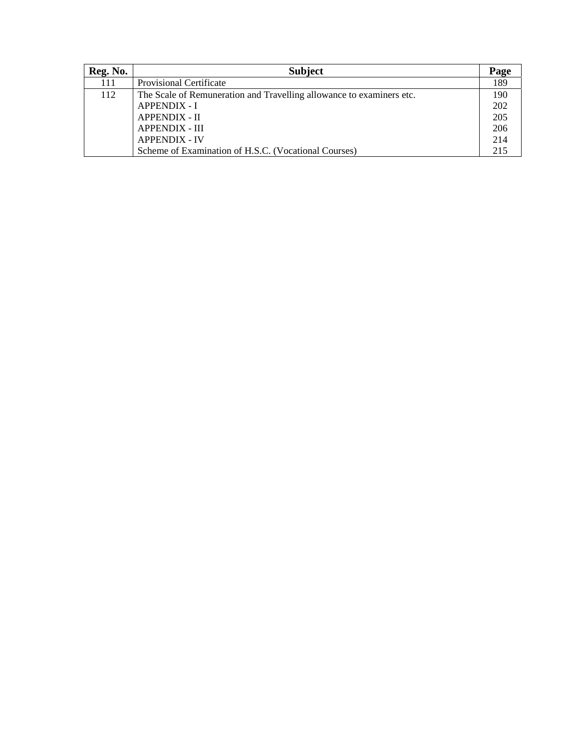| Reg. No. | <b>Subject</b>                                                       | Page |
|----------|----------------------------------------------------------------------|------|
| 111      | Provisional Certificate                                              | 189  |
| 112      | The Scale of Remuneration and Travelling allowance to examiners etc. | 190  |
|          | <b>APPENDIX - I</b>                                                  | 202  |
|          | <b>APPENDIX - II</b>                                                 | 205  |
|          | <b>APPENDIX - III</b>                                                | 206  |
|          | <b>APPENDIX - IV</b>                                                 | 214  |
|          | Scheme of Examination of H.S.C. (Vocational Courses)                 | 215  |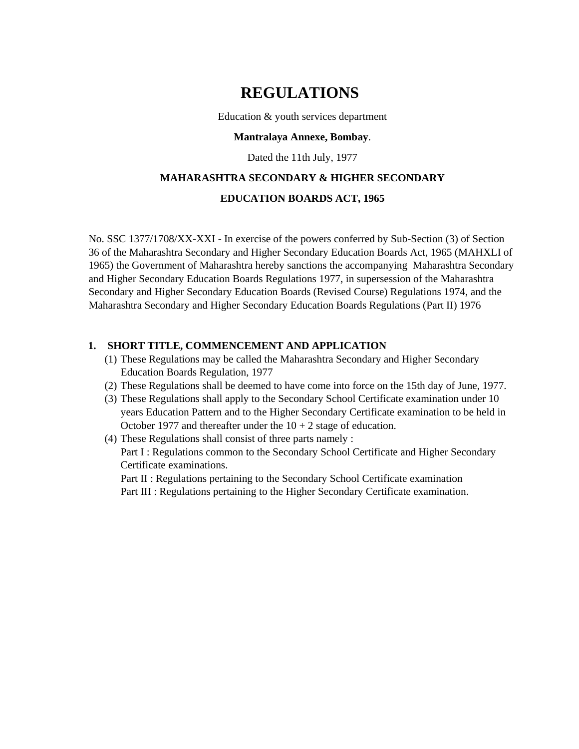### **REGULATIONS**

Education & youth services department

#### **Mantralaya Annexe, Bombay**.

Dated the 11th July, 1977

### **MAHARASHTRA SECONDARY & HIGHER SECONDARY**

#### **EDUCATION BOARDS ACT, 1965**

No. SSC 1377/1708/XX-XXI - In exercise of the powers conferred by Sub-Section (3) of Section 36 of the Maharashtra Secondary and Higher Secondary Education Boards Act, 1965 (MAHXLI of 1965) the Government of Maharashtra hereby sanctions the accompanying Maharashtra Secondary and Higher Secondary Education Boards Regulations 1977, in supersession of the Maharashtra Secondary and Higher Secondary Education Boards (Revised Course) Regulations 1974, and the Maharashtra Secondary and Higher Secondary Education Boards Regulations (Part II) 1976

#### **1. SHORT TITLE, COMMENCEMENT AND APPLICATION**

- (1) These Regulations may be called the Maharashtra Secondary and Higher Secondary Education Boards Regulation, 1977
- (2) These Regulations shall be deemed to have come into force on the 15th day of June, 1977.
- (3) These Regulations shall apply to the Secondary School Certificate examination under 10 years Education Pattern and to the Higher Secondary Certificate examination to be held in October 1977 and thereafter under the  $10 + 2$  stage of education.
- (4) These Regulations shall consist of three parts namely :

Part I : Regulations common to the Secondary School Certificate and Higher Secondary Certificate examinations.

Part II : Regulations pertaining to the Secondary School Certificate examination

Part III : Regulations pertaining to the Higher Secondary Certificate examination.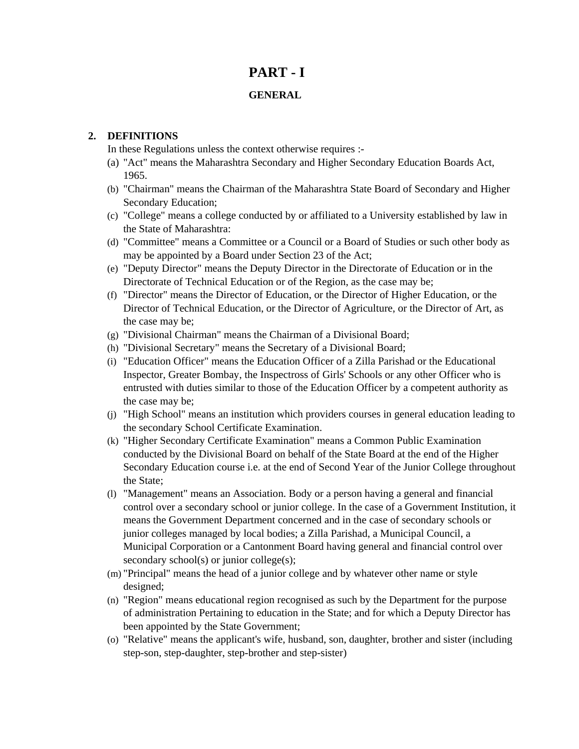### **PART - I**

#### **GENERAL**

#### **2. DEFINITIONS**

In these Regulations unless the context otherwise requires :-

- (a) "Act" means the Maharashtra Secondary and Higher Secondary Education Boards Act, 1965.
- (b) "Chairman" means the Chairman of the Maharashtra State Board of Secondary and Higher Secondary Education;
- (c) "College" means a college conducted by or affiliated to a University established by law in the State of Maharashtra:
- (d) "Committee" means a Committee or a Council or a Board of Studies or such other body as may be appointed by a Board under Section 23 of the Act;
- (e) "Deputy Director" means the Deputy Director in the Directorate of Education or in the Directorate of Technical Education or of the Region, as the case may be;
- (f) "Director" means the Director of Education, or the Director of Higher Education, or the Director of Technical Education, or the Director of Agriculture, or the Director of Art, as the case may be;
- (g) "Divisional Chairman" means the Chairman of a Divisional Board;
- (h) "Divisional Secretary" means the Secretary of a Divisional Board;
- (i) "Education Officer" means the Education Officer of a Zilla Parishad or the Educational Inspector, Greater Bombay, the Inspectross of Girls' Schools or any other Officer who is entrusted with duties similar to those of the Education Officer by a competent authority as the case may be;
- (j) "High School" means an institution which providers courses in general education leading to the secondary School Certificate Examination.
- (k) "Higher Secondary Certificate Examination" means a Common Public Examination conducted by the Divisional Board on behalf of the State Board at the end of the Higher Secondary Education course i.e. at the end of Second Year of the Junior College throughout the State;
- (l) "Management" means an Association. Body or a person having a general and financial control over a secondary school or junior college. In the case of a Government Institution, it means the Government Department concerned and in the case of secondary schools or junior colleges managed by local bodies; a Zilla Parishad, a Municipal Council, a Municipal Corporation or a Cantonment Board having general and financial control over secondary school(s) or junior college(s);
- (m) "Principal" means the head of a junior college and by whatever other name or style designed;
- (n) "Region" means educational region recognised as such by the Department for the purpose of administration Pertaining to education in the State; and for which a Deputy Director has been appointed by the State Government;
- (o) "Relative" means the applicant's wife, husband, son, daughter, brother and sister (including step-son, step-daughter, step-brother and step-sister)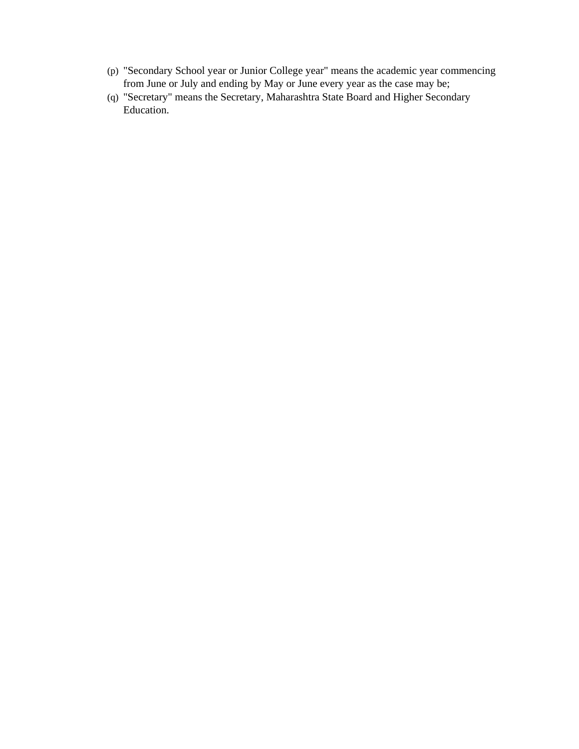- (p) "Secondary School year or Junior College year" means the academic year commencing from June or July and ending by May or June every year as the case may be;
- (q) "Secretary" means the Secretary, Maharashtra State Board and Higher Secondary Education.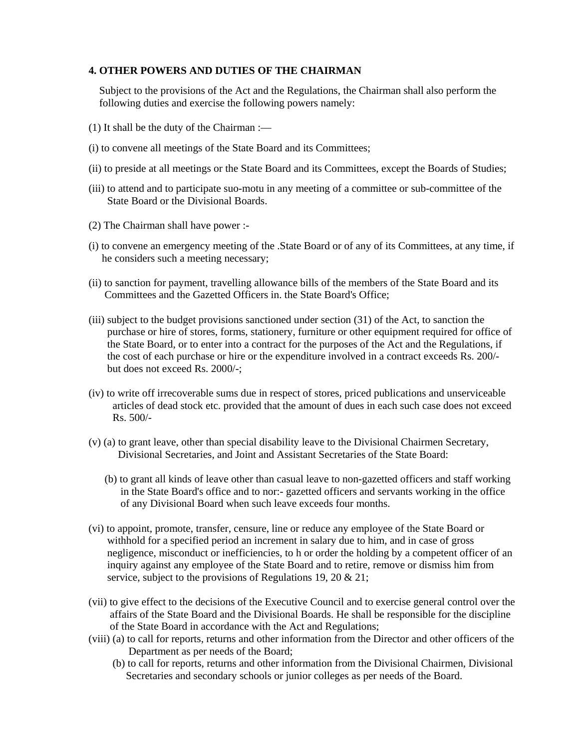#### **4. OTHER POWERS AND DUTIES OF THE CHAIRMAN**

 Subject to the provisions of the Act and the Regulations, the Chairman shall also perform the following duties and exercise the following powers namely:

- (1) It shall be the duty of the Chairman :—
- (i) to convene all meetings of the State Board and its Committees;
- (ii) to preside at all meetings or the State Board and its Committees, except the Boards of Studies;
- (iii) to attend and to participate suo-motu in any meeting of a committee or sub-committee of the State Board or the Divisional Boards.
- (2) The Chairman shall have power :-
- (i) to convene an emergency meeting of the .State Board or of any of its Committees, at any time, if he considers such a meeting necessary;
- (ii) to sanction for payment, travelling allowance bills of the members of the State Board and its Committees and the Gazetted Officers in. the State Board's Office;
- (iii) subject to the budget provisions sanctioned under section (31) of the Act, to sanction the purchase or hire of stores, forms, stationery, furniture or other equipment required for office of the State Board, or to enter into a contract for the purposes of the Act and the Regulations, if the cost of each purchase or hire or the expenditure involved in a contract exceeds Rs. 200/ but does not exceed Rs. 2000/-;
- (iv) to write off irrecoverable sums due in respect of stores, priced publications and unserviceable articles of dead stock etc. provided that the amount of dues in each such case does not exceed Rs. 500/-
- (v) (a) to grant leave, other than special disability leave to the Divisional Chairmen Secretary, Divisional Secretaries, and Joint and Assistant Secretaries of the State Board:
	- (b) to grant all kinds of leave other than casual leave to non-gazetted officers and staff working in the State Board's office and to nor:- gazetted officers and servants working in the office of any Divisional Board when such leave exceeds four months.
- (vi) to appoint, promote, transfer, censure, line or reduce any employee of the State Board or withhold for a specified period an increment in salary due to him, and in case of gross negligence, misconduct or inefficiencies, to h or order the holding by a competent officer of an inquiry against any employee of the State Board and to retire, remove or dismiss him from service, subject to the provisions of Regulations 19, 20 & 21;
- (vii) to give effect to the decisions of the Executive Council and to exercise general control over the affairs of the State Board and the Divisional Boards. He shall be responsible for the discipline of the State Board in accordance with the Act and Regulations;
- (viii) (a) to call for reports, returns and other information from the Director and other officers of the Department as per needs of the Board;
	- (b) to call for reports, returns and other information from the Divisional Chairmen, Divisional Secretaries and secondary schools or junior colleges as per needs of the Board.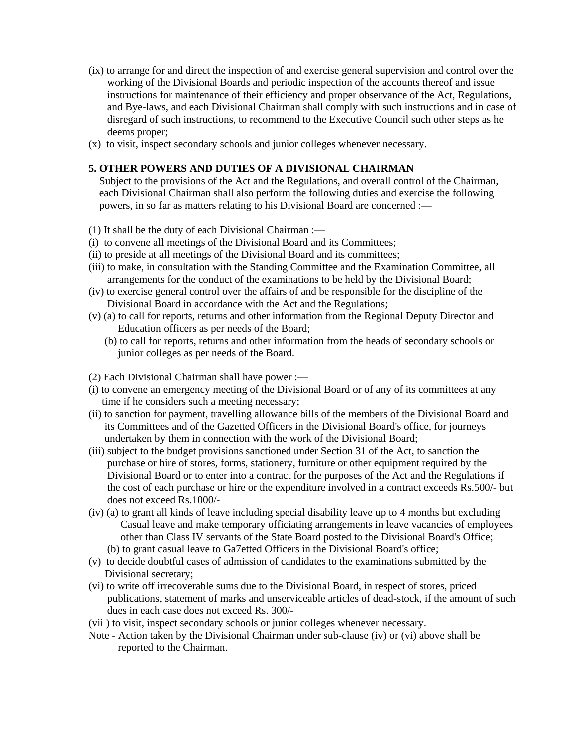- (ix) to arrange for and direct the inspection of and exercise general supervision and control over the working of the Divisional Boards and periodic inspection of the accounts thereof and issue instructions for maintenance of their efficiency and proper observance of the Act, Regulations, and Bye-laws, and each Divisional Chairman shall comply with such instructions and in case of disregard of such instructions, to recommend to the Executive Council such other steps as he deems proper;
- (x) to visit, inspect secondary schools and junior colleges whenever necessary.

#### **5. OTHER POWERS AND DUTIES OF A DIVISIONAL CHAIRMAN**

 Subject to the provisions of the Act and the Regulations, and overall control of the Chairman, each Divisional Chairman shall also perform the following duties and exercise the following powers, in so far as matters relating to his Divisional Board are concerned :—

- (1) It shall be the duty of each Divisional Chairman :—
- (i) to convene all meetings of the Divisional Board and its Committees;
- (ii) to preside at all meetings of the Divisional Board and its committees;
- (iii) to make, in consultation with the Standing Committee and the Examination Committee, all arrangements for the conduct of the examinations to be held by the Divisional Board;
- (iv) to exercise general control over the affairs of and be responsible for the discipline of the Divisional Board in accordance with the Act and the Regulations;
- (v) (a) to call for reports, returns and other information from the Regional Deputy Director and Education officers as per needs of the Board;
	- (b) to call for reports, returns and other information from the heads of secondary schools or junior colleges as per needs of the Board.
- (2) Each Divisional Chairman shall have power :—
- (i) to convene an emergency meeting of the Divisional Board or of any of its committees at any time if he considers such a meeting necessary;
- (ii) to sanction for payment, travelling allowance bills of the members of the Divisional Board and its Committees and of the Gazetted Officers in the Divisional Board's office, for journeys undertaken by them in connection with the work of the Divisional Board;
- (iii) subject to the budget provisions sanctioned under Section 31 of the Act, to sanction the purchase or hire of stores, forms, stationery, furniture or other equipment required by the Divisional Board or to enter into a contract for the purposes of the Act and the Regulations if the cost of each purchase or hire or the expenditure involved in a contract exceeds Rs.500/- but does not exceed Rs.1000/-
- (iv) (a) to grant all kinds of leave including special disability leave up to 4 months but excluding Casual leave and make temporary officiating arrangements in leave vacancies of employees other than Class IV servants of the State Board posted to the Divisional Board's Office; (b) to grant casual leave to Ga7etted Officers in the Divisional Board's office;
- (v) to decide doubtful cases of admission of candidates to the examinations submitted by the Divisional secretary;
- (vi) to write off irrecoverable sums due to the Divisional Board, in respect of stores, priced publications, statement of marks and unserviceable articles of dead-stock, if the amount of such dues in each case does not exceed Rs. 300/-
- (vii ) to visit, inspect secondary schools or junior colleges whenever necessary.
- Note Action taken by the Divisional Chairman under sub-clause (iv) or (vi) above shall be reported to the Chairman.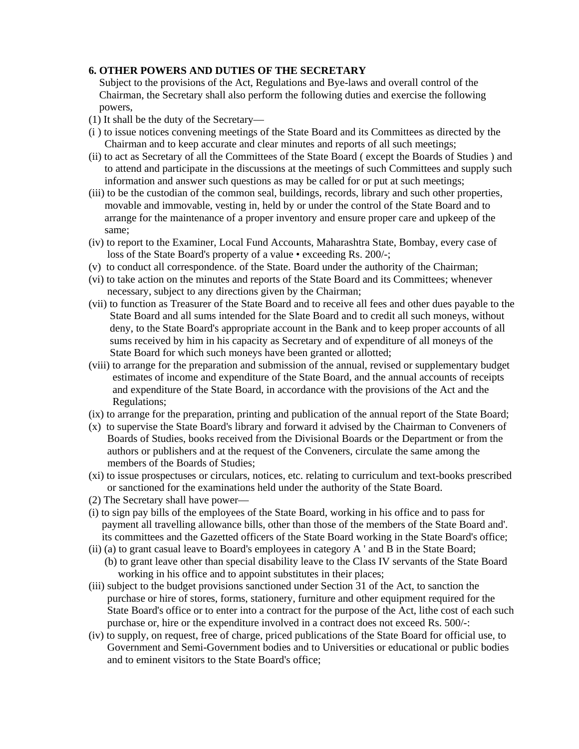#### **6. OTHER POWERS AND DUTIES OF THE SECRETARY**

 Subject to the provisions of the Act, Regulations and Bye-laws and overall control of the Chairman, the Secretary shall also perform the following duties and exercise the following powers,

- (1) It shall be the duty of the Secretary—
- (i ) to issue notices convening meetings of the State Board and its Committees as directed by the Chairman and to keep accurate and clear minutes and reports of all such meetings;
- (ii) to act as Secretary of all the Committees of the State Board ( except the Boards of Studies ) and to attend and participate in the discussions at the meetings of such Committees and supply such information and answer such questions as may be called for or put at such meetings;
- (iii) to be the custodian of the common seal, buildings, records, library and such other properties, movable and immovable, vesting in, held by or under the control of the State Board and to arrange for the maintenance of a proper inventory and ensure proper care and upkeep of the same;
- (iv) to report to the Examiner, Local Fund Accounts, Maharashtra State, Bombay, every case of loss of the State Board's property of a value • exceeding Rs. 200/-;
- (v) to conduct all correspondence. of the State. Board under the authority of the Chairman;
- (vi) to take action on the minutes and reports of the State Board and its Committees; whenever necessary, subject to any directions given by the Chairman;
- (vii) to function as Treasurer of the State Board and to receive all fees and other dues payable to the State Board and all sums intended for the Slate Board and to credit all such moneys, without deny, to the State Board's appropriate account in the Bank and to keep proper accounts of all sums received by him in his capacity as Secretary and of expenditure of all moneys of the State Board for which such moneys have been granted or allotted;
- (viii) to arrange for the preparation and submission of the annual, revised or supplementary budget estimates of income and expenditure of the State Board, and the annual accounts of receipts and expenditure of the State Board, in accordance with the provisions of the Act and the Regulations;
- (ix) to arrange for the preparation, printing and publication of the annual report of the State Board;
- (x) to supervise the State Board's library and forward it advised by the Chairman to Conveners of Boards of Studies, books received from the Divisional Boards or the Department or from the authors or publishers and at the request of the Conveners, circulate the same among the members of the Boards of Studies;
- (xi) to issue prospectuses or circulars, notices, etc. relating to curriculum and text-books prescribed or sanctioned for the examinations held under the authority of the State Board.
- (2) The Secretary shall have power—
- (i) to sign pay bills of the employees of the State Board, working in his office and to pass for payment all travelling allowance bills, other than those of the members of the State Board and'. its committees and the Gazetted officers of the State Board working in the State Board's office;
- (ii) (a) to grant casual leave to Board's employees in category A ' and B in the State Board;
	- (b) to grant leave other than special disability leave to the Class IV servants of the State Board working in his office and to appoint substitutes in their places;
- (iii) subject to the budget provisions sanctioned under Section 31 of the Act, to sanction the purchase or hire of stores, forms, stationery, furniture and other equipment required for the State Board's office or to enter into a contract for the purpose of the Act, lithe cost of each such purchase or, hire or the expenditure involved in a contract does not exceed Rs. 500/-:
- (iv) to supply, on request, free of charge, priced publications of the State Board for official use, to Government and Semi-Government bodies and to Universities or educational or public bodies and to eminent visitors to the State Board's office;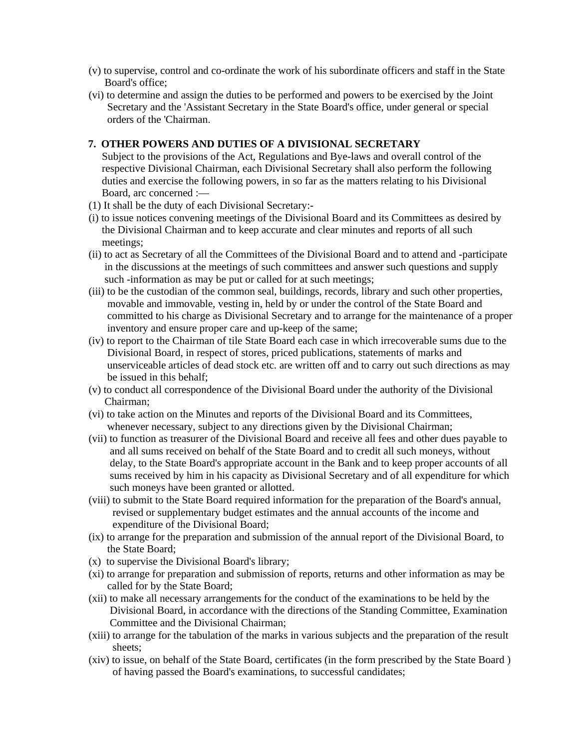- (v) to supervise, control and co-ordinate the work of his subordinate officers and staff in the State Board's office;
- (vi) to determine and assign the duties to be performed and powers to be exercised by the Joint Secretary and the 'Assistant Secretary in the State Board's office, under general or special orders of the 'Chairman.

#### **7. OTHER POWERS AND DUTIES OF A DIVISIONAL SECRETARY**

 Subject to the provisions of the Act, Regulations and Bye-laws and overall control of the respective Divisional Chairman, each Divisional Secretary shall also perform the following duties and exercise the following powers, in so far as the matters relating to his Divisional Board, arc concerned :—

- (1) It shall be the duty of each Divisional Secretary:-
- (i) to issue notices convening meetings of the Divisional Board and its Committees as desired by the Divisional Chairman and to keep accurate and clear minutes and reports of all such meetings;
- (ii) to act as Secretary of all the Committees of the Divisional Board and to attend and -participate in the discussions at the meetings of such committees and answer such questions and supply such -information as may be put or called for at such meetings;
- (iii) to be the custodian of the common seal, buildings, records, library and such other properties, movable and immovable, vesting in, held by or under the control of the State Board and committed to his charge as Divisional Secretary and to arrange for the maintenance of a proper inventory and ensure proper care and up-keep of the same;
- (iv) to report to the Chairman of tile State Board each case in which irrecoverable sums due to the Divisional Board, in respect of stores, priced publications, statements of marks and unserviceable articles of dead stock etc. are written off and to carry out such directions as may be issued in this behalf;
- (v) to conduct all correspondence of the Divisional Board under the authority of the Divisional Chairman;
- (vi) to take action on the Minutes and reports of the Divisional Board and its Committees, whenever necessary, subject to any directions given by the Divisional Chairman;
- (vii) to function as treasurer of the Divisional Board and receive all fees and other dues payable to and all sums received on behalf of the State Board and to credit all such moneys, without delay, to the State Board's appropriate account in the Bank and to keep proper accounts of all sums received by him in his capacity as Divisional Secretary and of all expenditure for which such moneys have been granted or allotted.
- (viii) to submit to the State Board required information for the preparation of the Board's annual, revised or supplementary budget estimates and the annual accounts of the income and expenditure of the Divisional Board;
- (ix) to arrange for the preparation and submission of the annual report of the Divisional Board, to the State Board;
- (x) to supervise the Divisional Board's library;
- (xi) to arrange for preparation and submission of reports, returns and other information as may be called for by the State Board;
- (xii) to make all necessary arrangements for the conduct of the examinations to be held by the Divisional Board, in accordance with the directions of the Standing Committee, Examination Committee and the Divisional Chairman;
- (xiii) to arrange for the tabulation of the marks in various subjects and the preparation of the result sheets;
- (xiv) to issue, on behalf of the State Board, certificates (in the form prescribed by the State Board ) of having passed the Board's examinations, to successful candidates;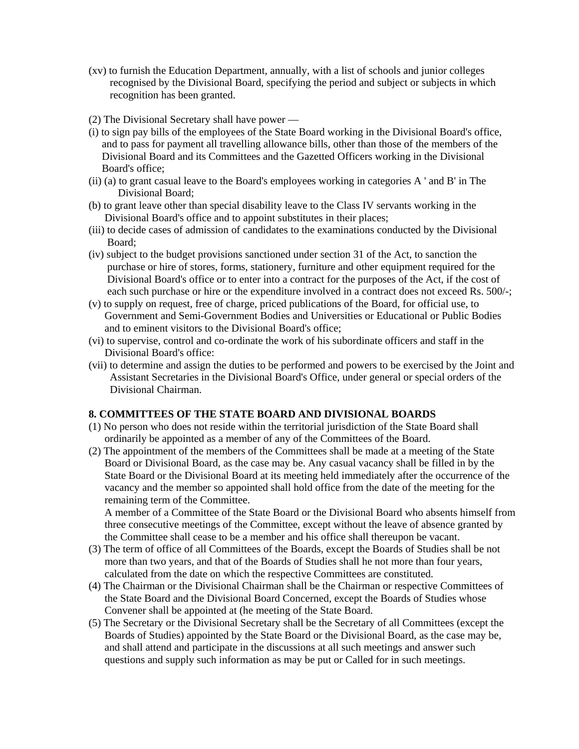- (xv) to furnish the Education Department, annually, with a list of schools and junior colleges recognised by the Divisional Board, specifying the period and subject or subjects in which recognition has been granted.
- (2) The Divisional Secretary shall have power —
- (i) to sign pay bills of the employees of the State Board working in the Divisional Board's office, and to pass for payment all travelling allowance bills, other than those of the members of the Divisional Board and its Committees and the Gazetted Officers working in the Divisional Board's office;
- (ii) (a) to grant casual leave to the Board's employees working in categories A ' and B' in The Divisional Board;
- (b) to grant leave other than special disability leave to the Class IV servants working in the Divisional Board's office and to appoint substitutes in their places;
- (iii) to decide cases of admission of candidates to the examinations conducted by the Divisional Board;
- (iv) subject to the budget provisions sanctioned under section 31 of the Act, to sanction the purchase or hire of stores, forms, stationery, furniture and other equipment required for the Divisional Board's office or to enter into a contract for the purposes of the Act, if the cost of each such purchase or hire or the expenditure involved in a contract does not exceed Rs. 500/-;
- (v) to supply on request, free of charge, priced publications of the Board, for official use, to Government and Semi-Government Bodies and Universities or Educational or Public Bodies and to eminent visitors to the Divisional Board's office;
- (vi) to supervise, control and co-ordinate the work of his subordinate officers and staff in the Divisional Board's office:
- (vii) to determine and assign the duties to be performed and powers to be exercised by the Joint and Assistant Secretaries in the Divisional Board's Office, under general or special orders of the Divisional Chairman.

#### **8. COMMITTEES OF THE STATE BOARD AND DIVISIONAL BOARDS**

- (1) No person who does not reside within the territorial jurisdiction of the State Board shall ordinarily be appointed as a member of any of the Committees of the Board.
- (2) The appointment of the members of the Committees shall be made at a meeting of the State Board or Divisional Board, as the case may be. Any casual vacancy shall be filled in by the State Board or the Divisional Board at its meeting held immediately after the occurrence of the vacancy and the member so appointed shall hold office from the date of the meeting for the remaining term of the Committee.

 A member of a Committee of the State Board or the Divisional Board who absents himself from three consecutive meetings of the Committee, except without the leave of absence granted by the Committee shall cease to be a member and his office shall thereupon be vacant.

- (3) The term of office of all Committees of the Boards, except the Boards of Studies shall be not more than two years, and that of the Boards of Studies shall he not more than four years, calculated from the date on which the respective Committees are constituted.
- (4) The Chairman or the Divisional Chairman shall be the Chairman or respective Committees of the State Board and the Divisional Board Concerned, except the Boards of Studies whose Convener shall be appointed at (he meeting of the State Board.
- (5) The Secretary or the Divisional Secretary shall be the Secretary of all Committees (except the Boards of Studies) appointed by the State Board or the Divisional Board, as the case may be, and shall attend and participate in the discussions at all such meetings and answer such questions and supply such information as may be put or Called for in such meetings.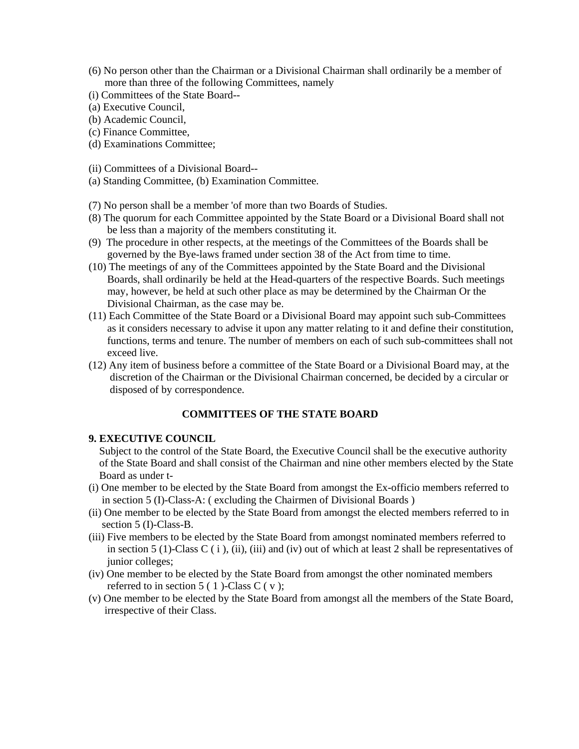- (6) No person other than the Chairman or a Divisional Chairman shall ordinarily be a member of more than three of the following Committees, namely
- (i) Committees of the State Board--
- (a) Executive Council,
- (b) Academic Council,
- (c) Finance Committee,
- (d) Examinations Committee;
- (ii) Committees of a Divisional Board--
- (a) Standing Committee, (b) Examination Committee.
- (7) No person shall be a member 'of more than two Boards of Studies.
- (8) The quorum for each Committee appointed by the State Board or a Divisional Board shall not be less than a majority of the members constituting it.
- (9) The procedure in other respects, at the meetings of the Committees of the Boards shall be governed by the Bye-laws framed under section 38 of the Act from time to time.
- (10) The meetings of any of the Committees appointed by the State Board and the Divisional Boards, shall ordinarily be held at the Head-quarters of the respective Boards. Such meetings may, however, be held at such other place as may be determined by the Chairman Or the Divisional Chairman, as the case may be.
- (11) Each Committee of the State Board or a Divisional Board may appoint such sub-Committees as it considers necessary to advise it upon any matter relating to it and define their constitution, functions, terms and tenure. The number of members on each of such sub-committees shall not exceed live.
- (12) Any item of business before a committee of the State Board or a Divisional Board may, at the discretion of the Chairman or the Divisional Chairman concerned, be decided by a circular or disposed of by correspondence.

#### **COMMITTEES OF THE STATE BOARD**

#### **9. EXECUTIVE COUNCIL**

 Subject to the control of the State Board, the Executive Council shall be the executive authority of the State Board and shall consist of the Chairman and nine other members elected by the State Board as under t-

- (i) One member to be elected by the State Board from amongst the Ex-officio members referred to in section 5 (I)-Class-A: ( excluding the Chairmen of Divisional Boards )
- (ii) One member to be elected by the State Board from amongst the elected members referred to in section 5 (I)-Class-B.
- (iii) Five members to be elected by the State Board from amongst nominated members referred to in section 5 (1)-Class C (i), (ii), (iii) and (iv) out of which at least 2 shall be representatives of junior colleges;
- (iv) One member to be elected by the State Board from amongst the other nominated members referred to in section  $5(1)$ -Class C (v);
- (v) One member to be elected by the State Board from amongst all the members of the State Board, irrespective of their Class.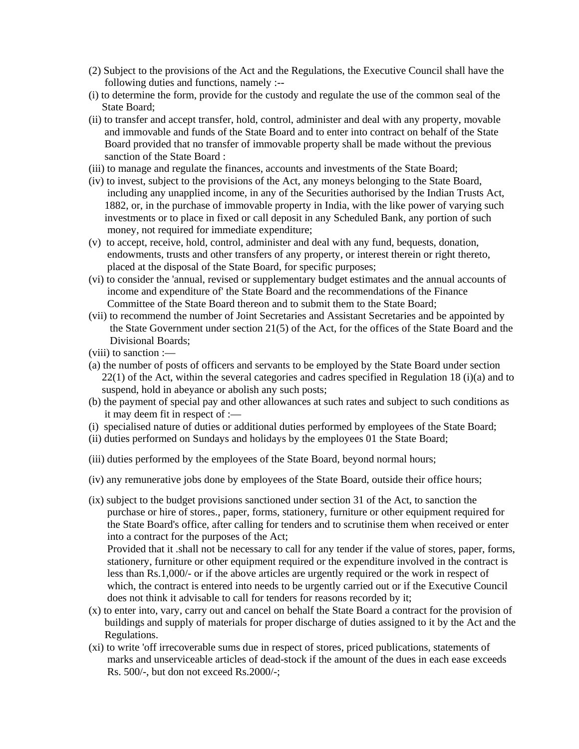- (2) Subject to the provisions of the Act and the Regulations, the Executive Council shall have the following duties and functions, namely :--
- (i) to determine the form, provide for the custody and regulate the use of the common seal of the State Board;
- (ii) to transfer and accept transfer, hold, control, administer and deal with any property, movable and immovable and funds of the State Board and to enter into contract on behalf of the State Board provided that no transfer of immovable property shall be made without the previous sanction of the State Board :
- (iii) to manage and regulate the finances, accounts and investments of the State Board;
- (iv) to invest, subject to the provisions of the Act, any moneys belonging to the State Board, including any unapplied income, in any of the Securities authorised by the Indian Trusts Act, 1882, or, in the purchase of immovable property in India, with the like power of varying such investments or to place in fixed or call deposit in any Scheduled Bank, any portion of such money, not required for immediate expenditure;
- (v) to accept, receive, hold, control, administer and deal with any fund, bequests, donation, endowments, trusts and other transfers of any property, or interest therein or right thereto, placed at the disposal of the State Board, for specific purposes;
- (vi) to consider the 'annual, revised or supplementary budget estimates and the annual accounts of income and expenditure of' the State Board and the recommendations of the Finance Committee of the State Board thereon and to submit them to the State Board;
- (vii) to recommend the number of Joint Secretaries and Assistant Secretaries and be appointed by the State Government under section 21(5) of the Act, for the offices of the State Board and the Divisional Boards;
- (viii) to sanction :—
- (a) the number of posts of officers and servants to be employed by the State Board under section 22(1) of the Act, within the several categories and cadres specified in Regulation 18 (i)(a) and to suspend, hold in abeyance or abolish any such posts;
- (b) the payment of special pay and other allowances at such rates and subject to such conditions as it may deem fit in respect of :—
- (i) specialised nature of duties or additional duties performed by employees of the State Board;
- (ii) duties performed on Sundays and holidays by the employees 01 the State Board;
- (iii) duties performed by the employees of the State Board, beyond normal hours;
- (iv) any remunerative jobs done by employees of the State Board, outside their office hours;
- (ix) subject to the budget provisions sanctioned under section 31 of the Act, to sanction the purchase or hire of stores., paper, forms, stationery, furniture or other equipment required for the State Board's office, after calling for tenders and to scrutinise them when received or enter into a contract for the purposes of the Act;

 Provided that it .shall not be necessary to call for any tender if the value of stores, paper, forms, stationery, furniture or other equipment required or the expenditure involved in the contract is less than Rs.1,000/- or if the above articles are urgently required or the work in respect of which, the contract is entered into needs to be urgently carried out or if the Executive Council does not think it advisable to call for tenders for reasons recorded by it;

- (x) to enter into, vary, carry out and cancel on behalf the State Board a contract for the provision of buildings and supply of materials for proper discharge of duties assigned to it by the Act and the Regulations.
- (xi) to write 'off irrecoverable sums due in respect of stores, priced publications, statements of marks and unserviceable articles of dead-stock if the amount of the dues in each ease exceeds Rs. 500/-, but don not exceed Rs.2000/-;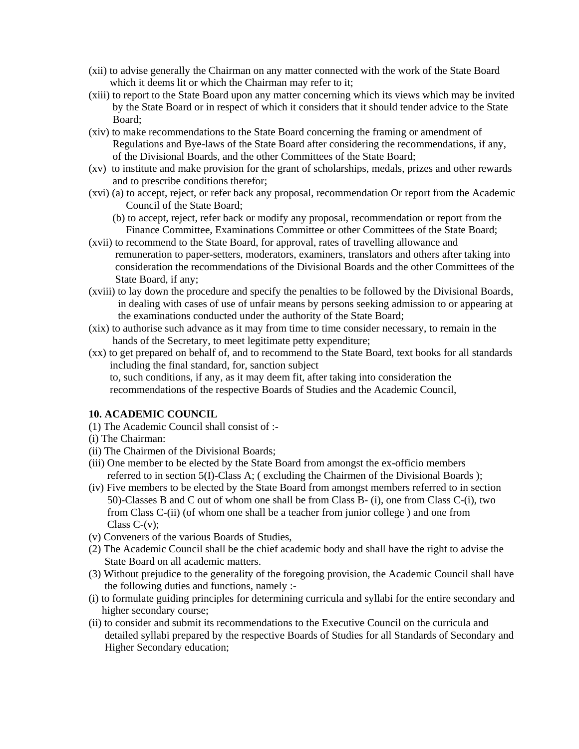- (xii) to advise generally the Chairman on any matter connected with the work of the State Board which it deems lit or which the Chairman may refer to it;
- (xiii) to report to the State Board upon any matter concerning which its views which may be invited by the State Board or in respect of which it considers that it should tender advice to the State Board;
- (xiv) to make recommendations to the State Board concerning the framing or amendment of Regulations and Bye-laws of the State Board after considering the recommendations, if any, of the Divisional Boards, and the other Committees of the State Board;
- (xv) to institute and make provision for the grant of scholarships, medals, prizes and other rewards and to prescribe conditions therefor;
- (xvi) (a) to accept, reject, or refer back any proposal, recommendation Or report from the Academic Council of the State Board;
	- (b) to accept, reject, refer back or modify any proposal, recommendation or report from the Finance Committee, Examinations Committee or other Committees of the State Board;
- (xvii) to recommend to the State Board, for approval, rates of travelling allowance and remuneration to paper-setters, moderators, examiners, translators and others after taking into consideration the recommendations of the Divisional Boards and the other Committees of the State Board, if any;
- (xviii) to lay down the procedure and specify the penalties to be followed by the Divisional Boards, in dealing with cases of use of unfair means by persons seeking admission to or appearing at the examinations conducted under the authority of the State Board;
- (xix) to authorise such advance as it may from time to time consider necessary, to remain in the hands of the Secretary, to meet legitimate petty expenditure;
- (xx) to get prepared on behalf of, and to recommend to the State Board, text books for all standards including the final standard, for, sanction subject to, such conditions, if any, as it may deem fit, after taking into consideration the recommendations of the respective Boards of Studies and the Academic Council,

#### **10. ACADEMIC COUNCIL**

- (1) The Academic Council shall consist of :-
- (i) The Chairman:
- (ii) The Chairmen of the Divisional Boards;
- (iii) One member to be elected by the State Board from amongst the ex-officio members referred to in section 5(I)-Class A; ( excluding the Chairmen of the Divisional Boards );
- (iv) Five members to be elected by the State Board from amongst members referred to in section 50)-Classes B and C out of whom one shall be from Class B- (i), one from Class C-(i), two from Class C-(ii) (of whom one shall be a teacher from junior college ) and one from Class  $C-(v)$ ;
- (v) Conveners of the various Boards of Studies,
- (2) The Academic Council shall be the chief academic body and shall have the right to advise the State Board on all academic matters.
- (3) Without prejudice to the generality of the foregoing provision, the Academic Council shall have the following duties and functions, namely :-
- (i) to formulate guiding principles for determining curricula and syllabi for the entire secondary and higher secondary course;
- (ii) to consider and submit its recommendations to the Executive Council on the curricula and detailed syllabi prepared by the respective Boards of Studies for all Standards of Secondary and Higher Secondary education;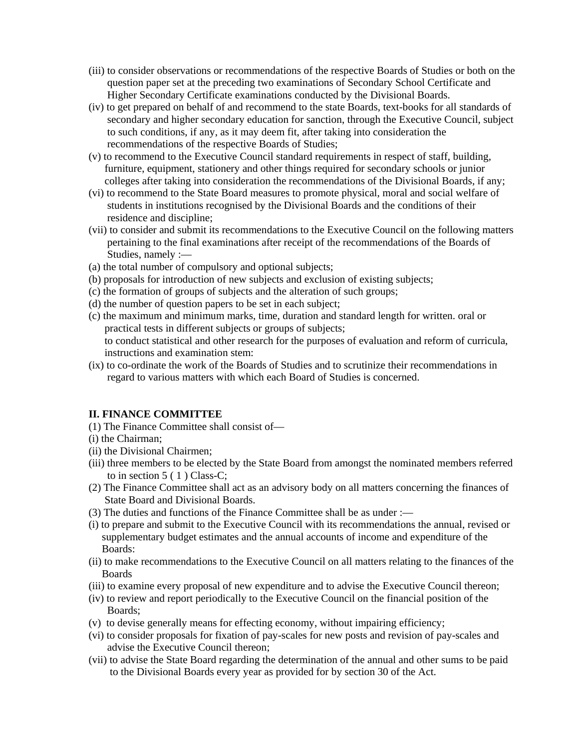- (iii) to consider observations or recommendations of the respective Boards of Studies or both on the question paper set at the preceding two examinations of Secondary School Certificate and Higher Secondary Certificate examinations conducted by the Divisional Boards.
- (iv) to get prepared on behalf of and recommend to the state Boards, text-books for all standards of secondary and higher secondary education for sanction, through the Executive Council, subject to such conditions, if any, as it may deem fit, after taking into consideration the recommendations of the respective Boards of Studies;
- (v) to recommend to the Executive Council standard requirements in respect of staff, building, furniture, equipment, stationery and other things required for secondary schools or junior colleges after taking into consideration the recommendations of the Divisional Boards, if any;
- (vi) to recommend to the State Board measures to promote physical, moral and social welfare of students in institutions recognised by the Divisional Boards and the conditions of their residence and discipline;
- (vii) to consider and submit its recommendations to the Executive Council on the following matters pertaining to the final examinations after receipt of the recommendations of the Boards of Studies, namely :—
- (a) the total number of compulsory and optional subjects;
- (b) proposals for introduction of new subjects and exclusion of existing subjects;
- (c) the formation of groups of subjects and the alteration of such groups;
- (d) the number of question papers to be set in each subject;
- (c) the maximum and minimum marks, time, duration and standard length for written. oral or practical tests in different subjects or groups of subjects; to conduct statistical and other research for the purposes of evaluation and reform of curricula, instructions and examination stem:
- (ix) to co-ordinate the work of the Boards of Studies and to scrutinize their recommendations in regard to various matters with which each Board of Studies is concerned.

#### **II. FINANCE COMMITTEE**

- (1) The Finance Committee shall consist of—
- (i) the Chairman;
- (ii) the Divisional Chairmen;
- (iii) three members to be elected by the State Board from amongst the nominated members referred to in section  $5(1)$  Class-C;
- (2) The Finance Committee shall act as an advisory body on all matters concerning the finances of State Board and Divisional Boards.
- (3) The duties and functions of the Finance Committee shall be as under :—
- (i) to prepare and submit to the Executive Council with its recommendations the annual, revised or supplementary budget estimates and the annual accounts of income and expenditure of the Boards:
- (ii) to make recommendations to the Executive Council on all matters relating to the finances of the Boards
- (iii) to examine every proposal of new expenditure and to advise the Executive Council thereon;
- (iv) to review and report periodically to the Executive Council on the financial position of the Boards;
- (v) to devise generally means for effecting economy, without impairing efficiency;
- (vi) to consider proposals for fixation of pay-scales for new posts and revision of pay-scales and advise the Executive Council thereon;
- (vii) to advise the State Board regarding the determination of the annual and other sums to be paid to the Divisional Boards every year as provided for by section 30 of the Act.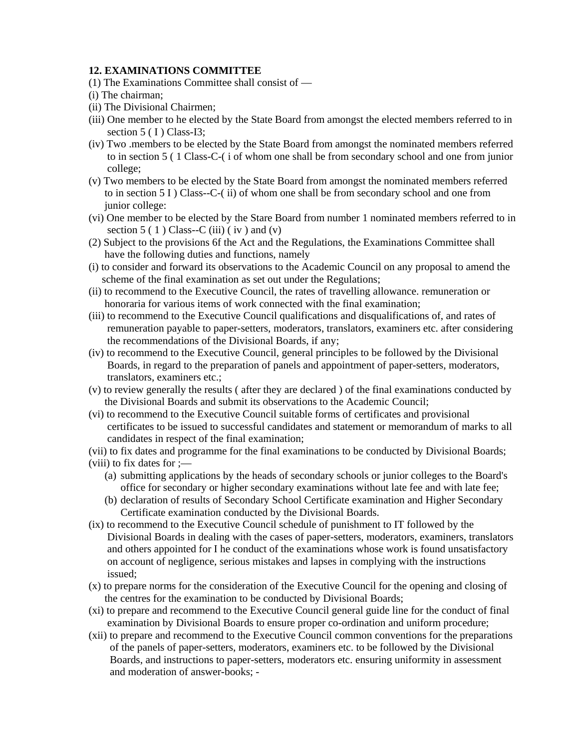#### **12. EXAMINATIONS COMMITTEE**

- (1) The Examinations Committee shall consist of —
- (i) The chairman;
- (ii) The Divisional Chairmen;
- (iii) One member to he elected by the State Board from amongst the elected members referred to in section  $5(1)$  Class-I3:
- (iv) Two .members to be elected by the State Board from amongst the nominated members referred to in section 5 ( 1 Class-C-( i of whom one shall be from secondary school and one from junior college;
- (v) Two members to be elected by the State Board from amongst the nominated members referred to in section 5 I ) Class--C-( ii) of whom one shall be from secondary school and one from junior college:
- (vi) One member to be elected by the Stare Board from number 1 nominated members referred to in section  $5(1)$  Class--C (iii) (iv) and (v)
- (2) Subject to the provisions 6f the Act and the Regulations, the Examinations Committee shall have the following duties and functions, namely
- (i) to consider and forward its observations to the Academic Council on any proposal to amend the scheme of the final examination as set out under the Regulations;
- (ii) to recommend to the Executive Council, the rates of travelling allowance. remuneration or honoraria for various items of work connected with the final examination;
- (iii) to recommend to the Executive Council qualifications and disqualifications of, and rates of remuneration payable to paper-setters, moderators, translators, examiners etc. after considering the recommendations of the Divisional Boards, if any;
- (iv) to recommend to the Executive Council, general principles to be followed by the Divisional Boards, in regard to the preparation of panels and appointment of paper-setters, moderators, translators, examiners etc.;
- (v) to review generally the results ( after they are declared ) of the final examinations conducted by the Divisional Boards and submit its observations to the Academic Council;
- (vi) to recommend to the Executive Council suitable forms of certificates and provisional certificates to be issued to successful candidates and statement or memorandum of marks to all candidates in respect of the final examination;
- (vii) to fix dates and programme for the final examinations to be conducted by Divisional Boards;
- (viii) to fix dates for  $\div$ 
	- (a) submitting applications by the heads of secondary schools or junior colleges to the Board's office for secondary or higher secondary examinations without late fee and with late fee;
	- (b) declaration of results of Secondary School Certificate examination and Higher Secondary Certificate examination conducted by the Divisional Boards.
- (ix) to recommend to the Executive Council schedule of punishment to IT followed by the Divisional Boards in dealing with the cases of paper-setters, moderators, examiners, translators and others appointed for I he conduct of the examinations whose work is found unsatisfactory on account of negligence, serious mistakes and lapses in complying with the instructions issued;
- (x) to prepare norms for the consideration of the Executive Council for the opening and closing of the centres for the examination to be conducted by Divisional Boards;
- (xi) to prepare and recommend to the Executive Council general guide line for the conduct of final examination by Divisional Boards to ensure proper co-ordination and uniform procedure;
- (xii) to prepare and recommend to the Executive Council common conventions for the preparations of the panels of paper-setters, moderators, examiners etc. to be followed by the Divisional Boards, and instructions to paper-setters, moderators etc. ensuring uniformity in assessment and moderation of answer-books; -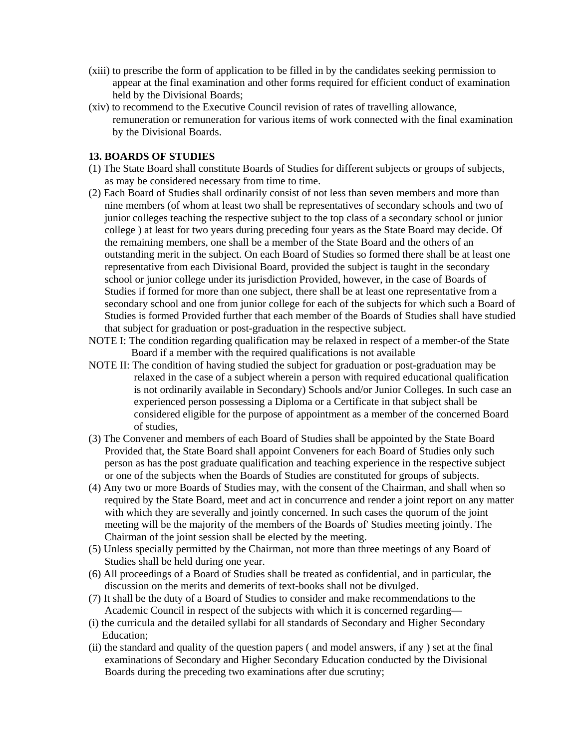- (xiii) to prescribe the form of application to be filled in by the candidates seeking permission to appear at the final examination and other forms required for efficient conduct of examination held by the Divisional Boards;
- (xiv) to recommend to the Executive Council revision of rates of travelling allowance, remuneration or remuneration for various items of work connected with the final examination by the Divisional Boards.

#### **13. BOARDS OF STUDIES**

- (1) The State Board shall constitute Boards of Studies for different subjects or groups of subjects, as may be considered necessary from time to time.
- (2) Each Board of Studies shall ordinarily consist of not less than seven members and more than nine members (of whom at least two shall be representatives of secondary schools and two of junior colleges teaching the respective subject to the top class of a secondary school or junior college ) at least for two years during preceding four years as the State Board may decide. Of the remaining members, one shall be a member of the State Board and the others of an outstanding merit in the subject. On each Board of Studies so formed there shall be at least one representative from each Divisional Board, provided the subject is taught in the secondary school or junior college under its jurisdiction Provided, however, in the case of Boards of Studies if formed for more than one subject, there shall be at least one representative from a secondary school and one from junior college for each of the subjects for which such a Board of Studies is formed Provided further that each member of the Boards of Studies shall have studied that subject for graduation or post-graduation in the respective subject.
- NOTE I: The condition regarding qualification may be relaxed in respect of a member-of the State Board if a member with the required qualifications is not available
- NOTE II: The condition of having studied the subject for graduation or post-graduation may be relaxed in the case of a subject wherein a person with required educational qualification is not ordinarily available in Secondary) Schools and/or Junior Colleges. In such case an experienced person possessing a Diploma or a Certificate in that subject shall be considered eligible for the purpose of appointment as a member of the concerned Board of studies,
- (3) The Convener and members of each Board of Studies shall be appointed by the State Board Provided that, the State Board shall appoint Conveners for each Board of Studies only such person as has the post graduate qualification and teaching experience in the respective subject or one of the subjects when the Boards of Studies are constituted for groups of subjects.
- (4) Any two or more Boards of Studies may, with the consent of the Chairman, and shall when so required by the State Board, meet and act in concurrence and render a joint report on any matter with which they are severally and jointly concerned. In such cases the quorum of the joint meeting will be the majority of the members of the Boards of' Studies meeting jointly. The Chairman of the joint session shall be elected by the meeting.
- (5) Unless specially permitted by the Chairman, not more than three meetings of any Board of Studies shall be held during one year.
- (6) All proceedings of a Board of Studies shall be treated as confidential, and in particular, the discussion on the merits and demerits of text-books shall not be divulged.
- (7) It shall be the duty of a Board of Studies to consider and make recommendations to the Academic Council in respect of the subjects with which it is concerned regarding—
- (i) the curricula and the detailed syllabi for all standards of Secondary and Higher Secondary Education;
- (ii) the standard and quality of the question papers ( and model answers, if any ) set at the final examinations of Secondary and Higher Secondary Education conducted by the Divisional Boards during the preceding two examinations after due scrutiny;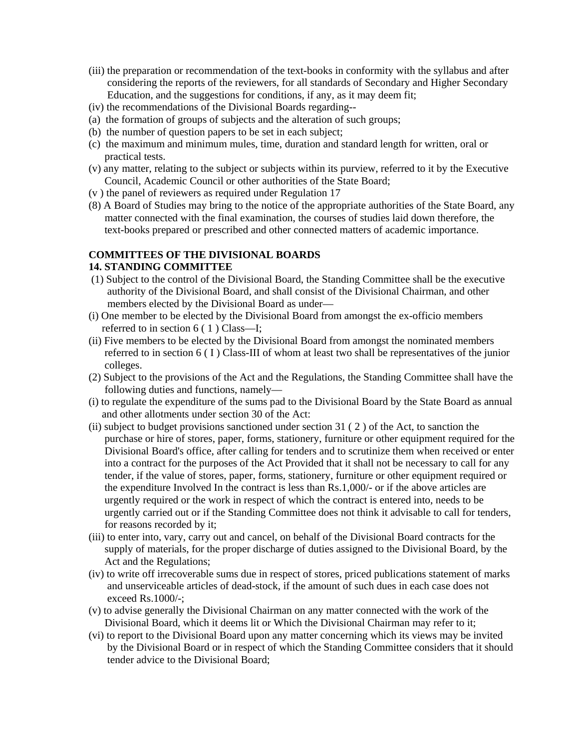- (iii) the preparation or recommendation of the text-books in conformity with the syllabus and after considering the reports of the reviewers, for all standards of Secondary and Higher Secondary Education, and the suggestions for conditions, if any, as it may deem fit;
- (iv) the recommendations of the Divisional Boards regarding--
- (a) the formation of groups of subjects and the alteration of such groups;
- (b) the number of question papers to be set in each subject;
- (c) the maximum and minimum mules, time, duration and standard length for written, oral or practical tests.
- (v) any matter, relating to the subject or subjects within its purview, referred to it by the Executive Council, Academic Council or other authorities of the State Board;
- (v ) the panel of reviewers as required under Regulation 17
- (8) A Board of Studies may bring to the notice of the appropriate authorities of the State Board, any matter connected with the final examination, the courses of studies laid down therefore, the text-books prepared or prescribed and other connected matters of academic importance.

#### **COMMITTEES OF THE DIVISIONAL BOARDS 14. STANDING COMMITTEE**

- (1) Subject to the control of the Divisional Board, the Standing Committee shall be the executive authority of the Divisional Board, and shall consist of the Divisional Chairman, and other members elected by the Divisional Board as under—
- (i) One member to be elected by the Divisional Board from amongst the ex-officio members referred to in section 6 ( 1 ) Class—I;
- (ii) Five members to be elected by the Divisional Board from amongst the nominated members referred to in section 6 (I) Class-III of whom at least two shall be representatives of the junior colleges.
- (2) Subject to the provisions of the Act and the Regulations, the Standing Committee shall have the following duties and functions, namely—
- (i) to regulate the expenditure of the sums pad to the Divisional Board by the State Board as annual and other allotments under section 30 of the Act:
- (ii) subject to budget provisions sanctioned under section 31 ( 2 ) of the Act, to sanction the purchase or hire of stores, paper, forms, stationery, furniture or other equipment required for the Divisional Board's office, after calling for tenders and to scrutinize them when received or enter into a contract for the purposes of the Act Provided that it shall not be necessary to call for any tender, if the value of stores, paper, forms, stationery, furniture or other equipment required or the expenditure Involved In the contract is less than Rs.1,000/- or if the above articles are urgently required or the work in respect of which the contract is entered into, needs to be urgently carried out or if the Standing Committee does not think it advisable to call for tenders, for reasons recorded by it;
- (iii) to enter into, vary, carry out and cancel, on behalf of the Divisional Board contracts for the supply of materials, for the proper discharge of duties assigned to the Divisional Board, by the Act and the Regulations;
- (iv) to write off irrecoverable sums due in respect of stores, priced publications statement of marks and unserviceable articles of dead-stock, if the amount of such dues in each case does not exceed Rs.1000/-;
- (v) to advise generally the Divisional Chairman on any matter connected with the work of the Divisional Board, which it deems lit or Which the Divisional Chairman may refer to it;
- (vi) to report to the Divisional Board upon any matter concerning which its views may be invited by the Divisional Board or in respect of which the Standing Committee considers that it should tender advice to the Divisional Board;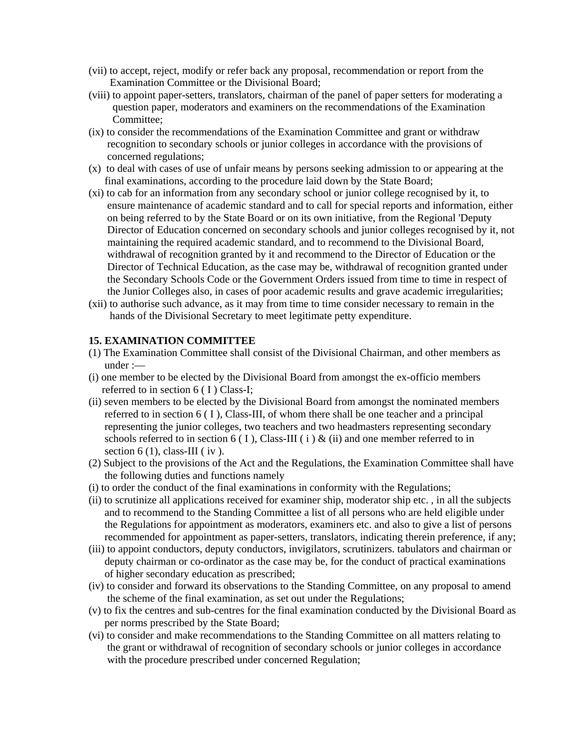- (vii) to accept, reject, modify or refer back any proposal, recommendation or report from the Examination Committee or the Divisional Board;
- (viii) to appoint paper-setters, translators, chairman of the panel of paper setters for moderating a question paper, moderators and examiners on the recommendations of the Examination Committee;
- (ix) to consider the recommendations of the Examination Committee and grant or withdraw recognition to secondary schools or junior colleges in accordance with the provisions of concerned regulations;
- (x) to deal with cases of use of unfair means by persons seeking admission to or appearing at the final examinations, according to the procedure laid down by the State Board;
- (xi) to cab for an information from any secondary school or junior college recognised by it, to ensure maintenance of academic standard and to call for special reports and information, either on being referred to by the State Board or on its own initiative, from the Regional 'Deputy Director of Education concerned on secondary schools and junior colleges recognised by it, not maintaining the required academic standard, and to recommend to the Divisional Board, withdrawal of recognition granted by it and recommend to the Director of Education or the Director of Technical Education, as the case may be, withdrawal of recognition granted under the Secondary Schools Code or the Government Orders issued from time to time in respect of the Junior Colleges also, in cases of poor academic results and grave academic irregularities;
- (xii) to authorise such advance, as it may from time to time consider necessary to remain in the hands of the Divisional Secretary to meet legitimate petty expenditure.

#### **15. EXAMINATION COMMITTEE**

- (1) The Examination Committee shall consist of the Divisional Chairman, and other members as under :—
- (i) one member to be elected by the Divisional Board from amongst the ex-officio members referred to in section 6 (I) Class-I;
- (ii) seven members to be elected by the Divisional Board from amongst the nominated members referred to in section 6 ( I ), Class-III, of whom there shall be one teacher and a principal representing the junior colleges, two teachers and two headmasters representing secondary schools referred to in section 6 (I), Class-III (i)  $\&$  (ii) and one member referred to in section  $6(1)$ , class-III (iv).
- (2) Subject to the provisions of the Act and the Regulations, the Examination Committee shall have the following duties and functions namely
- (i) to order the conduct of the final examinations in conformity with the Regulations;
- (ii) to scrutinize all applications received for examiner ship, moderator ship etc. , in all the subjects and to recommend to the Standing Committee a list of all persons who are held eligible under the Regulations for appointment as moderators, examiners etc. and also to give a list of persons recommended for appointment as paper-setters, translators, indicating therein preference, if any;
- (iii) to appoint conductors, deputy conductors, invigilators, scrutinizers. tabulators and chairman or deputy chairman or co-ordinator as the case may be, for the conduct of practical examinations of higher secondary education as prescribed;
- (iv) to consider and forward its observations to the Standing Committee, on any proposal to amend the scheme of the final examination, as set out under the Regulations;
- (v) to fix the centres and sub-centres for the final examination conducted by the Divisional Board as per norms prescribed by the State Board;
- (vi) to consider and make recommendations to the Standing Committee on all matters relating to the grant or withdrawal of recognition of secondary schools or junior colleges in accordance with the procedure prescribed under concerned Regulation;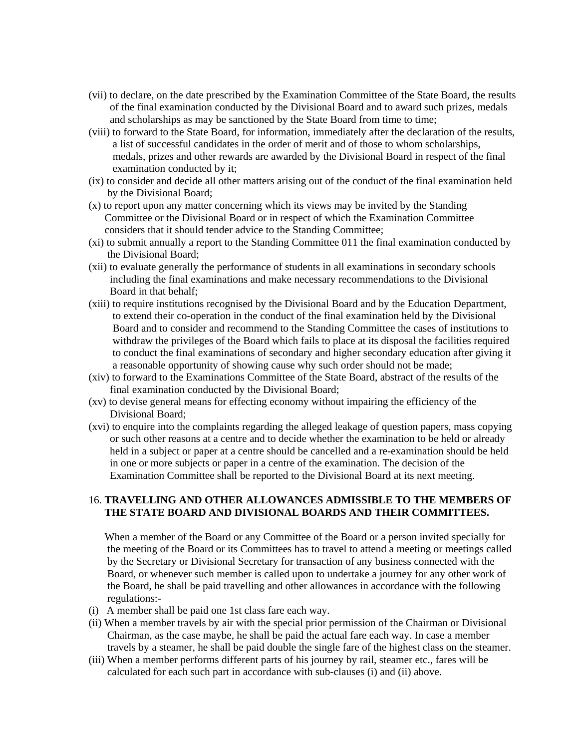- (vii) to declare, on the date prescribed by the Examination Committee of the State Board, the results of the final examination conducted by the Divisional Board and to award such prizes, medals and scholarships as may be sanctioned by the State Board from time to time;
- (viii) to forward to the State Board, for information, immediately after the declaration of the results, a list of successful candidates in the order of merit and of those to whom scholarships, medals, prizes and other rewards are awarded by the Divisional Board in respect of the final examination conducted by it;
- (ix) to consider and decide all other matters arising out of the conduct of the final examination held by the Divisional Board;
- (x) to report upon any matter concerning which its views may be invited by the Standing Committee or the Divisional Board or in respect of which the Examination Committee considers that it should tender advice to the Standing Committee;
- (xi) to submit annually a report to the Standing Committee 011 the final examination conducted by the Divisional Board;
- (xii) to evaluate generally the performance of students in all examinations in secondary schools including the final examinations and make necessary recommendations to the Divisional Board in that behalf;
- (xiii) to require institutions recognised by the Divisional Board and by the Education Department, to extend their co-operation in the conduct of the final examination held by the Divisional Board and to consider and recommend to the Standing Committee the cases of institutions to withdraw the privileges of the Board which fails to place at its disposal the facilities required to conduct the final examinations of secondary and higher secondary education after giving it a reasonable opportunity of showing cause why such order should not be made;
- (xiv) to forward to the Examinations Committee of the State Board, abstract of the results of the final examination conducted by the Divisional Board;
- (xv) to devise general means for effecting economy without impairing the efficiency of the Divisional Board;
- (xvi) to enquire into the complaints regarding the alleged leakage of question papers, mass copying or such other reasons at a centre and to decide whether the examination to be held or already held in a subject or paper at a centre should be cancelled and a re-examination should be held in one or more subjects or paper in a centre of the examination. The decision of the Examination Committee shall be reported to the Divisional Board at its next meeting.

#### 16. **TRAVELLING AND OTHER ALLOWANCES ADMISSIBLE TO THE MEMBERS OF THE STATE BOARD AND DIVISIONAL BOARDS AND THEIR COMMITTEES.**

 When a member of the Board or any Committee of the Board or a person invited specially for the meeting of the Board or its Committees has to travel to attend a meeting or meetings called by the Secretary or Divisional Secretary for transaction of any business connected with the Board, or whenever such member is called upon to undertake a journey for any other work of the Board, he shall be paid travelling and other allowances in accordance with the following regulations:-

- (i) A member shall be paid one 1st class fare each way.
- (ii) When a member travels by air with the special prior permission of the Chairman or Divisional Chairman, as the case maybe, he shall be paid the actual fare each way. In case a member travels by a steamer, he shall be paid double the single fare of the highest class on the steamer.
- (iii) When a member performs different parts of his journey by rail, steamer etc., fares will be calculated for each such part in accordance with sub-clauses (i) and (ii) above.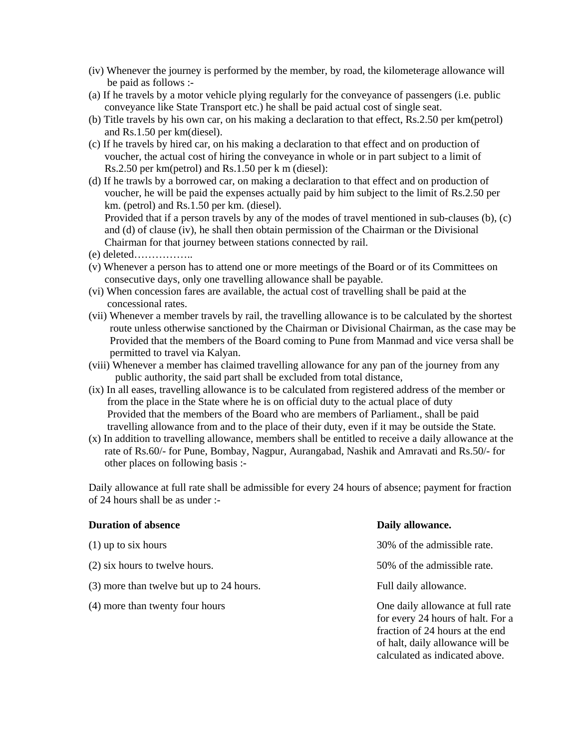- (iv) Whenever the journey is performed by the member, by road, the kilometerage allowance will be paid as follows :-
- (a) If he travels by a motor vehicle plying regularly for the conveyance of passengers (i.e. public conveyance like State Transport etc.) he shall be paid actual cost of single seat.
- (b) Title travels by his own car, on his making a declaration to that effect, Rs.2.50 per km(petrol) and Rs.1.50 per km(diesel).
- (c) If he travels by hired car, on his making a declaration to that effect and on production of voucher, the actual cost of hiring the conveyance in whole or in part subject to a limit of Rs.2.50 per km(petrol) and Rs.1.50 per k m (diesel):
- (d) If he trawls by a borrowed car, on making a declaration to that effect and on production of voucher, he will be paid the expenses actually paid by him subject to the limit of Rs.2.50 per km. (petrol) and Rs.1.50 per km. (diesel). Provided that if a person travels by any of the modes of travel mentioned in sub-clauses (b), (c)

 and (d) of clause (iv), he shall then obtain permission of the Chairman or the Divisional Chairman for that journey between stations connected by rail.

- (e) deleted……………..
- (v) Whenever a person has to attend one or more meetings of the Board or of its Committees on consecutive days, only one travelling allowance shall be payable.
- (vi) When concession fares are available, the actual cost of travelling shall be paid at the concessional rates.
- (vii) Whenever a member travels by rail, the travelling allowance is to be calculated by the shortest route unless otherwise sanctioned by the Chairman or Divisional Chairman, as the case may be Provided that the members of the Board coming to Pune from Manmad and vice versa shall be permitted to travel via Kalyan.
- (viii) Whenever a member has claimed travelling allowance for any pan of the journey from any public authority, the said part shall be excluded from total distance,
- (ix) In all eases, travelling allowance is to be calculated from registered address of the member or from the place in the State where he is on official duty to the actual place of duty Provided that the members of the Board who are members of Parliament., shall be paid travelling allowance from and to the place of their duty, even if it may be outside the State.
- (x) In addition to travelling allowance, members shall be entitled to receive a daily allowance at the rate of Rs.60/- for Pune, Bombay, Nagpur, Aurangabad, Nashik and Amravati and Rs.50/- for other places on following basis :-

Daily allowance at full rate shall be admissible for every 24 hours of absence; payment for fraction of 24 hours shall be as under :-

| <b>Duration of absence</b>               | Daily allowance.                                                                                                                                                               |
|------------------------------------------|--------------------------------------------------------------------------------------------------------------------------------------------------------------------------------|
| $(1)$ up to six hours                    | 30% of the admissible rate.                                                                                                                                                    |
| (2) six hours to twelve hours.           | 50% of the admissible rate.                                                                                                                                                    |
| (3) more than twelve but up to 24 hours. | Full daily allowance.                                                                                                                                                          |
| (4) more than twenty four hours          | One daily allowance at full rate<br>for every 24 hours of halt. For a<br>fraction of 24 hours at the end<br>of halt, daily allowance will be<br>calculated as indicated above. |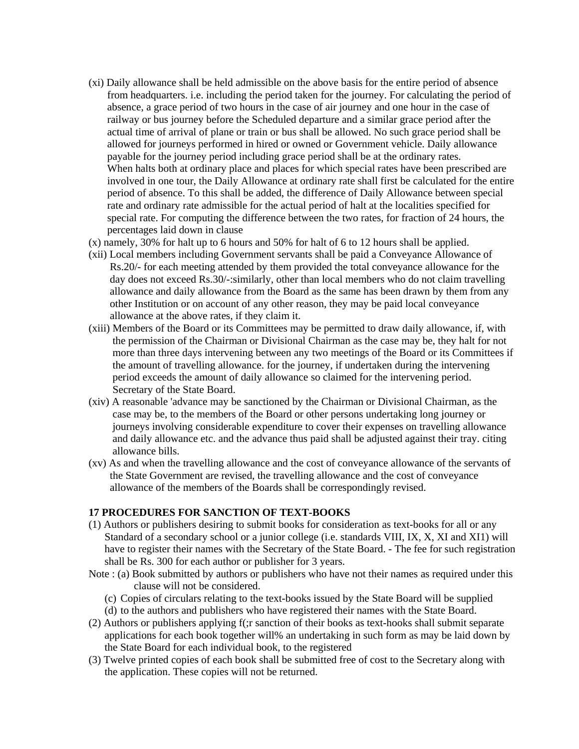- (xi) Daily allowance shall be held admissible on the above basis for the entire period of absence from headquarters. i.e. including the period taken for the journey. For calculating the period of absence, a grace period of two hours in the case of air journey and one hour in the case of railway or bus journey before the Scheduled departure and a similar grace period after the actual time of arrival of plane or train or bus shall be allowed. No such grace period shall be allowed for journeys performed in hired or owned or Government vehicle. Daily allowance payable for the journey period including grace period shall be at the ordinary rates. When halts both at ordinary place and places for which special rates have been prescribed are involved in one tour, the Daily Allowance at ordinary rate shall first be calculated for the entire period of absence. To this shall be added, the difference of Daily Allowance between special rate and ordinary rate admissible for the actual period of halt at the localities specified for special rate. For computing the difference between the two rates, for fraction of 24 hours, the percentages laid down in clause
- (x) namely, 30% for halt up to 6 hours and 50% for halt of 6 to 12 hours shall be applied.
- (xii) Local members including Government servants shall be paid a Conveyance Allowance of Rs.20/- for each meeting attended by them provided the total conveyance allowance for the day does not exceed Rs.30/-:similarly, other than local members who do not claim travelling allowance and daily allowance from the Board as the same has been drawn by them from any other Institution or on account of any other reason, they may be paid local conveyance allowance at the above rates, if they claim it.
- (xiii) Members of the Board or its Committees may be permitted to draw daily allowance, if, with the permission of the Chairman or Divisional Chairman as the case may be, they halt for not more than three days intervening between any two meetings of the Board or its Committees if the amount of travelling allowance. for the journey, if undertaken during the intervening period exceeds the amount of daily allowance so claimed for the intervening period. Secretary of the State Board.
- (xiv) A reasonable 'advance may be sanctioned by the Chairman or Divisional Chairman, as the case may be, to the members of the Board or other persons undertaking long journey or journeys involving considerable expenditure to cover their expenses on travelling allowance and daily allowance etc. and the advance thus paid shall be adjusted against their tray. citing allowance bills.
- (xv) As and when the travelling allowance and the cost of conveyance allowance of the servants of the State Government are revised, the travelling allowance and the cost of conveyance allowance of the members of the Boards shall be correspondingly revised.

#### **17 PROCEDURES FOR SANCTION OF TEXT-BOOKS**

- (1) Authors or publishers desiring to submit books for consideration as text-books for all or any Standard of a secondary school or a junior college (i.e. standards VIII, IX, X, XI and XI1) will have to register their names with the Secretary of the State Board. - The fee for such registration shall be Rs. 300 for each author or publisher for 3 years.
- Note : (a) Book submitted by authors or publishers who have not their names as required under this clause will not be considered.
	- (c) Copies of circulars relating to the text-books issued by the State Board will be supplied
	- (d) to the authors and publishers who have registered their names with the State Board.
- (2) Authors or publishers applying f(;r sanction of their books as text-hooks shall submit separate applications for each book together will% an undertaking in such form as may be laid down by the State Board for each individual book, to the registered
- (3) Twelve printed copies of each book shall be submitted free of cost to the Secretary along with the application. These copies will not be returned.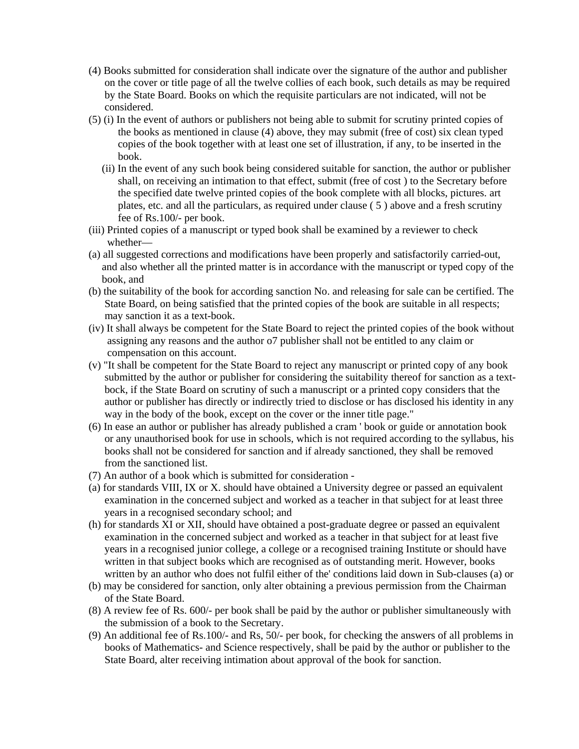- (4) Books submitted for consideration shall indicate over the signature of the author and publisher on the cover or title page of all the twelve collies of each book, such details as may be required by the State Board. Books on which the requisite particulars are not indicated, will not be considered.
- (5) (i) In the event of authors or publishers not being able to submit for scrutiny printed copies of the books as mentioned in clause (4) above, they may submit (free of cost) six clean typed copies of the book together with at least one set of illustration, if any, to be inserted in the book.
	- (ii) In the event of any such book being considered suitable for sanction, the author or publisher shall, on receiving an intimation to that effect, submit (free of cost ) to the Secretary before the specified date twelve printed copies of the book complete with all blocks, pictures. art plates, etc. and all the particulars, as required under clause ( 5 ) above and a fresh scrutiny fee of Rs.100/- per book.
- (iii) Printed copies of a manuscript or typed book shall be examined by a reviewer to check whether—
- (a) all suggested corrections and modifications have been properly and satisfactorily carried-out, and also whether all the printed matter is in accordance with the manuscript or typed copy of the book, and
- (b) the suitability of the book for according sanction No. and releasing for sale can be certified. The State Board, on being satisfied that the printed copies of the book are suitable in all respects; may sanction it as a text-book.
- (iv) It shall always be competent for the State Board to reject the printed copies of the book without assigning any reasons and the author o7 publisher shall not be entitled to any claim or compensation on this account.
- (v) "It shall be competent for the State Board to reject any manuscript or printed copy of any book submitted by the author or publisher for considering the suitability thereof for sanction as a text bock, if the State Board on scrutiny of such a manuscript or a printed copy considers that the author or publisher has directly or indirectly tried to disclose or has disclosed his identity in any way in the body of the book, except on the cover or the inner title page."
- (6) In ease an author or publisher has already published a cram ' book or guide or annotation book or any unauthorised book for use in schools, which is not required according to the syllabus, his books shall not be considered for sanction and if already sanctioned, they shall be removed from the sanctioned list.
- (7) An author of a book which is submitted for consideration -
- (a) for standards VIII, IX or X. should have obtained a University degree or passed an equivalent examination in the concerned subject and worked as a teacher in that subject for at least three years in a recognised secondary school; and
- (h) for standards XI or XII, should have obtained a post-graduate degree or passed an equivalent examination in the concerned subject and worked as a teacher in that subject for at least five years in a recognised junior college, a college or a recognised training Institute or should have written in that subject books which are recognised as of outstanding merit. However, books written by an author who does not fulfil either of the' conditions laid down in Sub-clauses (a) or
- (b) may be considered for sanction, only alter obtaining a previous permission from the Chairman of the State Board.
- (8) A review fee of Rs. 600/- per book shall be paid by the author or publisher simultaneously with the submission of a book to the Secretary.
- (9) An additional fee of Rs.100/- and Rs, 50/- per book, for checking the answers of all problems in books of Mathematics- and Science respectively, shall be paid by the author or publisher to the State Board, alter receiving intimation about approval of the book for sanction.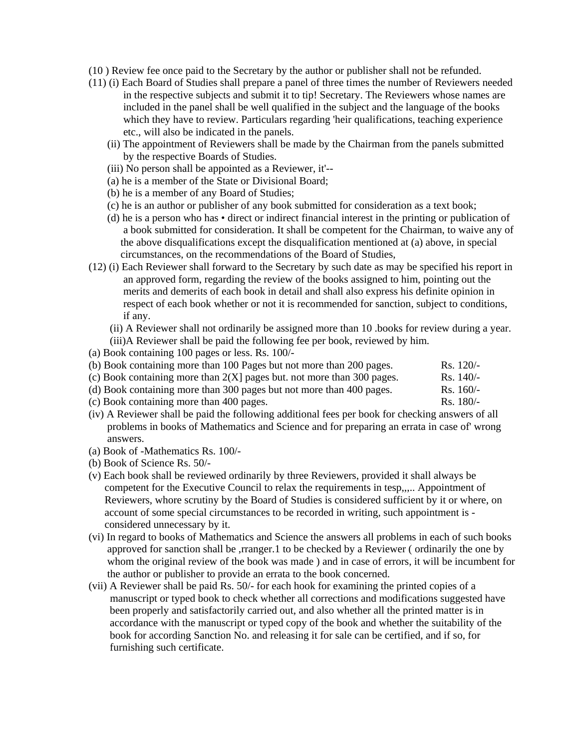- (10 ) Review fee once paid to the Secretary by the author or publisher shall not be refunded.
- (11) (i) Each Board of Studies shall prepare a panel of three times the number of Reviewers needed in the respective subjects and submit it to tip! Secretary. The Reviewers whose names are included in the panel shall be well qualified in the subject and the language of the books which they have to review. Particulars regarding 'heir qualifications, teaching experience etc., will also be indicated in the panels.
	- (ii) The appointment of Reviewers shall be made by the Chairman from the panels submitted by the respective Boards of Studies.
	- (iii) No person shall be appointed as a Reviewer, it'--
	- (a) he is a member of the State or Divisional Board;
	- (b) he is a member of any Board of Studies;
	- (c) he is an author or publisher of any book submitted for consideration as a text book;
	- (d) he is a person who has direct or indirect financial interest in the printing or publication of a book submitted for consideration. It shall be competent for the Chairman, to waive any of the above disqualifications except the disqualification mentioned at (a) above, in special circumstances, on the recommendations of the Board of Studies,
- (12) (i) Each Reviewer shall forward to the Secretary by such date as may be specified his report in an approved form, regarding the review of the books assigned to him, pointing out the merits and demerits of each book in detail and shall also express his definite opinion in respect of each book whether or not it is recommended for sanction, subject to conditions, if any.

 (ii) A Reviewer shall not ordinarily be assigned more than 10 .books for review during a year. (iii)A Reviewer shall be paid the following fee per book, reviewed by him.

(a) Book containing 100 pages or less. Rs. 100/-

| (b) Book containing more than 100 Pages but not more than 200 pages.     | $Rs. 120/-$ |
|--------------------------------------------------------------------------|-------------|
| (c) Book containing more than $2(X)$ pages but. not more than 300 pages. | $Rs. 140/-$ |
| (d) Book containing more than 300 pages but not more than 400 pages.     | $Rs. 160/-$ |
| (c) Book containing more than 400 pages.                                 | $Rs. 180/-$ |

- (iv) A Reviewer shall be paid the following additional fees per book for checking answers of all problems in books of Mathematics and Science and for preparing an errata in case of' wrong answers.
- (a) Book of -Mathematics Rs. 100/-
- (b) Book of Science Rs. 50/-
- (v) Each book shall be reviewed ordinarily by three Reviewers, provided it shall always be competent for the Executive Council to relax the requirements in tesp,,,.. Appointment of Reviewers, whore scrutiny by the Board of Studies is considered sufficient by it or where, on account of some special circumstances to be recorded in writing, such appointment is considered unnecessary by it.
- (vi) In regard to books of Mathematics and Science the answers all problems in each of such books approved for sanction shall be ,rranger.1 to be checked by a Reviewer (ordinarily the one by whom the original review of the book was made ) and in case of errors, it will be incumbent for the author or publisher to provide an errata to the book concerned.
- (vii) A Reviewer shall be paid Rs. 50/- for each hook for examining the printed copies of a manuscript or typed book to check whether all corrections and modifications suggested have been properly and satisfactorily carried out, and also whether all the printed matter is in accordance with the manuscript or typed copy of the book and whether the suitability of the book for according Sanction No. and releasing it for sale can be certified, and if so, for furnishing such certificate.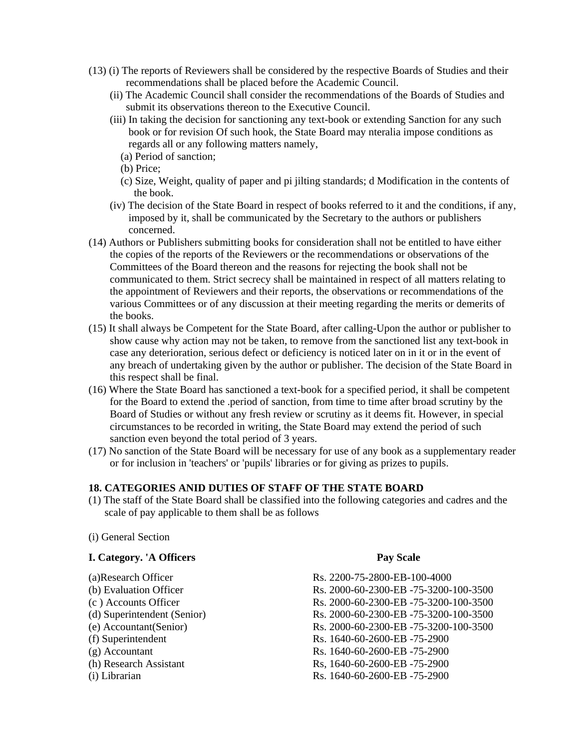- (13) (i) The reports of Reviewers shall be considered by the respective Boards of Studies and their recommendations shall be placed before the Academic Council.
	- (ii) The Academic Council shall consider the recommendations of the Boards of Studies and submit its observations thereon to the Executive Council.
	- (iii) In taking the decision for sanctioning any text-book or extending Sanction for any such book or for revision Of such hook, the State Board may nteralia impose conditions as regards all or any following matters namely,
		- (a) Period of sanction;
		- (b) Price;
		- (c) Size, Weight, quality of paper and pi jilting standards; d Modification in the contents of the book.
	- (iv) The decision of the State Board in respect of books referred to it and the conditions, if any, imposed by it, shall be communicated by the Secretary to the authors or publishers concerned.
- (14) Authors or Publishers submitting books for consideration shall not be entitled to have either the copies of the reports of the Reviewers or the recommendations or observations of the Committees of the Board thereon and the reasons for rejecting the book shall not be communicated to them. Strict secrecy shall be maintained in respect of all matters relating to the appointment of Reviewers and their reports, the observations or recommendations of the various Committees or of any discussion at their meeting regarding the merits or demerits of the books.
- (15) It shall always be Competent for the State Board, after calling-Upon the author or publisher to show cause why action may not be taken, to remove from the sanctioned list any text-book in case any deterioration, serious defect or deficiency is noticed later on in it or in the event of any breach of undertaking given by the author or publisher. The decision of the State Board in this respect shall be final.
- (16) Where the State Board has sanctioned a text-book for a specified period, it shall be competent for the Board to extend the .period of sanction, from time to time after broad scrutiny by the Board of Studies or without any fresh review or scrutiny as it deems fit. However, in special circumstances to be recorded in writing, the State Board may extend the period of such sanction even beyond the total period of 3 years.
- (17) No sanction of the State Board will be necessary for use of any book as a supplementary reader or for inclusion in 'teachers' or 'pupils' libraries or for giving as prizes to pupils.

#### **18. CATEGORIES ANID DUTIES OF STAFF OF THE STATE BOARD**

(1) The staff of the State Board shall be classified into the following categories and cadres and the scale of pay applicable to them shall be as follows

#### (i) General Section

#### **I. Category. 'A Officers Pay Scale**

- 
- 
- 
- 
- 
- 
- 
- 
- 

(a)Research Officer Rs. 2200-75-2800-EB-100-4000 (b) Evaluation Officer Rs. 2000-60-2300-EB -75-3200-100-3500 (c ) Accounts Officer Rs. 2000-60-2300-EB -75-3200-100-3500 (d) Superintendent (Senior) Rs. 2000-60-2300-EB -75-3200-100-3500 (e) Accountant(Senior) Rs. 2000-60-2300-EB -75-3200-100-3500 (f) Superintendent Rs. 1640-60-2600-EB -75-2900 (g) Accountant Rs. 1640-60-2600-EB -75-2900 (h) Research Assistant Rs, 1640-60-2600-EB -75-2900 (i) Librarian Rs. 1640-60-2600-EB -75-2900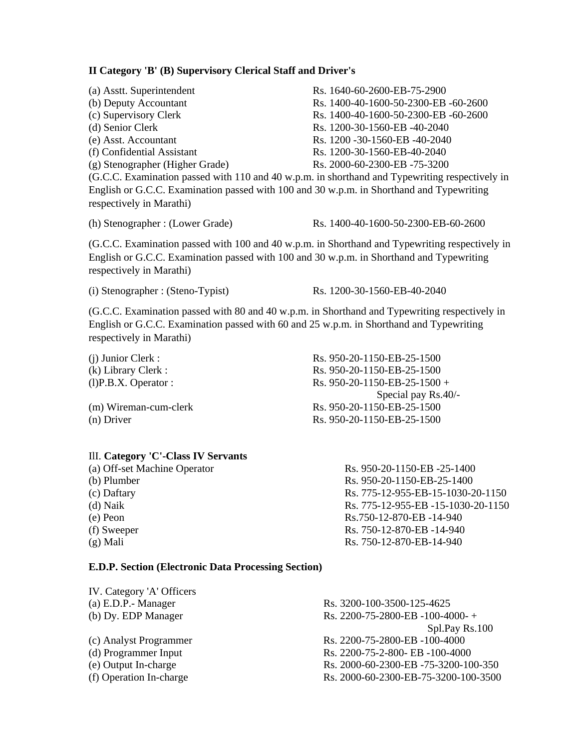#### **II Category 'B' (B) Supervisory Clerical Staff and Driver's**

| (a) Asstt. Superintendent                                                                      | Rs. 1640-60-2600-EB-75-2900          |  |
|------------------------------------------------------------------------------------------------|--------------------------------------|--|
| (b) Deputy Accountant                                                                          | Rs. 1400-40-1600-50-2300-EB -60-2600 |  |
| (c) Supervisory Clerk                                                                          | Rs. 1400-40-1600-50-2300-EB -60-2600 |  |
| (d) Senior Clerk                                                                               | Rs. 1200-30-1560-EB -40-2040         |  |
| (e) Asst. Accountant                                                                           | Rs. 1200 - 30-1560-EB - 40-2040      |  |
| (f) Confidential Assistant                                                                     | Rs. 1200-30-1560-EB-40-2040          |  |
| (g) Stenographer (Higher Grade)                                                                | Rs. 2000-60-2300-EB-75-3200          |  |
| (G.C.C. Examination passed with 110 and 40 w.p.m. in shorthand and Typewriting respectively in |                                      |  |
| English or G.C.C. Examination passed with 100 and 30 w.p.m. in Shorthand and Typewriting       |                                      |  |
| respectively in Marathi)                                                                       |                                      |  |

(h) Stenographer : (Lower Grade) Rs. 1400-40-1600-50-2300-EB-60-2600

(G.C.C. Examination passed with 100 and 40 w.p.m. in Shorthand and Typewriting respectively in English or G.C.C. Examination passed with 100 and 30 w.p.m. in Shorthand and Typewriting respectively in Marathi)

(i) Stenographer : (Steno-Typist) Rs. 1200-30-1560-EB-40-2040

(G.C.C. Examination passed with 80 and 40 w.p.m. in Shorthand and Typewriting respectively in English or G.C.C. Examination passed with 60 and 25 w.p.m. in Shorthand and Typewriting respectively in Marathi)

| Rs. 950-20-1150-EB-25-1500   |
|------------------------------|
| Rs. 950-20-1150-EB-25-1500   |
| Rs. 950-20-1150-EB-25-1500 + |
| Special pay $Rs.40/-$        |
| Rs. 950-20-1150-EB-25-1500   |
| Rs. 950-20-1150-EB-25-1500   |
|                              |

#### IlI. **Category 'C'-Class IV Servants**

| (a) Off-set Machine Operator | Rs. 950-20-1150-EB -25-1400        |
|------------------------------|------------------------------------|
| (b) Plumber                  | Rs. 950-20-1150-EB-25-1400         |
| (c) Daftary                  | Rs. 775-12-955-EB-15-1030-20-1150  |
| $(d)$ Naik                   | Rs. 775-12-955-EB -15-1030-20-1150 |
| (e) Peon                     | Rs.750-12-870-EB -14-940           |
| (f) Sweeper                  | Rs. 750-12-870-EB -14-940          |
| $(g)$ Mali                   | Rs. 750-12-870-EB-14-940           |

#### **E.D.P. Section (Electronic Data Processing Section)**

| IV. Category 'A' Officers |                                      |
|---------------------------|--------------------------------------|
| (a) E.D.P.- Manager       | Rs. 3200-100-3500-125-4625           |
| (b) Dy. EDP Manager       | Rs. 2200-75-2800-EB -100-4000-+      |
|                           | Spl.Pay Rs.100                       |
| (c) Analyst Programmer    | Rs. 2200-75-2800-EB -100-4000        |
| (d) Programmer Input      | Rs. 2200-75-2-800- EB -100-4000      |
| (e) Output In-charge      | Rs. 2000-60-2300-EB-75-3200-100-350  |
| (f) Operation In-charge   | Rs. 2000-60-2300-EB-75-3200-100-3500 |
|                           |                                      |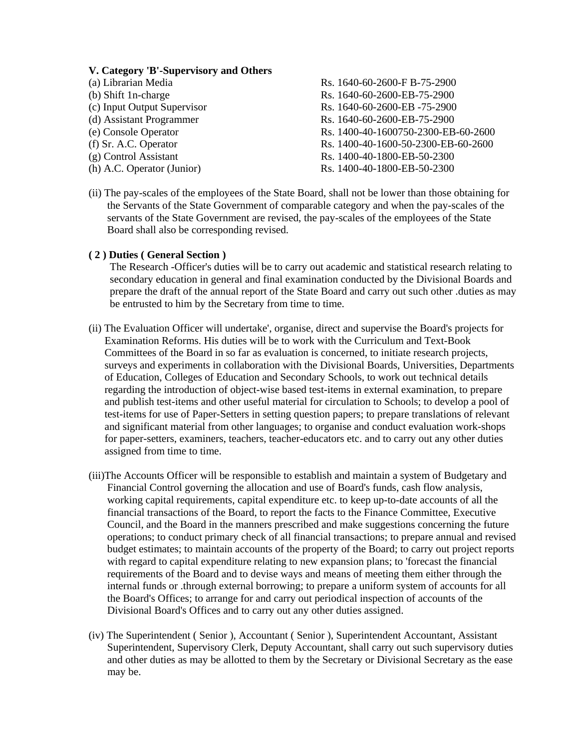#### **V. Category 'B'-Supervisory and Others**

| (a) Librarian Media         | Rs. 1640-60-2600-F B-75-2900        |
|-----------------------------|-------------------------------------|
| (b) Shift 1n-charge         | Rs. 1640-60-2600-EB-75-2900         |
| (c) Input Output Supervisor | Rs. 1640-60-2600-EB-75-2900         |
| (d) Assistant Programmer    | Rs. 1640-60-2600-EB-75-2900         |
| (e) Console Operator        | Rs. 1400-40-1600750-2300-EB-60-2600 |
| (f) Sr. A.C. Operator       | Rs. 1400-40-1600-50-2300-EB-60-2600 |
| (g) Control Assistant       | Rs. 1400-40-1800-EB-50-2300         |
| (h) A.C. Operator (Junior)  | Rs. 1400-40-1800-EB-50-2300         |
|                             |                                     |

(ii) The pay-scales of the employees of the State Board, shall not be lower than those obtaining for the Servants of the State Government of comparable category and when the pay-scales of the servants of the State Government are revised, the pay-scales of the employees of the State Board shall also be corresponding revised.

#### **( 2 ) Duties ( General Section )**

 The Research -Officer's duties will be to carry out academic and statistical research relating to secondary education in general and final examination conducted by the Divisional Boards and prepare the draft of the annual report of the State Board and carry out such other .duties as may be entrusted to him by the Secretary from time to time.

- (ii) The Evaluation Officer will undertake', organise, direct and supervise the Board's projects for Examination Reforms. His duties will be to work with the Curriculum and Text-Book Committees of the Board in so far as evaluation is concerned, to initiate research projects, surveys and experiments in collaboration with the Divisional Boards, Universities, Departments of Education, Colleges of Education and Secondary Schools, to work out technical details regarding the introduction of object-wise based test-items in external examination, to prepare and publish test-items and other useful material for circulation to Schools; to develop a pool of test-items for use of Paper-Setters in setting question papers; to prepare translations of relevant and significant material from other languages; to organise and conduct evaluation work-shops for paper-setters, examiners, teachers, teacher-educators etc. and to carry out any other duties assigned from time to time.
- (iii)The Accounts Officer will be responsible to establish and maintain a system of Budgetary and Financial Control governing the allocation and use of Board's funds, cash flow analysis, working capital requirements, capital expenditure etc. to keep up-to-date accounts of all the financial transactions of the Board, to report the facts to the Finance Committee, Executive Council, and the Board in the manners prescribed and make suggestions concerning the future operations; to conduct primary check of all financial transactions; to prepare annual and revised budget estimates; to maintain accounts of the property of the Board; to carry out project reports with regard to capital expenditure relating to new expansion plans; to 'forecast the financial requirements of the Board and to devise ways and means of meeting them either through the internal funds or .through external borrowing; to prepare a uniform system of accounts for all the Board's Offices; to arrange for and carry out periodical inspection of accounts of the Divisional Board's Offices and to carry out any other duties assigned.
- (iv) The Superintendent ( Senior ), Accountant ( Senior ), Superintendent Accountant, Assistant Superintendent, Supervisory Clerk, Deputy Accountant, shall carry out such supervisory duties and other duties as may be allotted to them by the Secretary or Divisional Secretary as the ease may be.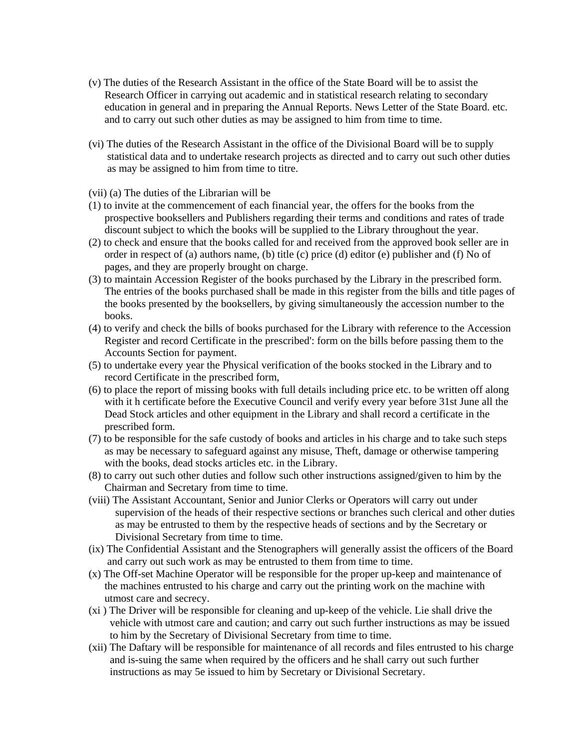- (v) The duties of the Research Assistant in the office of the State Board will be to assist the Research Officer in carrying out academic and in statistical research relating to secondary education in general and in preparing the Annual Reports. News Letter of the State Board. etc. and to carry out such other duties as may be assigned to him from time to time.
- (vi) The duties of the Research Assistant in the office of the Divisional Board will be to supply statistical data and to undertake research projects as directed and to carry out such other duties as may be assigned to him from time to titre.
- (vii) (a) The duties of the Librarian will be
- (1) to invite at the commencement of each financial year, the offers for the books from the prospective booksellers and Publishers regarding their terms and conditions and rates of trade discount subject to which the books will be supplied to the Library throughout the year.
- (2) to check and ensure that the books called for and received from the approved book seller are in order in respect of (a) authors name, (b) title (c) price (d) editor (e) publisher and (f) No of pages, and they are properly brought on charge.
- (3) to maintain Accession Register of the books purchased by the Library in the prescribed form. The entries of the books purchased shall be made in this register from the bills and title pages of the books presented by the booksellers, by giving simultaneously the accession number to the books.
- (4) to verify and check the bills of books purchased for the Library with reference to the Accession Register and record Certificate in the prescribed': form on the bills before passing them to the Accounts Section for payment.
- (5) to undertake every year the Physical verification of the books stocked in the Library and to record Certificate in the prescribed form,
- (6) to place the report of missing books with full details including price etc. to be written off along with it h certificate before the Executive Council and verify every year before 31st June all the Dead Stock articles and other equipment in the Library and shall record a certificate in the prescribed form.
- (7) to be responsible for the safe custody of books and articles in his charge and to take such steps as may be necessary to safeguard against any misuse, Theft, damage or otherwise tampering with the books, dead stocks articles etc. in the Library.
- (8) to carry out such other duties and follow such other instructions assigned/given to him by the Chairman and Secretary from time to time.
- (viii) The Assistant Accountant, Senior and Junior Clerks or Operators will carry out under supervision of the heads of their respective sections or branches such clerical and other duties as may be entrusted to them by the respective heads of sections and by the Secretary or Divisional Secretary from time to time.
- (ix) The Confidential Assistant and the Stenographers will generally assist the officers of the Board and carry out such work as may be entrusted to them from time to time.
- (x) The Off-set Machine Operator will be responsible for the proper up-keep and maintenance of the machines entrusted to his charge and carry out the printing work on the machine with utmost care and secrecy.
- (xi ) The Driver will be responsible for cleaning and up-keep of the vehicle. Lie shall drive the vehicle with utmost care and caution; and carry out such further instructions as may be issued to him by the Secretary of Divisional Secretary from time to time.
- (xii) The Daftary will be responsible for maintenance of all records and files entrusted to his charge and is-suing the same when required by the officers and he shall carry out such further instructions as may 5e issued to him by Secretary or Divisional Secretary.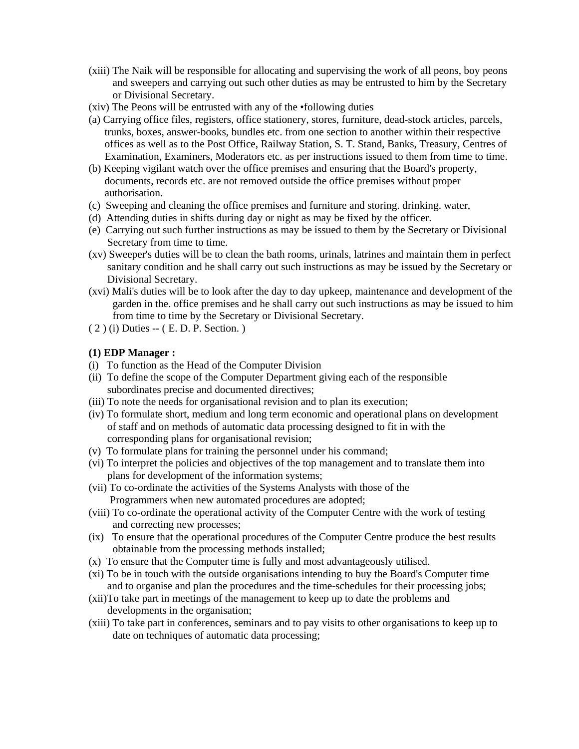- (xiii) The Naik will be responsible for allocating and supervising the work of all peons, boy peons and sweepers and carrying out such other duties as may be entrusted to him by the Secretary or Divisional Secretary.
- (xiv) The Peons will be entrusted with any of the •following duties
- (a) Carrying office files, registers, office stationery, stores, furniture, dead-stock articles, parcels, trunks, boxes, answer-books, bundles etc. from one section to another within their respective offices as well as to the Post Office, Railway Station, S. T. Stand, Banks, Treasury, Centres of Examination, Examiners, Moderators etc. as per instructions issued to them from time to time.
- (b) Keeping vigilant watch over the office premises and ensuring that the Board's property, documents, records etc. are not removed outside the office premises without proper authorisation.
- (c) Sweeping and cleaning the office premises and furniture and storing. drinking. water,
- (d) Attending duties in shifts during day or night as may be fixed by the officer.
- (e) Carrying out such further instructions as may be issued to them by the Secretary or Divisional Secretary from time to time.
- (xv) Sweeper's duties will be to clean the bath rooms, urinals, latrines and maintain them in perfect sanitary condition and he shall carry out such instructions as may be issued by the Secretary or Divisional Secretary.
- (xvi) Mali's duties will be to look after the day to day upkeep, maintenance and development of the garden in the. office premises and he shall carry out such instructions as may be issued to him from time to time by the Secretary or Divisional Secretary.
- ( 2 ) (i) Duties -- ( E. D. P. Section. )

#### **(1) EDP Manager :**

- (i) To function as the Head of the Computer Division
- (ii) To define the scope of the Computer Department giving each of the responsible subordinates precise and documented directives;
- (iii) To note the needs for organisational revision and to plan its execution;
- (iv) To formulate short, medium and long term economic and operational plans on development of staff and on methods of automatic data processing designed to fit in with the corresponding plans for organisational revision;
- (v) To formulate plans for training the personnel under his command;
- (vi) To interpret the policies and objectives of the top management and to translate them into plans for development of the information systems;
- (vii) To co-ordinate the activities of the Systems Analysts with those of the Programmers when new automated procedures are adopted;
- (viii) To co-ordinate the operational activity of the Computer Centre with the work of testing and correcting new processes;
- (ix) To ensure that the operational procedures of the Computer Centre produce the best results obtainable from the processing methods installed;
- (x) To ensure that the Computer time is fully and most advantageously utilised.
- (xi) To be in touch with the outside organisations intending to buy the Board's Computer time and to organise and plan the procedures and the time-schedules for their processing jobs;
- (xii)To take part in meetings of the management to keep up to date the problems and developments in the organisation;
- (xiii) To take part in conferences, seminars and to pay visits to other organisations to keep up to date on techniques of automatic data processing;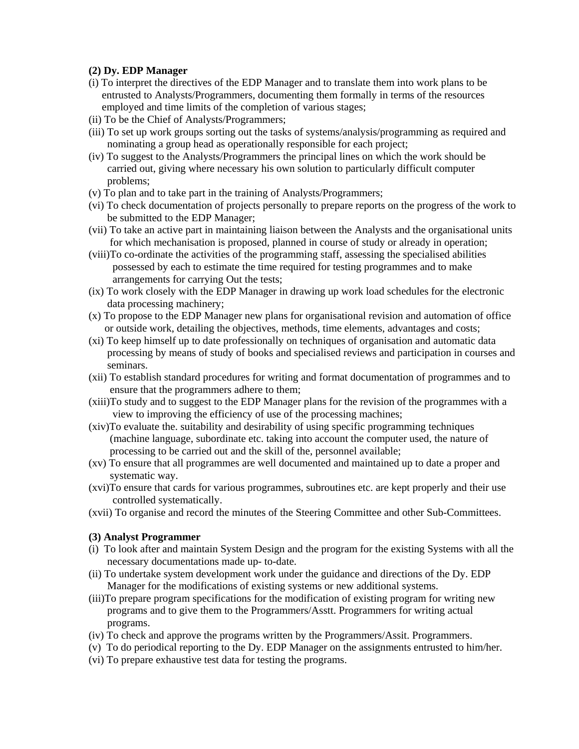#### **(2) Dy. EDP Manager**

- (i) To interpret the directives of the EDP Manager and to translate them into work plans to be entrusted to Analysts/Programmers, documenting them formally in terms of the resources employed and time limits of the completion of various stages;
- (ii) To be the Chief of Analysts/Programmers;
- (iii) To set up work groups sorting out the tasks of systems/analysis/programming as required and nominating a group head as operationally responsible for each project;
- (iv) To suggest to the Analysts/Programmers the principal lines on which the work should be carried out, giving where necessary his own solution to particularly difficult computer problems;
- (v) To plan and to take part in the training of Analysts/Programmers;
- (vi) To check documentation of projects personally to prepare reports on the progress of the work to be submitted to the EDP Manager;
- (vii) To take an active part in maintaining liaison between the Analysts and the organisational units for which mechanisation is proposed, planned in course of study or already in operation;
- (viii)To co-ordinate the activities of the programming staff, assessing the specialised abilities possessed by each to estimate the time required for testing programmes and to make arrangements for carrying Out the tests;
- (ix) To work closely with the EDP Manager in drawing up work load schedules for the electronic data processing machinery;
- (x) To propose to the EDP Manager new plans for organisational revision and automation of office or outside work, detailing the objectives, methods, time elements, advantages and costs;
- (xi) To keep himself up to date professionally on techniques of organisation and automatic data processing by means of study of books and specialised reviews and participation in courses and seminars.
- (xii) To establish standard procedures for writing and format documentation of programmes and to ensure that the programmers adhere to them;
- (xiii)To study and to suggest to the EDP Manager plans for the revision of the programmes with a view to improving the efficiency of use of the processing machines;
- (xiv)To evaluate the. suitability and desirability of using specific programming techniques (machine language, subordinate etc. taking into account the computer used, the nature of processing to be carried out and the skill of the, personnel available;
- (xv) To ensure that all programmes are well documented and maintained up to date a proper and systematic way.
- (xvi)To ensure that cards for various programmes, subroutines etc. are kept properly and their use controlled systematically.
- (xvii) To organise and record the minutes of the Steering Committee and other Sub-Committees.

#### **(3) Analyst Programmer**

- (i) To look after and maintain System Design and the program for the existing Systems with all the necessary documentations made up- to-date.
- (ii) To undertake system development work under the guidance and directions of the Dy. EDP Manager for the modifications of existing systems or new additional systems.
- (iii)To prepare program specifications for the modification of existing program for writing new programs and to give them to the Programmers/Asstt. Programmers for writing actual programs.
- (iv) To check and approve the programs written by the Programmers/Assit. Programmers.
- (v) To do periodical reporting to the Dy. EDP Manager on the assignments entrusted to him/her.
- (vi) To prepare exhaustive test data for testing the programs.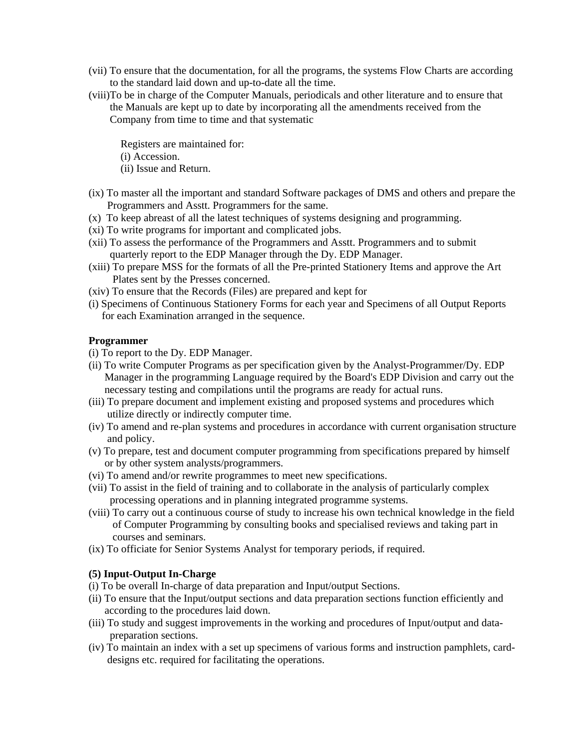- (vii) To ensure that the documentation, for all the programs, the systems Flow Charts are according to the standard laid down and up-to-date all the time.
- (viii)To be in charge of the Computer Manuals, periodicals and other literature and to ensure that the Manuals are kept up to date by incorporating all the amendments received from the Company from time to time and that systematic

Registers are maintained for:

- (i) Accession.
- (ii) Issue and Return.
- (ix) To master all the important and standard Software packages of DMS and others and prepare the Programmers and Asstt. Programmers for the same.
- (x) To keep abreast of all the latest techniques of systems designing and programming.
- (xi) To write programs for important and complicated jobs.
- (xii) To assess the performance of the Programmers and Asstt. Programmers and to submit quarterly report to the EDP Manager through the Dy. EDP Manager.
- (xiii) To prepare MSS for the formats of all the Pre-printed Stationery Items and approve the Art Plates sent by the Presses concerned.
- (xiv) To ensure that the Records (Files) are prepared and kept for
- (i) Specimens of Continuous Stationery Forms for each year and Specimens of all Output Reports for each Examination arranged in the sequence.

#### **Programmer**

- (i) To report to the Dy. EDP Manager.
- (ii) To write Computer Programs as per specification given by the Analyst-Programmer/Dy. EDP Manager in the programming Language required by the Board's EDP Division and carry out the necessary testing and compilations until the programs are ready for actual runs.
- (iii) To prepare document and implement existing and proposed systems and procedures which utilize directly or indirectly computer time.
- (iv) To amend and re-plan systems and procedures in accordance with current organisation structure and policy.
- (v) To prepare, test and document computer programming from specifications prepared by himself or by other system analysts/programmers.
- (vi) To amend and/or rewrite programmes to meet new specifications.
- (vii) To assist in the field of training and to collaborate in the analysis of particularly complex processing operations and in planning integrated programme systems.
- (viii) To carry out a continuous course of study to increase his own technical knowledge in the field of Computer Programming by consulting books and specialised reviews and taking part in courses and seminars.
- (ix) To officiate for Senior Systems Analyst for temporary periods, if required.

#### **(5) Input-Output In-Charge**

- (i) To be overall In-charge of data preparation and Input/output Sections.
- (ii) To ensure that the Input/output sections and data preparation sections function efficiently and according to the procedures laid down.
- (iii) To study and suggest improvements in the working and procedures of Input/output and data preparation sections.
- (iv) To maintain an index with a set up specimens of various forms and instruction pamphlets, card designs etc. required for facilitating the operations.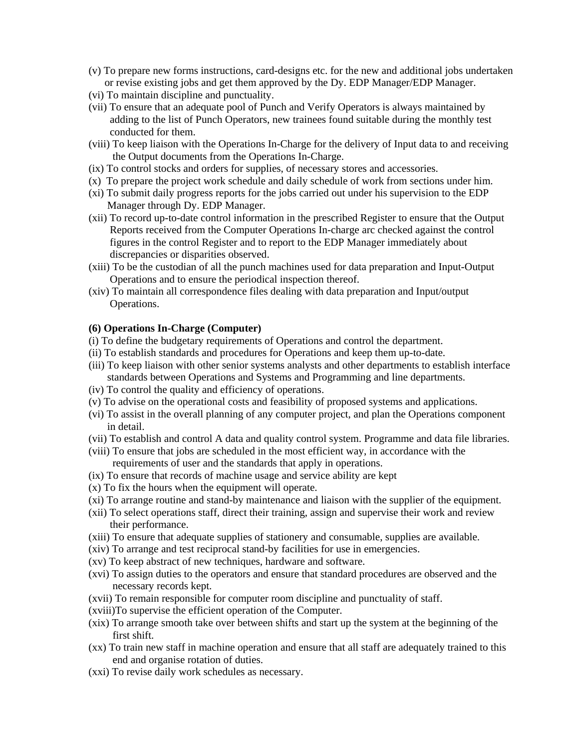- (v) To prepare new forms instructions, card-designs etc. for the new and additional jobs undertaken or revise existing jobs and get them approved by the Dy. EDP Manager/EDP Manager.
- (vi) To maintain discipline and punctuality.
- (vii) To ensure that an adequate pool of Punch and Verify Operators is always maintained by adding to the list of Punch Operators, new trainees found suitable during the monthly test conducted for them.
- (viii) To keep liaison with the Operations In-Charge for the delivery of Input data to and receiving the Output documents from the Operations In-Charge.
- (ix) To control stocks and orders for supplies, of necessary stores and accessories.
- (x) To prepare the project work schedule and daily schedule of work from sections under him.
- (xi) To submit daily progress reports for the jobs carried out under his supervision to the EDP Manager through Dy. EDP Manager.
- (xii) To record up-to-date control information in the prescribed Register to ensure that the Output Reports received from the Computer Operations In-charge arc checked against the control figures in the control Register and to report to the EDP Manager immediately about discrepancies or disparities observed.
- (xiii) To be the custodian of all the punch machines used for data preparation and Input-Output Operations and to ensure the periodical inspection thereof.
- (xiv) To maintain all correspondence files dealing with data preparation and Input/output Operations.

#### **(6) Operations In-Charge (Computer)**

- (i) To define the budgetary requirements of Operations and control the department.
- (ii) To establish standards and procedures for Operations and keep them up-to-date.
- (iii) To keep liaison with other senior systems analysts and other departments to establish interface standards between Operations and Systems and Programming and line departments.
- (iv) To control the quality and efficiency of operations.
- (v) To advise on the operational costs and feasibility of proposed systems and applications.
- (vi) To assist in the overall planning of any computer project, and plan the Operations component in detail.
- (vii) To establish and control A data and quality control system. Programme and data file libraries.
- (viii) To ensure that jobs are scheduled in the most efficient way, in accordance with the requirements of user and the standards that apply in operations.
- (ix) To ensure that records of machine usage and service ability are kept
- (x) To fix the hours when the equipment will operate.
- (xi) To arrange routine and stand-by maintenance and liaison with the supplier of the equipment.
- (xii) To select operations staff, direct their training, assign and supervise their work and review their performance.
- (xiii) To ensure that adequate supplies of stationery and consumable, supplies are available.
- (xiv) To arrange and test reciprocal stand-by facilities for use in emergencies.
- (xv) To keep abstract of new techniques, hardware and software.
- (xvi) To assign duties to the operators and ensure that standard procedures are observed and the necessary records kept.
- (xvii) To remain responsible for computer room discipline and punctuality of staff.
- (xviii)To supervise the efficient operation of the Computer.
- (xix) To arrange smooth take over between shifts and start up the system at the beginning of the first shift.
- (xx) To train new staff in machine operation and ensure that all staff are adequately trained to this end and organise rotation of duties.
- (xxi) To revise daily work schedules as necessary.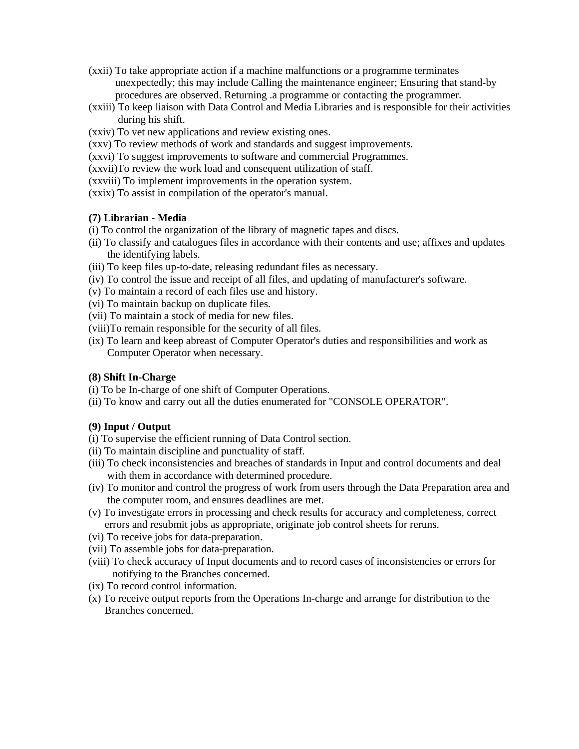- (xxii) To take appropriate action if a machine malfunctions or a programme terminates unexpectedly; this may include Calling the maintenance engineer; Ensuring that stand-by procedures are observed. Returning .a programme or contacting the programmer.
- (xxiii) To keep liaison with Data Control and Media Libraries and is responsible for their activities during his shift.
- (xxiv) To vet new applications and review existing ones.
- (xxv) To review methods of work and standards and suggest improvements.
- (xxvi) To suggest improvements to software and commercial Programmes.
- (xxvii)To review the work load and consequent utilization of staff.
- (xxviii) To implement improvements in the operation system.
- (xxix) To assist in compilation of the operator's manual.

#### **(7) Librarian - Media**

- (i) To control the organization of the library of magnetic tapes and discs.
- (ii) To classify and catalogues files in accordance with their contents and use; affixes and updates the identifying labels.
- (iii) To keep files up-to-date, releasing redundant files as necessary.
- (iv) To control the issue and receipt of all files, and updating of manufacturer's software.
- (v) To maintain a record of each files use and history.
- (vi) To maintain backup on duplicate files.
- (vii) To maintain a stock of media for new files.
- (viii)To remain responsible for the security of all files.
- (ix) To learn and keep abreast of Computer Operator's duties and responsibilities and work as Computer Operator when necessary.

#### **(8) Shift In-Charge**

- (i) To be In-charge of one shift of Computer Operations.
- (ii) To know and carry out all the duties enumerated for "CONSOLE OPERATOR".

#### **(9) Input / Output**

- (i) To supervise the efficient running of Data Control section.
- (ii) To maintain discipline and punctuality of staff.
- (iii) To check inconsistencies and breaches of standards in Input and control documents and deal with them in accordance with determined procedure.
- (iv) To monitor and control the progress of work from users through the Data Preparation area and the computer room, and ensures deadlines are met.
- (v) To investigate errors in processing and check results for accuracy and completeness, correct errors and resubmit jobs as appropriate, originate job control sheets for reruns.
- (vi) To receive jobs for data-preparation.
- (vii) To assemble jobs for data-preparation.
- (viii) To check accuracy of Input documents and to record cases of inconsistencies or errors for notifying to the Branches concerned.
- (ix) To record control information.
- (x) To receive output reports from the Operations In-charge and arrange for distribution to the Branches concerned.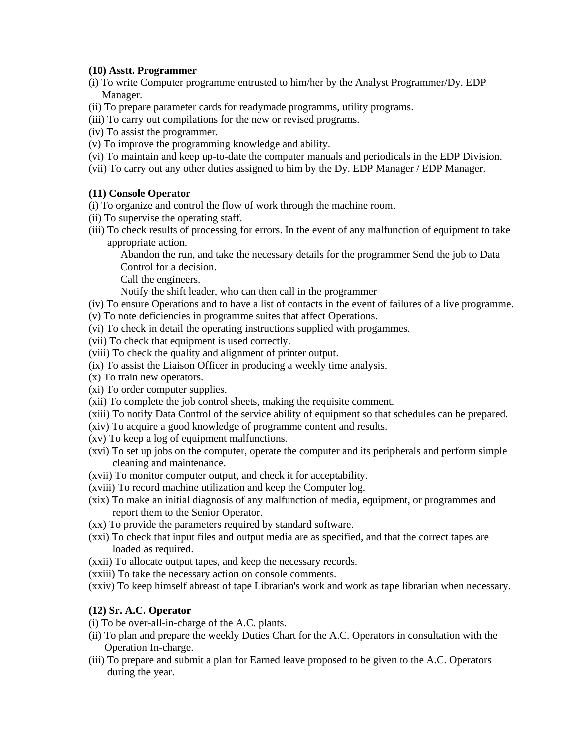#### **(10) Asstt. Programmer**

- (i) To write Computer programme entrusted to him/her by the Analyst Programmer/Dy. EDP Manager.
- (ii) To prepare parameter cards for readymade programms, utility programs.
- (iii) To carry out compilations for the new or revised programs.
- (iv) To assist the programmer.
- (v) To improve the programming knowledge and ability.
- (vi) To maintain and keep up-to-date the computer manuals and periodicals in the EDP Division.
- (vii) To carry out any other duties assigned to him by the Dy. EDP Manager / EDP Manager.

#### **(11) Console Operator**

- (i) To organize and control the flow of work through the machine room.
- (ii) To supervise the operating staff.
- (iii) To check results of processing for errors. In the event of any malfunction of equipment to take appropriate action.

Abandon the run, and take the necessary details for the programmer Send the job to Data Control for a decision.

Call the engineers.

Notify the shift leader, who can then call in the programmer

- (iv) To ensure Operations and to have a list of contacts in the event of failures of a live programme.
- (v) To note deficiencies in programme suites that affect Operations.
- (vi) To check in detail the operating instructions supplied with progammes.
- (vii) To check that equipment is used correctly.
- (viii) To check the quality and alignment of printer output.
- (ix) To assist the Liaison Officer in producing a weekly time analysis.
- (x) To train new operators.
- (xi) To order computer supplies.
- (xii) To complete the job control sheets, making the requisite comment.
- (xiii) To notify Data Control of the service ability of equipment so that schedules can be prepared.
- (xiv) To acquire a good knowledge of programme content and results.
- (xv) To keep a log of equipment malfunctions.
- (xvi) To set up jobs on the computer, operate the computer and its peripherals and perform simple cleaning and maintenance.
- (xvii) To monitor computer output, and check it for acceptability.
- (xviii) To record machine utilization and keep the Computer log.
- (xix) To make an initial diagnosis of any malfunction of media, equipment, or programmes and report them to the Senior Operator.
- (xx) To provide the parameters required by standard software.
- (xxi) To check that input files and output media are as specified, and that the correct tapes are loaded as required.
- (xxii) To allocate output tapes, and keep the necessary records.
- (xxiii) To take the necessary action on console comments.
- (xxiv) To keep himself abreast of tape Librarian's work and work as tape librarian when necessary.

#### **(12) Sr. A.C. Operator**

- (i) To be over-all-in-charge of the A.C. plants.
- (ii) To plan and prepare the weekly Duties Chart for the A.C. Operators in consultation with the Operation In-charge.
- (iii) To prepare and submit a plan for Earned leave proposed to be given to the A.C. Operators during the year.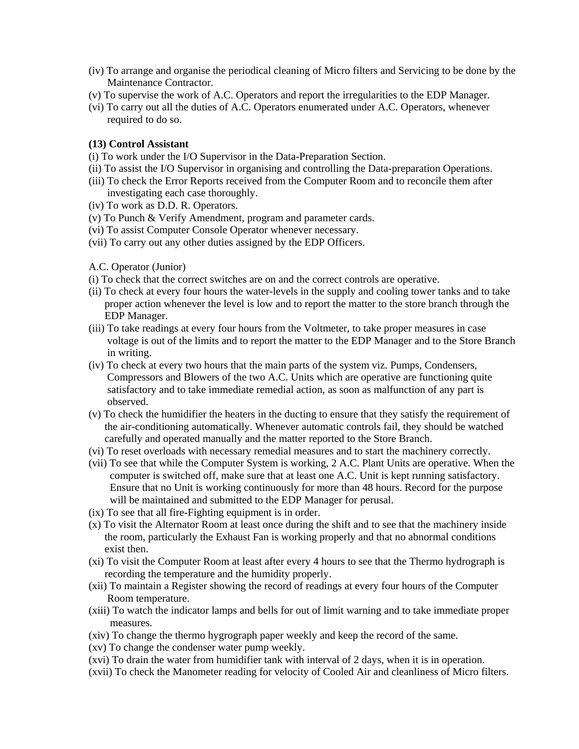- (iv) To arrange and organise the periodical cleaning of Micro filters and Servicing to be done by the Maintenance Contractor.
- (v) To supervise the work of A.C. Operators and report the irregularities to the EDP Manager.
- (vi) To carry out all the duties of A.C. Operators enumerated under A.C. Operators, whenever required to do so.

#### **(13) Control Assistant**

- (i) To work under the I/O Supervisor in the Data-Preparation Section.
- (ii) To assist the I/O Supervisor in organising and controlling the Data-preparation Operations.
- (iii) To check the Error Reports received from the Computer Room and to reconcile them after investigating each case thoroughly.
- (iv) To work as D.D. R. Operators.
- (v) To Punch & Verify Amendment, program and parameter cards.
- (vi) To assist Computer Console Operator whenever necessary.
- (vii) To carry out any other duties assigned by the EDP Officers.

#### A.C. Operator (Junior)

- (i) To check that the correct switches are on and the correct controls are operative.
- (ii) To check at every four hours the water-levels in the supply and cooling tower tanks and to take proper action whenever the level is low and to report the matter to the store branch through the EDP Manager.
- (iii) To take readings at every four hours from the Voltmeter, to take proper measures in case voltage is out of the limits and to report the matter to the EDP Manager and to the Store Branch in writing.
- (iv) To check at every two hours that the main parts of the system viz. Pumps, Condensers, Compressors and Blowers of the two A.C. Units which are operative are functioning quite satisfactory and to take immediate remedial action, as soon as malfunction of any part is observed.
- (v) To check the humidifier the heaters in the ducting to ensure that they satisfy the requirement of the air-conditioning automatically. Whenever automatic controls fail, they should be watched carefully and operated manually and the matter reported to the Store Branch.
- (vi) To reset overloads with necessary remedial measures and to start the machinery correctly.
- (vii) To see that while the Computer System is working, 2 A.C. Plant Units are operative. When the computer is switched off, make sure that at least one A.C. Unit is kept running satisfactory. Ensure that no Unit is working continuously for more than 48 hours. Record for the purpose will be maintained and submitted to the EDP Manager for perusal.
- (ix) To see that all fire-Fighting equipment is in order.
- (x) To visit the Alternator Room at least once during the shift and to see that the machinery inside the room, particularly the Exhaust Fan is working properly and that no abnormal conditions exist then.
- (xi) To visit the Computer Room at least after every 4 hours to see that the Thermo hydrograph is recording the temperature and the humidity properly.
- (xii) To maintain a Register showing the record of readings at every four hours of the Computer Room temperature.
- (xiii) To watch the indicator lamps and bells for out of limit warning and to take immediate proper measures.
- (xiv) To change the thermo hygrograph paper weekly and keep the record of the same.
- (xv) To change the condenser water pump weekly.
- (xvi) To drain the water from humidifier tank with interval of 2 days, when it is in operation.
- (xvii) To check the Manometer reading for velocity of Cooled Air and cleanliness of Micro filters.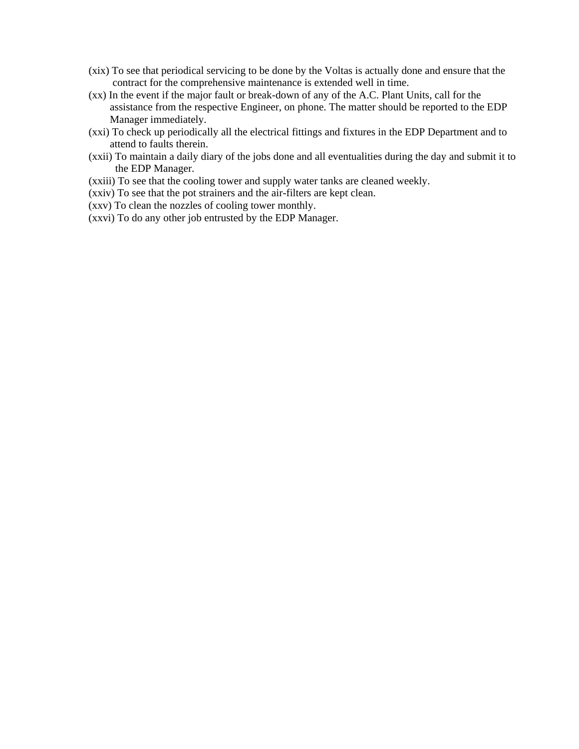- (xix) To see that periodical servicing to be done by the Voltas is actually done and ensure that the contract for the comprehensive maintenance is extended well in time.
- (xx) In the event if the major fault or break-down of any of the A.C. Plant Units, call for the assistance from the respective Engineer, on phone. The matter should be reported to the EDP Manager immediately.
- (xxi) To check up periodically all the electrical fittings and fixtures in the EDP Department and to attend to faults therein.
- (xxii) To maintain a daily diary of the jobs done and all eventualities during the day and submit it to the EDP Manager.
- (xxiii) To see that the cooling tower and supply water tanks are cleaned weekly.
- (xxiv) To see that the pot strainers and the air-filters are kept clean.
- (xxv) To clean the nozzles of cooling tower monthly.
- (xxvi) To do any other job entrusted by the EDP Manager.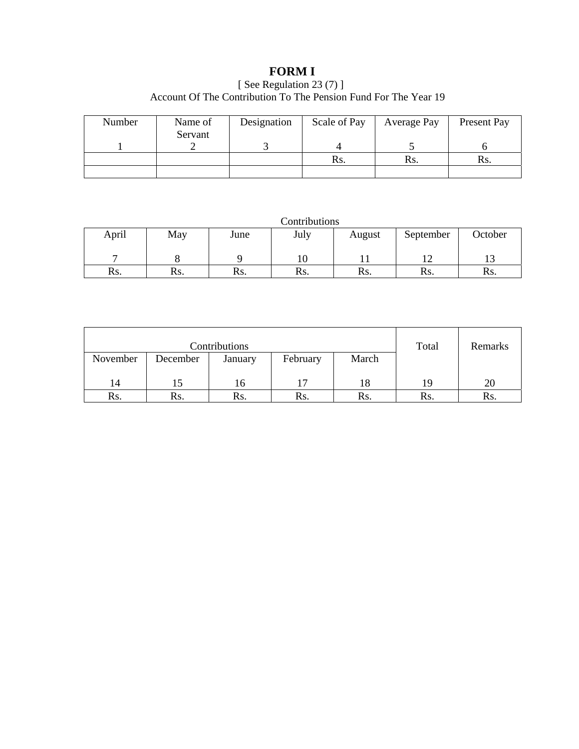# **FORM I**

# [ See Regulation 23 (7) ] Account Of The Contribution To The Pension Fund For The Year 19

| Number | Name of | Designation | Scale of Pay | Average Pay | Present Pay |
|--------|---------|-------------|--------------|-------------|-------------|
|        | Servant |             |              |             |             |
|        |         |             | Rs.          | Rs.         | Rs.         |
|        |         |             |              |             |             |

Contributions

| April | May | June | July | August | September | October |
|-------|-----|------|------|--------|-----------|---------|
|       |     |      |      |        |           | ⊥J      |
| Rs.   | Rs. | Rs.  | Rs.  | Rs.    | Rs.       | Rs.     |

|          | Contributions | Total   | Remarks  |       |     |     |
|----------|---------------|---------|----------|-------|-----|-----|
| November | December      | January | February | March |     |     |
|          |               |         |          |       |     |     |
| 14       |               | 16      | 17       | 18    | 19  | 20  |
| Rs.      | Rs.           | Rs.     | Rs.      | Rs.   | Rs. | Rs. |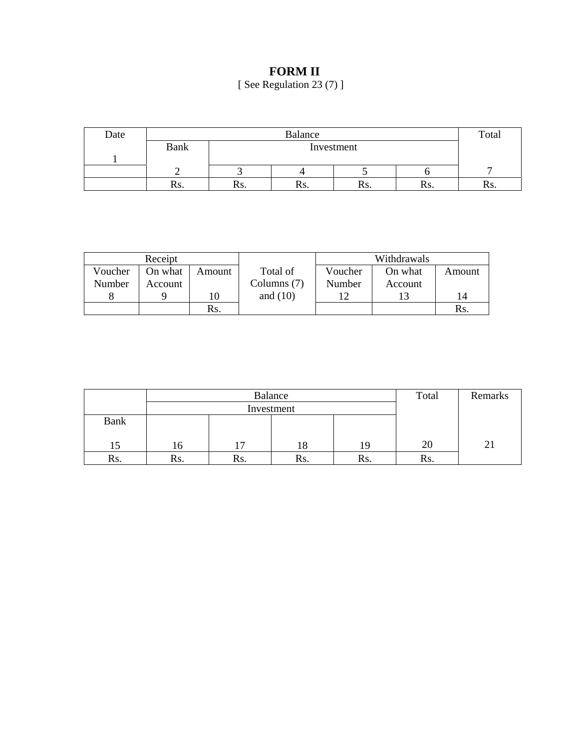# **FORM II**

[ See Regulation 23 (7) ]

| Date |             | Balance |            |      |     | Total |
|------|-------------|---------|------------|------|-----|-------|
|      | <b>Bank</b> |         | Investment |      |     |       |
|      |             |         |            |      |     |       |
|      |             |         |            |      |     |       |
|      | KS.         | 179.    | INS.       | 115. | NS. | 189.  |

|         | Receipt |        |             |         | Withdrawals |        |
|---------|---------|--------|-------------|---------|-------------|--------|
| Voucher | On what | Amount | Total of    | Voucher | On what     | Amount |
| Number  | Account |        | Columns (7) | Number  | Account     |        |
|         |         | 10     | and $(10)$  | 1 ೧     |             | 14     |
|         |         | Rs.    |             |         |             | Rs.    |

|             |     | Balance    | Total | Remarks |     |  |
|-------------|-----|------------|-------|---------|-----|--|
|             |     | Investment |       |         |     |  |
| <b>Bank</b> |     |            |       |         |     |  |
|             |     |            |       |         |     |  |
|             | 16  |            | 18    | 19      | 20  |  |
| Rs.         | Rs. | Rs.        | Ks.   | Rs.     | Rs. |  |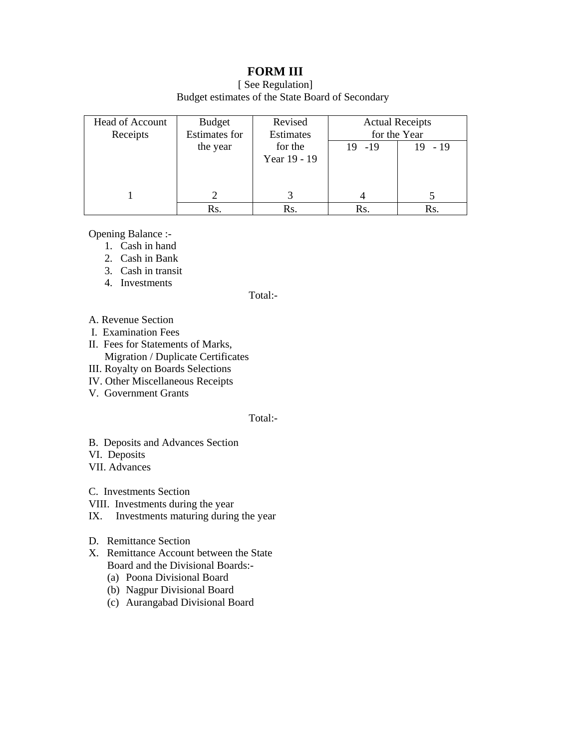# **FORM III**

[ See Regulation] Budget estimates of the State Board of Secondary

| <b>Head of Account</b><br>Receipts | Budget<br><b>Estimates for</b> | Revised<br>Estimates | <b>Actual Receipts</b><br>for the Year |              |
|------------------------------------|--------------------------------|----------------------|----------------------------------------|--------------|
|                                    | the year                       | for the              | $19 - 19$                              | $-19$<br>19. |
|                                    |                                | Year 19 - 19         |                                        |              |
|                                    |                                |                      |                                        |              |
|                                    |                                |                      |                                        |              |
|                                    | Rs.                            | Rs.                  | Rs.                                    | Rs.          |

Opening Balance :-

- 1. Cash in hand
- 2. Cash in Bank
- 3. Cash in transit
- 4. Investments

Total:-

- A. Revenue Section
- I. Examination Fees
- II. Fees for Statements of Marks, Migration / Duplicate Certificates
- III. Royalty on Boards Selections
- IV. Other Miscellaneous Receipts
- V. Government Grants

#### Total:-

- B. Deposits and Advances Section
- VI. Deposits

VII. Advances

C. Investments Section

- VIII. Investments during the year
- IX. Investments maturing during the year
- D. Remittance Section
- X. Remittance Account between the State Board and the Divisional Boards:-
	- (a) Poona Divisional Board
	- (b) Nagpur Divisional Board
	- (c) Aurangabad Divisional Board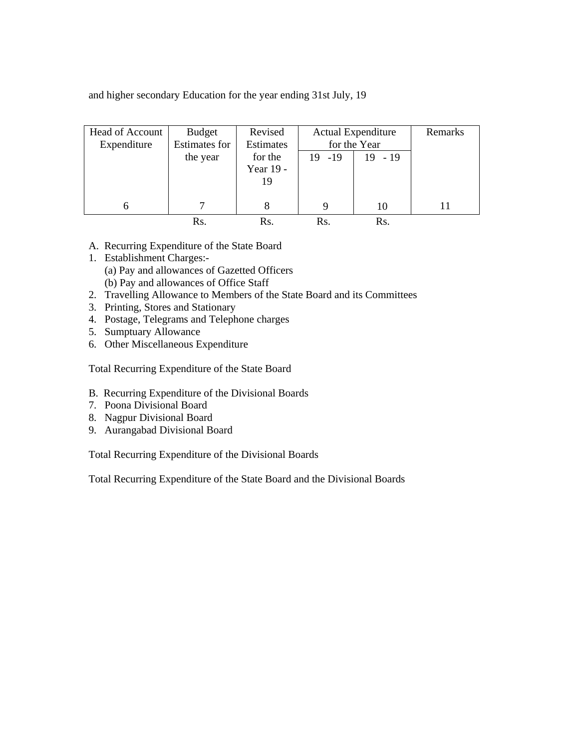and higher secondary Education for the year ending 31st July, 19

| Head of Account<br>Expenditure | Budget<br><b>Estimates for</b> | Revised<br>Estimates | <b>Actual Expenditure</b><br>for the Year |           | Remarks |
|--------------------------------|--------------------------------|----------------------|-------------------------------------------|-----------|---------|
|                                | the year                       | for the              | $19 - 19$                                 | $19 - 19$ |         |
|                                |                                | Year 19 -            |                                           |           |         |
|                                |                                | 19                   |                                           |           |         |
|                                |                                |                      |                                           |           |         |
|                                |                                | 8                    | 9                                         | 10        | 11      |
|                                | Rs.                            | Rs.                  | Rs.                                       | Rs.       |         |

- A. Recurring Expenditure of the State Board
- 1. Establishment Charges:- (a) Pay and allowances of Gazetted Officers (b) Pay and allowances of Office Staff
- 2. Travelling Allowance to Members of the State Board and its Committees
- 3. Printing, Stores and Stationary
- 4. Postage, Telegrams and Telephone charges
- 5. Sumptuary Allowance
- 6. Other Miscellaneous Expenditure

Total Recurring Expenditure of the State Board

- B. Recurring Expenditure of the Divisional Boards
- 7. Poona Divisional Board
- 8. Nagpur Divisional Board
- 9. Aurangabad Divisional Board

Total Recurring Expenditure of the Divisional Boards

Total Recurring Expenditure of the State Board and the Divisional Boards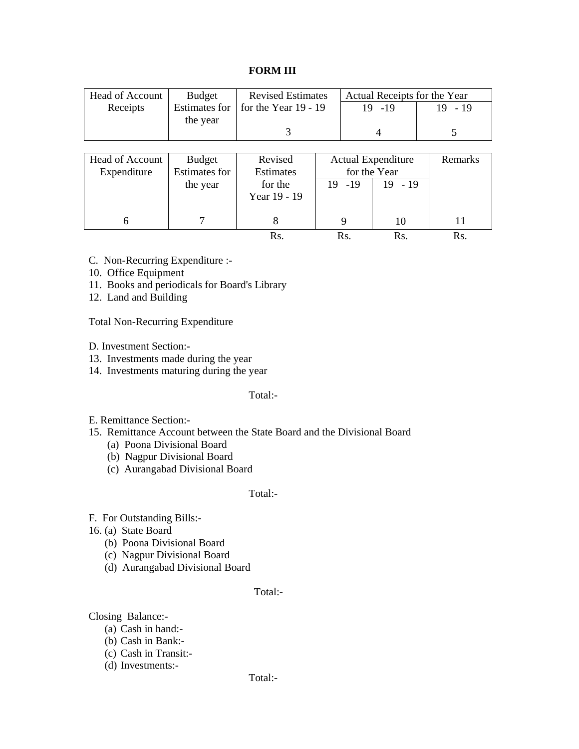#### **FORM III**

| <b>Head of Account</b> | <b>Budget</b>        | <b>Revised Estimates</b> |                           |           |              | Actual Receipts for the Year |
|------------------------|----------------------|--------------------------|---------------------------|-----------|--------------|------------------------------|
| Receipts               | <b>Estimates for</b> | for the Year $19 - 19$   |                           |           | $19 - 19$    | $19 - 19$                    |
|                        | the year             |                          |                           |           |              |                              |
|                        |                      | 3                        |                           |           |              | 5                            |
|                        |                      |                          |                           |           |              |                              |
| <b>Head of Account</b> | Budget               | Revised                  | <b>Actual Expenditure</b> |           | Remarks      |                              |
| Expenditure            | <b>Estimates for</b> | <b>Estimates</b>         |                           |           | for the Year |                              |
|                        | the year             | for the                  |                           | $19 - 19$ | $19 - 19$    |                              |
|                        |                      | Year 19 - 19             |                           |           |              |                              |
|                        |                      |                          |                           |           |              |                              |
| 6                      |                      | 8                        |                           | 9         | 10           | 11                           |
|                        |                      | Rs.                      |                           | Rs.       | Rs.          | Rs.                          |

- C. Non-Recurring Expenditure :-
- 10. Office Equipment
- 11. Books and periodicals for Board's Library
- 12. Land and Building

Total Non-Recurring Expenditure

- D. Investment Section:-
- 13. Investments made during the year
- 14. Investments maturing during the year

#### Total:-

#### E. Remittance Section:-

- 15. Remittance Account between the State Board and the Divisional Board
	- (a) Poona Divisional Board
	- (b) Nagpur Divisional Board
	- (c) Aurangabad Divisional Board

#### Total:-

- F. For Outstanding Bills:-
- 16. (a) State Board
	- (b) Poona Divisional Board
	- (c) Nagpur Divisional Board
	- (d) Aurangabad Divisional Board

#### Total:-

Closing Balance:-

- (a) Cash in hand:-
- (b) Cash in Bank:-
- (c) Cash in Transit:-
- (d) Investments:-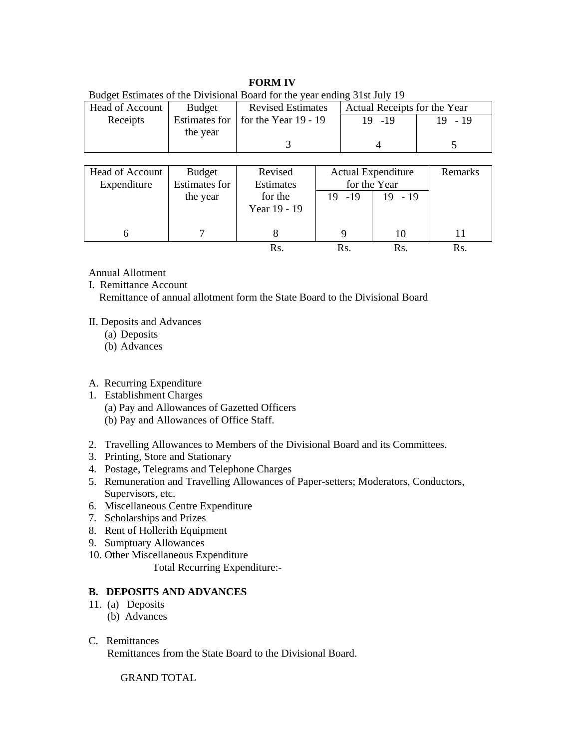#### **FORM IV**

| Dudget Bulliarcs of the Divisional Doard for the year ending state fury 12 |          |                                      |                              |           |  |
|----------------------------------------------------------------------------|----------|--------------------------------------|------------------------------|-----------|--|
| Head of Account                                                            | Budget   | <b>Revised Estimates</b>             | Actual Receipts for the Year |           |  |
| Receipts                                                                   |          | Estimates for   for the Year 19 - 19 | $19 - 19$                    | $19 - 19$ |  |
|                                                                            | the year |                                      |                              |           |  |
|                                                                            |          |                                      |                              |           |  |
|                                                                            |          |                                      |                              |           |  |

Budget Estimates of the Divisional Board for the year ending 31st July 19

| Head of Account<br>Expenditure | <b>Budget</b><br><b>Estimates for</b> | Revised<br>Estimates    | <b>Actual Expenditure</b><br>for the Year |           | Remarks |
|--------------------------------|---------------------------------------|-------------------------|-------------------------------------------|-----------|---------|
|                                | the year                              | for the<br>Year 19 - 19 | $19 - 19$                                 | $19 - 19$ |         |
|                                |                                       |                         | Q                                         | 10        |         |
|                                |                                       |                         | Rs.                                       | Rs.       | Rs      |

Annual Allotment

I. Remittance Account Remittance of annual allotment form the State Board to the Divisional Board

II. Deposits and Advances

- (a) Deposits
- (b) Advances

# A. Recurring Expenditure

- 1. Establishment Charges
	- (a) Pay and Allowances of Gazetted Officers
	- (b) Pay and Allowances of Office Staff.
- 2. Travelling Allowances to Members of the Divisional Board and its Committees.
- 3. Printing, Store and Stationary
- 4. Postage, Telegrams and Telephone Charges
- 5. Remuneration and Travelling Allowances of Paper-setters; Moderators, Conductors, Supervisors, etc.
- 6. Miscellaneous Centre Expenditure
- 7. Scholarships and Prizes
- 8. Rent of Hollerith Equipment
- 9. Sumptuary Allowances
- 10. Other Miscellaneous Expenditure
	- Total Recurring Expenditure:-

# **B. DEPOSITS AND ADVANCES**

- 11. (a) Deposits
	- (b) Advances
- C. Remittances

Remittances from the State Board to the Divisional Board.

# GRAND TOTAL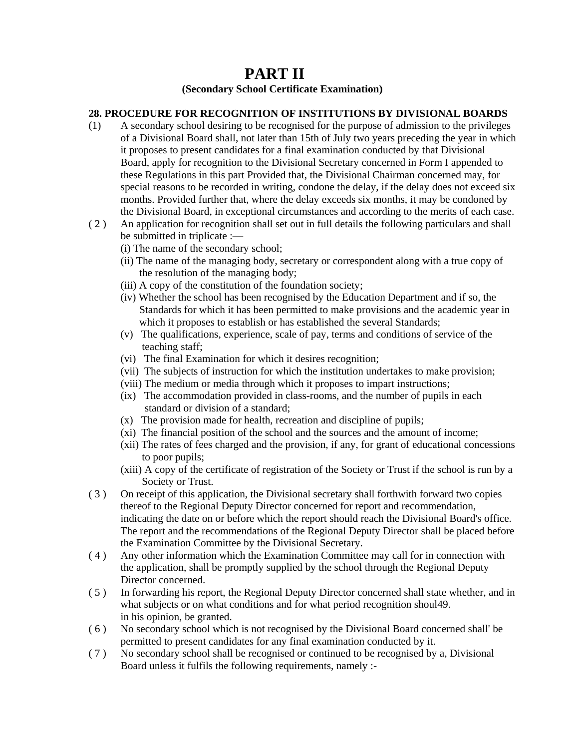# **PART II** (Secondary School Certificate Examination)

#### **28. PROCEDURE FOR RECOGNITION OF INSTITUTIONS BY DIVISIONAL BOARDS**

- (1) A secondary school desiring to be recognised for the purpose of admission to the privileges of a Divisional Board shall, not later than 15th of July two years preceding the year in which it proposes to present candidates for a final examination conducted by that Divisional Board, apply for recognition to the Divisional Secretary concerned in Form I appended to these Regulations in this part Provided that, the Divisional Chairman concerned may, for special reasons to be recorded in writing, condone the delay, if the delay does not exceed six months. Provided further that, where the delay exceeds six months, it may be condoned by the Divisional Board, in exceptional circumstances and according to the merits of each case.
- ( 2 ) An application for recognition shall set out in full details the following particulars and shall be submitted in triplicate :—
	- (i) The name of the secondary school;
	- (ii) The name of the managing body, secretary or correspondent along with a true copy of the resolution of the managing body;
	- (iii) A copy of the constitution of the foundation society;
	- (iv) Whether the school has been recognised by the Education Department and if so, the Standards for which it has been permitted to make provisions and the academic year in which it proposes to establish or has established the several Standards;
	- (v) The qualifications, experience, scale of pay, terms and conditions of service of the teaching staff;
	- (vi) The final Examination for which it desires recognition;
	- (vii) The subjects of instruction for which the institution undertakes to make provision;
	- (viii) The medium or media through which it proposes to impart instructions;
	- (ix) The accommodation provided in class-rooms, and the number of pupils in each standard or division of a standard;
	- (x) The provision made for health, recreation and discipline of pupils;
	- (xi) The financial position of the school and the sources and the amount of income;
	- (xii) The rates of fees charged and the provision, if any, for grant of educational concessions to poor pupils;
	- (xiii) A copy of the certificate of registration of the Society or Trust if the school is run by a Society or Trust.
- ( 3 ) On receipt of this application, the Divisional secretary shall forthwith forward two copies thereof to the Regional Deputy Director concerned for report and recommendation, indicating the date on or before which the report should reach the Divisional Board's office. The report and the recommendations of the Regional Deputy Director shall be placed before the Examination Committee by the Divisional Secretary.
- ( 4 ) Any other information which the Examination Committee may call for in connection with the application, shall be promptly supplied by the school through the Regional Deputy Director concerned.
- ( 5 ) In forwarding his report, the Regional Deputy Director concerned shall state whether, and in what subjects or on what conditions and for what period recognition shoul49. in his opinion, be granted.
- ( 6 ) No secondary school which is not recognised by the Divisional Board concerned shall' be permitted to present candidates for any final examination conducted by it.
- ( 7 ) No secondary school shall be recognised or continued to be recognised by a, Divisional Board unless it fulfils the following requirements, namely :-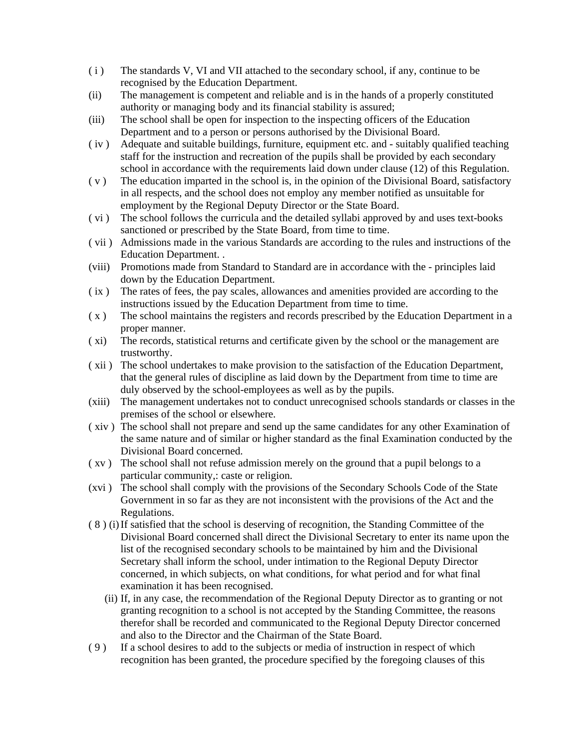- ( i ) The standards V, VI and VII attached to the secondary school, if any, continue to be recognised by the Education Department.
- (ii) The management is competent and reliable and is in the hands of a properly constituted authority or managing body and its financial stability is assured;
- (iii) The school shall be open for inspection to the inspecting officers of the Education Department and to a person or persons authorised by the Divisional Board.
- ( iv ) Adequate and suitable buildings, furniture, equipment etc. and suitably qualified teaching staff for the instruction and recreation of the pupils shall be provided by each secondary school in accordance with the requirements laid down under clause (12) of this Regulation.
- ( v ) The education imparted in the school is, in the opinion of the Divisional Board, satisfactory in all respects, and the school does not employ any member notified as unsuitable for employment by the Regional Deputy Director or the State Board.
- ( vi ) The school follows the curricula and the detailed syllabi approved by and uses text-books sanctioned or prescribed by the State Board, from time to time.
- ( vii ) Admissions made in the various Standards are according to the rules and instructions of the Education Department. .
- (viii) Promotions made from Standard to Standard are in accordance with the principles laid down by the Education Department.
- ( ix ) The rates of fees, the pay scales, allowances and amenities provided are according to the instructions issued by the Education Department from time to time.
- ( x ) The school maintains the registers and records prescribed by the Education Department in a proper manner.
- ( xi) The records, statistical returns and certificate given by the school or the management are trustworthy.
- ( xii ) The school undertakes to make provision to the satisfaction of the Education Department, that the general rules of discipline as laid down by the Department from time to time are duly observed by the school-employees as well as by the pupils.
- (xiii) The management undertakes not to conduct unrecognised schools standards or classes in the premises of the school or elsewhere.
- ( xiv ) The school shall not prepare and send up the same candidates for any other Examination of the same nature and of similar or higher standard as the final Examination conducted by the Divisional Board concerned.
- ( xv ) The school shall not refuse admission merely on the ground that a pupil belongs to a particular community,: caste or religion.
- (xvi ) The school shall comply with the provisions of the Secondary Schools Code of the State Government in so far as they are not inconsistent with the provisions of the Act and the Regulations.
- ( 8 ) (i) If satisfied that the school is deserving of recognition, the Standing Committee of the Divisional Board concerned shall direct the Divisional Secretary to enter its name upon the list of the recognised secondary schools to be maintained by him and the Divisional Secretary shall inform the school, under intimation to the Regional Deputy Director concerned, in which subjects, on what conditions, for what period and for what final examination it has been recognised.
	- (ii) If, in any case, the recommendation of the Regional Deputy Director as to granting or not granting recognition to a school is not accepted by the Standing Committee, the reasons therefor shall be recorded and communicated to the Regional Deputy Director concerned and also to the Director and the Chairman of the State Board.
- ( 9 ) If a school desires to add to the subjects or media of instruction in respect of which recognition has been granted, the procedure specified by the foregoing clauses of this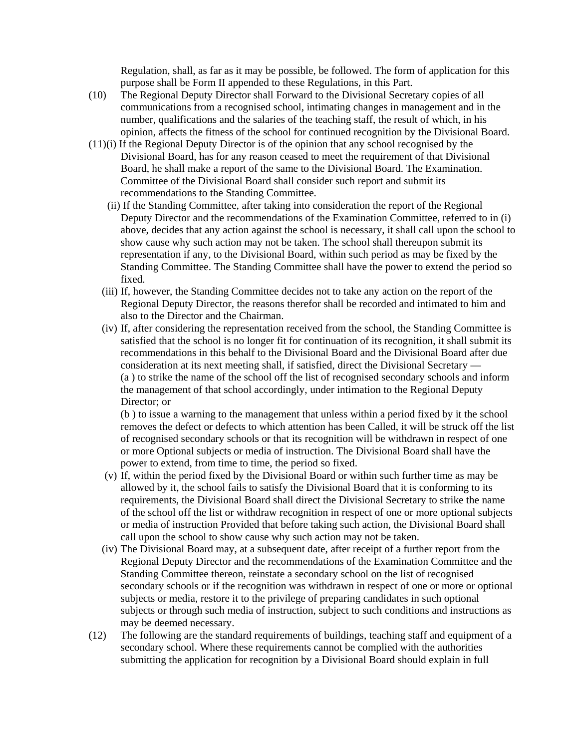Regulation, shall, as far as it may be possible, be followed. The form of application for this purpose shall be Form II appended to these Regulations, in this Part.

- (10) The Regional Deputy Director shall Forward to the Divisional Secretary copies of all communications from a recognised school, intimating changes in management and in the number, qualifications and the salaries of the teaching staff, the result of which, in his opinion, affects the fitness of the school for continued recognition by the Divisional Board.
- (11)(i) If the Regional Deputy Director is of the opinion that any school recognised by the Divisional Board, has for any reason ceased to meet the requirement of that Divisional Board, he shall make a report of the same to the Divisional Board. The Examination. Committee of the Divisional Board shall consider such report and submit its recommendations to the Standing Committee.
	- (ii) If the Standing Committee, after taking into consideration the report of the Regional Deputy Director and the recommendations of the Examination Committee, referred to in (i) above, decides that any action against the school is necessary, it shall call upon the school to show cause why such action may not be taken. The school shall thereupon submit its representation if any, to the Divisional Board, within such period as may be fixed by the Standing Committee. The Standing Committee shall have the power to extend the period so fixed.
	- (iii) If, however, the Standing Committee decides not to take any action on the report of the Regional Deputy Director, the reasons therefor shall be recorded and intimated to him and also to the Director and the Chairman.
	- (iv) If, after considering the representation received from the school, the Standing Committee is satisfied that the school is no longer fit for continuation of its recognition, it shall submit its recommendations in this behalf to the Divisional Board and the Divisional Board after due consideration at its next meeting shall, if satisfied, direct the Divisional Secretary — (a ) to strike the name of the school off the list of recognised secondary schools and inform the management of that school accordingly, under intimation to the Regional Deputy Director; or

(b ) to issue a warning to the management that unless within a period fixed by it the school removes the defect or defects to which attention has been Called, it will be struck off the list of recognised secondary schools or that its recognition will be withdrawn in respect of one or more Optional subjects or media of instruction. The Divisional Board shall have the power to extend, from time to time, the period so fixed.

- (v) If, within the period fixed by the Divisional Board or within such further time as may be allowed by it, the school fails to satisfy the Divisional Board that it is conforming to its requirements, the Divisional Board shall direct the Divisional Secretary to strike the name of the school off the list or withdraw recognition in respect of one or more optional subjects or media of instruction Provided that before taking such action, the Divisional Board shall call upon the school to show cause why such action may not be taken.
- (iv) The Divisional Board may, at a subsequent date, after receipt of a further report from the Regional Deputy Director and the recommendations of the Examination Committee and the Standing Committee thereon, reinstate a secondary school on the list of recognised secondary schools or if the recognition was withdrawn in respect of one or more or optional subjects or media, restore it to the privilege of preparing candidates in such optional subjects or through such media of instruction, subject to such conditions and instructions as may be deemed necessary.
- (12) The following are the standard requirements of buildings, teaching staff and equipment of a secondary school. Where these requirements cannot be complied with the authorities submitting the application for recognition by a Divisional Board should explain in full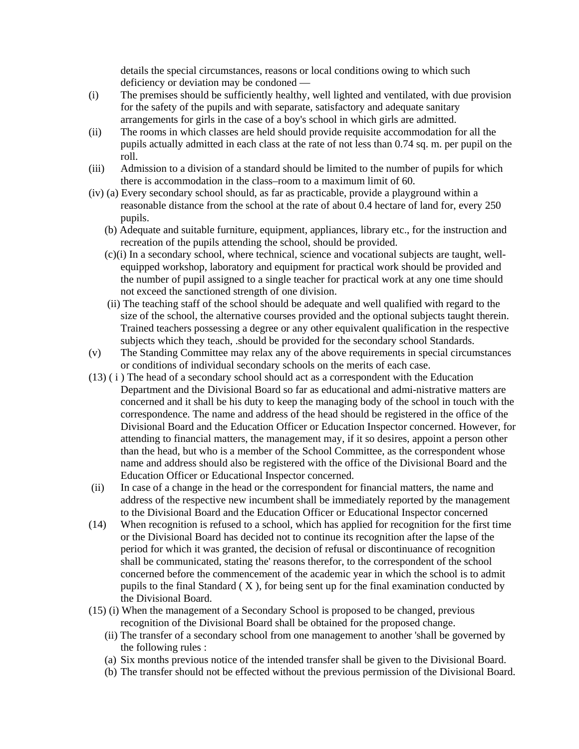details the special circumstances, reasons or local conditions owing to which such deficiency or deviation may be condoned —

- (i) The premises should be sufficiently healthy, well lighted and ventilated, with due provision for the safety of the pupils and with separate, satisfactory and adequate sanitary arrangements for girls in the case of a boy's school in which girls are admitted.
- (ii) The rooms in which classes are held should provide requisite accommodation for all the pupils actually admitted in each class at the rate of not less than 0.74 sq. m. per pupil on the roll.
- (iii) Admission to a division of a standard should be limited to the number of pupils for which there is accommodation in the class–room to a maximum limit of 60.
- (iv) (a) Every secondary school should, as far as practicable, provide a playground within a reasonable distance from the school at the rate of about 0.4 hectare of land for, every 250 pupils.
	- (b) Adequate and suitable furniture, equipment, appliances, library etc., for the instruction and recreation of the pupils attending the school, should be provided.
	- (c)(i) In a secondary school, where technical, science and vocational subjects are taught, wellequipped workshop, laboratory and equipment for practical work should be provided and the number of pupil assigned to a single teacher for practical work at any one time should not exceed the sanctioned strength of one division.
	- (ii) The teaching staff of the school should be adequate and well qualified with regard to the size of the school, the alternative courses provided and the optional subjects taught therein. Trained teachers possessing a degree or any other equivalent qualification in the respective subjects which they teach, .should be provided for the secondary school Standards.
- (v) The Standing Committee may relax any of the above requirements in special circumstances or conditions of individual secondary schools on the merits of each case.
- (13) ( i ) The head of a secondary school should act as a correspondent with the Education Department and the Divisional Board so far as educational and admi-nistrative matters are concerned and it shall be his duty to keep the managing body of the school in touch with the correspondence. The name and address of the head should be registered in the office of the Divisional Board and the Education Officer or Education Inspector concerned. However, for attending to financial matters, the management may, if it so desires, appoint a person other than the head, but who is a member of the School Committee, as the correspondent whose name and address should also be registered with the office of the Divisional Board and the Education Officer or Educational Inspector concerned.
- (ii) In case of a change in the head or the correspondent for financial matters, the name and address of the respective new incumbent shall be immediately reported by the management to the Divisional Board and the Education Officer or Educational Inspector concerned
- (14) When recognition is refused to a school, which has applied for recognition for the first time or the Divisional Board has decided not to continue its recognition after the lapse of the period for which it was granted, the decision of refusal or discontinuance of recognition shall be communicated, stating the' reasons therefor, to the correspondent of the school concerned before the commencement of the academic year in which the school is to admit pupils to the final Standard ( X ), for being sent up for the final examination conducted by the Divisional Board.
- (15) (i) When the management of a Secondary School is proposed to be changed, previous recognition of the Divisional Board shall be obtained for the proposed change.
	- (ii) The transfer of a secondary school from one management to another 'shall be governed by the following rules :
	- (a) Six months previous notice of the intended transfer shall be given to the Divisional Board.
	- (b) The transfer should not be effected without the previous permission of the Divisional Board.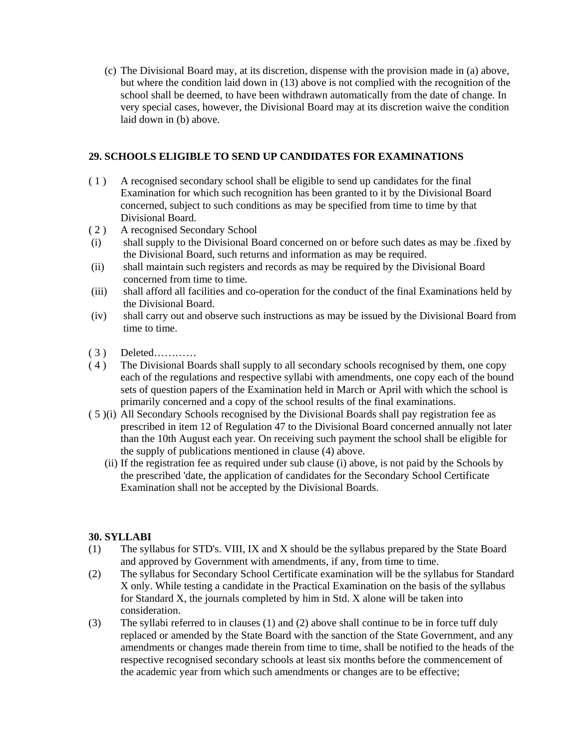(c) The Divisional Board may, at its discretion, dispense with the provision made in (a) above, but where the condition laid down in (13) above is not complied with the recognition of the school shall be deemed, to have been withdrawn automatically from the date of change. In very special cases, however, the Divisional Board may at its discretion waive the condition laid down in (b) above.

# **29. SCHOOLS ELIGIBLE TO SEND UP CANDIDATES FOR EXAMINATIONS**

- ( 1 ) A recognised secondary school shall be eligible to send up candidates for the final Examination for which such recognition has been granted to it by the Divisional Board concerned, subject to such conditions as may be specified from time to time by that Divisional Board.
- ( 2 ) A recognised Secondary School
- (i) shall supply to the Divisional Board concerned on or before such dates as may be .fixed by the Divisional Board, such returns and information as may be required.
- (ii) shall maintain such registers and records as may be required by the Divisional Board concerned from time to time.
- (iii) shall afford all facilities and co-operation for the conduct of the final Examinations held by the Divisional Board.
- (iv) shall carry out and observe such instructions as may be issued by the Divisional Board from time to time.
- ( 3 ) Deleted…………
- ( 4 ) The Divisional Boards shall supply to all secondary schools recognised by them, one copy each of the regulations and respective syllabi with amendments, one copy each of the bound sets of question papers of the Examination held in March or April with which the school is primarily concerned and a copy of the school results of the final examinations.
- ( 5 )(i) All Secondary Schools recognised by the Divisional Boards shall pay registration fee as prescribed in item 12 of Regulation 47 to the Divisional Board concerned annually not later than the 10th August each year. On receiving such payment the school shall be eligible for the supply of publications mentioned in clause (4) above.
	- (ii) If the registration fee as required under sub clause (i) above, is not paid by the Schools by the prescribed 'date, the application of candidates for the Secondary School Certificate Examination shall not be accepted by the Divisional Boards.

# **30. SYLLABI**

- (1) The syllabus for STD's. VIII, IX and X should be the syllabus prepared by the State Board and approved by Government with amendments, if any, from time to time.
- (2) The syllabus for Secondary School Certificate examination will be the syllabus for Standard X only. While testing a candidate in the Practical Examination on the basis of the syllabus for Standard X, the journals completed by him in Std. X alone will be taken into consideration.
- (3) The syllabi referred to in clauses (1) and (2) above shall continue to be in force tuff duly replaced or amended by the State Board with the sanction of the State Government, and any amendments or changes made therein from time to time, shall be notified to the heads of the respective recognised secondary schools at least six months before the commencement of the academic year from which such amendments or changes are to be effective;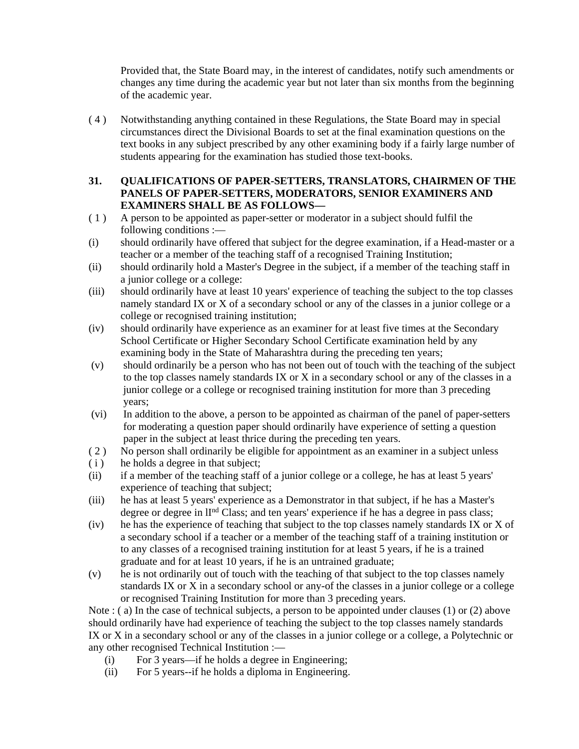Provided that, the State Board may, in the interest of candidates, notify such amendments or changes any time during the academic year but not later than six months from the beginning of the academic year.

( 4 ) Notwithstanding anything contained in these Regulations, the State Board may in special circumstances direct the Divisional Boards to set at the final examination questions on the text books in any subject prescribed by any other examining body if a fairly large number of students appearing for the examination has studied those text-books.

# **31. QUALIFICATIONS OF PAPER-SETTERS, TRANSLATORS, CHAIRMEN OF THE PANELS OF PAPER-SETTERS, MODERATORS, SENIOR EXAMINERS AND EXAMINERS SHALL BE AS FOLLOWS—**

- ( 1 ) A person to be appointed as paper-setter or moderator in a subject should fulfil the following conditions :—
- (i) should ordinarily have offered that subject for the degree examination, if a Head-master or a teacher or a member of the teaching staff of a recognised Training Institution;
- (ii) should ordinarily hold a Master's Degree in the subject, if a member of the teaching staff in a junior college or a college:
- (iii) should ordinarily have at least 10 years' experience of teaching the subject to the top classes namely standard IX or X of a secondary school or any of the classes in a junior college or a college or recognised training institution;
- (iv) should ordinarily have experience as an examiner for at least five times at the Secondary School Certificate or Higher Secondary School Certificate examination held by any examining body in the State of Maharashtra during the preceding ten years;
- (v) should ordinarily be a person who has not been out of touch with the teaching of the subject to the top classes namely standards IX or X in a secondary school or any of the classes in a junior college or a college or recognised training institution for more than 3 preceding years;
- (vi) In addition to the above, a person to be appointed as chairman of the panel of paper-setters for moderating a question paper should ordinarily have experience of setting a question paper in the subject at least thrice during the preceding ten years.
- ( 2 ) No person shall ordinarily be eligible for appointment as an examiner in a subject unless
- (i) he holds a degree in that subject;
- (ii) if a member of the teaching staff of a junior college or a college, he has at least 5 years' experience of teaching that subject;
- (iii) he has at least 5 years' experience as a Demonstrator in that subject, if he has a Master's degree or degree in II<sup>nd</sup> Class; and ten years' experience if he has a degree in pass class;
- (iv) he has the experience of teaching that subject to the top classes namely standards IX or X of a secondary school if a teacher or a member of the teaching staff of a training institution or to any classes of a recognised training institution for at least 5 years, if he is a trained graduate and for at least 10 years, if he is an untrained graduate;
- (v) he is not ordinarily out of touch with the teaching of that subject to the top classes namely standards IX or X in a secondary school or any-of the classes in a junior college or a college or recognised Training Institution for more than 3 preceding years.

Note : ( a) In the case of technical subjects, a person to be appointed under clauses (1) or (2) above should ordinarily have had experience of teaching the subject to the top classes namely standards IX or X in a secondary school or any of the classes in a junior college or a college, a Polytechnic or any other recognised Technical Institution :—

- (i) For 3 years—if he holds a degree in Engineering;
- (ii) For 5 years--if he holds a diploma in Engineering.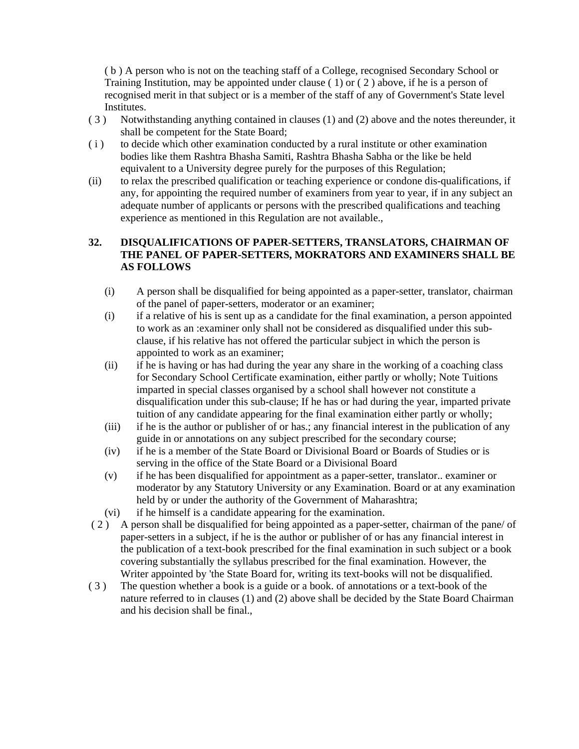( b ) A person who is not on the teaching staff of a College, recognised Secondary School or Training Institution, may be appointed under clause ( 1) or ( 2 ) above, if he is a person of recognised merit in that subject or is a member of the staff of any of Government's State level Institutes.

- ( 3 ) Notwithstanding anything contained in clauses (1) and (2) above and the notes thereunder, it shall be competent for the State Board;
- ( i ) to decide which other examination conducted by a rural institute or other examination bodies like them Rashtra Bhasha Samiti, Rashtra Bhasha Sabha or the like be held equivalent to a University degree purely for the purposes of this Regulation;
- (ii) to relax the prescribed qualification or teaching experience or condone dis-qualifications, if any, for appointing the required number of examiners from year to year, if in any subject an adequate number of applicants or persons with the prescribed qualifications and teaching experience as mentioned in this Regulation are not available.,

#### **32. DISQUALIFICATIONS OF PAPER-SETTERS, TRANSLATORS, CHAIRMAN OF THE PANEL OF PAPER-SETTERS, MOKRATORS AND EXAMINERS SHALL BE AS FOLLOWS**

- (i) A person shall be disqualified for being appointed as a paper-setter, translator, chairman of the panel of paper-setters, moderator or an examiner;
- (i) if a relative of his is sent up as a candidate for the final examination, a person appointed to work as an :examiner only shall not be considered as disqualified under this subclause, if his relative has not offered the particular subject in which the person is appointed to work as an examiner;
- (ii) if he is having or has had during the year any share in the working of a coaching class for Secondary School Certificate examination, either partly or wholly; Note Tuitions imparted in special classes organised by a school shall however not constitute a disqualification under this sub-clause; If he has or had during the year, imparted private tuition of any candidate appearing for the final examination either partly or wholly;
- (iii) if he is the author or publisher of or has.; any financial interest in the publication of any guide in or annotations on any subject prescribed for the secondary course;
- (iv) if he is a member of the State Board or Divisional Board or Boards of Studies or is serving in the office of the State Board or a Divisional Board
- (v) if he has been disqualified for appointment as a paper-setter, translator.. examiner or moderator by any Statutory University or any Examination. Board or at any examination held by or under the authority of the Government of Maharashtra;
- (vi) if he himself is a candidate appearing for the examination.
- ( 2 ) A person shall be disqualified for being appointed as a paper-setter, chairman of the pane/ of paper-setters in a subject, if he is the author or publisher of or has any financial interest in the publication of a text-book prescribed for the final examination in such subject or a book covering substantially the syllabus prescribed for the final examination. However, the Writer appointed by 'the State Board for, writing its text-books will not be disqualified.
- ( 3 ) The question whether a book is a guide or a book. of annotations or a text-book of the nature referred to in clauses (1) and (2) above shall be decided by the State Board Chairman and his decision shall be final.,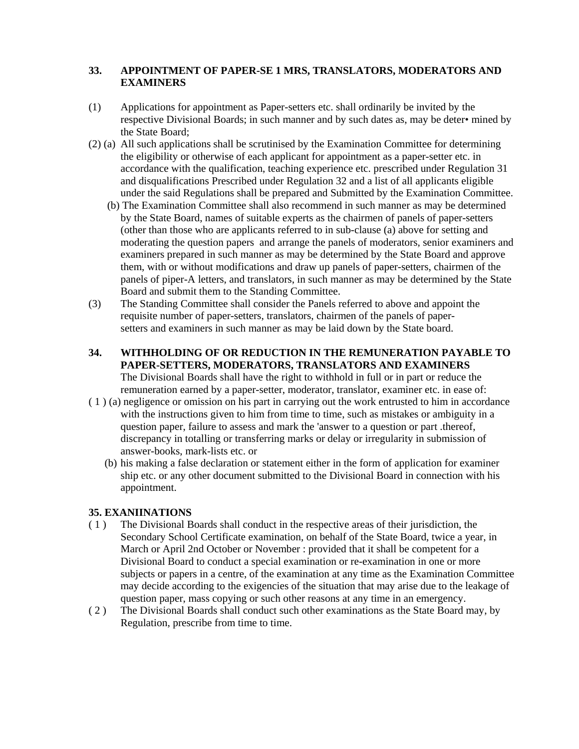# **33. APPOINTMENT OF PAPER-SE 1 MRS, TRANSLATORS, MODERATORS AND EXAMINERS**

- (1) Applications for appointment as Paper-setters etc. shall ordinarily be invited by the respective Divisional Boards; in such manner and by such dates as, may be deter• mined by the State Board;
- (2) (a) All such applications shall be scrutinised by the Examination Committee for determining the eligibility or otherwise of each applicant for appointment as a paper-setter etc. in accordance with the qualification, teaching experience etc. prescribed under Regulation 31 and disqualifications Prescribed under Regulation 32 and a list of all applicants eligible under the said Regulations shall be prepared and Submitted by the Examination Committee.
	- (b) The Examination Committee shall also recommend in such manner as may be determined by the State Board, names of suitable experts as the chairmen of panels of paper-setters (other than those who are applicants referred to in sub-clause (a) above for setting and moderating the question papers and arrange the panels of moderators, senior examiners and examiners prepared in such manner as may be determined by the State Board and approve them, with or without modifications and draw up panels of paper-setters, chairmen of the panels of piper-A letters, and translators, in such manner as may be determined by the State Board and submit them to the Standing Committee.
- (3) The Standing Committee shall consider the Panels referred to above and appoint the requisite number of paper-setters, translators, chairmen of the panels of papersetters and examiners in such manner as may be laid down by the State board.
- **34. WITHHOLDING OF OR REDUCTION IN THE REMUNERATION PAYABLE TO PAPER-SETTERS, MODERATORS, TRANSLATORS AND EXAMINERS** The Divisional Boards shall have the right to withhold in full or in part or reduce the remuneration earned by a paper-setter, moderator, translator, examiner etc. in ease of:
- ( 1 ) (a) negligence or omission on his part in carrying out the work entrusted to him in accordance with the instructions given to him from time to time, such as mistakes or ambiguity in a question paper, failure to assess and mark the 'answer to a question or part .thereof, discrepancy in totalling or transferring marks or delay or irregularity in submission of answer-books, mark-lists etc. or
	- (b) his making a false declaration or statement either in the form of application for examiner ship etc. or any other document submitted to the Divisional Board in connection with his appointment.

# **35. EXANIINATIONS**

- ( 1 ) The Divisional Boards shall conduct in the respective areas of their jurisdiction, the Secondary School Certificate examination, on behalf of the State Board, twice a year, in March or April 2nd October or November : provided that it shall be competent for a Divisional Board to conduct a special examination or re-examination in one or more subjects or papers in a centre, of the examination at any time as the Examination Committee may decide according to the exigencies of the situation that may arise due to the leakage of question paper, mass copying or such other reasons at any time in an emergency.
- ( 2 ) The Divisional Boards shall conduct such other examinations as the State Board may, by Regulation, prescribe from time to time.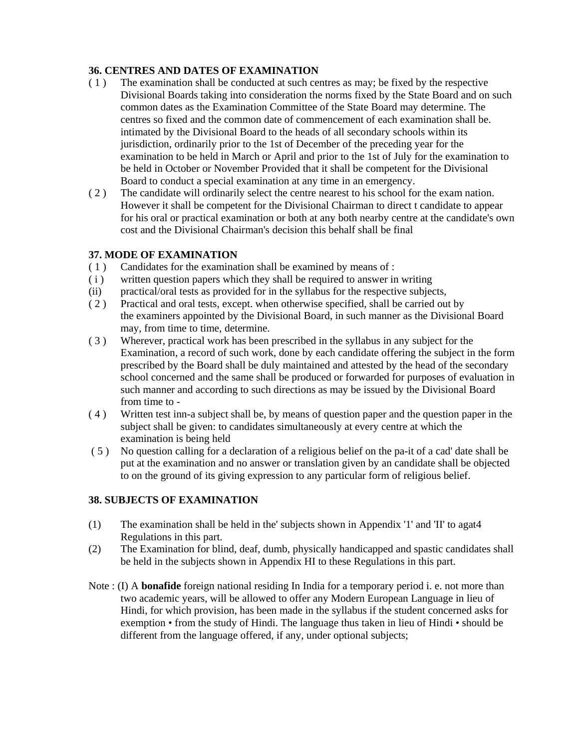# **36. CENTRES AND DATES OF EXAMINATION**

- ( 1 ) The examination shall be conducted at such centres as may; be fixed by the respective Divisional Boards taking into consideration the norms fixed by the State Board and on such common dates as the Examination Committee of the State Board may determine. The centres so fixed and the common date of commencement of each examination shall be. intimated by the Divisional Board to the heads of all secondary schools within its jurisdiction, ordinarily prior to the 1st of December of the preceding year for the examination to be held in March or April and prior to the 1st of July for the examination to be held in October or November Provided that it shall be competent for the Divisional Board to conduct a special examination at any time in an emergency.
- ( 2 ) The candidate will ordinarily select the centre nearest to his school for the exam nation. However it shall be competent for the Divisional Chairman to direct t candidate to appear for his oral or practical examination or both at any both nearby centre at the candidate's own cost and the Divisional Chairman's decision this behalf shall be final

# **37. MODE OF EXAMINATION**

- ( 1 ) Candidates for the examination shall be examined by means of :
- ( i ) written question papers which they shall be required to answer in writing
- (ii) practical/oral tests as provided for in the syllabus for the respective subjects,
- ( 2 ) Practical and oral tests, except. when otherwise specified, shall be carried out by the examiners appointed by the Divisional Board, in such manner as the Divisional Board may, from time to time, determine.
- ( 3 ) Wherever, practical work has been prescribed in the syllabus in any subject for the Examination, a record of such work, done by each candidate offering the subject in the form prescribed by the Board shall be duly maintained and attested by the head of the secondary school concerned and the same shall be produced or forwarded for purposes of evaluation in such manner and according to such directions as may be issued by the Divisional Board from time to -
- ( 4 ) Written test inn-a subject shall be, by means of question paper and the question paper in the subject shall be given: to candidates simultaneously at every centre at which the examination is being held
- ( 5 ) No question calling for a declaration of a religious belief on the pa-it of a cad' date shall be put at the examination and no answer or translation given by an candidate shall be objected to on the ground of its giving expression to any particular form of religious belief.

# **38. SUBJECTS OF EXAMINATION**

- (1) The examination shall be held in the' subjects shown in Appendix '1' and 'II' to agat4 Regulations in this part.
- (2) The Examination for blind, deaf, dumb, physically handicapped and spastic candidates shall be held in the subjects shown in Appendix HI to these Regulations in this part.
- Note : (I) A **bonafide** foreign national residing In India for a temporary period i. e. not more than two academic years, will be allowed to offer any Modern European Language in lieu of Hindi, for which provision, has been made in the syllabus if the student concerned asks for exemption • from the study of Hindi. The language thus taken in lieu of Hindi • should be different from the language offered, if any, under optional subjects;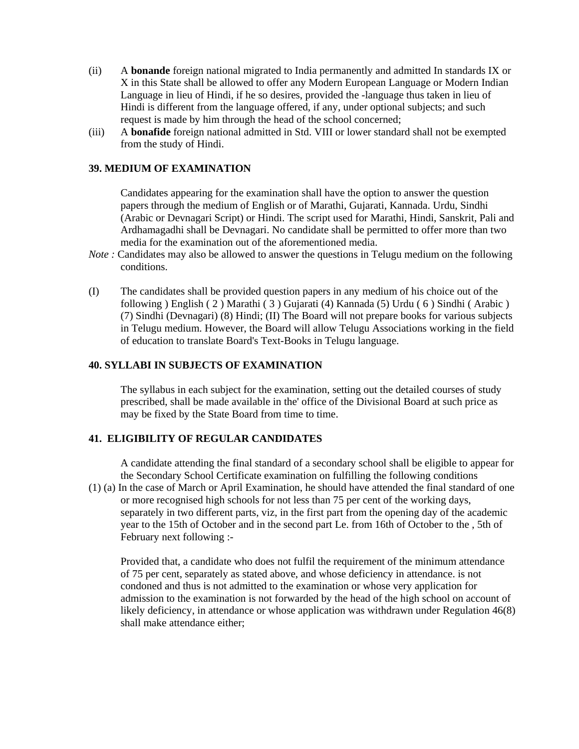- (ii) A **bonande** foreign national migrated to India permanently and admitted In standards IX or X in this State shall be allowed to offer any Modern European Language or Modern Indian Language in lieu of Hindi, if he so desires, provided the -language thus taken in lieu of Hindi is different from the language offered, if any, under optional subjects; and such request is made by him through the head of the school concerned;
- (iii) A **bonafide** foreign national admitted in Std. VIII or lower standard shall not be exempted from the study of Hindi.

#### **39. MEDIUM OF EXAMINATION**

Candidates appearing for the examination shall have the option to answer the question papers through the medium of English or of Marathi, Gujarati, Kannada. Urdu, Sindhi (Arabic or Devnagari Script) or Hindi. The script used for Marathi, Hindi, Sanskrit, Pali and Ardhamagadhi shall be Devnagari. No candidate shall be permitted to offer more than two media for the examination out of the aforementioned media.

- *Note :* Candidates may also be allowed to answer the questions in Telugu medium on the following conditions.
- (I) The candidates shall be provided question papers in any medium of his choice out of the following ) English ( 2 ) Marathi ( 3 ) Gujarati (4) Kannada (5) Urdu ( 6 ) Sindhi ( Arabic ) (7) Sindhi (Devnagari) (8) Hindi; (II) The Board will not prepare books for various subjects in Telugu medium. However, the Board will allow Telugu Associations working in the field of education to translate Board's Text-Books in Telugu language.

#### **40. SYLLABI IN SUBJECTS OF EXAMINATION**

The syllabus in each subject for the examination, setting out the detailed courses of study prescribed, shall be made available in the' office of the Divisional Board at such price as may be fixed by the State Board from time to time.

# **41. ELIGIBILITY OF REGULAR CANDIDATES**

A candidate attending the final standard of a secondary school shall be eligible to appear for the Secondary School Certificate examination on fulfilling the following conditions

(1) (a) In the case of March or April Examination, he should have attended the final standard of one or more recognised high schools for not less than 75 per cent of the working days, separately in two different parts, viz, in the first part from the opening day of the academic year to the 15th of October and in the second part Le. from 16th of October to the , 5th of February next following :-

Provided that, a candidate who does not fulfil the requirement of the minimum attendance of 75 per cent, separately as stated above, and whose deficiency in attendance. is not condoned and thus is not admitted to the examination or whose very application for admission to the examination is not forwarded by the head of the high school on account of likely deficiency, in attendance or whose application was withdrawn under Regulation 46(8) shall make attendance either;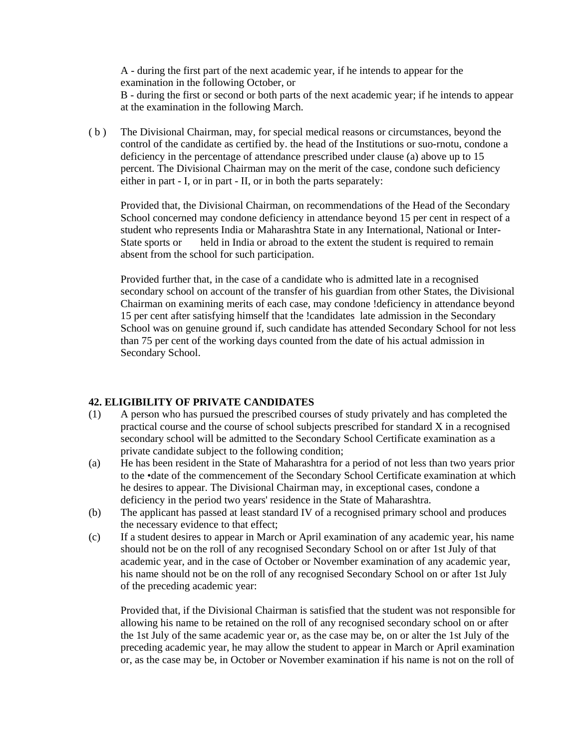A - during the first part of the next academic year, if he intends to appear for the examination in the following October, or B - during the first or second or both parts of the next academic year; if he intends to appear at the examination in the following March.

( b ) The Divisional Chairman, may, for special medical reasons or circumstances, beyond the control of the candidate as certified by. the head of the Institutions or suo-rnotu, condone a deficiency in the percentage of attendance prescribed under clause (a) above up to 15 percent. The Divisional Chairman may on the merit of the case, condone such deficiency either in part - I, or in part - II, or in both the parts separately:

Provided that, the Divisional Chairman, on recommendations of the Head of the Secondary School concerned may condone deficiency in attendance beyond 15 per cent in respect of a student who represents India or Maharashtra State in any International, National or Inter-State sports or held in India or abroad to the extent the student is required to remain absent from the school for such participation.

Provided further that, in the case of a candidate who is admitted late in a recognised secondary school on account of the transfer of his guardian from other States, the Divisional Chairman on examining merits of each case, may condone !deficiency in attendance beyond 15 per cent after satisfying himself that the !candidates late admission in the Secondary School was on genuine ground if, such candidate has attended Secondary School for not less than 75 per cent of the working days counted from the date of his actual admission in Secondary School.

#### **42. ELIGIBILITY OF PRIVATE CANDIDATES**

- (1) A person who has pursued the prescribed courses of study privately and has completed the practical course and the course of school subjects prescribed for standard X in a recognised secondary school will be admitted to the Secondary School Certificate examination as a private candidate subject to the following condition;
- (a) He has been resident in the State of Maharashtra for a period of not less than two years prior to the •date of the commencement of the Secondary School Certificate examination at which he desires to appear. The Divisional Chairman may, in exceptional cases, condone a deficiency in the period two years' residence in the State of Maharashtra.
- (b) The applicant has passed at least standard IV of a recognised primary school and produces the necessary evidence to that effect;
- (c) If a student desires to appear in March or April examination of any academic year, his name should not be on the roll of any recognised Secondary School on or after 1st July of that academic year, and in the case of October or November examination of any academic year, his name should not be on the roll of any recognised Secondary School on or after 1st July of the preceding academic year:

Provided that, if the Divisional Chairman is satisfied that the student was not responsible for allowing his name to be retained on the roll of any recognised secondary school on or after the 1st July of the same academic year or, as the case may be, on or alter the 1st July of the preceding academic year, he may allow the student to appear in March or April examination or, as the case may be, in October or November examination if his name is not on the roll of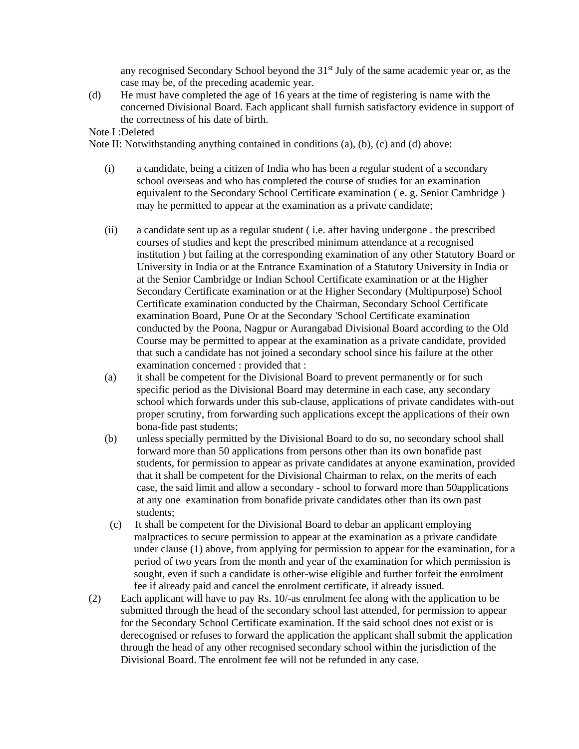any recognised Secondary School beyond the 31<sup>st</sup> July of the same academic year or, as the case may be, of the preceding academic year.

(d) He must have completed the age of 16 years at the time of registering is name with the concerned Divisional Board. Each applicant shall furnish satisfactory evidence in support of the correctness of his date of birth.

Note I :Deleted

Note II: Notwithstanding anything contained in conditions (a), (b), (c) and (d) above:

- (i) a candidate, being a citizen of India who has been a regular student of a secondary school overseas and who has completed the course of studies for an examination equivalent to the Secondary School Certificate examination ( e. g. Senior Cambridge ) may he permitted to appear at the examination as a private candidate;
- (ii) a candidate sent up as a regular student ( i.e. after having undergone . the prescribed courses of studies and kept the prescribed minimum attendance at a recognised institution ) but failing at the corresponding examination of any other Statutory Board or University in India or at the Entrance Examination of a Statutory University in India or at the Senior Cambridge or Indian School Certificate examination or at the Higher Secondary Certificate examination or at the Higher Secondary (Multipurpose) School Certificate examination conducted by the Chairman, Secondary School Certificate examination Board, Pune Or at the Secondary 'School Certificate examination conducted by the Poona, Nagpur or Aurangabad Divisional Board according to the Old Course may be permitted to appear at the examination as a private candidate, provided that such a candidate has not joined a secondary school since his failure at the other examination concerned : provided that :
- (a) it shall be competent for the Divisional Board to prevent permanently or for such specific period as the Divisional Board may determine in each case, any secondary school which forwards under this sub-clause, applications of private candidates with-out proper scrutiny, from forwarding such applications except the applications of their own bona-fide past students;
- (b) unless specially permitted by the Divisional Board to do so, no secondary school shall forward more than 50 applications from persons other than its own bonafide past students, for permission to appear as private candidates at anyone examination, provided that it shall be competent for the Divisional Chairman to relax, on the merits of each case, the said limit and allow a secondary - school to forward more than 50applications at any one examination from bonafide private candidates other than its own past students;
- (c) It shall be competent for the Divisional Board to debar an applicant employing malpractices to secure permission to appear at the examination as a private candidate under clause (1) above, from applying for permission to appear for the examination, for a period of two years from the month and year of the examination for which permission is sought, even if such a candidate is other-wise eligible and further forfeit the enrolment fee if already paid and cancel the enrolment certificate, if already issued.
- (2) Each applicant will have to pay Rs. 10/-as enrolment fee along with the application to be submitted through the head of the secondary school last attended, for permission to appear for the Secondary School Certificate examination. If the said school does not exist or is derecognised or refuses to forward the application the applicant shall submit the application through the head of any other recognised secondary school within the jurisdiction of the Divisional Board. The enrolment fee will not be refunded in any case.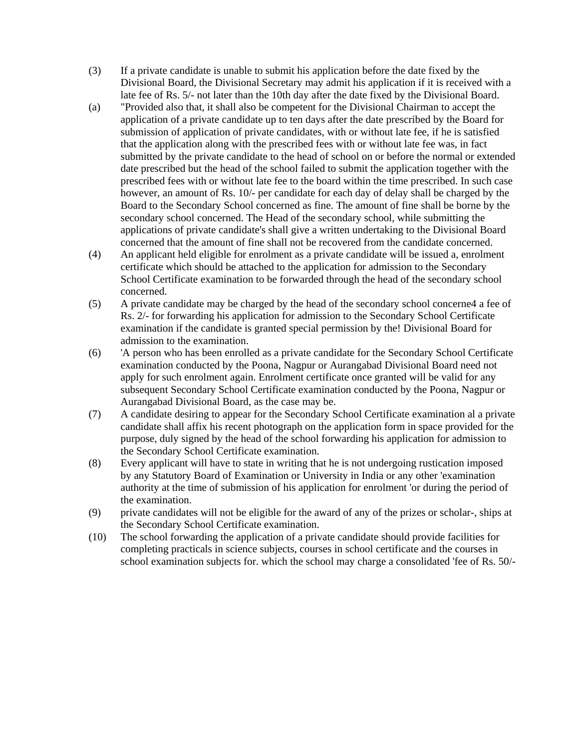- (3) If a private candidate is unable to submit his application before the date fixed by the Divisional Board, the Divisional Secretary may admit his application if it is received with a late fee of Rs. 5/- not later than the 10th day after the date fixed by the Divisional Board.
- (a) "Provided also that, it shall also be competent for the Divisional Chairman to accept the application of a private candidate up to ten days after the date prescribed by the Board for submission of application of private candidates, with or without late fee, if he is satisfied that the application along with the prescribed fees with or without late fee was, in fact submitted by the private candidate to the head of school on or before the normal or extended date prescribed but the head of the school failed to submit the application together with the prescribed fees with or without late fee to the board within the time prescribed. In such case however, an amount of Rs. 10/- per candidate for each day of delay shall be charged by the Board to the Secondary School concerned as fine. The amount of fine shall be borne by the secondary school concerned. The Head of the secondary school, while submitting the applications of private candidate's shall give a written undertaking to the Divisional Board concerned that the amount of fine shall not be recovered from the candidate concerned.
- (4) An applicant held eligible for enrolment as a private candidate will be issued a, enrolment certificate which should be attached to the application for admission to the Secondary School Certificate examination to be forwarded through the head of the secondary school concerned.
- (5) A private candidate may be charged by the head of the secondary school concerne4 a fee of Rs. 2/- for forwarding his application for admission to the Secondary School Certificate examination if the candidate is granted special permission by the! Divisional Board for admission to the examination.
- (6) 'A person who has been enrolled as a private candidate for the Secondary School Certificate examination conducted by the Poona, Nagpur or Aurangabad Divisional Board need not apply for such enrolment again. Enrolment certificate once granted will be valid for any subsequent Secondary School Certificate examination conducted by the Poona, Nagpur or Aurangabad Divisional Board, as the case may be.
- (7) A candidate desiring to appear for the Secondary School Certificate examination al a private candidate shall affix his recent photograph on the application form in space provided for the purpose, duly signed by the head of the school forwarding his application for admission to the Secondary School Certificate examination.
- (8) Every applicant will have to state in writing that he is not undergoing rustication imposed by any Statutory Board of Examination or University in India or any other 'examination authority at the time of submission of his application for enrolment 'or during the period of the examination.
- (9) private candidates will not be eligible for the award of any of the prizes or scholar-, ships at the Secondary School Certificate examination.
- (10) The school forwarding the application of a private candidate should provide facilities for completing practicals in science subjects, courses in school certificate and the courses in school examination subjects for. which the school may charge a consolidated 'fee of Rs. 50/-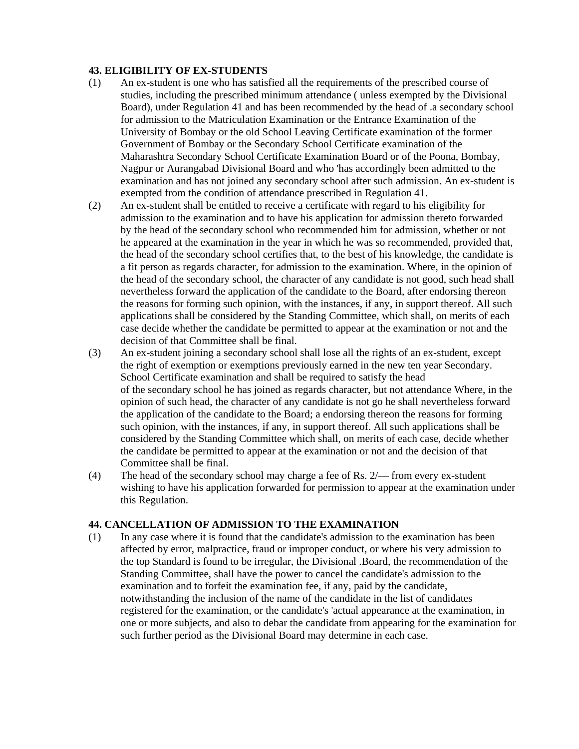#### **43. ELIGIBILITY OF EX-STUDENTS**

- (1) An ex-student is one who has satisfied all the requirements of the prescribed course of studies, including the prescribed minimum attendance ( unless exempted by the Divisional Board), under Regulation 41 and has been recommended by the head of .a secondary school for admission to the Matriculation Examination or the Entrance Examination of the University of Bombay or the old School Leaving Certificate examination of the former Government of Bombay or the Secondary School Certificate examination of the Maharashtra Secondary School Certificate Examination Board or of the Poona, Bombay, Nagpur or Aurangabad Divisional Board and who 'has accordingly been admitted to the examination and has not joined any secondary school after such admission. An ex-student is exempted from the condition of attendance prescribed in Regulation 41.
- (2) An ex-student shall be entitled to receive a certificate with regard to his eligibility for admission to the examination and to have his application for admission thereto forwarded by the head of the secondary school who recommended him for admission, whether or not he appeared at the examination in the year in which he was so recommended, provided that, the head of the secondary school certifies that, to the best of his knowledge, the candidate is a fit person as regards character, for admission to the examination. Where, in the opinion of the head of the secondary school, the character of any candidate is not good, such head shall nevertheless forward the application of the candidate to the Board, after endorsing thereon the reasons for forming such opinion, with the instances, if any, in support thereof. All such applications shall be considered by the Standing Committee, which shall, on merits of each case decide whether the candidate be permitted to appear at the examination or not and the decision of that Committee shall be final.
- (3) An ex-student joining a secondary school shall lose all the rights of an ex-student, except the right of exemption or exemptions previously earned in the new ten year Secondary. School Certificate examination and shall be required to satisfy the head of the secondary school he has joined as regards character, but not attendance Where, in the opinion of such head, the character of any candidate is not go he shall nevertheless forward the application of the candidate to the Board; a endorsing thereon the reasons for forming such opinion, with the instances, if any, in support thereof. All such applications shall be considered by the Standing Committee which shall, on merits of each case, decide whether the candidate be permitted to appear at the examination or not and the decision of that Committee shall be final.
- (4) The head of the secondary school may charge a fee of Rs. 2/— from every ex-student wishing to have his application forwarded for permission to appear at the examination under this Regulation.

#### **44. CANCELLATION OF ADMISSION TO THE EXAMINATION**

(1) In any case where it is found that the candidate's admission to the examination has been affected by error, malpractice, fraud or improper conduct, or where his very admission to the top Standard is found to be irregular, the Divisional .Board, the recommendation of the Standing Committee, shall have the power to cancel the candidate's admission to the examination and to forfeit the examination fee, if any, paid by the candidate, notwithstanding the inclusion of the name of the candidate in the list of candidates registered for the examination, or the candidate's 'actual appearance at the examination, in one or more subjects, and also to debar the candidate from appearing for the examination for such further period as the Divisional Board may determine in each case.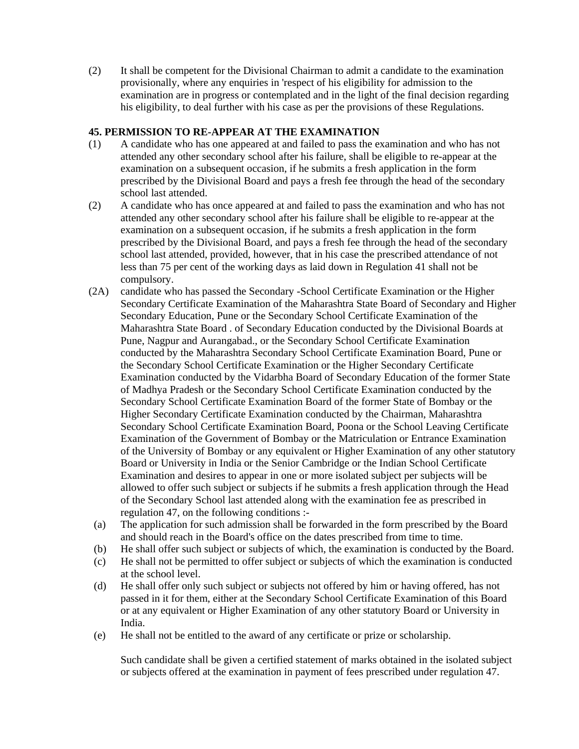(2) It shall be competent for the Divisional Chairman to admit a candidate to the examination provisionally, where any enquiries in 'respect of his eligibility for admission to the examination are in progress or contemplated and in the light of the final decision regarding his eligibility, to deal further with his case as per the provisions of these Regulations.

### **45. PERMISSION TO RE-APPEAR AT THE EXAMINATION**

- (1) A candidate who has one appeared at and failed to pass the examination and who has not attended any other secondary school after his failure, shall be eligible to re-appear at the examination on a subsequent occasion, if he submits a fresh application in the form prescribed by the Divisional Board and pays a fresh fee through the head of the secondary school last attended.
- (2) A candidate who has once appeared at and failed to pass the examination and who has not attended any other secondary school after his failure shall be eligible to re-appear at the examination on a subsequent occasion, if he submits a fresh application in the form prescribed by the Divisional Board, and pays a fresh fee through the head of the secondary school last attended, provided, however, that in his case the prescribed attendance of not less than 75 per cent of the working days as laid down in Regulation 41 shall not be compulsory.
- (2A) candidate who has passed the Secondary -School Certificate Examination or the Higher Secondary Certificate Examination of the Maharashtra State Board of Secondary and Higher Secondary Education, Pune or the Secondary School Certificate Examination of the Maharashtra State Board . of Secondary Education conducted by the Divisional Boards at Pune, Nagpur and Aurangabad., or the Secondary School Certificate Examination conducted by the Maharashtra Secondary School Certificate Examination Board, Pune or the Secondary School Certificate Examination or the Higher Secondary Certificate Examination conducted by the Vidarbha Board of Secondary Education of the former State of Madhya Pradesh or the Secondary School Certificate Examination conducted by the Secondary School Certificate Examination Board of the former State of Bombay or the Higher Secondary Certificate Examination conducted by the Chairman, Maharashtra Secondary School Certificate Examination Board, Poona or the School Leaving Certificate Examination of the Government of Bombay or the Matriculation or Entrance Examination of the University of Bombay or any equivalent or Higher Examination of any other statutory Board or University in India or the Senior Cambridge or the Indian School Certificate Examination and desires to appear in one or more isolated subject per subjects will be allowed to offer such subject or subjects if he submits a fresh application through the Head of the Secondary School last attended along with the examination fee as prescribed in regulation 47, on the following conditions :-
- (a) The application for such admission shall be forwarded in the form prescribed by the Board and should reach in the Board's office on the dates prescribed from time to time.
- (b) He shall offer such subject or subjects of which, the examination is conducted by the Board.
- (c) He shall not be permitted to offer subject or subjects of which the examination is conducted at the school level.
- (d) He shall offer only such subject or subjects not offered by him or having offered, has not passed in it for them, either at the Secondary School Certificate Examination of this Board or at any equivalent or Higher Examination of any other statutory Board or University in India.
- (e) He shall not be entitled to the award of any certificate or prize or scholarship.

Such candidate shall be given a certified statement of marks obtained in the isolated subject or subjects offered at the examination in payment of fees prescribed under regulation 47.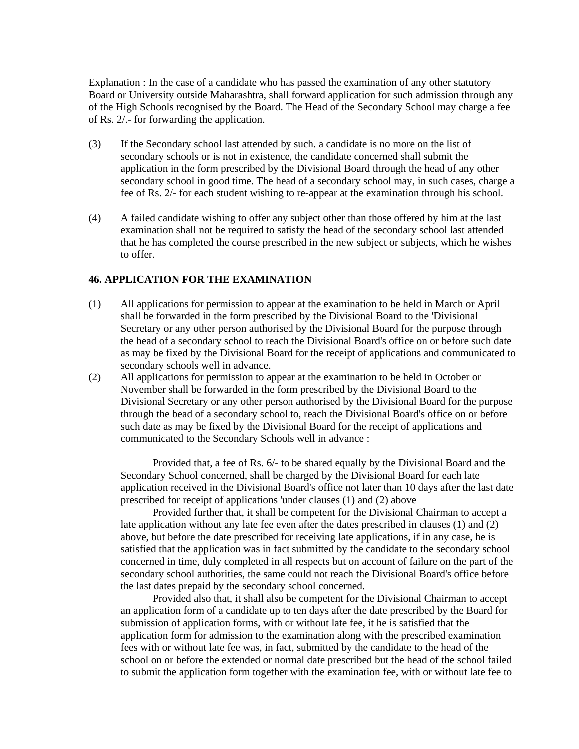Explanation : In the case of a candidate who has passed the examination of any other statutory Board or University outside Maharashtra, shall forward application for such admission through any of the High Schools recognised by the Board. The Head of the Secondary School may charge a fee of Rs. 2/.- for forwarding the application.

- (3) If the Secondary school last attended by such. a candidate is no more on the list of secondary schools or is not in existence, the candidate concerned shall submit the application in the form prescribed by the Divisional Board through the head of any other secondary school in good time. The head of a secondary school may, in such cases, charge a fee of Rs. 2/- for each student wishing to re-appear at the examination through his school.
- (4) A failed candidate wishing to offer any subject other than those offered by him at the last examination shall not be required to satisfy the head of the secondary school last attended that he has completed the course prescribed in the new subject or subjects, which he wishes to offer.

#### **46. APPLICATION FOR THE EXAMINATION**

- (1) All applications for permission to appear at the examination to be held in March or April shall be forwarded in the form prescribed by the Divisional Board to the 'Divisional Secretary or any other person authorised by the Divisional Board for the purpose through the head of a secondary school to reach the Divisional Board's office on or before such date as may be fixed by the Divisional Board for the receipt of applications and communicated to secondary schools well in advance.
- (2) All applications for permission to appear at the examination to be held in October or November shall be forwarded in the form prescribed by the Divisional Board to the Divisional Secretary or any other person authorised by the Divisional Board for the purpose through the bead of a secondary school to, reach the Divisional Board's office on or before such date as may be fixed by the Divisional Board for the receipt of applications and communicated to the Secondary Schools well in advance :

Provided that, a fee of Rs. 6/- to be shared equally by the Divisional Board and the Secondary School concerned, shall be charged by the Divisional Board for each late application received in the Divisional Board's office not later than 10 days after the last date prescribed for receipt of applications 'under clauses (1) and (2) above

Provided further that, it shall be competent for the Divisional Chairman to accept a late application without any late fee even after the dates prescribed in clauses (1) and (2) above, but before the date prescribed for receiving late applications, if in any case, he is satisfied that the application was in fact submitted by the candidate to the secondary school concerned in time, duly completed in all respects but on account of failure on the part of the secondary school authorities, the same could not reach the Divisional Board's office before the last dates prepaid by the secondary school concerned.

Provided also that, it shall also be competent for the Divisional Chairman to accept an application form of a candidate up to ten days after the date prescribed by the Board for submission of application forms, with or without late fee, it he is satisfied that the application form for admission to the examination along with the prescribed examination fees with or without late fee was, in fact, submitted by the candidate to the head of the school on or before the extended or normal date prescribed but the head of the school failed to submit the application form together with the examination fee, with or without late fee to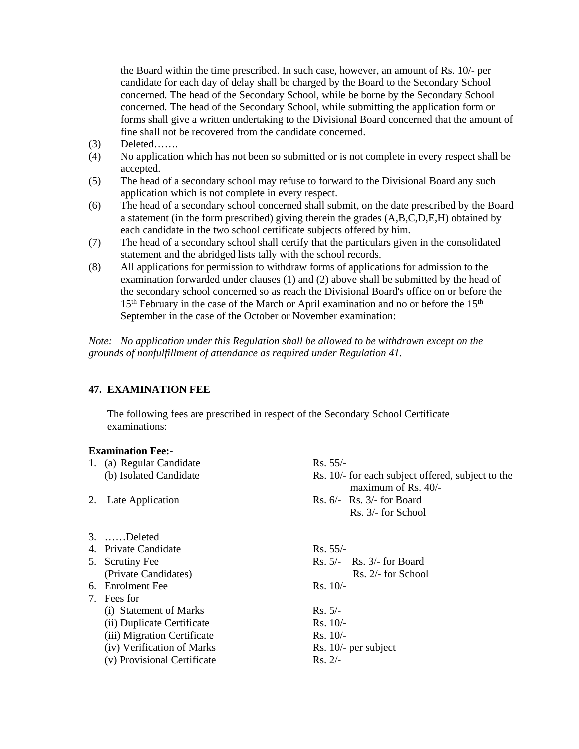the Board within the time prescribed. In such case, however, an amount of Rs. 10/- per candidate for each day of delay shall be charged by the Board to the Secondary School concerned. The head of the Secondary School, while be borne by the Secondary School concerned. The head of the Secondary School, while submitting the application form or forms shall give a written undertaking to the Divisional Board concerned that the amount of fine shall not be recovered from the candidate concerned.

- (3) Deleted…….
- (4) No application which has not been so submitted or is not complete in every respect shall be accepted.
- (5) The head of a secondary school may refuse to forward to the Divisional Board any such application which is not complete in every respect.
- (6) The head of a secondary school concerned shall submit, on the date prescribed by the Board a statement (in the form prescribed) giving therein the grades (A,B,C,D,E,H) obtained by each candidate in the two school certificate subjects offered by him.
- (7) The head of a secondary school shall certify that the particulars given in the consolidated statement and the abridged lists tally with the school records.
- (8) All applications for permission to withdraw forms of applications for admission to the examination forwarded under clauses (1) and (2) above shall be submitted by the head of the secondary school concerned so as reach the Divisional Board's office on or before the  $15<sup>th</sup>$  February in the case of the March or April examination and no or before the  $15<sup>th</sup>$ September in the case of the October or November examination:

*Note: No application under this Regulation shall be allowed to be withdrawn except on the grounds of nonfulfillment of attendance as required under Regulation 41.* 

# **47. EXAMINATION FEE**

 The following fees are prescribed in respect of the Secondary School Certificate examinations:

#### **Examination Fee:-**

|                             | Rs. 55/-                                                                                                                                    |
|-----------------------------|---------------------------------------------------------------------------------------------------------------------------------------------|
| (b) Isolated Candidate      | Rs. 10/- for each subject offered, subject to the<br>maximum of Rs. $40/-$                                                                  |
|                             | Rs. $6/-$ Rs. $3/-$ for Board                                                                                                               |
|                             | Rs. 3/- for School                                                                                                                          |
|                             |                                                                                                                                             |
|                             | $Rs. 55/-$                                                                                                                                  |
|                             | $\text{Rs. } 5/-$ Rs. 3/- for Board                                                                                                         |
| (Private Candidates)        | Rs. 2/- for School                                                                                                                          |
|                             | $Rs. 10/-$                                                                                                                                  |
|                             |                                                                                                                                             |
| (i) Statement of Marks      | $Rs. 5/-$                                                                                                                                   |
| (ii) Duplicate Certificate  | $Rs. 10/-$                                                                                                                                  |
| (iii) Migration Certificate | $Rs. 10/-$                                                                                                                                  |
| (iv) Verification of Marks  | Rs. $10/-$ per subject                                                                                                                      |
| (v) Provisional Certificate | $Rs. 2/-$                                                                                                                                   |
|                             | 1. (a) Regular Candidate<br>2. Late Application<br>3. Deleted<br>4. Private Candidate<br>5. Scrutiny Fee<br>6. Enrolment Fee<br>7. Fees for |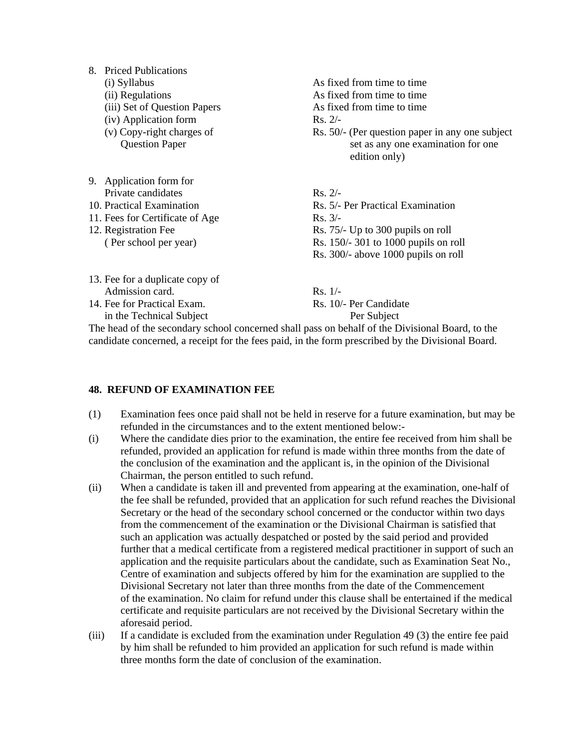| 8. Priced Publications |  |
|------------------------|--|
|------------------------|--|

- (i) Syllabus As fixed from time to time
- (ii) Regulations As fixed from time to time
- (iii) Set of Question Papers As fixed from time to time
- (iv) Application form Rs. 2/-
- 
- 9. Application form for Private candidates Rs. 2/-
- 
- 11. Fees for Certificate of Age Rs. 3/-

13. Fee for a duplicate copy of

- 12. Registration Fee Rs. 75/- Up to 300 pupils on roll
- (v) Copy-right charges of Rs. 50/- (Per question paper in any one subject Question Paper set as any one examination for one edition only) 10. Practical Examination Rs. 5/- Per Practical Examination
	-
	- ( Per school per year) Rs. 150/- 301 to 1000 pupils on roll
		- Rs. 300/- above 1000 pupils on roll
- Admission card. Rs. 1/-14. Fee for Practical Exam. Rs. 10/- Per Candidate in the Technical Subject Per Subject

The head of the secondary school concerned shall pass on behalf of the Divisional Board, to the candidate concerned, a receipt for the fees paid, in the form prescribed by the Divisional Board.

#### **48. REFUND OF EXAMINATION FEE**

- (1) Examination fees once paid shall not be held in reserve for a future examination, but may be refunded in the circumstances and to the extent mentioned below:-
- (i) Where the candidate dies prior to the examination, the entire fee received from him shall be refunded, provided an application for refund is made within three months from the date of the conclusion of the examination and the applicant is, in the opinion of the Divisional Chairman, the person entitled to such refund.
- (ii) When a candidate is taken ill and prevented from appearing at the examination, one-half of the fee shall be refunded, provided that an application for such refund reaches the Divisional Secretary or the head of the secondary school concerned or the conductor within two days from the commencement of the examination or the Divisional Chairman is satisfied that such an application was actually despatched or posted by the said period and provided further that a medical certificate from a registered medical practitioner in support of such an application and the requisite particulars about the candidate, such as Examination Seat No., Centre of examination and subjects offered by him for the examination are supplied to the Divisional Secretary not later than three months from the date of the Commencement of the examination. No claim for refund under this clause shall be entertained if the medical certificate and requisite particulars are not received by the Divisional Secretary within the aforesaid period.
- (iii) If a candidate is excluded from the examination under Regulation 49 (3) the entire fee paid by him shall be refunded to him provided an application for such refund is made within three months form the date of conclusion of the examination.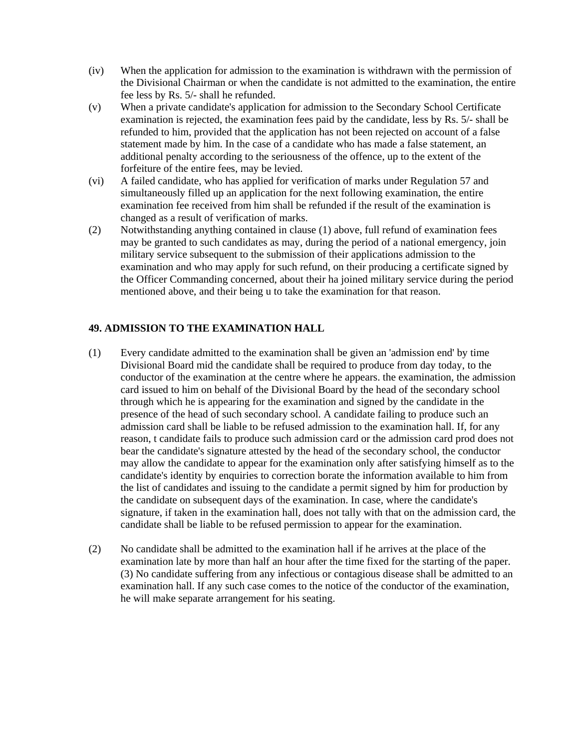- (iv) When the application for admission to the examination is withdrawn with the permission of the Divisional Chairman or when the candidate is not admitted to the examination, the entire fee less by Rs. 5/- shall he refunded.
- (v) When a private candidate's application for admission to the Secondary School Certificate examination is rejected, the examination fees paid by the candidate, less by Rs. 5/- shall be refunded to him, provided that the application has not been rejected on account of a false statement made by him. In the case of a candidate who has made a false statement, an additional penalty according to the seriousness of the offence, up to the extent of the forfeiture of the entire fees, may be levied.
- (vi) A failed candidate, who has applied for verification of marks under Regulation 57 and simultaneously filled up an application for the next following examination, the entire examination fee received from him shall be refunded if the result of the examination is changed as a result of verification of marks.
- (2) Notwithstanding anything contained in clause (1) above, full refund of examination fees may be granted to such candidates as may, during the period of a national emergency, join military service subsequent to the submission of their applications admission to the examination and who may apply for such refund, on their producing a certificate signed by the Officer Commanding concerned, about their ha joined military service during the period mentioned above, and their being u to take the examination for that reason.

# **49. ADMISSION TO THE EXAMINATION HALL**

- (1) Every candidate admitted to the examination shall be given an 'admission end' by time Divisional Board mid the candidate shall be required to produce from day today, to the conductor of the examination at the centre where he appears. the examination, the admission card issued to him on behalf of the Divisional Board by the head of the secondary school through which he is appearing for the examination and signed by the candidate in the presence of the head of such secondary school. A candidate failing to produce such an admission card shall be liable to be refused admission to the examination hall. If, for any reason, t candidate fails to produce such admission card or the admission card prod does not bear the candidate's signature attested by the head of the secondary school, the conductor may allow the candidate to appear for the examination only after satisfying himself as to the candidate's identity by enquiries to correction borate the information available to him from the list of candidates and issuing to the candidate a permit signed by him for production by the candidate on subsequent days of the examination. In case, where the candidate's signature, if taken in the examination hall, does not tally with that on the admission card, the candidate shall be liable to be refused permission to appear for the examination.
- (2) No candidate shall be admitted to the examination hall if he arrives at the place of the examination late by more than half an hour after the time fixed for the starting of the paper. (3) No candidate suffering from any infectious or contagious disease shall be admitted to an examination hall. If any such case comes to the notice of the conductor of the examination, he will make separate arrangement for his seating.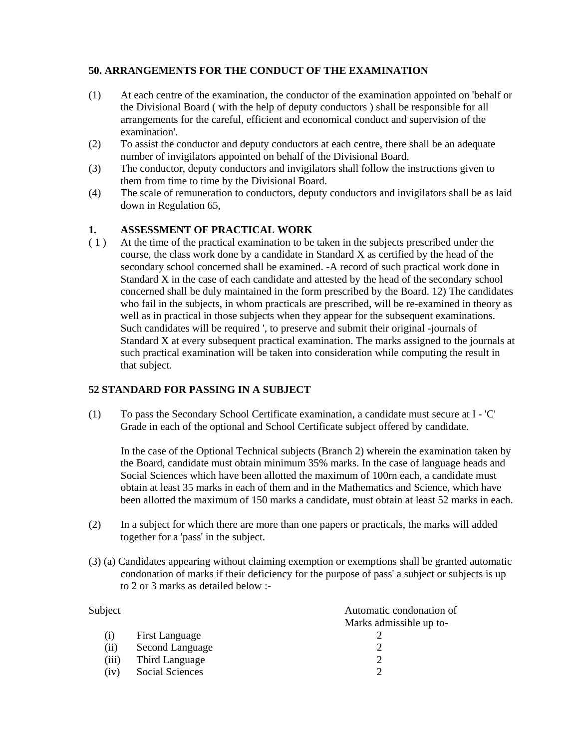# **50. ARRANGEMENTS FOR THE CONDUCT OF THE EXAMINATION**

- (1) At each centre of the examination, the conductor of the examination appointed on 'behalf or the Divisional Board ( with the help of deputy conductors ) shall be responsible for all arrangements for the careful, efficient and economical conduct and supervision of the examination'.
- (2) To assist the conductor and deputy conductors at each centre, there shall be an adequate number of invigilators appointed on behalf of the Divisional Board.
- (3) The conductor, deputy conductors and invigilators shall follow the instructions given to them from time to time by the Divisional Board.
- (4) The scale of remuneration to conductors, deputy conductors and invigilators shall be as laid down in Regulation 65,

### **1. ASSESSMENT OF PRACTICAL WORK**

( 1 ) At the time of the practical examination to be taken in the subjects prescribed under the course, the class work done by a candidate in Standard X as certified by the head of the secondary school concerned shall be examined. -A record of such practical work done in Standard X in the case of each candidate and attested by the head of the secondary school concerned shall be duly maintained in the form prescribed by the Board. 12) The candidates who fail in the subjects, in whom practicals are prescribed, will be re-examined in theory as well as in practical in those subjects when they appear for the subsequent examinations. Such candidates will be required ', to preserve and submit their original -journals of Standard X at every subsequent practical examination. The marks assigned to the journals at such practical examination will be taken into consideration while computing the result in that subject.

#### **52 STANDARD FOR PASSING IN A SUBJECT**

(1) To pass the Secondary School Certificate examination, a candidate must secure at I - 'C' Grade in each of the optional and School Certificate subject offered by candidate.

In the case of the Optional Technical subjects (Branch 2) wherein the examination taken by the Board, candidate must obtain minimum 35% marks. In the case of language heads and Social Sciences which have been allotted the maximum of 100rn each, a candidate must obtain at least 35 marks in each of them and in the Mathematics and Science, which have been allotted the maximum of 150 marks a candidate, must obtain at least 52 marks in each.

- (2) In a subject for which there are more than one papers or practicals, the marks will added together for a 'pass' in the subject.
- (3) (a) Candidates appearing without claiming exemption or exemptions shall be granted automatic condonation of marks if their deficiency for the purpose of pass' a subject or subjects is up to 2 or 3 marks as detailed below :-

| Subject |                 | Automatic condonation of |
|---------|-----------------|--------------------------|
|         |                 | Marks admissible up to-  |
| (1)     | First Language  |                          |
| (i)     | Second Language |                          |
| (iii)   | Third Language  |                          |
| (iv)    | Social Sciences |                          |
|         |                 |                          |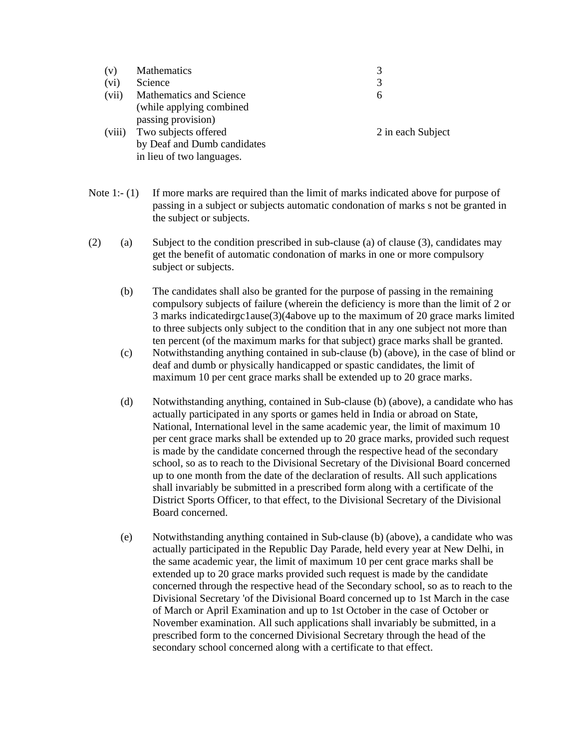| (v)    | Mathematics                 |                   |
|--------|-----------------------------|-------------------|
| (vi)   | Science                     |                   |
| (vii)  | Mathematics and Science     | 6                 |
|        | (while applying combined)   |                   |
|        | passing provision)          |                   |
| (viii) | Two subjects offered        | 2 in each Subject |
|        | by Deaf and Dumb candidates |                   |
|        | in lieu of two languages.   |                   |

- Note 1:-  $(1)$  If more marks are required than the limit of marks indicated above for purpose of passing in a subject or subjects automatic condonation of marks s not be granted in the subject or subjects.
- (2) (a) Subject to the condition prescribed in sub-clause (a) of clause (3), candidates may get the benefit of automatic condonation of marks in one or more compulsory subject or subjects.
	- (b) The candidates shall also be granted for the purpose of passing in the remaining compulsory subjects of failure (wherein the deficiency is more than the limit of 2 or 3 marks indicatedirgc1ause(3)(4above up to the maximum of 20 grace marks limited to three subjects only subject to the condition that in any one subject not more than ten percent (of the maximum marks for that subject) grace marks shall be granted.
	- (c) Notwithstanding anything contained in sub-clause (b) (above), in the case of blind or deaf and dumb or physically handicapped or spastic candidates, the limit of maximum 10 per cent grace marks shall be extended up to 20 grace marks.
	- (d) Notwithstanding anything, contained in Sub-clause (b) (above), a candidate who has actually participated in any sports or games held in India or abroad on State, National, International level in the same academic year, the limit of maximum 10 per cent grace marks shall be extended up to 20 grace marks, provided such request is made by the candidate concerned through the respective head of the secondary school, so as to reach to the Divisional Secretary of the Divisional Board concerned up to one month from the date of the declaration of results. All such applications shall invariably be submitted in a prescribed form along with a certificate of the District Sports Officer, to that effect, to the Divisional Secretary of the Divisional Board concerned.
	- (e) Notwithstanding anything contained in Sub-clause (b) (above), a candidate who was actually participated in the Republic Day Parade, held every year at New Delhi, in the same academic year, the limit of maximum 10 per cent grace marks shall be extended up to 20 grace marks provided such request is made by the candidate concerned through the respective head of the Secondary school, so as to reach to the Divisional Secretary 'of the Divisional Board concerned up to 1st March in the case of March or April Examination and up to 1st October in the case of October or November examination. All such applications shall invariably be submitted, in a prescribed form to the concerned Divisional Secretary through the head of the secondary school concerned along with a certificate to that effect.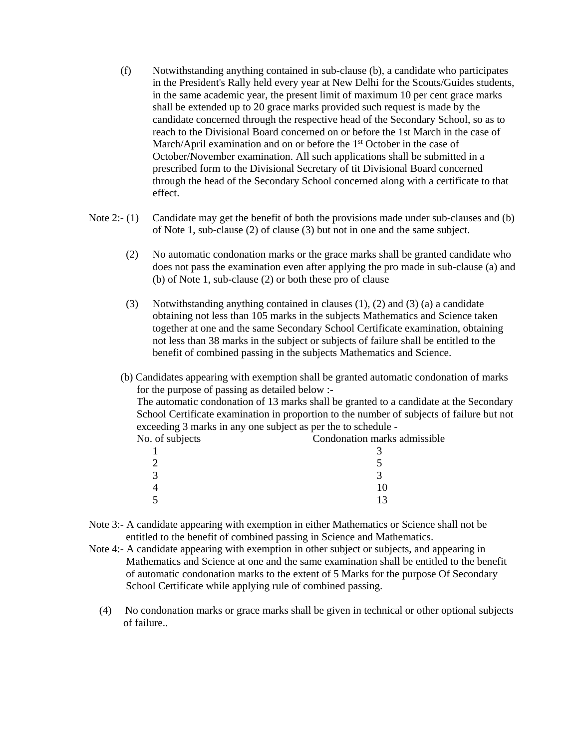- (f) Notwithstanding anything contained in sub-clause (b), a candidate who participates in the President's Rally held every year at New Delhi for the Scouts/Guides students, in the same academic year, the present limit of maximum 10 per cent grace marks shall be extended up to 20 grace marks provided such request is made by the candidate concerned through the respective head of the Secondary School, so as to reach to the Divisional Board concerned on or before the 1st March in the case of March/April examination and on or before the 1<sup>st</sup> October in the case of October/November examination. All such applications shall be submitted in a prescribed form to the Divisional Secretary of tit Divisional Board concerned through the head of the Secondary School concerned along with a certificate to that effect.
- Note 2:- (1) Candidate may get the benefit of both the provisions made under sub-clauses and (b) of Note 1, sub-clause (2) of clause (3) but not in one and the same subject.
	- (2) No automatic condonation marks or the grace marks shall be granted candidate who does not pass the examination even after applying the pro made in sub-clause (a) and (b) of Note 1, sub-clause (2) or both these pro of clause
	- (3) Notwithstanding anything contained in clauses (1), (2) and (3) (a) a candidate obtaining not less than 105 marks in the subjects Mathematics and Science taken together at one and the same Secondary School Certificate examination, obtaining not less than 38 marks in the subject or subjects of failure shall be entitled to the benefit of combined passing in the subjects Mathematics and Science.
	- (b) Candidates appearing with exemption shall be granted automatic condonation of marks for the purpose of passing as detailed below :- The automatic condonation of 13 marks shall be granted to a candidate at the Secondary School Certificate examination in proportion to the number of subjects of failure but not

| exceeding 3 marks in any one subject as per the to schedule - |                              |  |
|---------------------------------------------------------------|------------------------------|--|
| No. of subjects                                               | Condonation marks admissible |  |
|                                                               |                              |  |
|                                                               |                              |  |
|                                                               |                              |  |
|                                                               |                              |  |
|                                                               |                              |  |
|                                                               |                              |  |

- Note 3:- A candidate appearing with exemption in either Mathematics or Science shall not be entitled to the benefit of combined passing in Science and Mathematics.
- Note 4:- A candidate appearing with exemption in other subject or subjects, and appearing in Mathematics and Science at one and the same examination shall be entitled to the benefit of automatic condonation marks to the extent of 5 Marks for the purpose Of Secondary School Certificate while applying rule of combined passing.
	- (4) No condonation marks or grace marks shall be given in technical or other optional subjects of failure..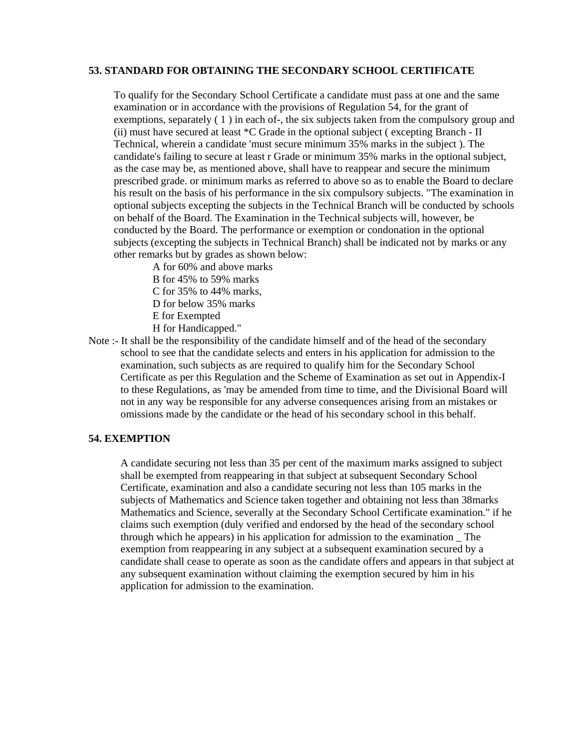#### **53. STANDARD FOR OBTAINING THE SECONDARY SCHOOL CERTIFICATE**

To qualify for the Secondary School Certificate a candidate must pass at one and the same examination or in accordance with the provisions of Regulation 54, for the grant of exemptions, separately (1) in each of-, the six subjects taken from the compulsory group and (ii) must have secured at least \*C Grade in the optional subject ( excepting Branch - II Technical, wherein a candidate 'must secure minimum 35% marks in the subject ). The candidate's failing to secure at least r Grade or minimum 35% marks in the optional subject, as the case may be, as mentioned above, shall have to reappear and secure the minimum prescribed grade. or minimum marks as referred to above so as to enable the Board to declare his result on the basis of his performance in the six compulsory subjects. "The examination in optional subjects excepting the subjects in the Technical Branch will be conducted by schools on behalf of the Board. The Examination in the Technical subjects will, however, be conducted by the Board. The performance or exemption or condonation in the optional subjects (excepting the subjects in Technical Branch) shall be indicated not by marks or any other remarks but by grades as shown below:

A for 60% and above marks

B for 45% to 59% marks

C for 35% to 44% marks,

D for below 35% marks

- E for Exempted
- H for Handicapped."
- Note :- It shall be the responsibility of the candidate himself and of the head of the secondary school to see that the candidate selects and enters in his application for admission to the examination, such subjects as are required to qualify him for the Secondary School Certificate as per this Regulation and the Scheme of Examination as set out in Appendix-I to these Regulations, as 'may be amended from time to time, and the Divisional Board will not in any way be responsible for any adverse consequences arising from an mistakes or omissions made by the candidate or the head of his secondary school in this behalf.

#### **54. EXEMPTION**

A candidate securing not less than 35 per cent of the maximum marks assigned to subject shall be exempted from reappearing in that subject at subsequent Secondary School Certificate, examination and also a candidate securing not less than 105 marks in the subjects of Mathematics and Science taken together and obtaining not less than 38marks Mathematics and Science, severally at the Secondary School Certificate examination." if he claims such exemption (duly verified and endorsed by the head of the secondary school through which he appears) in his application for admission to the examination \_ The exemption from reappearing in any subject at a subsequent examination secured by a candidate shall cease to operate as soon as the candidate offers and appears in that subject at any subsequent examination without claiming the exemption secured by him in his application for admission to the examination.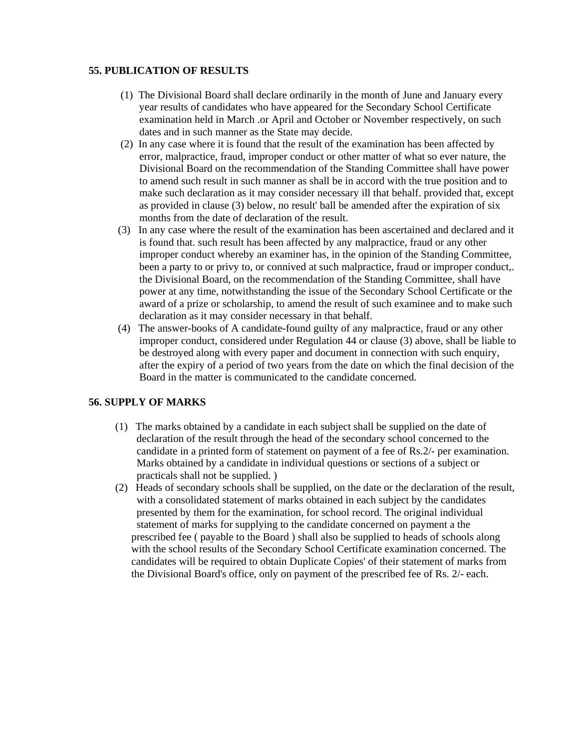#### **55. PUBLICATION OF RESULTS**

- (1) The Divisional Board shall declare ordinarily in the month of June and January every year results of candidates who have appeared for the Secondary School Certificate examination held in March .or April and October or November respectively, on such dates and in such manner as the State may decide.
- (2) In any case where it is found that the result of the examination has been affected by error, malpractice, fraud, improper conduct or other matter of what so ever nature, the Divisional Board on the recommendation of the Standing Committee shall have power to amend such result in such manner as shall be in accord with the true position and to make such declaration as it may consider necessary ill that behalf. provided that, except as provided in clause (3) below, no result' ball be amended after the expiration of six months from the date of declaration of the result.
- (3) In any case where the result of the examination has been ascertained and declared and it is found that. such result has been affected by any malpractice, fraud or any other improper conduct whereby an examiner has, in the opinion of the Standing Committee, been a party to or privy to, or connived at such malpractice, fraud or improper conduct,. the Divisional Board, on the recommendation of the Standing Committee, shall have power at any time, notwithstanding the issue of the Secondary School Certificate or the award of a prize or scholarship, to amend the result of such examinee and to make such declaration as it may consider necessary in that behalf.
- (4) The answer-books of A candidate-found guilty of any malpractice, fraud or any other improper conduct, considered under Regulation 44 or clause (3) above, shall be liable to be destroyed along with every paper and document in connection with such enquiry, after the expiry of a period of two years from the date on which the final decision of the Board in the matter is communicated to the candidate concerned.

# **56. SUPPLY OF MARKS**

- (1) The marks obtained by a candidate in each subject shall be supplied on the date of declaration of the result through the head of the secondary school concerned to the candidate in a printed form of statement on payment of a fee of Rs.2/- per examination. Marks obtained by a candidate in individual questions or sections of a subject or practicals shall not be supplied. )
- (2) Heads of secondary schools shall be supplied, on the date or the declaration of the result, with a consolidated statement of marks obtained in each subject by the candidates presented by them for the examination, for school record. The original individual statement of marks for supplying to the candidate concerned on payment a the prescribed fee ( payable to the Board ) shall also be supplied to heads of schools along with the school results of the Secondary School Certificate examination concerned. The candidates will be required to obtain Duplicate Copies' of their statement of marks from the Divisional Board's office, only on payment of the prescribed fee of Rs. 2/- each.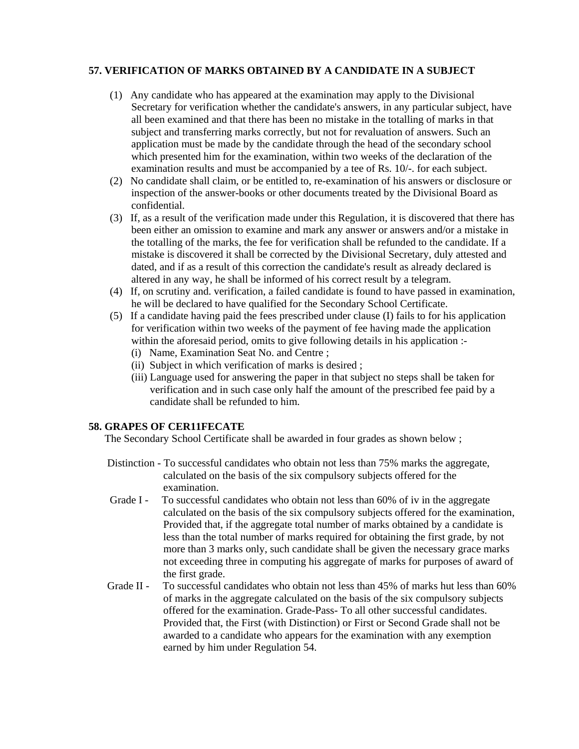# **57. VERIFICATION OF MARKS OBTAINED BY A CANDIDATE IN A SUBJECT**

- (1) Any candidate who has appeared at the examination may apply to the Divisional Secretary for verification whether the candidate's answers, in any particular subject, have all been examined and that there has been no mistake in the totalling of marks in that subject and transferring marks correctly, but not for revaluation of answers. Such an application must be made by the candidate through the head of the secondary school which presented him for the examination, within two weeks of the declaration of the examination results and must be accompanied by a tee of Rs. 10/-. for each subject.
- (2) No candidate shall claim, or be entitled to, re-examination of his answers or disclosure or inspection of the answer-books or other documents treated by the Divisional Board as confidential.
- (3) If, as a result of the verification made under this Regulation, it is discovered that there has been either an omission to examine and mark any answer or answers and/or a mistake in the totalling of the marks, the fee for verification shall be refunded to the candidate. If a mistake is discovered it shall be corrected by the Divisional Secretary, duly attested and dated, and if as a result of this correction the candidate's result as already declared is altered in any way, he shall be informed of his correct result by a telegram.
- (4) If, on scrutiny and. verification, a failed candidate is found to have passed in examination, he will be declared to have qualified for the Secondary School Certificate.
- (5) If a candidate having paid the fees prescribed under clause (I) fails to for his application for verification within two weeks of the payment of fee having made the application within the aforesaid period, omits to give following details in his application :-
	- (i) Name, Examination Seat No. and Centre ;
	- (ii) Subject in which verification of marks is desired ;
	- (iii) Language used for answering the paper in that subject no steps shall be taken for verification and in such case only half the amount of the prescribed fee paid by a candidate shall be refunded to him.

# **58. GRAPES OF CER11FECATE**

The Secondary School Certificate shall be awarded in four grades as shown below ;

- Distinction To successful candidates who obtain not less than 75% marks the aggregate, calculated on the basis of the six compulsory subjects offered for the examination.
- Grade I To successful candidates who obtain not less than 60% of iv in the aggregate calculated on the basis of the six compulsory subjects offered for the examination, Provided that, if the aggregate total number of marks obtained by a candidate is less than the total number of marks required for obtaining the first grade, by not more than 3 marks only, such candidate shall be given the necessary grace marks not exceeding three in computing his aggregate of marks for purposes of award of the first grade.
- Grade II To successful candidates who obtain not less than 45% of marks hut less than 60% of marks in the aggregate calculated on the basis of the six compulsory subjects offered for the examination. Grade-Pass- To all other successful candidates. Provided that, the First (with Distinction) or First or Second Grade shall not be awarded to a candidate who appears for the examination with any exemption earned by him under Regulation 54.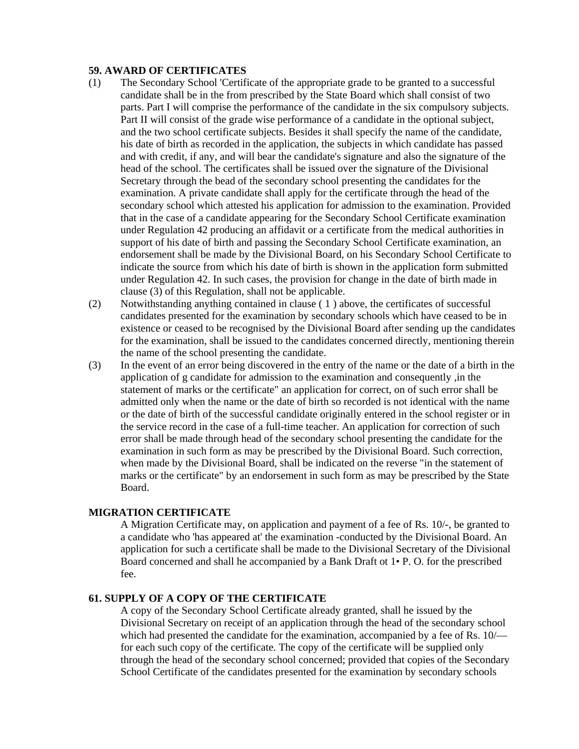#### **59. AWARD OF CERTIFICATES**

- (1) The Secondary School 'Certificate of the appropriate grade to be granted to a successful candidate shall be in the from prescribed by the State Board which shall consist of two parts. Part I will comprise the performance of the candidate in the six compulsory subjects. Part II will consist of the grade wise performance of a candidate in the optional subject, and the two school certificate subjects. Besides it shall specify the name of the candidate, his date of birth as recorded in the application, the subjects in which candidate has passed and with credit, if any, and will bear the candidate's signature and also the signature of the head of the school. The certificates shall be issued over the signature of the Divisional Secretary through the bead of the secondary school presenting the candidates for the examination. A private candidate shall apply for the certificate through the head of the secondary school which attested his application for admission to the examination. Provided that in the case of a candidate appearing for the Secondary School Certificate examination under Regulation 42 producing an affidavit or a certificate from the medical authorities in support of his date of birth and passing the Secondary School Certificate examination, an endorsement shall be made by the Divisional Board, on his Secondary School Certificate to indicate the source from which his date of birth is shown in the application form submitted under Regulation 42. In such cases, the provision for change in the date of birth made in clause (3) of this Regulation, shall not be applicable.
- (2) Notwithstanding anything contained in clause ( 1 ) above, the certificates of successful candidates presented for the examination by secondary schools which have ceased to be in existence or ceased to be recognised by the Divisional Board after sending up the candidates for the examination, shall be issued to the candidates concerned directly, mentioning therein the name of the school presenting the candidate.
- (3) In the event of an error being discovered in the entry of the name or the date of a birth in the application of g candidate for admission to the examination and consequently ,in the statement of marks or the certificate" an application for correct, on of such error shall be admitted only when the name or the date of birth so recorded is not identical with the name or the date of birth of the successful candidate originally entered in the school register or in the service record in the case of a full-time teacher. An application for correction of such error shall be made through head of the secondary school presenting the candidate for the examination in such form as may be prescribed by the Divisional Board. Such correction, when made by the Divisional Board, shall be indicated on the reverse "in the statement of marks or the certificate" by an endorsement in such form as may be prescribed by the State Board.

#### **MIGRATION CERTIFICATE**

A Migration Certificate may, on application and payment of a fee of Rs. 10/-, be granted to a candidate who 'has appeared at' the examination -conducted by the Divisional Board. An application for such a certificate shall be made to the Divisional Secretary of the Divisional Board concerned and shall he accompanied by a Bank Draft ot 1• P. O. for the prescribed fee.

### **61. SUPPLY OF A COPY OF THE CERTIFICATE**

A copy of the Secondary School Certificate already granted, shall he issued by the Divisional Secretary on receipt of an application through the head of the secondary school which had presented the candidate for the examination, accompanied by a fee of Rs. 10/ for each such copy of the certificate. The copy of the certificate will be supplied only through the head of the secondary school concerned; provided that copies of the Secondary School Certificate of the candidates presented for the examination by secondary schools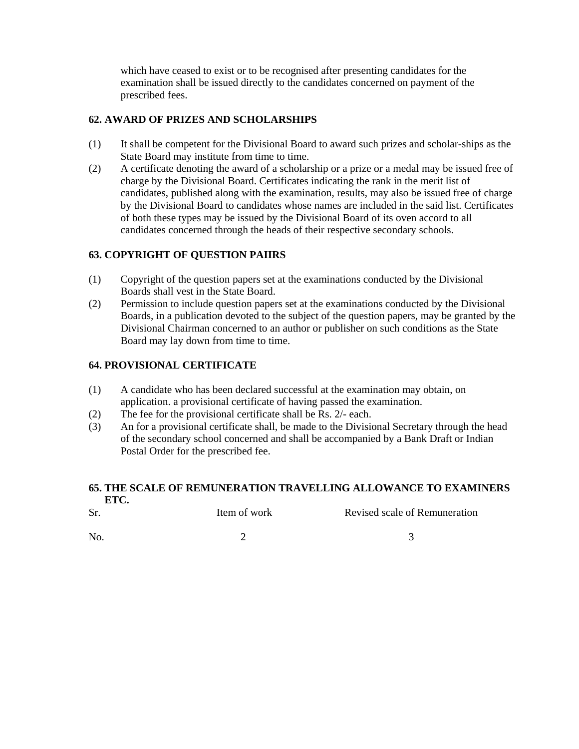which have ceased to exist or to be recognised after presenting candidates for the examination shall be issued directly to the candidates concerned on payment of the prescribed fees.

# **62. AWARD OF PRIZES AND SCHOLARSHIPS**

- (1) It shall be competent for the Divisional Board to award such prizes and scholar-ships as the State Board may institute from time to time.
- (2) A certificate denoting the award of a scholarship or a prize or a medal may be issued free of charge by the Divisional Board. Certificates indicating the rank in the merit list of candidates, published along with the examination, results, may also be issued free of charge by the Divisional Board to candidates whose names are included in the said list. Certificates of both these types may be issued by the Divisional Board of its oven accord to all candidates concerned through the heads of their respective secondary schools.

# **63. COPYRIGHT OF QUESTION PAIIRS**

- (1) Copyright of the question papers set at the examinations conducted by the Divisional Boards shall vest in the State Board.
- (2) Permission to include question papers set at the examinations conducted by the Divisional Boards, in a publication devoted to the subject of the question papers, may be granted by the Divisional Chairman concerned to an author or publisher on such conditions as the State Board may lay down from time to time.

# **64. PROVISIONAL CERTIFICATE**

- (1) A candidate who has been declared successful at the examination may obtain, on application. a provisional certificate of having passed the examination.
- (2) The fee for the provisional certificate shall be Rs. 2/- each.
- (3) An for a provisional certificate shall, be made to the Divisional Secretary through the head of the secondary school concerned and shall be accompanied by a Bank Draft or Indian Postal Order for the prescribed fee.

#### **65. THE SCALE OF REMUNERATION TRAVELLING ALLOWANCE TO EXAMINERS ETC.**

| Sr.            | Item of work | Revised scale of Remuneration |
|----------------|--------------|-------------------------------|
| N <sub>o</sub> |              |                               |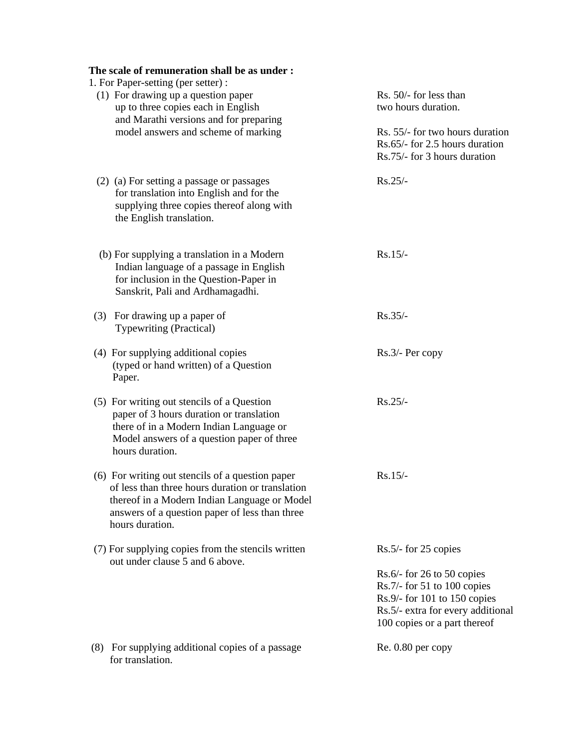| The scale of remuneration shall be as under:<br>1. For Paper-setting (per setter):                                                                                                                                        |                                                                                                                                                                        |
|---------------------------------------------------------------------------------------------------------------------------------------------------------------------------------------------------------------------------|------------------------------------------------------------------------------------------------------------------------------------------------------------------------|
| (1) For drawing up a question paper<br>up to three copies each in English<br>and Marathi versions and for preparing                                                                                                       | Rs. 50/- for less than<br>two hours duration.                                                                                                                          |
| model answers and scheme of marking                                                                                                                                                                                       | Rs. 55/- for two hours duration<br>Rs.65/- for 2.5 hours duration<br>Rs.75/- for 3 hours duration                                                                      |
| (2) (a) For setting a passage or passages<br>for translation into English and for the<br>supplying three copies thereof along with<br>the English translation.                                                            | $Rs.25/-$                                                                                                                                                              |
| (b) For supplying a translation in a Modern<br>Indian language of a passage in English<br>for inclusion in the Question-Paper in<br>Sanskrit, Pali and Ardhamagadhi.                                                      | $Rs.15/-$                                                                                                                                                              |
| (3) For drawing up a paper of<br><b>Typewriting (Practical)</b>                                                                                                                                                           | $Rs.35/-$                                                                                                                                                              |
| (4) For supplying additional copies<br>(typed or hand written) of a Question<br>Paper.                                                                                                                                    | Rs.3/- Per copy                                                                                                                                                        |
| (5) For writing out stencils of a Question<br>paper of 3 hours duration or translation<br>there of in a Modern Indian Language or<br>Model answers of a question paper of three<br>hours duration.                        | $Rs.25/-$                                                                                                                                                              |
| (6) For writing out stencils of a question paper<br>of less than three hours duration or translation<br>thereof in a Modern Indian Language or Model<br>answers of a question paper of less than three<br>hours duration. | $Rs.15/-$                                                                                                                                                              |
| (7) For supplying copies from the stencils written<br>out under clause 5 and 6 above.                                                                                                                                     | $Rs.5/-$ for 25 copies                                                                                                                                                 |
|                                                                                                                                                                                                                           | $Rs.6/$ - for 26 to 50 copies<br>$Rs.7/-$ for 51 to 100 copies<br>$Rs.9/$ - for 101 to 150 copies<br>Rs.5/- extra for every additional<br>100 copies or a part thereof |
| (8) For supplying additional copies of a passage<br>for translation.                                                                                                                                                      | $Re. 0.80$ per copy                                                                                                                                                    |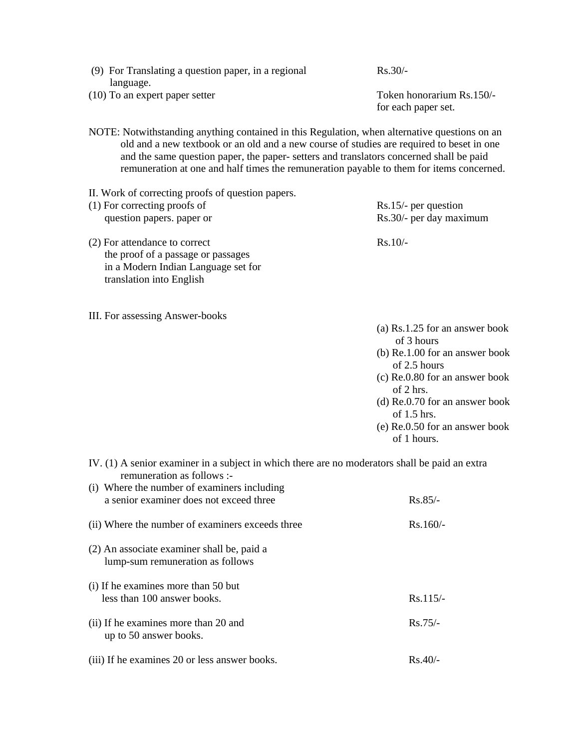| (9) For Translating a question paper, in a regional                                           | $Rs.30/-$                 |
|-----------------------------------------------------------------------------------------------|---------------------------|
| language.                                                                                     |                           |
| $(10)$ To an expert paper setter                                                              | Token honorarium Rs.150/- |
|                                                                                               | for each paper set.       |
|                                                                                               |                           |
| NOTE: Notwithstanding anything contained in this Regulation, when alternative questions on an |                           |
| old and a new textbook or an old and a new course of studies are required to beset in one     |                           |
| and the same question paper, the paper- setters and translators concerned shall be paid       |                           |
| remuneration at one and half times the remuneration payable to them for items concerned.      |                           |
|                                                                                               |                           |

- II. Work of correcting proofs of question papers.
- (1) For correcting proofs of Rs.15/- per question question papers. paper or Rs.30/- per day maximum (2) For attendance to correct Rs.10/-
- the proof of a passage or passages in a Modern Indian Language set for translation into English
- III. For assessing Answer-books

(a) Rs.1.25 for an answer book of 3 hours

- (b) Re.1.00 for an answer book of 2.5 hours
- (c) Re.0.80 for an answer book of 2 hrs.
- (d) Re.0.70 for an answer book of 1.5 hrs.
- (e) Re.0.50 for an answer book of 1 hours.
- IV. (1) A senior examiner in a subject in which there are no moderators shall be paid an extra remuneration as follows :-

| (i) Where the number of examiners including<br>a senior examiner does not exceed three | $Rs.85/-$  |
|----------------------------------------------------------------------------------------|------------|
| (ii) Where the number of examiners exceeds three                                       | $Rs.160/-$ |
| (2) An associate examiner shall be, paid a<br>lump-sum remuneration as follows         |            |
| (i) If he examines more than 50 but<br>less than 100 answer books.                     | $Rs.115/-$ |
| (ii) If he examines more than 20 and<br>up to 50 answer books.                         | $Rs.75/-$  |
| (iii) If he examines 20 or less answer books.                                          | $Rs.40/-$  |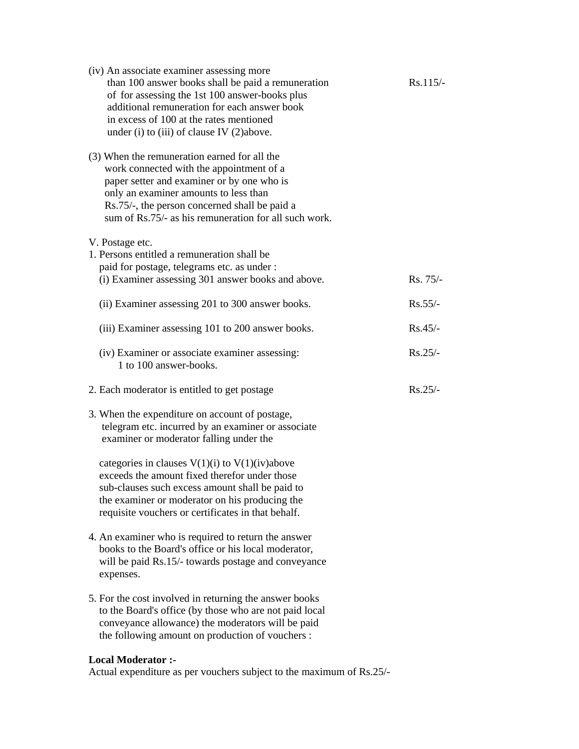| (iv) An associate examiner assessing more<br>than 100 answer books shall be paid a remuneration<br>of for assessing the 1st 100 answer-books plus<br>additional remuneration for each answer book<br>in excess of 100 at the rates mentioned<br>under (i) to (iii) of clause IV $(2)$ above. | $Rs.115/-$ |
|----------------------------------------------------------------------------------------------------------------------------------------------------------------------------------------------------------------------------------------------------------------------------------------------|------------|
| (3) When the remuneration earned for all the<br>work connected with the appointment of a<br>paper setter and examiner or by one who is<br>only an examiner amounts to less than<br>Rs.75/-, the person concerned shall be paid a<br>sum of Rs.75/- as his remuneration for all such work.    |            |
| V. Postage etc.<br>1. Persons entitled a remuneration shall be.<br>paid for postage, telegrams etc. as under :                                                                                                                                                                               |            |
| (i) Examiner assessing 301 answer books and above.                                                                                                                                                                                                                                           | Rs. 75/-   |
| (ii) Examiner assessing 201 to 300 answer books.                                                                                                                                                                                                                                             | $Rs.55/-$  |
| (iii) Examiner assessing 101 to 200 answer books.                                                                                                                                                                                                                                            | $Rs.45/-$  |
| (iv) Examiner or associate examiner assessing:<br>1 to 100 answer-books.                                                                                                                                                                                                                     | $Rs.25/-$  |
| 2. Each moderator is entitled to get postage                                                                                                                                                                                                                                                 | $Rs.25/-$  |
| 3. When the expenditure on account of postage,<br>telegram etc. incurred by an examiner or associate<br>examiner or moderator falling under the                                                                                                                                              |            |
| categories in clauses $V(1)(i)$ to $V(1)(iv)$ above<br>exceeds the amount fixed therefor under those<br>sub-clauses such excess amount shall be paid to<br>the examiner or moderator on his producing the<br>requisite vouchers or certificates in that behalf.                              |            |
| 4. An examiner who is required to return the answer<br>books to the Board's office or his local moderator,<br>will be paid Rs.15/- towards postage and conveyance<br>expenses.                                                                                                               |            |
| 5. For the cost involved in returning the answer books<br>to the Board's office (by those who are not paid local<br>conveyance allowance) the moderators will be paid<br>the following amount on production of vouchers :                                                                    |            |
| <b>Local Moderator :-</b>                                                                                                                                                                                                                                                                    |            |

Actual expenditure as per vouchers subject to the maximum of Rs.25/-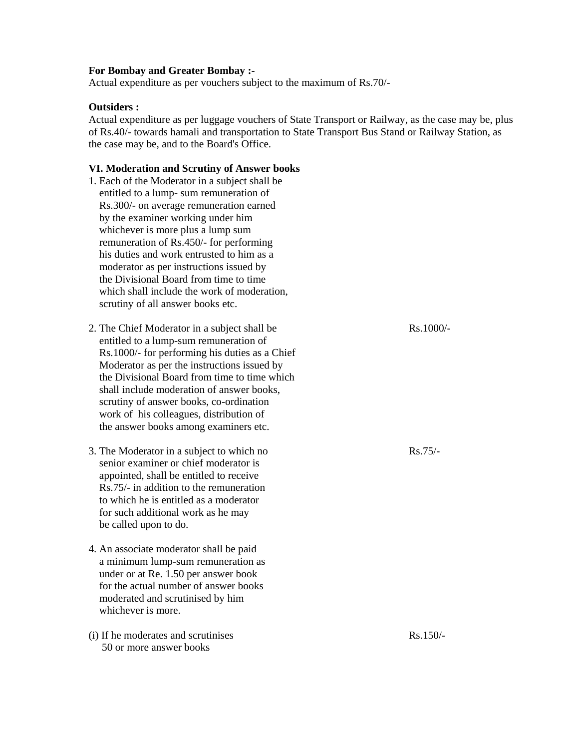#### **For Bombay and Greater Bombay :-**

Actual expenditure as per vouchers subject to the maximum of Rs.70/-

#### **Outsiders :**

Actual expenditure as per luggage vouchers of State Transport or Railway, as the case may be, plus of Rs.40/- towards hamali and transportation to State Transport Bus Stand or Railway Station, as the case may be, and to the Board's Office.

#### **VI. Moderation and Scrutiny of Answer books**

- 1. Each of the Moderator in a subject shall be entitled to a lump- sum remuneration of Rs.300/- on average remuneration earned by the examiner working under him whichever is more plus a lump sum remuneration of Rs.450/- for performing his duties and work entrusted to him as a moderator as per instructions issued by the Divisional Board from time to time which shall include the work of moderation, scrutiny of all answer books etc.
- 2. The Chief Moderator in a subject shall be Rs.1000/ entitled to a lump-sum remuneration of Rs.1000/- for performing his duties as a Chief Moderator as per the instructions issued by the Divisional Board from time to time which shall include moderation of answer books, scrutiny of answer books, co-ordination work of his colleagues, distribution of the answer books among examiners etc.
- 3. The Moderator in a subject to which no Rs.75/ senior examiner or chief moderator is appointed, shall be entitled to receive Rs.75/- in addition to the remuneration to which he is entitled as a moderator for such additional work as he may be called upon to do.
- 4. An associate moderator shall be paid a minimum lump-sum remuneration as under or at Re. 1.50 per answer book for the actual number of answer books moderated and scrutinised by him whichever is more.
- (i) If he moderates and scrutinises  $\mathbb{R}s.150/-$ 50 or more answer books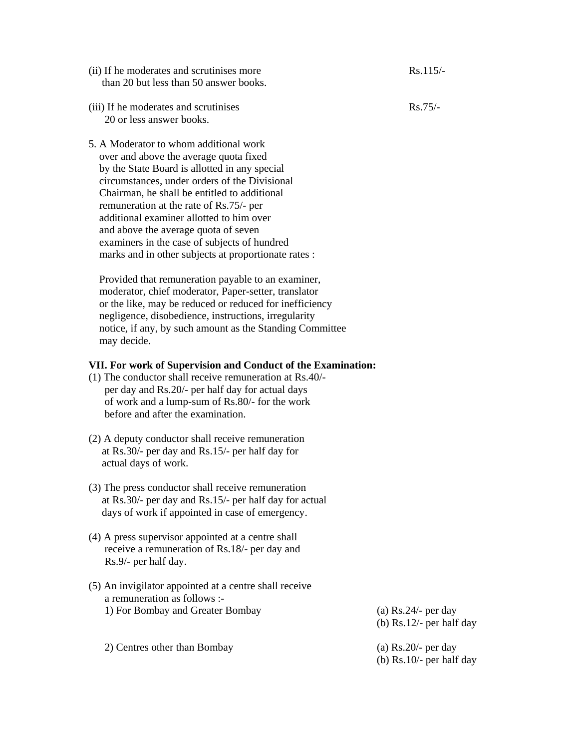- $(iii)$  If he moderates and scrutinises more Rs.115/than 20 but less than 50 answer books.
- (iii) If he moderates and scrutinises Rs.75/-20 or less answer books.
- 5. A Moderator to whom additional work over and above the average quota fixed by the State Board is allotted in any special circumstances, under orders of the Divisional Chairman, he shall be entitled to additional remuneration at the rate of Rs.75/- per additional examiner allotted to him over and above the average quota of seven examiners in the case of subjects of hundred marks and in other subjects at proportionate rates :

 Provided that remuneration payable to an examiner, moderator, chief moderator, Paper-setter, translator or the like, may be reduced or reduced for inefficiency negligence, disobedience, instructions, irregularity notice, if any, by such amount as the Standing Committee may decide.

#### **VII. For work of Supervision and Conduct of the Examination:**

- (1) The conductor shall receive remuneration at Rs.40/ per day and Rs.20/- per half day for actual days of work and a lump-sum of Rs.80/- for the work before and after the examination.
- (2) A deputy conductor shall receive remuneration at Rs.30/- per day and Rs.15/- per half day for actual days of work.
- (3) The press conductor shall receive remuneration at Rs.30/- per day and Rs.15/- per half day for actual days of work if appointed in case of emergency.
- (4) A press supervisor appointed at a centre shall receive a remuneration of Rs.18/- per day and Rs.9/- per half day.
- (5) An invigilator appointed at a centre shall receive a remuneration as follows :- 1) For Bombay and Greater Bombay (a) Rs.24/- per day

(b) Rs.12/- per half day

 2) Centres other than Bombay (a) Rs.20/- per day (b) Rs.10/- per half day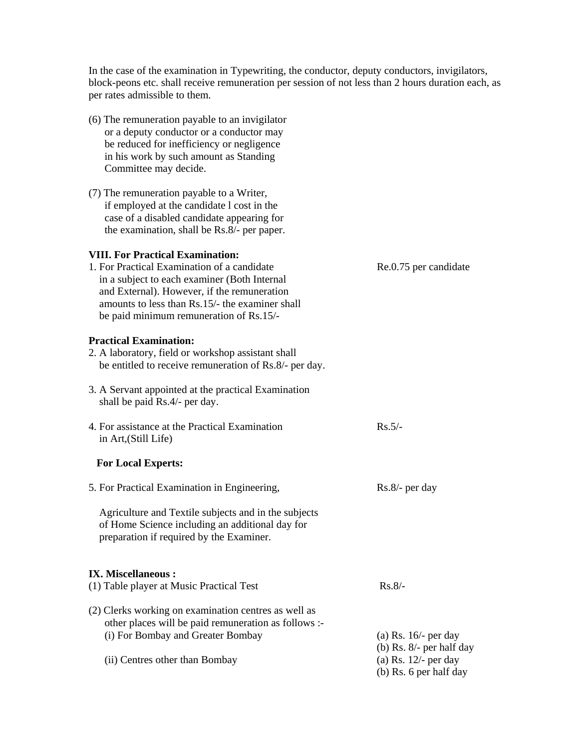In the case of the examination in Typewriting, the conductor, deputy conductors, invigilators, block-peons etc. shall receive remuneration per session of not less than 2 hours duration each, as per rates admissible to them.

(6) The remuneration payable to an invigilator or a deputy conductor or a conductor may be reduced for inefficiency or negligence in his work by such amount as Standing Committee may decide. (7) The remuneration payable to a Writer, if employed at the candidate l cost in the case of a disabled candidate appearing for the examination, shall be Rs.8/- per paper. **VIII. For Practical Examination:**  1. For Practical Examination of a candidate Re.0.75 per candidate in a subject to each examiner (Both Internal and External). However, if the remuneration amounts to less than Rs.15/- the examiner shall be paid minimum remuneration of Rs.15/- **Practical Examination:**  2. A laboratory, field or workshop assistant shall be entitled to receive remuneration of Rs.8/- per day. 3. A Servant appointed at the practical Examination shall be paid Rs.4/- per day. 4. For assistance at the Practical Examination Rs.5/ in Art,(Still Life)  **For Local Experts:**  5. For Practical Examination in Engineering, Rs.8/- per day Agriculture and Textile subjects and in the subjects of Home Science including an additional day for preparation if required by the Examiner. **IX. Miscellaneous :**  (1) Table player at Music Practical Test Rs.8/-(2) Clerks working on examination centres as well as other places will be paid remuneration as follows :- (i) For Bombay and Greater Bombay (a) Rs. 16/- per day (b) Rs. 8/- per half day (ii) Centres other than Bombay (a) Rs. 12/- per day (b) Rs. 6 per half day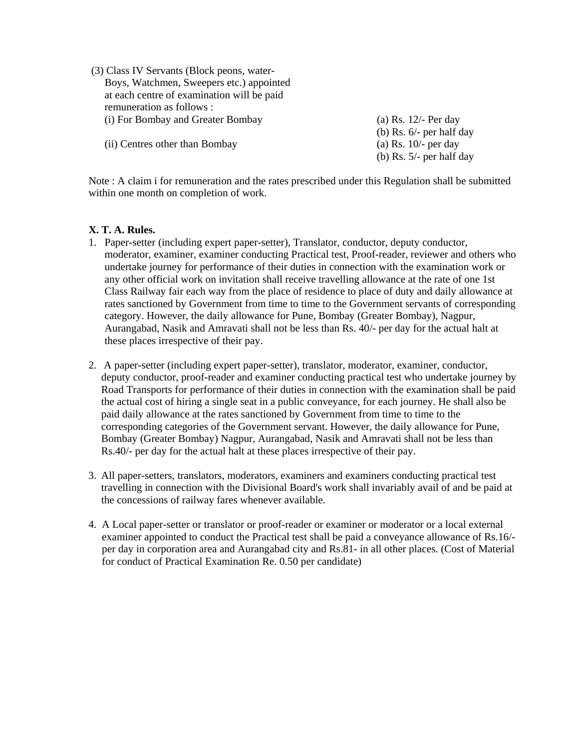- (3) Class IV Servants (Block peons, water- Boys, Watchmen, Sweepers etc.) appointed at each centre of examination will be paid remuneration as follows : (i) For Bombay and Greater Bombay (a) Rs. 12/- Per day
	- (ii) Centres other than Bombay (a) Rs. 10/- per day
- (b) Rs. 6/- per half day (b) Rs. 5/- per half day

Note : A claim i for remuneration and the rates prescribed under this Regulation shall be submitted within one month on completion of work.

#### **X. T. A. Rules.**

- 1. Paper-setter (including expert paper-setter), Translator, conductor, deputy conductor, moderator, examiner, examiner conducting Practical test, Proof-reader, reviewer and others who undertake journey for performance of their duties in connection with the examination work or any other official work on invitation shall receive travelling allowance at the rate of one 1st Class Railway fair each way from the place of residence to place of duty and daily allowance at rates sanctioned by Government from time to time to the Government servants of corresponding category. However, the daily allowance for Pune, Bombay (Greater Bombay), Nagpur, Aurangabad, Nasik and Amravati shall not be less than Rs. 40/- per day for the actual halt at these places irrespective of their pay.
- 2. A paper-setter (including expert paper-setter), translator, moderator, examiner, conductor, deputy conductor, proof-reader and examiner conducting practical test who undertake journey by Road Transports for performance of their duties in connection with the examination shall be paid the actual cost of hiring a single seat in a public conveyance, for each journey. He shall also be paid daily allowance at the rates sanctioned by Government from time to time to the corresponding categories of the Government servant. However, the daily allowance for Pune, Bombay (Greater Bombay) Nagpur, Aurangabad, Nasik and Amravati shall not be less than Rs.40/- per day for the actual halt at these places irrespective of their pay.
- 3. All paper-setters, translators, moderators, examiners and examiners conducting practical test travelling in connection with the Divisional Board's work shall invariably avail of and be paid at the concessions of railway fares whenever available.
- 4. A Local paper-setter or translator or proof-reader or examiner or moderator or a local external examiner appointed to conduct the Practical test shall be paid a conveyance allowance of Rs.16/ per day in corporation area and Aurangabad city and Rs.81- in all other places. (Cost of Material for conduct of Practical Examination Re. 0.50 per candidate)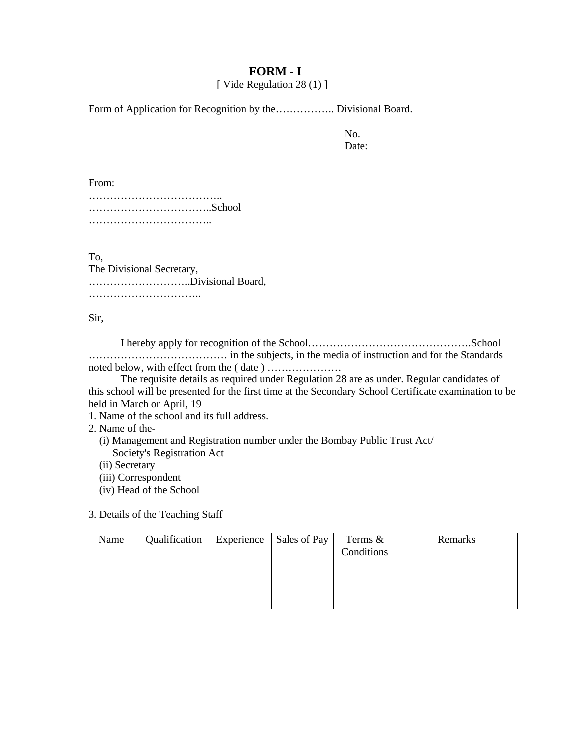# **FORM - I**

[ Vide Regulation 28 (1) ]

Form of Application for Recognition by the………………. Divisional Board.

No. Date:

From:

……………………………………… ……………………………..School ……………………………………

To,

The Divisional Secretary, ………………………..Divisional Board, ………………………………

Sir,

I hereby apply for recognition of the School……………………………………….School ………………………………… in the subjects, in the media of instruction and for the Standards noted below, with effect from the ( date ) …………………

The requisite details as required under Regulation 28 are as under. Regular candidates of this school will be presented for the first time at the Secondary School Certificate examination to be held in March or April, 19

1. Name of the school and its full address.

2. Name of the-

 (i) Management and Registration number under the Bombay Public Trust Act/ Society's Registration Act

(ii) Secretary

(iii) Correspondent

(iv) Head of the School

3. Details of the Teaching Staff

| Name | Qualification | Experience   Sales of Pay | Terms $\&$ | Remarks |
|------|---------------|---------------------------|------------|---------|
|      |               |                           | Conditions |         |
|      |               |                           |            |         |
|      |               |                           |            |         |
|      |               |                           |            |         |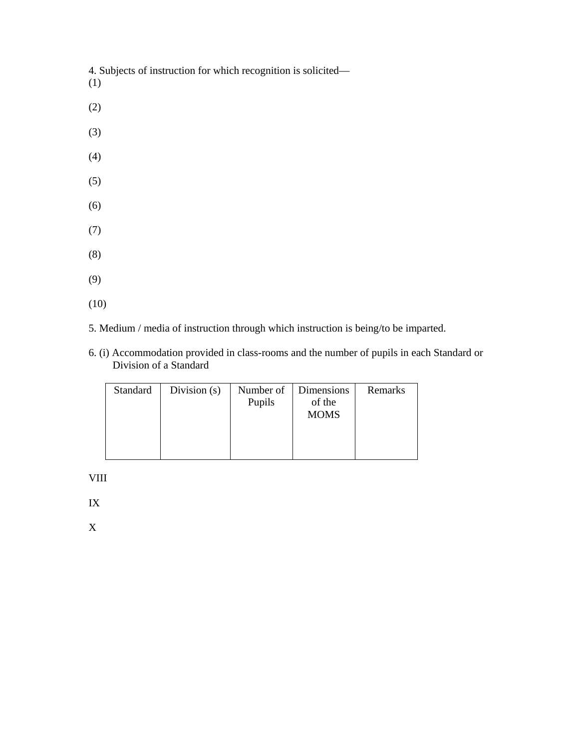4. Subjects of instruction for which recognition is solicited—

- (1)
- (2)
- (3)
- (4)
- (5)
- (6)
- (7)
- (8)
- 
- (9)
- (10)
- 5. Medium / media of instruction through which instruction is being/to be imparted.
- 6. (i) Accommodation provided in class-rooms and the number of pupils in each Standard or Division of a Standard

| Standard | Division $(s)$ | Number of<br>Pupils | Dimensions<br>of the | Remarks |
|----------|----------------|---------------------|----------------------|---------|
|          |                |                     | <b>MOMS</b>          |         |
|          |                |                     |                      |         |
|          |                |                     |                      |         |

VIII

IX

X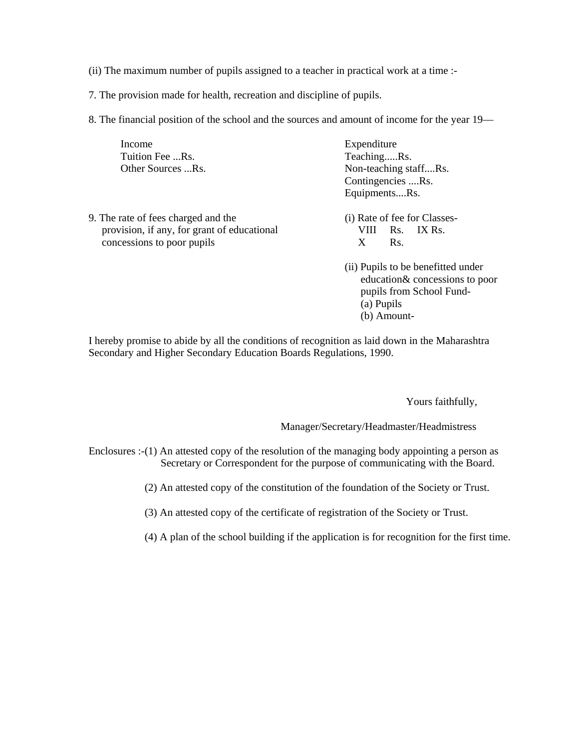- (ii) The maximum number of pupils assigned to a teacher in practical work at a time :-
- 7. The provision made for health, recreation and discipline of pupils.
- 8. The financial position of the school and the sources and amount of income for the year 19—

| Income                                      | Expenditure                        |
|---------------------------------------------|------------------------------------|
| Tuition Fee Rs.                             | TeachingRs.                        |
| Other Sources Rs.                           | Non-teaching staffRs.              |
|                                             | Contingencies Rs.                  |
|                                             | EquipmentsRs.                      |
| 9. The rate of fees charged and the         | (i) Rate of fee for Classes-       |
| provision, if any, for grant of educational | IX Rs.<br>VIII.<br>Rs.             |
| concessions to poor pupils                  | X<br>Rs.                           |
|                                             | (ii) Pupils to be benefitted under |
|                                             | education & concessions to poor    |
|                                             | pupils from School Fund-           |
|                                             | (a) Pupils                         |

(b) Amount-

I hereby promise to abide by all the conditions of recognition as laid down in the Maharashtra Secondary and Higher Secondary Education Boards Regulations, 1990.

Yours faithfully,

Manager/Secretary/Headmaster/Headmistress

- Enclosures :-(1) An attested copy of the resolution of the managing body appointing a person as Secretary or Correspondent for the purpose of communicating with the Board.
	- (2) An attested copy of the constitution of the foundation of the Society or Trust.

(3) An attested copy of the certificate of registration of the Society or Trust.

(4) A plan of the school building if the application is for recognition for the first time.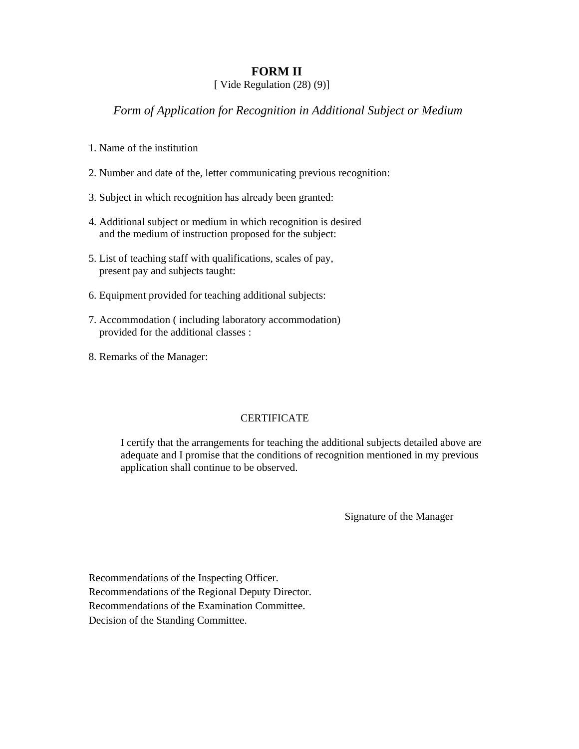# **FORM II**

### [ Vide Regulation (28) (9)]

# *Form of Application for Recognition in Additional Subject or Medium*

- 1. Name of the institution
- 2. Number and date of the, letter communicating previous recognition:
- 3. Subject in which recognition has already been granted:
- 4. Additional subject or medium in which recognition is desired and the medium of instruction proposed for the subject:
- 5. List of teaching staff with qualifications, scales of pay, present pay and subjects taught:
- 6. Equipment provided for teaching additional subjects:
- 7. Accommodation ( including laboratory accommodation) provided for the additional classes :
- 8. Remarks of the Manager:

### CERTIFICATE

I certify that the arrangements for teaching the additional subjects detailed above are adequate and I promise that the conditions of recognition mentioned in my previous application shall continue to be observed.

Signature of the Manager

Recommendations of the Inspecting Officer. Recommendations of the Regional Deputy Director. Recommendations of the Examination Committee. Decision of the Standing Committee.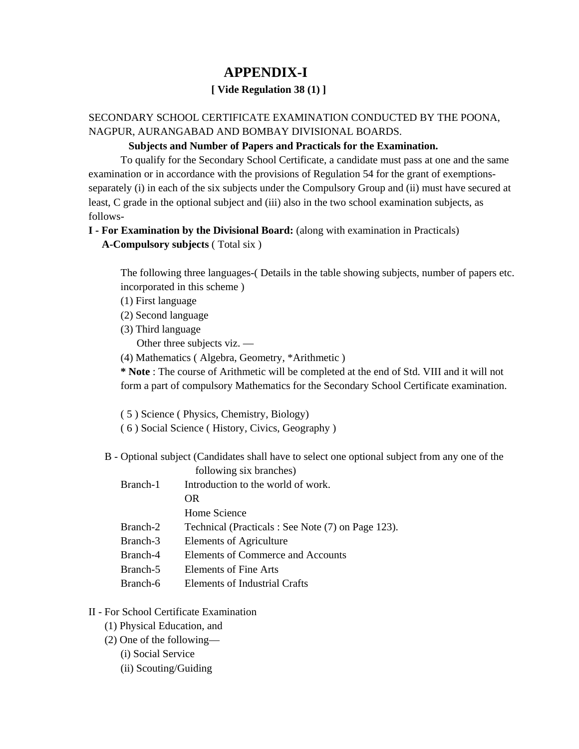# **APPENDIX-I**

# **[ Vide Regulation 38 (1) ]**

# SECONDARY SCHOOL CERTIFICATE EXAMINATION CONDUCTED BY THE POONA, NAGPUR, AURANGABAD AND BOMBAY DIVISIONAL BOARDS.

### **Subjects and Number of Papers and Practicals for the Examination.**

To qualify for the Secondary School Certificate, a candidate must pass at one and the same examination or in accordance with the provisions of Regulation 54 for the grant of exemptionsseparately (i) in each of the six subjects under the Compulsory Group and (ii) must have secured at least, C grade in the optional subject and (iii) also in the two school examination subjects, as follows-

## **I - For Examination by the Divisional Board:** (along with examination in Practicals)

### **A-Compulsory subjects** ( Total six )

The following three languages-( Details in the table showing subjects, number of papers etc. incorporated in this scheme )

- (1) First language
- (2) Second language
- (3) Third language

Other three subjects viz. —

(4) Mathematics ( Algebra, Geometry, \*Arithmetic )

**\* Note** : The course of Arithmetic will be completed at the end of Std. VIII and it will not form a part of compulsory Mathematics for the Secondary School Certificate examination.

( 5 ) Science ( Physics, Chemistry, Biology)

- ( 6 ) Social Science ( History, Civics, Geography )
- B Optional subject (Candidates shall have to select one optional subject from any one of the
	- following six branches) Branch-1 Introduction to the world of work. OR Home Science Branch-2 Technical (Practicals : See Note (7) on Page 123). Branch-3 Elements of Agriculture Branch-4 Elements of Commerce and Accounts Branch-5 Elements of Fine Arts Branch-6 Elements of Industrial Crafts

# II - For School Certificate Examination

- (1) Physical Education, and
- (2) One of the following—
	- (i) Social Service
	- (ii) Scouting/Guiding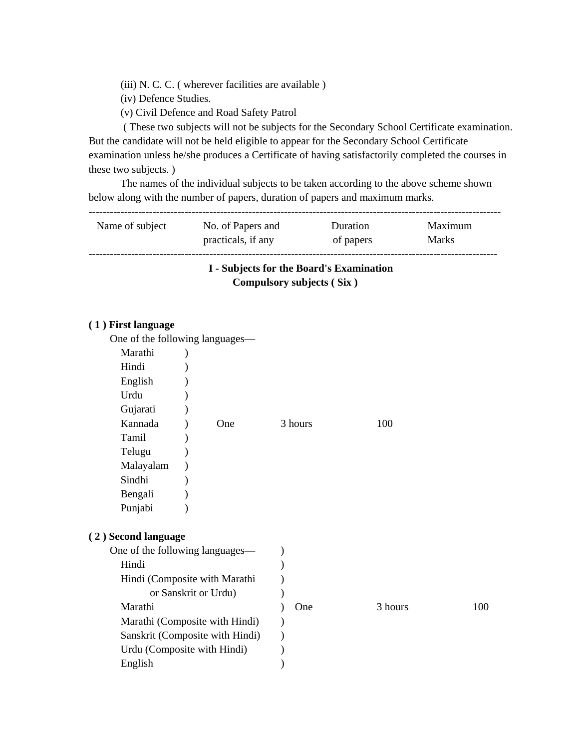(iii) N. C. C. ( wherever facilities are available )

- (iv) Defence Studies.
- (v) Civil Defence and Road Safety Patrol

 ( These two subjects will not be subjects for the Secondary School Certificate examination. But the candidate will not be held eligible to appear for the Secondary School Certificate examination unless he/she produces a Certificate of having satisfactorily completed the courses in these two subjects. )

The names of the individual subjects to be taken according to the above scheme shown below along with the number of papers, duration of papers and maximum marks.

--------------------------------------------------------------------------------------------------------------------

| Name of subject | No. of Papers and  | Duration  | Maximum      |
|-----------------|--------------------|-----------|--------------|
|                 | practicals, if any | of papers | <b>Marks</b> |
|                 |                    |           |              |

# **I - Subjects for the Board's Examination Compulsory subjects ( Six )**

#### **( 1 ) First language**

| One of the following languages— |                                 |         |         |     |
|---------------------------------|---------------------------------|---------|---------|-----|
| Marathi                         |                                 |         |         |     |
| Hindi                           |                                 |         |         |     |
| English                         |                                 |         |         |     |
| Urdu                            |                                 |         |         |     |
| Gujarati                        |                                 |         |         |     |
| Kannada                         | One                             | 3 hours | 100     |     |
| Tamil                           |                                 |         |         |     |
| Telugu                          |                                 |         |         |     |
| Malayalam                       |                                 |         |         |     |
| Sindhi                          |                                 |         |         |     |
| Bengali                         |                                 |         |         |     |
| Punjabi                         |                                 |         |         |     |
|                                 |                                 |         |         |     |
| (2) Second language             |                                 |         |         |     |
| One of the following languages— |                                 |         |         |     |
| Hindi                           |                                 |         |         |     |
|                                 | Hindi (Composite with Marathi   |         |         |     |
|                                 | or Sanskrit or Urdu)            |         |         |     |
| Marathi                         |                                 | One     | 3 hours | 100 |
|                                 | Marathi (Composite with Hindi)  |         |         |     |
|                                 | Sanskrit (Composite with Hindi) |         |         |     |
| Urdu (Composite with Hindi)     |                                 |         |         |     |
| English                         |                                 |         |         |     |
|                                 |                                 |         |         |     |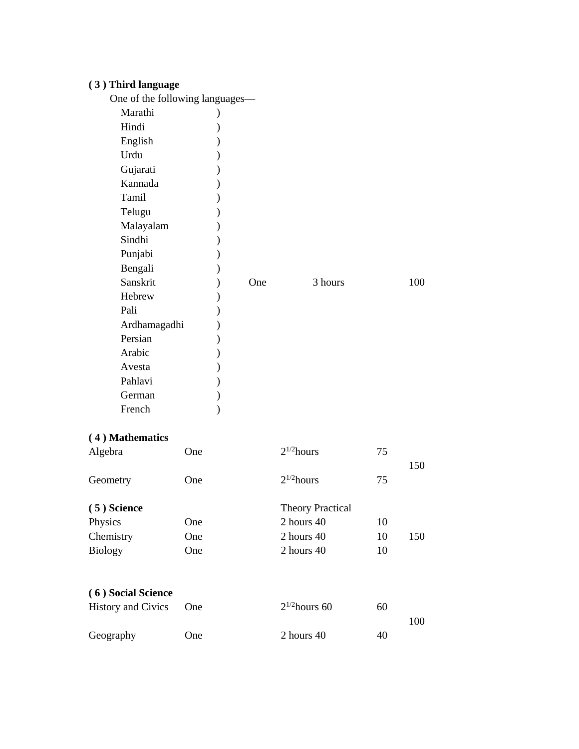# **( 3 ) Third language**

| One | 3 hours                         | 100 |
|-----|---------------------------------|-----|
|     |                                 |     |
|     |                                 |     |
|     |                                 |     |
|     |                                 |     |
|     |                                 |     |
|     |                                 |     |
|     |                                 |     |
|     |                                 |     |
|     |                                 |     |
|     | One of the following languages- |     |

# **( 4 ) Mathematics**

|                                                 | 150 |
|-------------------------------------------------|-----|
| $2^{1/2}$ hours<br>75<br>Geometry<br><b>One</b> |     |
| $(5)$ Science<br><b>Theory Practical</b>        |     |
| Physics<br>2 hours 40<br>10<br><b>One</b>       |     |
| Chemistry<br>10<br>2 hours 40<br>One            | 150 |
| <b>Biology</b><br>10<br>2 hours $40$<br>One     |     |
|                                                 |     |
| (6) Social Science<br>.                         |     |

| History and Civics One |     | $2^{1/2}$ hours 60 | 60 | 100. |
|------------------------|-----|--------------------|----|------|
| Geography              | One | 2 hours 40         | 40 |      |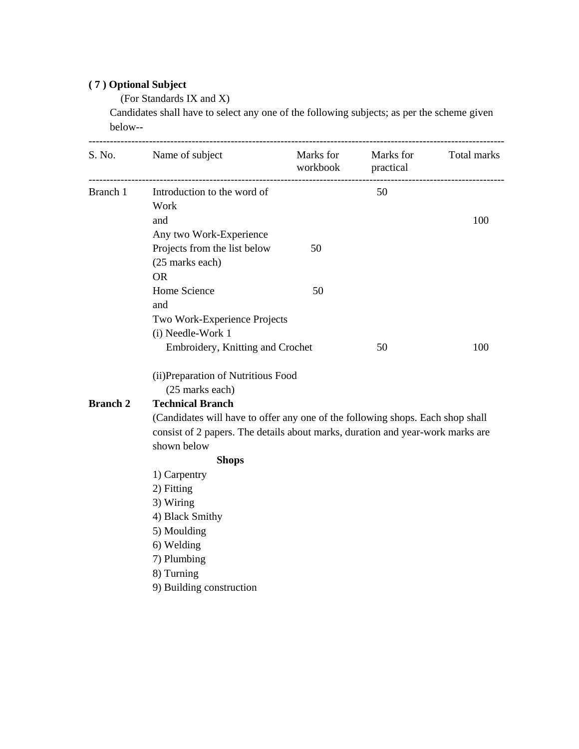# **( 7 ) Optional Subject**

(For Standards IX and X)

 Candidates shall have to select any one of the following subjects; as per the scheme given below--

|                 | S. No. Name of subject                                                         |    | Marks for Marks for Total marks<br>workbook practical |     |  |  |  |
|-----------------|--------------------------------------------------------------------------------|----|-------------------------------------------------------|-----|--|--|--|
|                 | Branch 1 Introduction to the word of                                           |    | 50                                                    |     |  |  |  |
|                 | Work                                                                           |    |                                                       |     |  |  |  |
|                 | and                                                                            |    |                                                       | 100 |  |  |  |
|                 | Any two Work-Experience                                                        |    |                                                       |     |  |  |  |
|                 | Projects from the list below                                                   | 50 |                                                       |     |  |  |  |
|                 | (25 marks each)                                                                |    |                                                       |     |  |  |  |
|                 | <b>OR</b>                                                                      |    |                                                       |     |  |  |  |
|                 | Home Science                                                                   | 50 |                                                       |     |  |  |  |
|                 | and                                                                            |    |                                                       |     |  |  |  |
|                 | Two Work-Experience Projects                                                   |    |                                                       |     |  |  |  |
|                 | (i) Needle-Work 1                                                              |    |                                                       |     |  |  |  |
|                 | Embroidery, Knitting and Crochet                                               |    | 50                                                    | 100 |  |  |  |
|                 | (ii) Preparation of Nutritious Food                                            |    |                                                       |     |  |  |  |
|                 | (25 marks each)                                                                |    |                                                       |     |  |  |  |
| <b>Branch 2</b> | <b>Technical Branch</b>                                                        |    |                                                       |     |  |  |  |
|                 | (Candidates will have to offer any one of the following shops. Each shop shall |    |                                                       |     |  |  |  |
|                 | consist of 2 papers. The details about marks, duration and year-work marks are |    |                                                       |     |  |  |  |
|                 | shown below                                                                    |    |                                                       |     |  |  |  |
|                 | <b>Shops</b>                                                                   |    |                                                       |     |  |  |  |
|                 | 1) Carpentry                                                                   |    |                                                       |     |  |  |  |
|                 | 2) Fitting                                                                     |    |                                                       |     |  |  |  |
|                 | 3) Wiring                                                                      |    |                                                       |     |  |  |  |
|                 | 4) Black Smithy                                                                |    |                                                       |     |  |  |  |
|                 | 5) Moulding                                                                    |    |                                                       |     |  |  |  |
|                 | 6) Welding                                                                     |    |                                                       |     |  |  |  |
|                 |                                                                                |    |                                                       |     |  |  |  |
|                 | 7) Plumbing                                                                    |    |                                                       |     |  |  |  |
|                 | 8) Turning                                                                     |    |                                                       |     |  |  |  |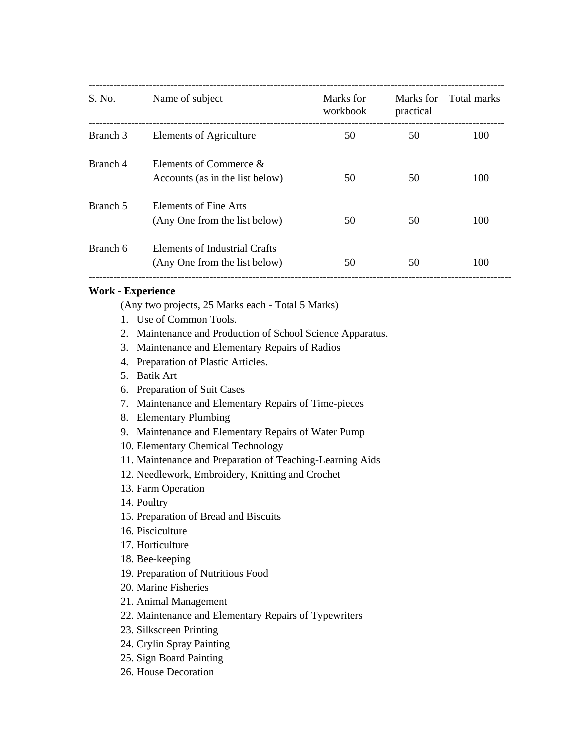| S. No.   | Name of subject                                                | Marks for<br>workbook | Marks for<br>practical | Total marks |
|----------|----------------------------------------------------------------|-----------------------|------------------------|-------------|
| Branch 3 | Elements of Agriculture                                        | 50                    | 50                     | 100         |
| Branch 4 | Elements of Commerce &<br>Accounts (as in the list below)      | 50                    | 50                     | 100         |
| Branch 5 | Elements of Fine Arts<br>(Any One from the list below)         | 50                    | 50                     | 100         |
| Branch 6 | Elements of Industrial Crafts<br>(Any One from the list below) | 50                    | 50                     | 100         |

#### **Work - Experience**

(Any two projects, 25 Marks each - Total 5 Marks)

- 1. Use of Common Tools.
- 2. Maintenance and Production of School Science Apparatus.
- 3. Maintenance and Elementary Repairs of Radios
- 4. Preparation of Plastic Articles.
- 5. Batik Art
- 6. Preparation of Suit Cases
- 7. Maintenance and Elementary Repairs of Time-pieces
- 8. Elementary Plumbing
- 9. Maintenance and Elementary Repairs of Water Pump
- 10. Elementary Chemical Technology
- 11. Maintenance and Preparation of Teaching-Learning Aids
- 12. Needlework, Embroidery, Knitting and Crochet
- 13. Farm Operation
- 14. Poultry
- 15. Preparation of Bread and Biscuits
- 16. Pisciculture
- 17. Horticulture
- 18. Bee-keeping
- 19. Preparation of Nutritious Food
- 20. Marine Fisheries
- 21. Animal Management
- 22. Maintenance and Elementary Repairs of Typewriters
- 23. Silkscreen Printing
- 24. Crylin Spray Painting
- 25. Sign Board Painting
- 26. House Decoration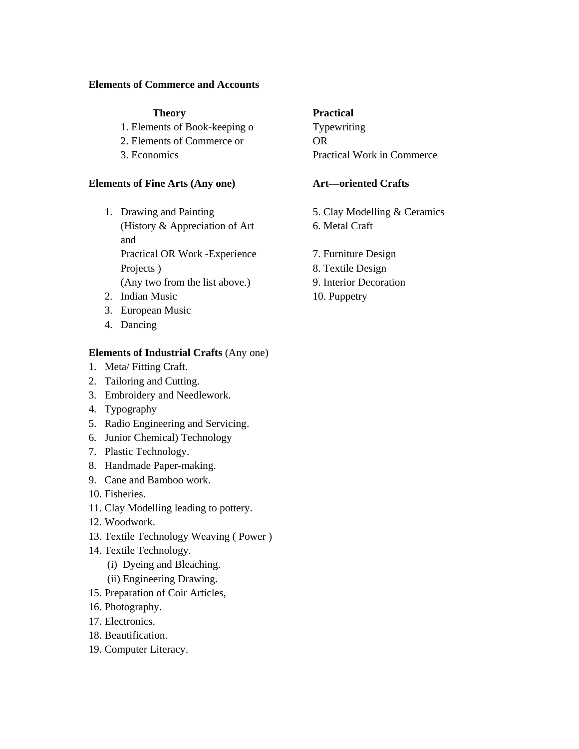#### **Elements of Commerce and Accounts**

- 1. Elements of Book-keeping o Typewriting
- 2. Elements of Commerce or OR
- 

#### **Elements of Fine Arts (Any one) Art—oriented Crafts**

- 1. Drawing and Painting 5. Clay Modelling & Ceramics (History & Appreciation of Art 6. Metal Craft) and Practical OR Work -Experience 7. Furniture Design Projects ) 8. Textile Design (Any two from the list above.) 9. Interior Decoration
- 2. Indian Music 10. Puppetry
- 3. European Music
- 4. Dancing

#### **Elements of Industrial Crafts** (Any one)

- 1. Meta/ Fitting Craft.
- 2. Tailoring and Cutting.
- 3. Embroidery and Needlework.
- 4. Typography
- 5. Radio Engineering and Servicing.
- 6. Junior Chemical) Technology
- 7. Plastic Technology.
- 8. Handmade Paper-making.
- 9. Cane and Bamboo work.
- 10. Fisheries.
- 11. Clay Modelling leading to pottery.
- 12. Woodwork.
- 13. Textile Technology Weaving ( Power )
- 14. Textile Technology.
	- (i) Dyeing and Bleaching.
	- (ii) Engineering Drawing.
- 15. Preparation of Coir Articles,
- 16. Photography.
- 17. Electronics.
- 18. Beautification.
- 19. Computer Literacy.

## **Theory Practical**

3. Economics Practical Work in Commerce

- 
- 
- 
-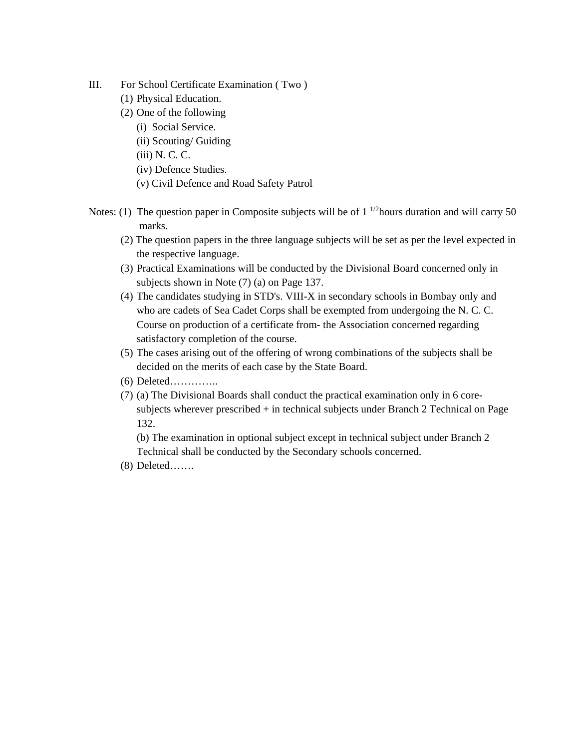- III. For School Certificate Examination ( Two )
	- (1) Physical Education.
	- (2) One of the following
		- (i) Social Service.
		- (ii) Scouting/ Guiding
		- (iii) N. C. C.
		- (iv) Defence Studies.
		- (v) Civil Defence and Road Safety Patrol
- Notes: (1) The question paper in Composite subjects will be of  $1^{1/2}$ hours duration and will carry 50 marks.
	- (2) The question papers in the three language subjects will be set as per the level expected in the respective language.
	- (3) Practical Examinations will be conducted by the Divisional Board concerned only in subjects shown in Note (7) (a) on Page 137.
	- (4) The candidates studying in STD's. VIII-X in secondary schools in Bombay only and who are cadets of Sea Cadet Corps shall be exempted from undergoing the N. C. C. Course on production of a certificate from- the Association concerned regarding satisfactory completion of the course.
	- (5) The cases arising out of the offering of wrong combinations of the subjects shall be decided on the merits of each case by the State Board.
	- (6) Deleted…………..
	- (7) (a) The Divisional Boards shall conduct the practical examination only in 6 coresubjects wherever prescribed + in technical subjects under Branch 2 Technical on Page 132.

(b) The examination in optional subject except in technical subject under Branch 2 Technical shall be conducted by the Secondary schools concerned.

(8) Deleted…….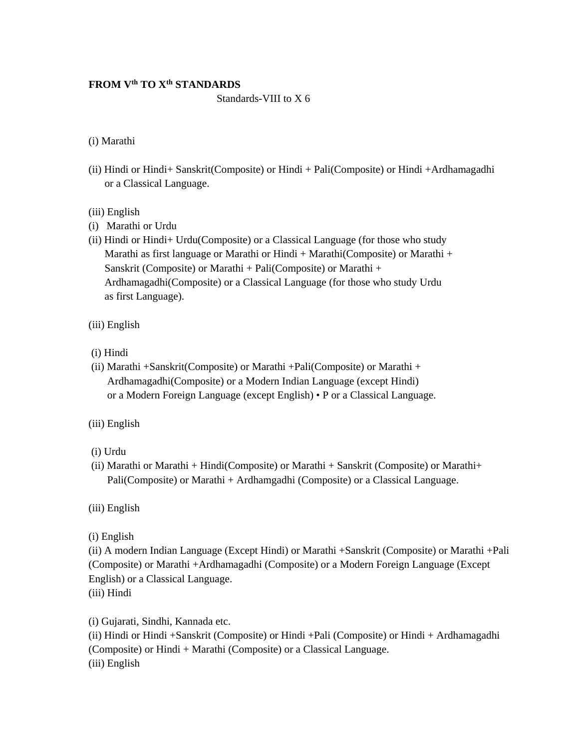# **FROM V<sup>th</sup> TO X<sup>th</sup> STANDARDS**

#### Standards-VIII to X 6

#### (i) Marathi

- (ii) Hindi or Hindi+ Sanskrit(Composite) or Hindi + Pali(Composite) or Hindi +Ardhamagadhi or a Classical Language.
- (iii) English
- (i) Marathi or Urdu
- (ii) Hindi or Hindi+ Urdu(Composite) or a Classical Language (for those who study Marathi as first language or Marathi or Hindi + Marathi(Composite) or Marathi + Sanskrit (Composite) or Marathi + Pali(Composite) or Marathi + Ardhamagadhi(Composite) or a Classical Language (for those who study Urdu as first Language).
- (iii) English
- (i) Hindi
- (ii) Marathi +Sanskrit(Composite) or Marathi +Pali(Composite) or Marathi + Ardhamagadhi(Composite) or a Modern Indian Language (except Hindi) or a Modern Foreign Language (except English) • P or a Classical Language.
- (iii) English
- (i) Urdu
- (ii) Marathi or Marathi + Hindi(Composite) or Marathi + Sanskrit (Composite) or Marathi+ Pali(Composite) or Marathi + Ardhamgadhi (Composite) or a Classical Language.

(iii) English

(i) English

(ii) A modern Indian Language (Except Hindi) or Marathi +Sanskrit (Composite) or Marathi +Pali (Composite) or Marathi +Ardhamagadhi (Composite) or a Modern Foreign Language (Except English) or a Classical Language. (iii) Hindi

(i) Gujarati, Sindhi, Kannada etc.

(ii) Hindi or Hindi +Sanskrit (Composite) or Hindi +Pali (Composite) or Hindi + Ardhamagadhi (Composite) or Hindi + Marathi (Composite) or a Classical Language. (iii) English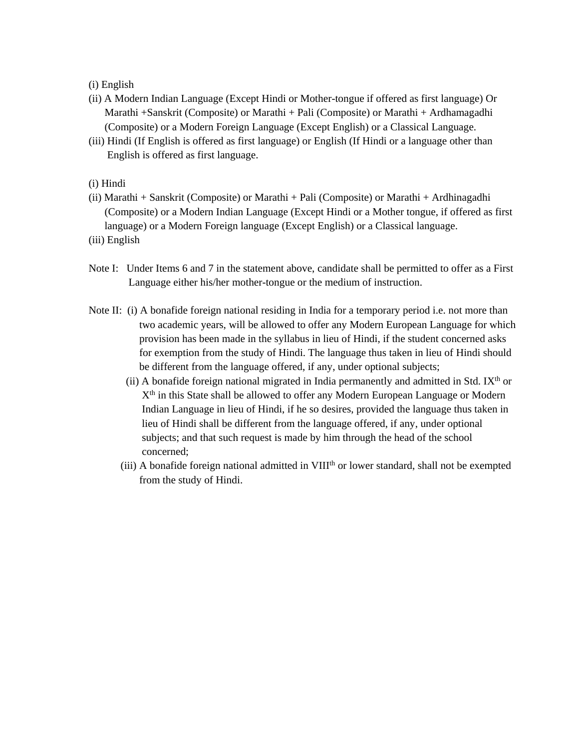#### (i) English

- (ii) A Modern Indian Language (Except Hindi or Mother-tongue if offered as first language) Or Marathi +Sanskrit (Composite) or Marathi + Pali (Composite) or Marathi + Ardhamagadhi (Composite) or a Modern Foreign Language (Except English) or a Classical Language.
- (iii) Hindi (If English is offered as first language) or English (If Hindi or a language other than English is offered as first language.
- (i) Hindi
- (ii) Marathi + Sanskrit (Composite) or Marathi + Pali (Composite) or Marathi + Ardhinagadhi (Composite) or a Modern Indian Language (Except Hindi or a Mother tongue, if offered as first language) or a Modern Foreign language (Except English) or a Classical language.
- (iii) English
- Note I: Under Items 6 and 7 in the statement above, candidate shall be permitted to offer as a First Language either his/her mother-tongue or the medium of instruction.
- Note II: (i) A bonafide foreign national residing in India for a temporary period i.e. not more than two academic years, will be allowed to offer any Modern European Language for which provision has been made in the syllabus in lieu of Hindi, if the student concerned asks for exemption from the study of Hindi. The language thus taken in lieu of Hindi should be different from the language offered, if any, under optional subjects;
	- (ii) A bonafide foreign national migrated in India permanently and admitted in Std. IX<sup>th</sup> or X<sup>th</sup> in this State shall be allowed to offer any Modern European Language or Modern Indian Language in lieu of Hindi, if he so desires, provided the language thus taken in lieu of Hindi shall be different from the language offered, if any, under optional subjects; and that such request is made by him through the head of the school concerned;
	- $(iii)$  A bonafide foreign national admitted in  $VIII<sup>th</sup>$  or lower standard, shall not be exempted from the study of Hindi.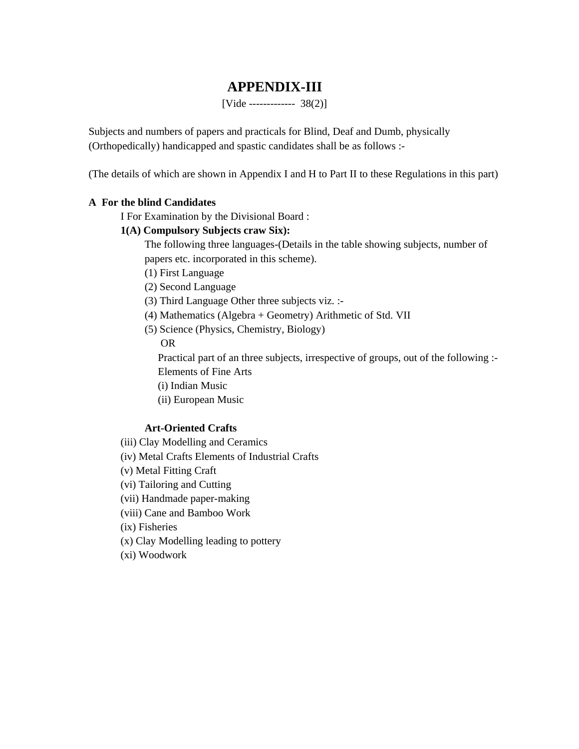# **APPENDIX-III**

[Vide ------------- 38(2)]

Subjects and numbers of papers and practicals for Blind, Deaf and Dumb, physically (Orthopedically) handicapped and spastic candidates shall be as follows :-

(The details of which are shown in Appendix I and H to Part II to these Regulations in this part)

#### **A For the blind Candidates**

I For Examination by the Divisional Board :

#### **1(A) Compulsory Subjects craw Six):**

The following three languages-(Details in the table showing subjects, number of papers etc. incorporated in this scheme).

- (1) First Language
- (2) Second Language
- (3) Third Language Other three subjects viz. :-
- (4) Mathematics (Algebra + Geometry) Arithmetic of Std. VII
- (5) Science (Physics, Chemistry, Biology)

OR

Practical part of an three subjects, irrespective of groups, out of the following :-Elements of Fine Arts

- (i) Indian Music
- (ii) European Music

#### **Art-Oriented Crafts**

- (iii) Clay Modelling and Ceramics
- (iv) Metal Crafts Elements of Industrial Crafts
- (v) Metal Fitting Craft
- (vi) Tailoring and Cutting
- (vii) Handmade paper-making
- (viii) Cane and Bamboo Work
- (ix) Fisheries
- (x) Clay Modelling leading to pottery
- (xi) Woodwork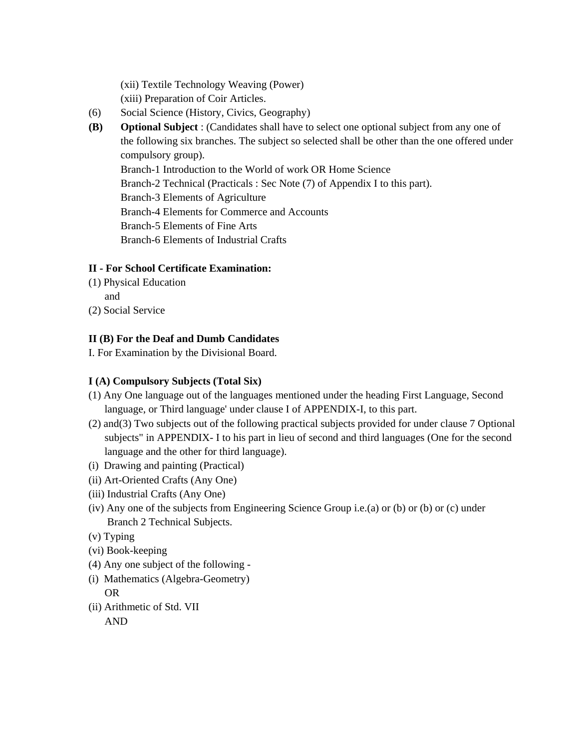(xii) Textile Technology Weaving (Power) (xiii) Preparation of Coir Articles.

- (6) Social Science (History, Civics, Geography)
- **(B) Optional Subject** : (Candidates shall have to select one optional subject from any one of the following six branches. The subject so selected shall be other than the one offered under compulsory group). Branch-1 Introduction to the World of work OR Home Science Branch-2 Technical (Practicals : Sec Note (7) of Appendix I to this part). Branch-3 Elements of Agriculture Branch-4 Elements for Commerce and Accounts Branch-5 Elements of Fine Arts Branch-6 Elements of Industrial Crafts

## **II - For School Certificate Examination:**

- (1) Physical Education
	- and
- (2) Social Service

### **II (B) For the Deaf and Dumb Candidates**

I. For Examination by the Divisional Board.

### **I (A) Compulsory Subjects (Total Six)**

- (1) Any One language out of the languages mentioned under the heading First Language, Second language, or Third language' under clause I of APPENDIX-I, to this part.
- (2) and(3) Two subjects out of the following practical subjects provided for under clause 7 Optional subjects" in APPENDIX- I to his part in lieu of second and third languages (One for the second language and the other for third language).
- (i) Drawing and painting (Practical)
- (ii) Art-Oriented Crafts (Any One)
- (iii) Industrial Crafts (Any One)
- (iv) Any one of the subjects from Engineering Science Group i.e.(a) or (b) or (b) or (c) under Branch 2 Technical Subjects.
- (v) Typing
- (vi) Book-keeping
- (4) Any one subject of the following -
- (i) Mathematics (Algebra-Geometry) OR
- (ii) Arithmetic of Std. VII

AND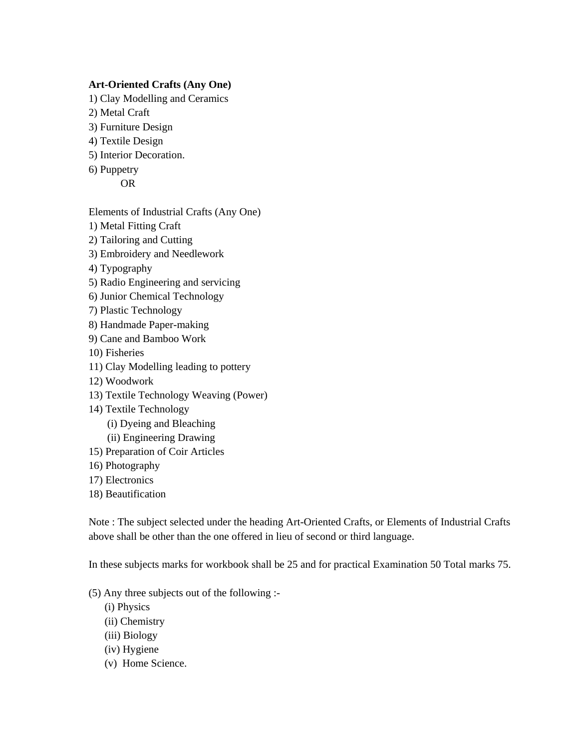#### **Art-Oriented Crafts (Any One)**

- 1) Clay Modelling and Ceramics
- 2) Metal Craft
- 3) Furniture Design
- 4) Textile Design
- 5) Interior Decoration.
- 6) Puppetry

OR

Elements of Industrial Crafts (Any One)

- 1) Metal Fitting Craft
- 2) Tailoring and Cutting
- 3) Embroidery and Needlework
- 4) Typography
- 5) Radio Engineering and servicing
- 6) Junior Chemical Technology
- 7) Plastic Technology
- 8) Handmade Paper-making
- 9) Cane and Bamboo Work
- 10) Fisheries
- 11) Clay Modelling leading to pottery
- 12) Woodwork
- 13) Textile Technology Weaving (Power)
- 14) Textile Technology
	- (i) Dyeing and Bleaching
	- (ii) Engineering Drawing
- 15) Preparation of Coir Articles
- 16) Photography
- 17) Electronics
- 18) Beautification

Note : The subject selected under the heading Art-Oriented Crafts, or Elements of Industrial Crafts above shall be other than the one offered in lieu of second or third language.

In these subjects marks for workbook shall be 25 and for practical Examination 50 Total marks 75.

- (5) Any three subjects out of the following :-
	- (i) Physics
	- (ii) Chemistry
	- (iii) Biology
	- (iv) Hygiene
	- (v) Home Science.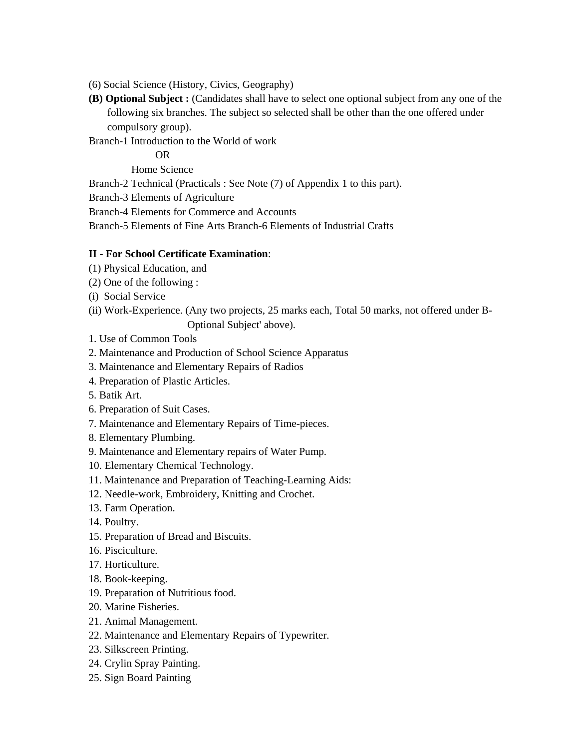- (6) Social Science (History, Civics, Geography)
- **(B) Optional Subject :** (Candidates shall have to select one optional subject from any one of the following six branches. The subject so selected shall be other than the one offered under compulsory group).

Branch-1 Introduction to the World of work

OR

Home Science

Branch-2 Technical (Practicals : See Note (7) of Appendix 1 to this part).

Branch-3 Elements of Agriculture

Branch-4 Elements for Commerce and Accounts

Branch-5 Elements of Fine Arts Branch-6 Elements of Industrial Crafts

#### **II - For School Certificate Examination**:

- (1) Physical Education, and
- (2) One of the following :
- (i) Social Service
- (ii) Work-Experience. (Any two projects, 25 marks each, Total 50 marks, not offered under B-
	- Optional Subject' above).
- 1. Use of Common Tools
- 2. Maintenance and Production of School Science Apparatus
- 3. Maintenance and Elementary Repairs of Radios
- 4. Preparation of Plastic Articles.
- 5. Batik Art.
- 6. Preparation of Suit Cases.
- 7. Maintenance and Elementary Repairs of Time-pieces.
- 8. Elementary Plumbing.
- 9. Maintenance and Elementary repairs of Water Pump.
- 10. Elementary Chemical Technology.
- 11. Maintenance and Preparation of Teaching-Learning Aids:
- 12. Needle-work, Embroidery, Knitting and Crochet.
- 13. Farm Operation.
- 14. Poultry.
- 15. Preparation of Bread and Biscuits.
- 16. Pisciculture.
- 17. Horticulture.
- 18. Book-keeping.
- 19. Preparation of Nutritious food.
- 20. Marine Fisheries.
- 21. Animal Management.
- 22. Maintenance and Elementary Repairs of Typewriter.
- 23. Silkscreen Printing.
- 24. Crylin Spray Painting.
- 25. Sign Board Painting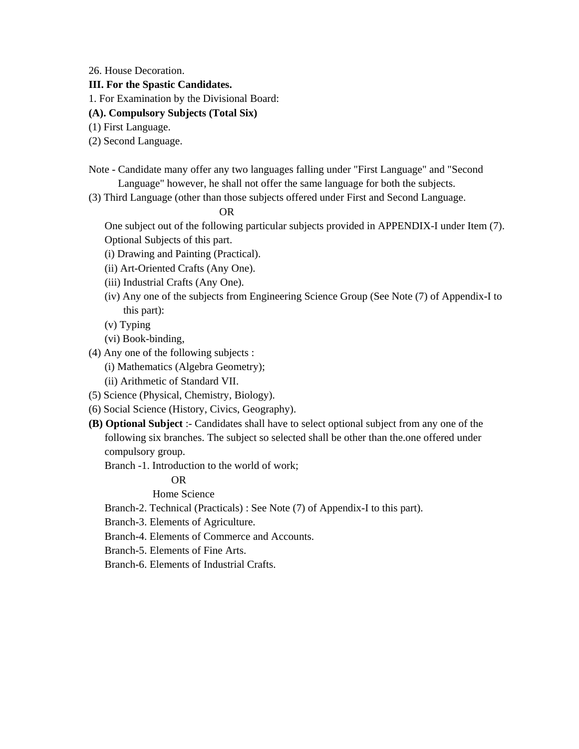26. House Decoration.

### **III. For the Spastic Candidates.**

1. For Examination by the Divisional Board:

- **(A). Compulsory Subjects (Total Six)**
- (1) First Language.
- (2) Second Language.
- Note Candidate many offer any two languages falling under "First Language" and "Second Language" however, he shall not offer the same language for both the subjects.
- (3) Third Language (other than those subjects offered under First and Second Language.

OR

 One subject out of the following particular subjects provided in APPENDIX-I under Item (7). Optional Subjects of this part.

- (i) Drawing and Painting (Practical).
- (ii) Art-Oriented Crafts (Any One).
- (iii) Industrial Crafts (Any One).
- (iv) Any one of the subjects from Engineering Science Group (See Note (7) of Appendix-I to this part):
- (v) Typing
- (vi) Book-binding,
- (4) Any one of the following subjects :
	- (i) Mathematics (Algebra Geometry);
	- (ii) Arithmetic of Standard VII.
- (5) Science (Physical, Chemistry, Biology).
- (6) Social Science (History, Civics, Geography).
- **(B) Optional Subject** :- Candidates shall have to select optional subject from any one of the following six branches. The subject so selected shall be other than the.one offered under compulsory group.
	- Branch -1. Introduction to the world of work;

# OR

Home Science

- Branch-2. Technical (Practicals) : See Note (7) of Appendix-I to this part).
- Branch-3. Elements of Agriculture.
- Branch-4. Elements of Commerce and Accounts.
- Branch-5. Elements of Fine Arts.
- Branch-6. Elements of Industrial Crafts.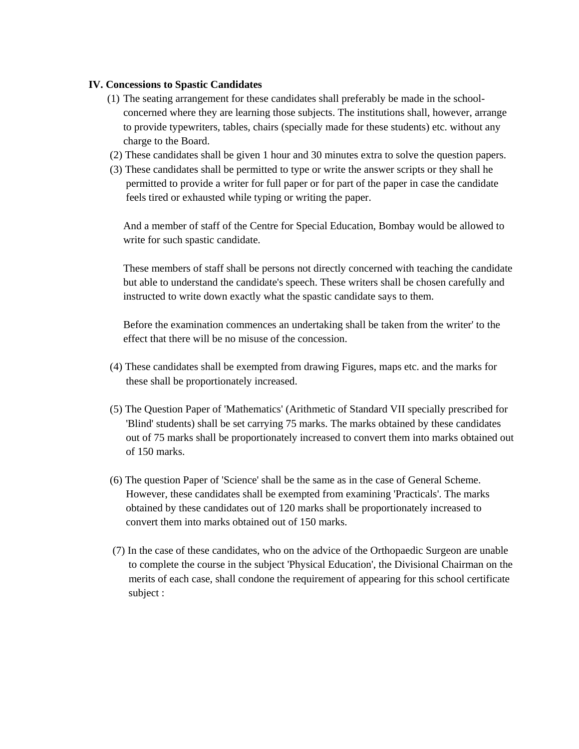#### **IV. Concessions to Spastic Candidates**

- (1) The seating arrangement for these candidates shall preferably be made in the school concerned where they are learning those subjects. The institutions shall, however, arrange to provide typewriters, tables, chairs (specially made for these students) etc. without any charge to the Board.
- (2) These candidates shall be given 1 hour and 30 minutes extra to solve the question papers.
- (3) These candidates shall be permitted to type or write the answer scripts or they shall he permitted to provide a writer for full paper or for part of the paper in case the candidate feels tired or exhausted while typing or writing the paper.

 And a member of staff of the Centre for Special Education, Bombay would be allowed to write for such spastic candidate.

 These members of staff shall be persons not directly concerned with teaching the candidate but able to understand the candidate's speech. These writers shall be chosen carefully and instructed to write down exactly what the spastic candidate says to them.

 Before the examination commences an undertaking shall be taken from the writer' to the effect that there will be no misuse of the concession.

- (4) These candidates shall be exempted from drawing Figures, maps etc. and the marks for these shall be proportionately increased.
- (5) The Question Paper of 'Mathematics' (Arithmetic of Standard VII specially prescribed for 'Blind' students) shall be set carrying 75 marks. The marks obtained by these candidates out of 75 marks shall be proportionately increased to convert them into marks obtained out of 150 marks.
- (6) The question Paper of 'Science' shall be the same as in the case of General Scheme. However, these candidates shall be exempted from examining 'Practicals'. The marks obtained by these candidates out of 120 marks shall be proportionately increased to convert them into marks obtained out of 150 marks.
- (7) In the case of these candidates, who on the advice of the Orthopaedic Surgeon are unable to complete the course in the subject 'Physical Education', the Divisional Chairman on the merits of each case, shall condone the requirement of appearing for this school certificate subject :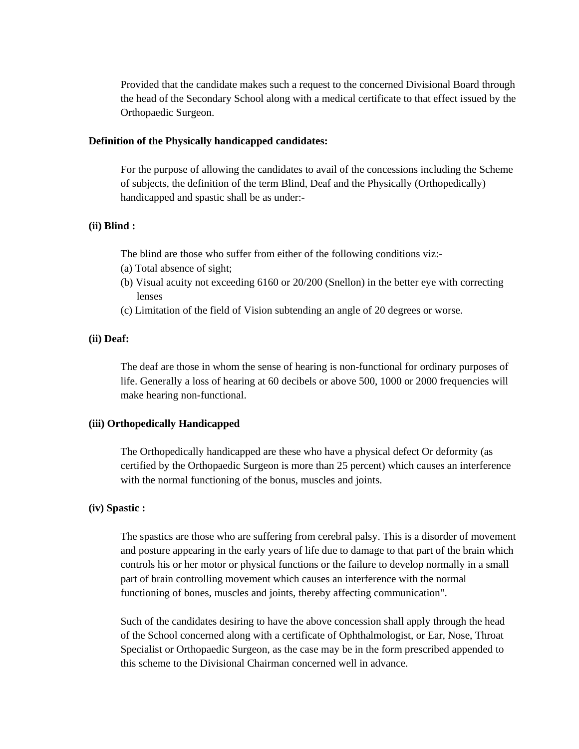Provided that the candidate makes such a request to the concerned Divisional Board through the head of the Secondary School along with a medical certificate to that effect issued by the Orthopaedic Surgeon.

#### **Definition of the Physically handicapped candidates:**

For the purpose of allowing the candidates to avail of the concessions including the Scheme of subjects, the definition of the term Blind, Deaf and the Physically (Orthopedically) handicapped and spastic shall be as under:-

#### **(ii) Blind :**

The blind are those who suffer from either of the following conditions viz:-

- (a) Total absence of sight;
- (b) Visual acuity not exceeding 6160 or 20/200 (Snellon) in the better eye with correcting lenses
- (c) Limitation of the field of Vision subtending an angle of 20 degrees or worse.

#### **(ii) Deaf:**

The deaf are those in whom the sense of hearing is non-functional for ordinary purposes of life. Generally a loss of hearing at 60 decibels or above 500, 1000 or 2000 frequencies will make hearing non-functional.

#### **(iii) Orthopedically Handicapped**

The Orthopedically handicapped are these who have a physical defect Or deformity (as certified by the Orthopaedic Surgeon is more than 25 percent) which causes an interference with the normal functioning of the bonus, muscles and joints.

#### **(iv) Spastic :**

The spastics are those who are suffering from cerebral palsy. This is a disorder of movement and posture appearing in the early years of life due to damage to that part of the brain which controls his or her motor or physical functions or the failure to develop normally in a small part of brain controlling movement which causes an interference with the normal functioning of bones, muscles and joints, thereby affecting communication".

Such of the candidates desiring to have the above concession shall apply through the head of the School concerned along with a certificate of Ophthalmologist, or Ear, Nose, Throat Specialist or Orthopaedic Surgeon, as the case may be in the form prescribed appended to this scheme to the Divisional Chairman concerned well in advance.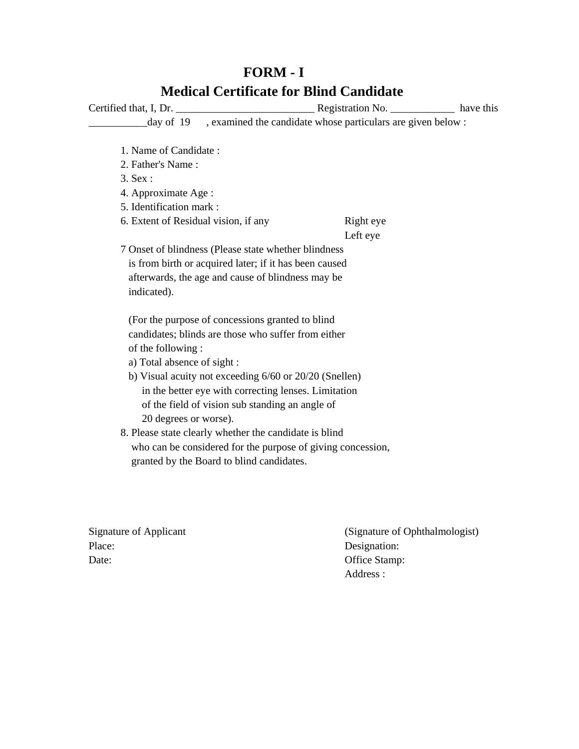# **FORM - I Medical Certificate for Blind Candidate**

Certified that, I, Dr. \_\_\_\_\_\_\_\_\_\_\_\_\_\_\_\_\_\_\_\_\_\_\_\_\_\_ Registration No. \_\_\_\_\_\_\_\_\_\_\_\_ have this \_\_\_\_\_\_\_\_\_\_\_day of 19 , examined the candidate whose particulars are given below : 1. Name of Candidate : 2. Father's Name : 3. Sex : 4. Approximate Age : 5. Identification mark : 6. Extent of Residual vision, if any Right eye Left eye 7 Onset of blindness (Please state whether blindness is from birth or acquired later; if it has been caused afterwards, the age and cause of blindness may be indicated). (For the purpose of concessions granted to blind candidates; blinds are those who suffer from either of the following : a) Total absence of sight : b) Visual acuity not exceeding 6/60 or 20/20 (Snellen) in the better eye with correcting lenses. Limitation of the field of vision sub standing an angle of 20 degrees or worse). 8. Please state clearly whether the candidate is blind who can be considered for the purpose of giving concession, granted by the Board to blind candidates.

Place: Designation: Date: Office Stamp:

Signature of Applicant (Signature of Ophthalmologist) Address :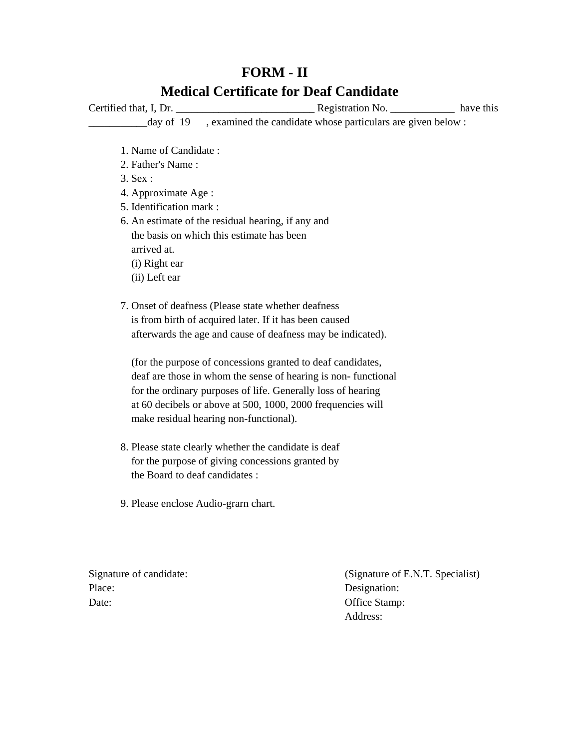# **FORM - II Medical Certificate for Deaf Candidate**

Certified that, I, Dr. \_\_\_\_\_\_\_\_\_\_\_\_\_\_\_\_\_\_\_\_\_\_\_\_\_\_ Registration No. \_\_\_\_\_\_\_\_\_\_\_\_ have this \_\_\_\_\_\_\_\_\_\_\_day of 19 , examined the candidate whose particulars are given below :

- 1. Name of Candidate :
- 2. Father's Name :
- 3. Sex :
- 4. Approximate Age :
- 5. Identification mark :
- 6. An estimate of the residual hearing, if any and the basis on which this estimate has been arrived at. (i) Right ear (ii) Left ear
- 7. Onset of deafness (Please state whether deafness is from birth of acquired later. If it has been caused afterwards the age and cause of deafness may be indicated).

 (for the purpose of concessions granted to deaf candidates, deaf are those in whom the sense of hearing is non- functional for the ordinary purposes of life. Generally loss of hearing at 60 decibels or above at 500, 1000, 2000 frequencies will make residual hearing non-functional).

- 8. Please state clearly whether the candidate is deaf for the purpose of giving concessions granted by the Board to deaf candidates :
- 9. Please enclose Audio-grarn chart.

Place: Designation: Date: Office Stamp:

Signature of candidate: (Signature of E.N.T. Specialist) Address: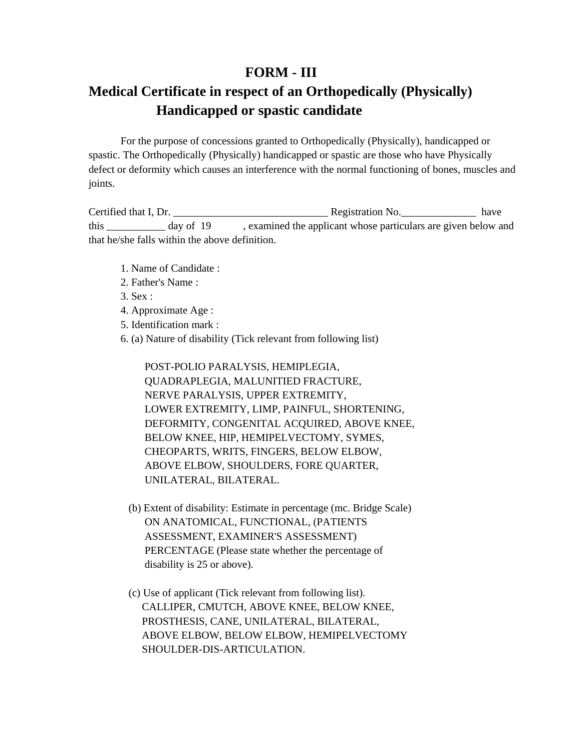# **FORM - III**

# **Medical Certificate in respect of an Orthopedically (Physically) Handicapped or spastic candidate**

For the purpose of concessions granted to Orthopedically (Physically), handicapped or spastic. The Orthopedically (Physically) handicapped or spastic are those who have Physically defect or deformity which causes an interference with the normal functioning of bones, muscles and joints.

Certified that I, Dr.  $\qquad \qquad$  Registration No.  $\qquad \qquad$  have this day of 19 , examined the applicant whose particulars are given below and that he/she falls within the above definition.

- 1. Name of Candidate :
- 2. Father's Name :
- 3. Sex :
- 4. Approximate Age :
- 5. Identification mark :
- 6. (a) Nature of disability (Tick relevant from following list)

 POST-POLIO PARALYSIS, HEMIPLEGIA, QUADRAPLEGIA, MALUNITIED FRACTURE, NERVE PARALYSIS, UPPER EXTREMITY, LOWER EXTREMITY, LIMP, PAINFUL, SHORTENING, DEFORMITY, CONGENITAL ACQUIRED, ABOVE KNEE, BELOW KNEE, HIP, HEMIPELVECTOMY, SYMES, CHEOPARTS, WRITS, FINGERS, BELOW ELBOW, ABOVE ELBOW, SHOULDERS, FORE QUARTER, UNILATERAL, BILATERAL.

- (b) Extent of disability: Estimate in percentage (mc. Bridge Scale) ON ANATOMICAL, FUNCTIONAL, (PATIENTS ASSESSMENT, EXAMINER'S ASSESSMENT) PERCENTAGE (Please state whether the percentage of disability is 25 or above).
- (c) Use of applicant (Tick relevant from following list). CALLIPER, CMUTCH, ABOVE KNEE, BELOW KNEE, PROSTHESIS, CANE, UNILATERAL, BILATERAL, ABOVE ELBOW, BELOW ELBOW, HEMIPELVECTOMY SHOULDER-DIS-ARTICULATION.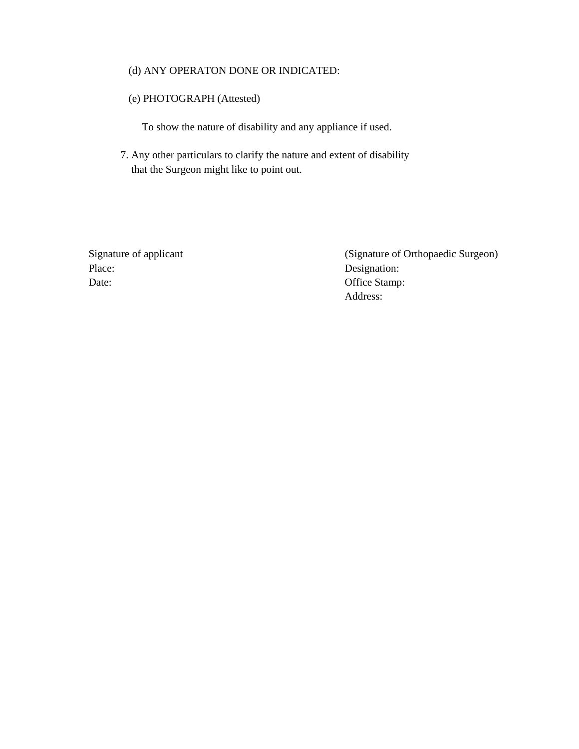#### (d) ANY OPERATON DONE OR INDICATED:

#### (e) PHOTOGRAPH (Attested)

To show the nature of disability and any appliance if used.

7. Any other particulars to clarify the nature and extent of disability that the Surgeon might like to point out.

Place: Designation: Date: Office Stamp:

Signature of applicant (Signature of Orthopaedic Surgeon) Address: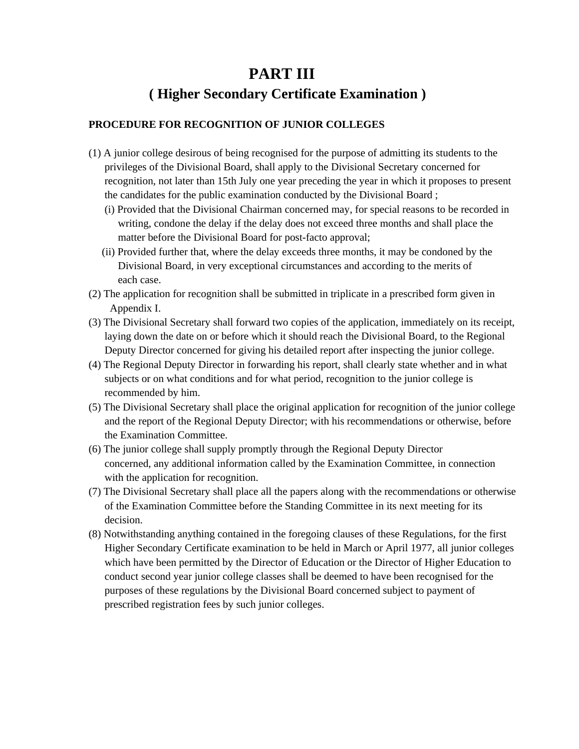# **PART III ( Higher Secondary Certificate Examination )**

## **PROCEDURE FOR RECOGNITION OF JUNIOR COLLEGES**

- (1) A junior college desirous of being recognised for the purpose of admitting its students to the privileges of the Divisional Board, shall apply to the Divisional Secretary concerned for recognition, not later than 15th July one year preceding the year in which it proposes to present the candidates for the public examination conducted by the Divisional Board ;
	- (i) Provided that the Divisional Chairman concerned may, for special reasons to be recorded in writing, condone the delay if the delay does not exceed three months and shall place the matter before the Divisional Board for post-facto approval;
	- (ii) Provided further that, where the delay exceeds three months, it may be condoned by the Divisional Board, in very exceptional circumstances and according to the merits of each case.
- (2) The application for recognition shall be submitted in triplicate in a prescribed form given in Appendix I.
- (3) The Divisional Secretary shall forward two copies of the application, immediately on its receipt, laying down the date on or before which it should reach the Divisional Board, to the Regional Deputy Director concerned for giving his detailed report after inspecting the junior college.
- (4) The Regional Deputy Director in forwarding his report, shall clearly state whether and in what subjects or on what conditions and for what period, recognition to the junior college is recommended by him.
- (5) The Divisional Secretary shall place the original application for recognition of the junior college and the report of the Regional Deputy Director; with his recommendations or otherwise, before the Examination Committee.
- (6) The junior college shall supply promptly through the Regional Deputy Director concerned, any additional information called by the Examination Committee, in connection with the application for recognition.
- (7) The Divisional Secretary shall place all the papers along with the recommendations or otherwise of the Examination Committee before the Standing Committee in its next meeting for its decision.
- (8) Notwithstanding anything contained in the foregoing clauses of these Regulations, for the first Higher Secondary Certificate examination to be held in March or April 1977, all junior colleges which have been permitted by the Director of Education or the Director of Higher Education to conduct second year junior college classes shall be deemed to have been recognised for the purposes of these regulations by the Divisional Board concerned subject to payment of prescribed registration fees by such junior colleges.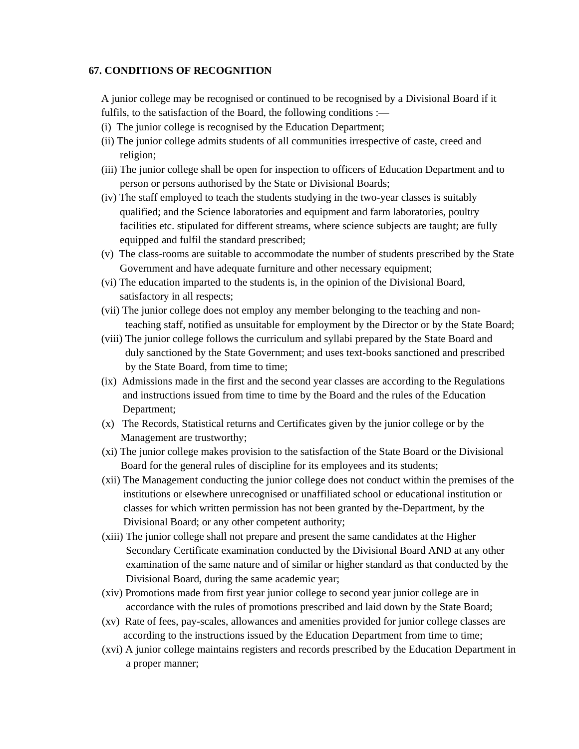#### **67. CONDITIONS OF RECOGNITION**

A junior college may be recognised or continued to be recognised by a Divisional Board if it fulfils, to the satisfaction of the Board, the following conditions :—

- (i) The junior college is recognised by the Education Department;
- (ii) The junior college admits students of all communities irrespective of caste, creed and religion;
- (iii) The junior college shall be open for inspection to officers of Education Department and to person or persons authorised by the State or Divisional Boards;
- (iv) The staff employed to teach the students studying in the two-year classes is suitably qualified; and the Science laboratories and equipment and farm laboratories, poultry facilities etc. stipulated for different streams, where science subjects are taught; are fully equipped and fulfil the standard prescribed;
- (v) The class-rooms are suitable to accommodate the number of students prescribed by the State Government and have adequate furniture and other necessary equipment;
- (vi) The education imparted to the students is, in the opinion of the Divisional Board, satisfactory in all respects;
- (vii) The junior college does not employ any member belonging to the teaching and non teaching staff, notified as unsuitable for employment by the Director or by the State Board;
- (viii) The junior college follows the curriculum and syllabi prepared by the State Board and duly sanctioned by the State Government; and uses text-books sanctioned and prescribed by the State Board, from time to time;
- (ix) Admissions made in the first and the second year classes are according to the Regulations and instructions issued from time to time by the Board and the rules of the Education Department;
- (x) The Records, Statistical returns and Certificates given by the junior college or by the Management are trustworthy;
- (xi) The junior college makes provision to the satisfaction of the State Board or the Divisional Board for the general rules of discipline for its employees and its students;
- (xii) The Management conducting the junior college does not conduct within the premises of the institutions or elsewhere unrecognised or unaffiliated school or educational institution or classes for which written permission has not been granted by the-Department, by the Divisional Board; or any other competent authority;
- (xiii) The junior college shall not prepare and present the same candidates at the Higher Secondary Certificate examination conducted by the Divisional Board AND at any other examination of the same nature and of similar or higher standard as that conducted by the Divisional Board, during the same academic year;
- (xiv) Promotions made from first year junior college to second year junior college are in accordance with the rules of promotions prescribed and laid down by the State Board;
- (xv) Rate of fees, pay-scales, allowances and amenities provided for junior college classes are according to the instructions issued by the Education Department from time to time;
- (xvi) A junior college maintains registers and records prescribed by the Education Department in a proper manner;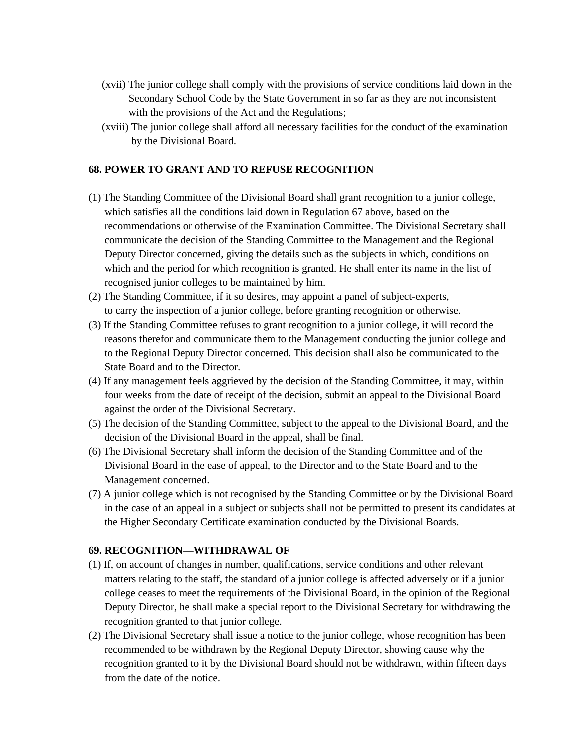- (xvii) The junior college shall comply with the provisions of service conditions laid down in the Secondary School Code by the State Government in so far as they are not inconsistent with the provisions of the Act and the Regulations;
- (xviii) The junior college shall afford all necessary facilities for the conduct of the examination by the Divisional Board.

#### **68. POWER TO GRANT AND TO REFUSE RECOGNITION**

- (1) The Standing Committee of the Divisional Board shall grant recognition to a junior college, which satisfies all the conditions laid down in Regulation 67 above, based on the recommendations or otherwise of the Examination Committee. The Divisional Secretary shall communicate the decision of the Standing Committee to the Management and the Regional Deputy Director concerned, giving the details such as the subjects in which, conditions on which and the period for which recognition is granted. He shall enter its name in the list of recognised junior colleges to be maintained by him.
- (2) The Standing Committee, if it so desires, may appoint a panel of subject-experts, to carry the inspection of a junior college, before granting recognition or otherwise.
- (3) If the Standing Committee refuses to grant recognition to a junior college, it will record the reasons therefor and communicate them to the Management conducting the junior college and to the Regional Deputy Director concerned. This decision shall also be communicated to the State Board and to the Director.
- (4) If any management feels aggrieved by the decision of the Standing Committee, it may, within four weeks from the date of receipt of the decision, submit an appeal to the Divisional Board against the order of the Divisional Secretary.
- (5) The decision of the Standing Committee, subject to the appeal to the Divisional Board, and the decision of the Divisional Board in the appeal, shall be final.
- (6) The Divisional Secretary shall inform the decision of the Standing Committee and of the Divisional Board in the ease of appeal, to the Director and to the State Board and to the Management concerned.
- (7) A junior college which is not recognised by the Standing Committee or by the Divisional Board in the case of an appeal in a subject or subjects shall not be permitted to present its candidates at the Higher Secondary Certificate examination conducted by the Divisional Boards.

#### **69. RECOGNITION—WITHDRAWAL OF**

- (1) If, on account of changes in number, qualifications, service conditions and other relevant matters relating to the staff, the standard of a junior college is affected adversely or if a junior college ceases to meet the requirements of the Divisional Board, in the opinion of the Regional Deputy Director, he shall make a special report to the Divisional Secretary for withdrawing the recognition granted to that junior college.
- (2) The Divisional Secretary shall issue a notice to the junior college, whose recognition has been recommended to be withdrawn by the Regional Deputy Director, showing cause why the recognition granted to it by the Divisional Board should not be withdrawn, within fifteen days from the date of the notice.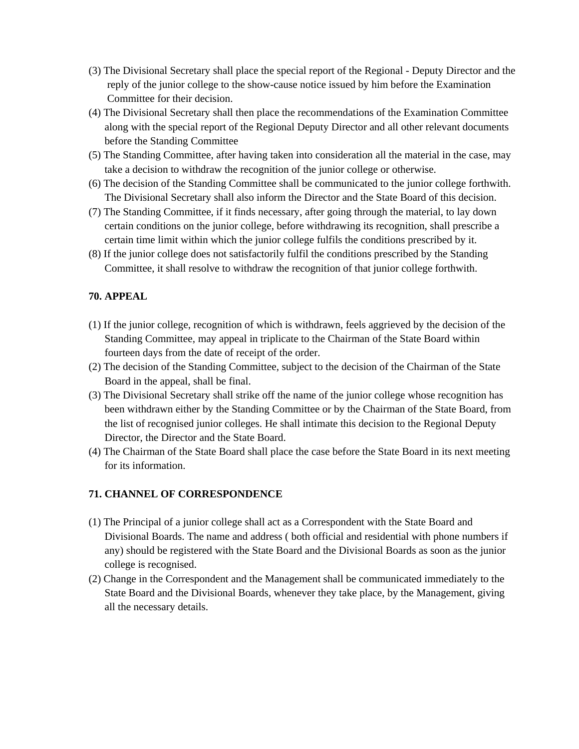- (3) The Divisional Secretary shall place the special report of the Regional Deputy Director and the reply of the junior college to the show-cause notice issued by him before the Examination Committee for their decision.
- (4) The Divisional Secretary shall then place the recommendations of the Examination Committee along with the special report of the Regional Deputy Director and all other relevant documents before the Standing Committee
- (5) The Standing Committee, after having taken into consideration all the material in the case, may take a decision to withdraw the recognition of the junior college or otherwise.
- (6) The decision of the Standing Committee shall be communicated to the junior college forthwith. The Divisional Secretary shall also inform the Director and the State Board of this decision.
- (7) The Standing Committee, if it finds necessary, after going through the material, to lay down certain conditions on the junior college, before withdrawing its recognition, shall prescribe a certain time limit within which the junior college fulfils the conditions prescribed by it.
- (8) If the junior college does not satisfactorily fulfil the conditions prescribed by the Standing Committee, it shall resolve to withdraw the recognition of that junior college forthwith.

## **70. APPEAL**

- (1) If the junior college, recognition of which is withdrawn, feels aggrieved by the decision of the Standing Committee, may appeal in triplicate to the Chairman of the State Board within fourteen days from the date of receipt of the order.
- (2) The decision of the Standing Committee, subject to the decision of the Chairman of the State Board in the appeal, shall be final.
- (3) The Divisional Secretary shall strike off the name of the junior college whose recognition has been withdrawn either by the Standing Committee or by the Chairman of the State Board, from the list of recognised junior colleges. He shall intimate this decision to the Regional Deputy Director, the Director and the State Board.
- (4) The Chairman of the State Board shall place the case before the State Board in its next meeting for its information.

### **71. CHANNEL OF CORRESPONDENCE**

- (1) The Principal of a junior college shall act as a Correspondent with the State Board and Divisional Boards. The name and address ( both official and residential with phone numbers if any) should be registered with the State Board and the Divisional Boards as soon as the junior college is recognised.
- (2) Change in the Correspondent and the Management shall be communicated immediately to the State Board and the Divisional Boards, whenever they take place, by the Management, giving all the necessary details.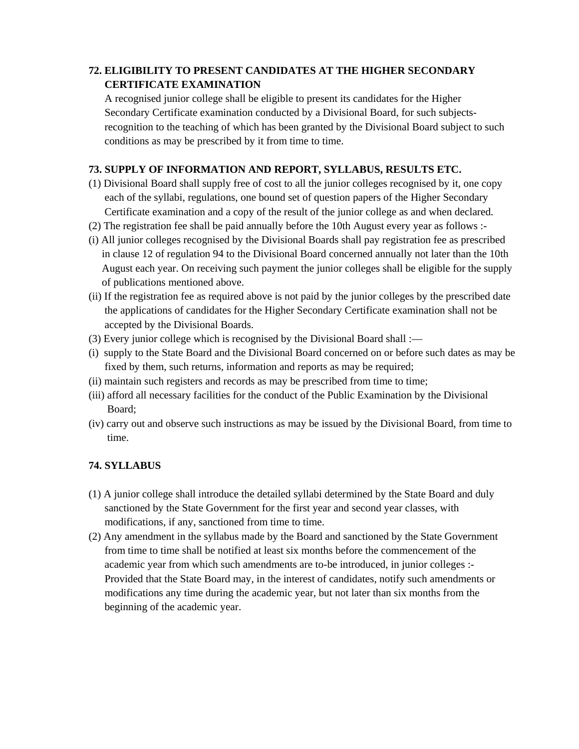# **72. ELIGIBILITY TO PRESENT CANDIDATES AT THE HIGHER SECONDARY CERTIFICATE EXAMINATION**

 A recognised junior college shall be eligible to present its candidates for the Higher Secondary Certificate examination conducted by a Divisional Board, for such subjects recognition to the teaching of which has been granted by the Divisional Board subject to such conditions as may be prescribed by it from time to time.

# **73. SUPPLY OF INFORMATION AND REPORT, SYLLABUS, RESULTS ETC.**

- (1) Divisional Board shall supply free of cost to all the junior colleges recognised by it, one copy each of the syllabi, regulations, one bound set of question papers of the Higher Secondary Certificate examination and a copy of the result of the junior college as and when declared.
- (2) The registration fee shall be paid annually before the 10th August every year as follows :-
- (i) All junior colleges recognised by the Divisional Boards shall pay registration fee as prescribed in clause 12 of regulation 94 to the Divisional Board concerned annually not later than the 10th August each year. On receiving such payment the junior colleges shall be eligible for the supply of publications mentioned above.
- (ii) If the registration fee as required above is not paid by the junior colleges by the prescribed date the applications of candidates for the Higher Secondary Certificate examination shall not be accepted by the Divisional Boards.
- (3) Every junior college which is recognised by the Divisional Board shall :—
- (i) supply to the State Board and the Divisional Board concerned on or before such dates as may be fixed by them, such returns, information and reports as may be required;
- (ii) maintain such registers and records as may be prescribed from time to time;
- (iii) afford all necessary facilities for the conduct of the Public Examination by the Divisional Board;
- (iv) carry out and observe such instructions as may be issued by the Divisional Board, from time to time.

# **74. SYLLABUS**

- (1) A junior college shall introduce the detailed syllabi determined by the State Board and duly sanctioned by the State Government for the first year and second year classes, with modifications, if any, sanctioned from time to time.
- (2) Any amendment in the syllabus made by the Board and sanctioned by the State Government from time to time shall be notified at least six months before the commencement of the academic year from which such amendments are to-be introduced, in junior colleges :- Provided that the State Board may, in the interest of candidates, notify such amendments or modifications any time during the academic year, but not later than six months from the beginning of the academic year.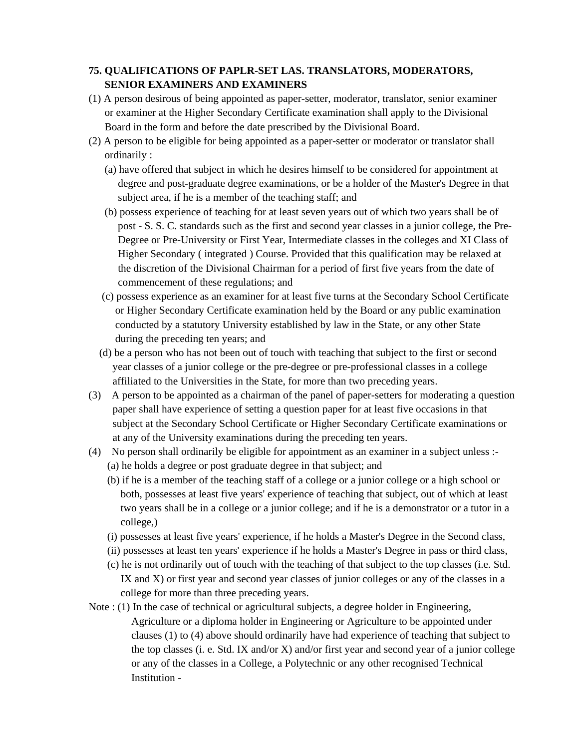# **75. QUALIFICATIONS OF PAPLR-SET LAS. TRANSLATORS, MODERATORS, SENIOR EXAMINERS AND EXAMINERS**

- (1) A person desirous of being appointed as paper-setter, moderator, translator, senior examiner or examiner at the Higher Secondary Certificate examination shall apply to the Divisional Board in the form and before the date prescribed by the Divisional Board.
- (2) A person to be eligible for being appointed as a paper-setter or moderator or translator shall ordinarily :
	- (a) have offered that subject in which he desires himself to be considered for appointment at degree and post-graduate degree examinations, or be a holder of the Master's Degree in that subject area, if he is a member of the teaching staff; and
	- (b) possess experience of teaching for at least seven years out of which two years shall be of post - S. S. C. standards such as the first and second year classes in a junior college, the Pre- Degree or Pre-University or First Year, Intermediate classes in the colleges and XI Class of Higher Secondary ( integrated ) Course. Provided that this qualification may be relaxed at the discretion of the Divisional Chairman for a period of first five years from the date of commencement of these regulations; and
	- (c) possess experience as an examiner for at least five turns at the Secondary School Certificate or Higher Secondary Certificate examination held by the Board or any public examination conducted by a statutory University established by law in the State, or any other State during the preceding ten years; and
	- (d) be a person who has not been out of touch with teaching that subject to the first or second year classes of a junior college or the pre-degree or pre-professional classes in a college affiliated to the Universities in the State, for more than two preceding years.
- (3) A person to be appointed as a chairman of the panel of paper-setters for moderating a question paper shall have experience of setting a question paper for at least five occasions in that subject at the Secondary School Certificate or Higher Secondary Certificate examinations or at any of the University examinations during the preceding ten years.
- (4) No person shall ordinarily be eligible for appointment as an examiner in a subject unless :- (a) he holds a degree or post graduate degree in that subject; and
	- (b) if he is a member of the teaching staff of a college or a junior college or a high school or both, possesses at least five years' experience of teaching that subject, out of which at least two years shall be in a college or a junior college; and if he is a demonstrator or a tutor in a college,)
	- (i) possesses at least five years' experience, if he holds a Master's Degree in the Second class,
	- (ii) possesses at least ten years' experience if he holds a Master's Degree in pass or third class,
	- (c) he is not ordinarily out of touch with the teaching of that subject to the top classes (i.e. Std. IX and X) or first year and second year classes of junior colleges or any of the classes in a college for more than three preceding years.
- Note : (1) In the case of technical or agricultural subjects, a degree holder in Engineering, Agriculture or a diploma holder in Engineering or Agriculture to be appointed under clauses (1) to (4) above should ordinarily have had experience of teaching that subject to the top classes (i. e. Std. IX and/or X) and/or first year and second year of a junior college or any of the classes in a College, a Polytechnic or any other recognised Technical Institution -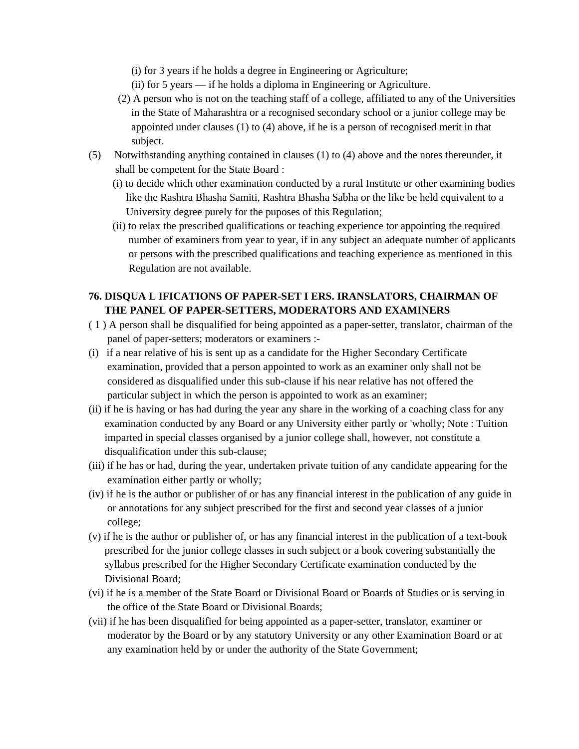(i) for 3 years if he holds a degree in Engineering or Agriculture;

- (ii) for 5 years if he holds a diploma in Engineering or Agriculture.
- (2) A person who is not on the teaching staff of a college, affiliated to any of the Universities in the State of Maharashtra or a recognised secondary school or a junior college may be appointed under clauses (1) to (4) above, if he is a person of recognised merit in that subject.
- (5) Notwithstanding anything contained in clauses (1) to (4) above and the notes thereunder, it shall be competent for the State Board :
	- (i) to decide which other examination conducted by a rural Institute or other examining bodies like the Rashtra Bhasha Samiti, Rashtra Bhasha Sabha or the like be held equivalent to a University degree purely for the puposes of this Regulation;
	- (ii) to relax the prescribed qualifications or teaching experience tor appointing the required number of examiners from year to year, if in any subject an adequate number of applicants or persons with the prescribed qualifications and teaching experience as mentioned in this Regulation are not available.

## **76. DISQUA L IFICATIONS OF PAPER-SET I ERS. IRANSLATORS, CHAIRMAN OF THE PANEL OF PAPER-SETTERS, MODERATORS AND EXAMINERS**

- ( 1 ) A person shall be disqualified for being appointed as a paper-setter, translator, chairman of the panel of paper-setters; moderators or examiners :-
- (i) if a near relative of his is sent up as a candidate for the Higher Secondary Certificate examination, provided that a person appointed to work as an examiner only shall not be considered as disqualified under this sub-clause if his near relative has not offered the particular subject in which the person is appointed to work as an examiner;
- (ii) if he is having or has had during the year any share in the working of a coaching class for any examination conducted by any Board or any University either partly or 'wholly; Note : Tuition imparted in special classes organised by a junior college shall, however, not constitute a disqualification under this sub-clause;
- (iii) if he has or had, during the year, undertaken private tuition of any candidate appearing for the examination either partly or wholly;
- (iv) if he is the author or publisher of or has any financial interest in the publication of any guide in or annotations for any subject prescribed for the first and second year classes of a junior college;
- (v) if he is the author or publisher of, or has any financial interest in the publication of a text-book prescribed for the junior college classes in such subject or a book covering substantially the syllabus prescribed for the Higher Secondary Certificate examination conducted by the Divisional Board;
- (vi) if he is a member of the State Board or Divisional Board or Boards of Studies or is serving in the office of the State Board or Divisional Boards;
- (vii) if he has been disqualified for being appointed as a paper-setter, translator, examiner or moderator by the Board or by any statutory University or any other Examination Board or at any examination held by or under the authority of the State Government;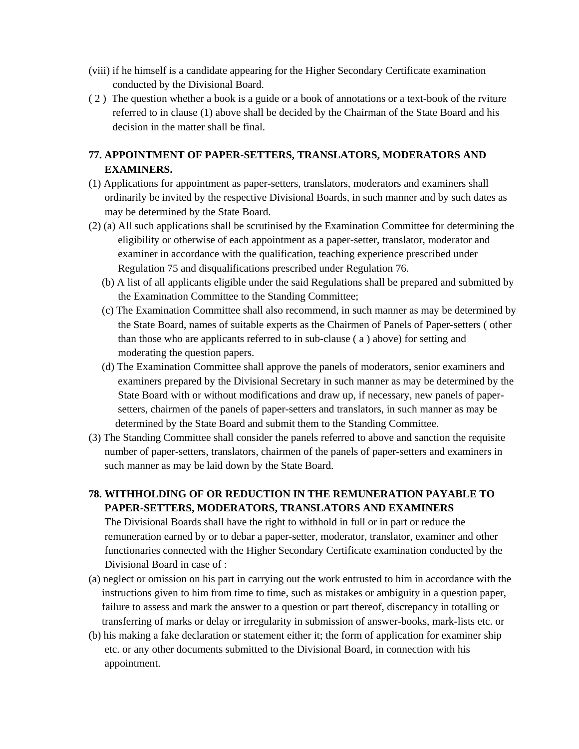- (viii) if he himself is a candidate appearing for the Higher Secondary Certificate examination conducted by the Divisional Board.
- ( 2 ) The question whether a book is a guide or a book of annotations or a text-book of the rviture referred to in clause (1) above shall be decided by the Chairman of the State Board and his decision in the matter shall be final.

## **77. APPOINTMENT OF PAPER-SETTERS, TRANSLATORS, MODERATORS AND EXAMINERS.**

- (1) Applications for appointment as paper-setters, translators, moderators and examiners shall ordinarily be invited by the respective Divisional Boards, in such manner and by such dates as may be determined by the State Board.
- (2) (a) All such applications shall be scrutinised by the Examination Committee for determining the eligibility or otherwise of each appointment as a paper-setter, translator, moderator and examiner in accordance with the qualification, teaching experience prescribed under Regulation 75 and disqualifications prescribed under Regulation 76.
	- (b) A list of all applicants eligible under the said Regulations shall be prepared and submitted by the Examination Committee to the Standing Committee;
	- (c) The Examination Committee shall also recommend, in such manner as may be determined by the State Board, names of suitable experts as the Chairmen of Panels of Paper-setters ( other than those who are applicants referred to in sub-clause ( a ) above) for setting and moderating the question papers.
	- (d) The Examination Committee shall approve the panels of moderators, senior examiners and examiners prepared by the Divisional Secretary in such manner as may be determined by the State Board with or without modifications and draw up, if necessary, new panels of paper setters, chairmen of the panels of paper-setters and translators, in such manner as may be determined by the State Board and submit them to the Standing Committee.
- (3) The Standing Committee shall consider the panels referred to above and sanction the requisite number of paper-setters, translators, chairmen of the panels of paper-setters and examiners in such manner as may be laid down by the State Board.

# **78. WITHHOLDING OF OR REDUCTION IN THE REMUNERATION PAYABLE TO PAPER-SETTERS, MODERATORS, TRANSLATORS AND EXAMINERS**

 The Divisional Boards shall have the right to withhold in full or in part or reduce the remuneration earned by or to debar a paper-setter, moderator, translator, examiner and other functionaries connected with the Higher Secondary Certificate examination conducted by the Divisional Board in case of :

- (a) neglect or omission on his part in carrying out the work entrusted to him in accordance with the instructions given to him from time to time, such as mistakes or ambiguity in a question paper, failure to assess and mark the answer to a question or part thereof, discrepancy in totalling or transferring of marks or delay or irregularity in submission of answer-books, mark-lists etc. or
- (b) his making a fake declaration or statement either it; the form of application for examiner ship etc. or any other documents submitted to the Divisional Board, in connection with his appointment.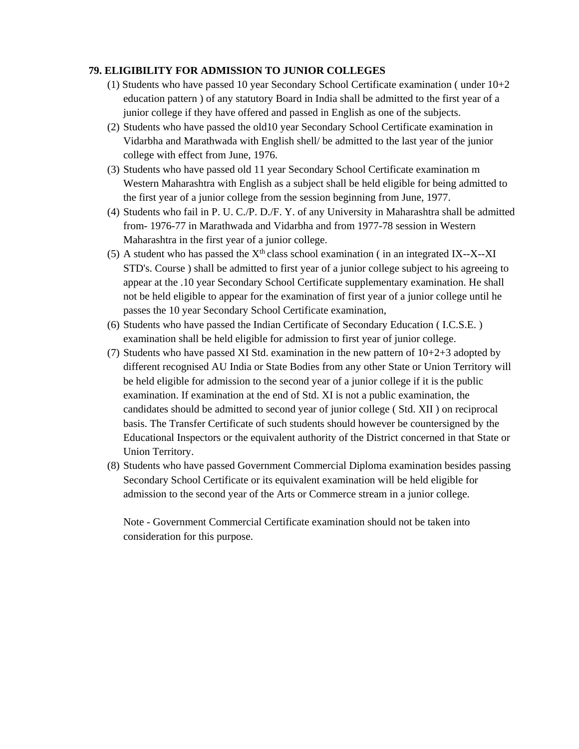## **79. ELIGIBILITY FOR ADMISSION TO JUNIOR COLLEGES**

- (1) Students who have passed 10 year Secondary School Certificate examination ( under 10+2 education pattern ) of any statutory Board in India shall be admitted to the first year of a junior college if they have offered and passed in English as one of the subjects.
- (2) Students who have passed the old10 year Secondary School Certificate examination in Vidarbha and Marathwada with English shell/ be admitted to the last year of the junior college with effect from June, 1976.
- (3) Students who have passed old 11 year Secondary School Certificate examination m Western Maharashtra with English as a subject shall be held eligible for being admitted to the first year of a junior college from the session beginning from June, 1977.
- (4) Students who fail in P. U. C./P. D./F. Y. of any University in Maharashtra shall be admitted from- 1976-77 in Marathwada and Vidarbha and from 1977-78 session in Western Maharashtra in the first year of a junior college.
- (5) A student who has passed the  $X<sup>th</sup>$  class school examination (in an integrated IX--X--XI STD's. Course ) shall be admitted to first year of a junior college subject to his agreeing to appear at the .10 year Secondary School Certificate supplementary examination. He shall not be held eligible to appear for the examination of first year of a junior college until he passes the 10 year Secondary School Certificate examination,
- (6) Students who have passed the Indian Certificate of Secondary Education ( I.C.S.E. ) examination shall be held eligible for admission to first year of junior college.
- (7) Students who have passed XI Std. examination in the new pattern of 10+2+3 adopted by different recognised AU India or State Bodies from any other State or Union Territory will be held eligible for admission to the second year of a junior college if it is the public examination. If examination at the end of Std. XI is not a public examination, the candidates should be admitted to second year of junior college ( Std. XII ) on reciprocal basis. The Transfer Certificate of such students should however be countersigned by the Educational Inspectors or the equivalent authority of the District concerned in that State or Union Territory.
- (8) Students who have passed Government Commercial Diploma examination besides passing Secondary School Certificate or its equivalent examination will be held eligible for admission to the second year of the Arts or Commerce stream in a junior college.

Note - Government Commercial Certificate examination should not be taken into consideration for this purpose.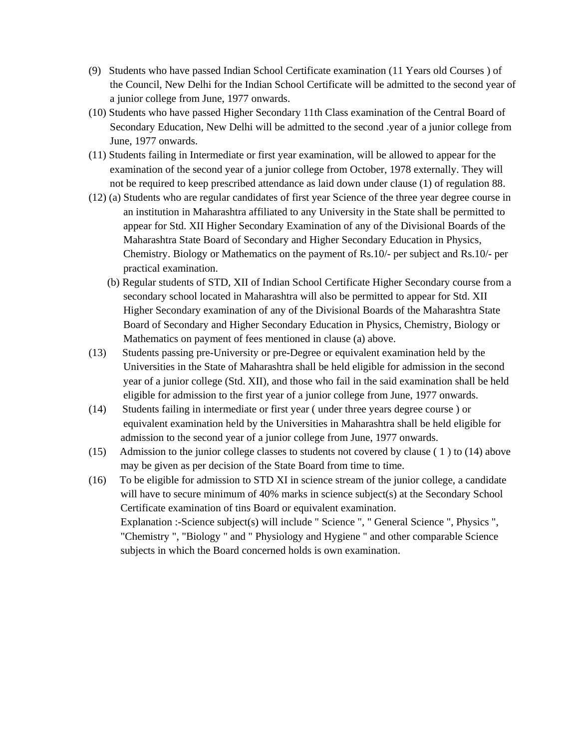- (9) Students who have passed Indian School Certificate examination (11 Years old Courses ) of the Council, New Delhi for the Indian School Certificate will be admitted to the second year of a junior college from June, 1977 onwards.
- (10) Students who have passed Higher Secondary 11th Class examination of the Central Board of Secondary Education, New Delhi will be admitted to the second .year of a junior college from June, 1977 onwards.
- (11) Students failing in Intermediate or first year examination, will be allowed to appear for the examination of the second year of a junior college from October, 1978 externally. They will not be required to keep prescribed attendance as laid down under clause (1) of regulation 88.
- (12) (a) Students who are regular candidates of first year Science of the three year degree course in an institution in Maharashtra affiliated to any University in the State shall be permitted to appear for Std. XII Higher Secondary Examination of any of the Divisional Boards of the Maharashtra State Board of Secondary and Higher Secondary Education in Physics, Chemistry. Biology or Mathematics on the payment of Rs.10/- per subject and Rs.10/- per practical examination.
	- (b) Regular students of STD, XII of Indian School Certificate Higher Secondary course from a secondary school located in Maharashtra will also be permitted to appear for Std. XII Higher Secondary examination of any of the Divisional Boards of the Maharashtra State Board of Secondary and Higher Secondary Education in Physics, Chemistry, Biology or Mathematics on payment of fees mentioned in clause (a) above.
- (13) Students passing pre-University or pre-Degree or equivalent examination held by the Universities in the State of Maharashtra shall be held eligible for admission in the second year of a junior college (Std. XII), and those who fail in the said examination shall be held eligible for admission to the first year of a junior college from June, 1977 onwards.
- (14) Students failing in intermediate or first year ( under three years degree course ) or equivalent examination held by the Universities in Maharashtra shall be held eligible for admission to the second year of a junior college from June, 1977 onwards.
- (15) Admission to the junior college classes to students not covered by clause ( 1 ) to (14) above may be given as per decision of the State Board from time to time.
- (16) To be eligible for admission to STD XI in science stream of the junior college, a candidate will have to secure minimum of 40% marks in science subject(s) at the Secondary School Certificate examination of tins Board or equivalent examination. Explanation :-Science subject(s) will include " Science ", " General Science ", Physics ", "Chemistry ", "Biology " and " Physiology and Hygiene " and other comparable Science subjects in which the Board concerned holds is own examination.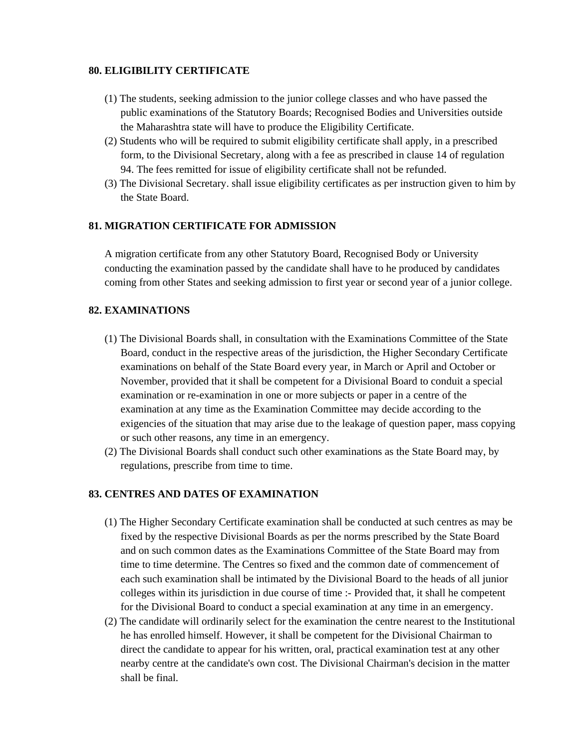## **80. ELIGIBILITY CERTIFICATE**

- (1) The students, seeking admission to the junior college classes and who have passed the public examinations of the Statutory Boards; Recognised Bodies and Universities outside the Maharashtra state will have to produce the Eligibility Certificate.
- (2) Students who will be required to submit eligibility certificate shall apply, in a prescribed form, to the Divisional Secretary, along with a fee as prescribed in clause 14 of regulation 94. The fees remitted for issue of eligibility certificate shall not be refunded.
- (3) The Divisional Secretary. shall issue eligibility certificates as per instruction given to him by the State Board.

## **81. MIGRATION CERTIFICATE FOR ADMISSION**

 A migration certificate from any other Statutory Board, Recognised Body or University conducting the examination passed by the candidate shall have to he produced by candidates coming from other States and seeking admission to first year or second year of a junior college.

## **82. EXAMINATIONS**

- (1) The Divisional Boards shall, in consultation with the Examinations Committee of the State Board, conduct in the respective areas of the jurisdiction, the Higher Secondary Certificate examinations on behalf of the State Board every year, in March or April and October or November, provided that it shall be competent for a Divisional Board to conduit a special examination or re-examination in one or more subjects or paper in a centre of the examination at any time as the Examination Committee may decide according to the exigencies of the situation that may arise due to the leakage of question paper, mass copying or such other reasons, any time in an emergency.
- (2) The Divisional Boards shall conduct such other examinations as the State Board may, by regulations, prescribe from time to time.

## **83. CENTRES AND DATES OF EXAMINATION**

- (1) The Higher Secondary Certificate examination shall be conducted at such centres as may be fixed by the respective Divisional Boards as per the norms prescribed by the State Board and on such common dates as the Examinations Committee of the State Board may from time to time determine. The Centres so fixed and the common date of commencement of each such examination shall be intimated by the Divisional Board to the heads of all junior colleges within its jurisdiction in due course of time :- Provided that, it shall he competent for the Divisional Board to conduct a special examination at any time in an emergency.
- (2) The candidate will ordinarily select for the examination the centre nearest to the Institutional he has enrolled himself. However, it shall be competent for the Divisional Chairman to direct the candidate to appear for his written, oral, practical examination test at any other nearby centre at the candidate's own cost. The Divisional Chairman's decision in the matter shall be final.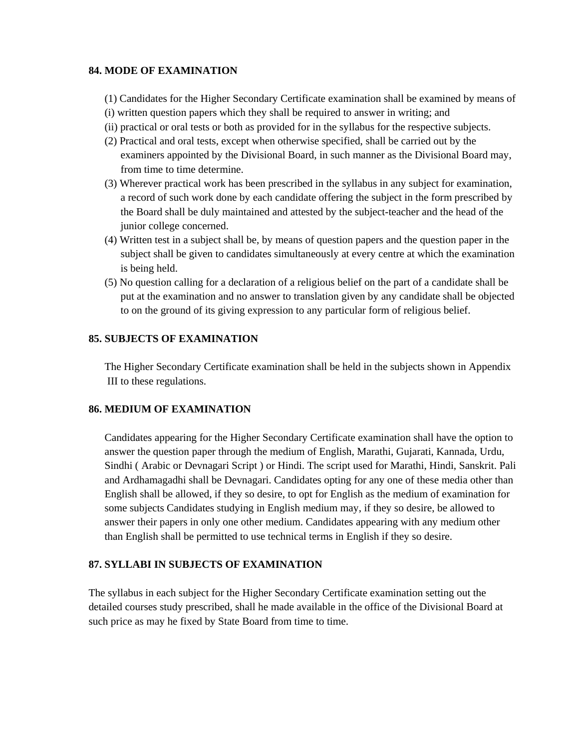## **84. MODE OF EXAMINATION**

- (1) Candidates for the Higher Secondary Certificate examination shall be examined by means of
- (i) written question papers which they shall be required to answer in writing; and
- (ii) practical or oral tests or both as provided for in the syllabus for the respective subjects.
- (2) Practical and oral tests, except when otherwise specified, shall be carried out by the examiners appointed by the Divisional Board, in such manner as the Divisional Board may, from time to time determine.
- (3) Wherever practical work has been prescribed in the syllabus in any subject for examination, a record of such work done by each candidate offering the subject in the form prescribed by the Board shall be duly maintained and attested by the subject-teacher and the head of the junior college concerned.
- (4) Written test in a subject shall be, by means of question papers and the question paper in the subject shall be given to candidates simultaneously at every centre at which the examination is being held.
- (5) No question calling for a declaration of a religious belief on the part of a candidate shall be put at the examination and no answer to translation given by any candidate shall be objected to on the ground of its giving expression to any particular form of religious belief.

## **85. SUBJECTS OF EXAMINATION**

 The Higher Secondary Certificate examination shall be held in the subjects shown in Appendix III to these regulations.

#### **86. MEDIUM OF EXAMINATION**

 Candidates appearing for the Higher Secondary Certificate examination shall have the option to answer the question paper through the medium of English, Marathi, Gujarati, Kannada, Urdu, Sindhi ( Arabic or Devnagari Script ) or Hindi. The script used for Marathi, Hindi, Sanskrit. Pali and Ardhamagadhi shall be Devnagari. Candidates opting for any one of these media other than English shall be allowed, if they so desire, to opt for English as the medium of examination for some subjects Candidates studying in English medium may, if they so desire, be allowed to answer their papers in only one other medium. Candidates appearing with any medium other than English shall be permitted to use technical terms in English if they so desire.

## **87. SYLLABI IN SUBJECTS OF EXAMINATION**

The syllabus in each subject for the Higher Secondary Certificate examination setting out the detailed courses study prescribed, shall he made available in the office of the Divisional Board at such price as may he fixed by State Board from time to time.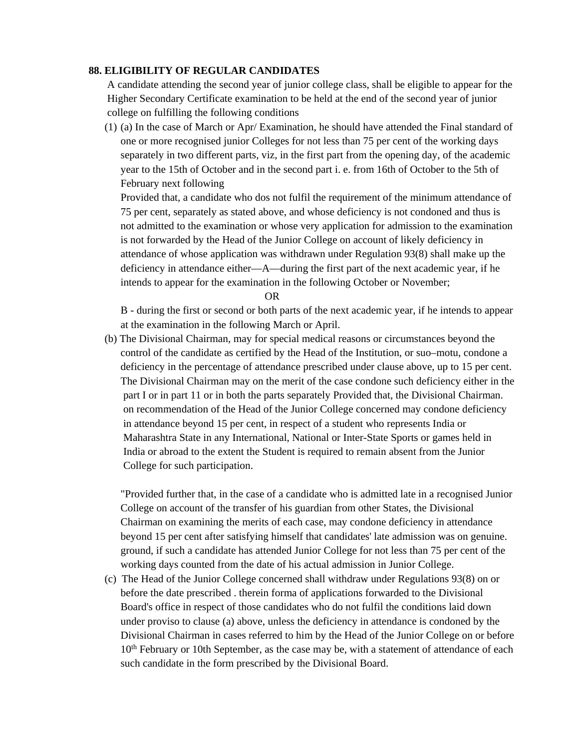#### **88. ELIGIBILITY OF REGULAR CANDIDATES**

 A candidate attending the second year of junior college class, shall be eligible to appear for the Higher Secondary Certificate examination to be held at the end of the second year of junior college on fulfilling the following conditions

(1) (a) In the case of March or Apr/ Examination, he should have attended the Final standard of one or more recognised junior Colleges for not less than 75 per cent of the working days separately in two different parts, viz, in the first part from the opening day, of the academic year to the 15th of October and in the second part i. e. from 16th of October to the 5th of February next following

Provided that, a candidate who dos not fulfil the requirement of the minimum attendance of 75 per cent, separately as stated above, and whose deficiency is not condoned and thus is not admitted to the examination or whose very application for admission to the examination is not forwarded by the Head of the Junior College on account of likely deficiency in attendance of whose application was withdrawn under Regulation 93(8) shall make up the deficiency in attendance either—A—during the first part of the next academic year, if he intends to appear for the examination in the following October or November;

OR

B - during the first or second or both parts of the next academic year, if he intends to appear at the examination in the following March or April.

(b) The Divisional Chairman, may for special medical reasons or circumstances beyond the control of the candidate as certified by the Head of the Institution, or suo–motu, condone a deficiency in the percentage of attendance prescribed under clause above, up to 15 per cent. The Divisional Chairman may on the merit of the case condone such deficiency either in the part I or in part 11 or in both the parts separately Provided that, the Divisional Chairman. on recommendation of the Head of the Junior College concerned may condone deficiency in attendance beyond 15 per cent, in respect of a student who represents India or Maharashtra State in any International, National or Inter-State Sports or games held in India or abroad to the extent the Student is required to remain absent from the Junior College for such participation.

"Provided further that, in the case of a candidate who is admitted late in a recognised Junior College on account of the transfer of his guardian from other States, the Divisional Chairman on examining the merits of each case, may condone deficiency in attendance beyond 15 per cent after satisfying himself that candidates' late admission was on genuine. ground, if such a candidate has attended Junior College for not less than 75 per cent of the working days counted from the date of his actual admission in Junior College.

 (c) The Head of the Junior College concerned shall withdraw under Regulations 93(8) on or before the date prescribed . therein forma of applications forwarded to the Divisional Board's office in respect of those candidates who do not fulfil the conditions laid down under proviso to clause (a) above, unless the deficiency in attendance is condoned by the Divisional Chairman in cases referred to him by the Head of the Junior College on or before 10<sup>th</sup> February or 10th September, as the case may be, with a statement of attendance of each such candidate in the form prescribed by the Divisional Board.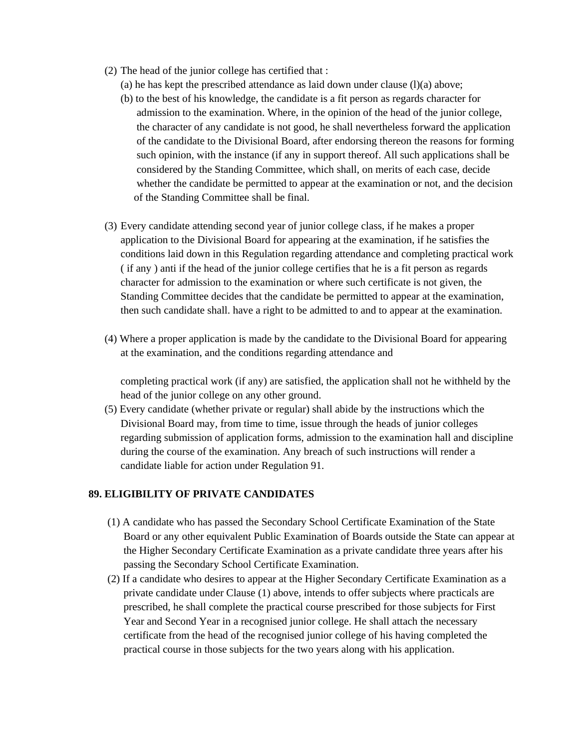- (2) The head of the junior college has certified that :
	- (a) he has kept the prescribed attendance as laid down under clause  $(l)(a)$  above;
	- (b) to the best of his knowledge, the candidate is a fit person as regards character for admission to the examination. Where, in the opinion of the head of the junior college, the character of any candidate is not good, he shall nevertheless forward the application of the candidate to the Divisional Board, after endorsing thereon the reasons for forming such opinion, with the instance (if any in support thereof. All such applications shall be considered by the Standing Committee, which shall, on merits of each case, decide whether the candidate be permitted to appear at the examination or not, and the decision of the Standing Committee shall be final.
- (3) Every candidate attending second year of junior college class, if he makes a proper application to the Divisional Board for appearing at the examination, if he satisfies the conditions laid down in this Regulation regarding attendance and completing practical work ( if any ) anti if the head of the junior college certifies that he is a fit person as regards character for admission to the examination or where such certificate is not given, the Standing Committee decides that the candidate be permitted to appear at the examination, then such candidate shall. have a right to be admitted to and to appear at the examination.
- (4) Where a proper application is made by the candidate to the Divisional Board for appearing at the examination, and the conditions regarding attendance and

completing practical work (if any) are satisfied, the application shall not he withheld by the head of the junior college on any other ground.

 (5) Every candidate (whether private or regular) shall abide by the instructions which the Divisional Board may, from time to time, issue through the heads of junior colleges regarding submission of application forms, admission to the examination hall and discipline during the course of the examination. Any breach of such instructions will render a candidate liable for action under Regulation 91.

## **89. ELIGIBILITY OF PRIVATE CANDIDATES**

- (1) A candidate who has passed the Secondary School Certificate Examination of the State Board or any other equivalent Public Examination of Boards outside the State can appear at the Higher Secondary Certificate Examination as a private candidate three years after his passing the Secondary School Certificate Examination.
- (2) If a candidate who desires to appear at the Higher Secondary Certificate Examination as a private candidate under Clause (1) above, intends to offer subjects where practicals are prescribed, he shall complete the practical course prescribed for those subjects for First Year and Second Year in a recognised junior college. He shall attach the necessary certificate from the head of the recognised junior college of his having completed the practical course in those subjects for the two years along with his application.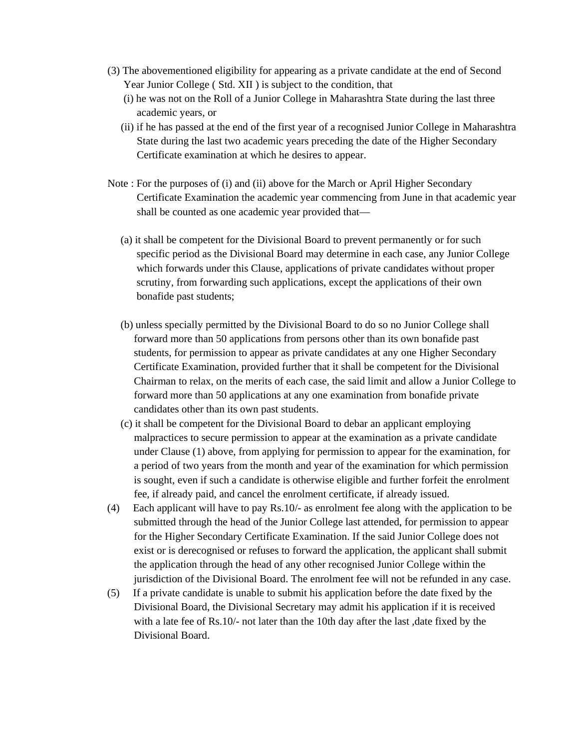- (3) The abovementioned eligibility for appearing as a private candidate at the end of Second Year Junior College ( Std. XII ) is subject to the condition, that
	- (i) he was not on the Roll of a Junior College in Maharashtra State during the last three academic years, or
	- (ii) if he has passed at the end of the first year of a recognised Junior College in Maharashtra State during the last two academic years preceding the date of the Higher Secondary Certificate examination at which he desires to appear.
- Note : For the purposes of (i) and (ii) above for the March or April Higher Secondary Certificate Examination the academic year commencing from June in that academic year shall be counted as one academic year provided that—
	- (a) it shall be competent for the Divisional Board to prevent permanently or for such specific period as the Divisional Board may determine in each case, any Junior College which forwards under this Clause, applications of private candidates without proper scrutiny, from forwarding such applications, except the applications of their own bonafide past students;
	- (b) unless specially permitted by the Divisional Board to do so no Junior College shall forward more than 50 applications from persons other than its own bonafide past students, for permission to appear as private candidates at any one Higher Secondary Certificate Examination, provided further that it shall be competent for the Divisional Chairman to relax, on the merits of each case, the said limit and allow a Junior College to forward more than 50 applications at any one examination from bonafide private candidates other than its own past students.
	- (c) it shall be competent for the Divisional Board to debar an applicant employing malpractices to secure permission to appear at the examination as a private candidate under Clause (1) above, from applying for permission to appear for the examination, for a period of two years from the month and year of the examination for which permission is sought, even if such a candidate is otherwise eligible and further forfeit the enrolment fee, if already paid, and cancel the enrolment certificate, if already issued.
- (4) Each applicant will have to pay Rs.10/- as enrolment fee along with the application to be submitted through the head of the Junior College last attended, for permission to appear for the Higher Secondary Certificate Examination. If the said Junior College does not exist or is derecognised or refuses to forward the application, the applicant shall submit the application through the head of any other recognised Junior College within the jurisdiction of the Divisional Board. The enrolment fee will not be refunded in any case.
- (5) If a private candidate is unable to submit his application before the date fixed by the Divisional Board, the Divisional Secretary may admit his application if it is received with a late fee of Rs.10/- not later than the 10th day after the last ,date fixed by the Divisional Board.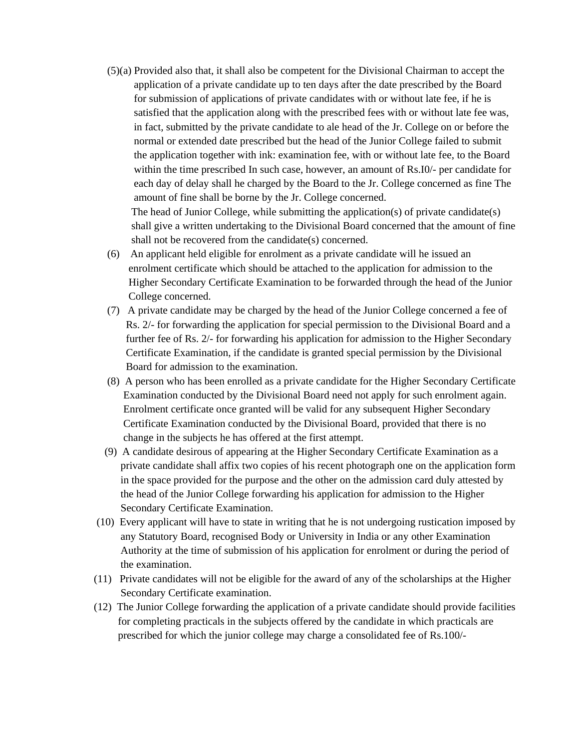(5)(a) Provided also that, it shall also be competent for the Divisional Chairman to accept the application of a private candidate up to ten days after the date prescribed by the Board for submission of applications of private candidates with or without late fee, if he is satisfied that the application along with the prescribed fees with or without late fee was, in fact, submitted by the private candidate to ale head of the Jr. College on or before the normal or extended date prescribed but the head of the Junior College failed to submit the application together with ink: examination fee, with or without late fee, to the Board within the time prescribed In such case, however, an amount of Rs.I0/- per candidate for each day of delay shall he charged by the Board to the Jr. College concerned as fine The amount of fine shall be borne by the Jr. College concerned.

The head of Junior College, while submitting the application(s) of private candidate(s) shall give a written undertaking to the Divisional Board concerned that the amount of fine shall not be recovered from the candidate(s) concerned.

- (6) An applicant held eligible for enrolment as a private candidate will he issued an enrolment certificate which should be attached to the application for admission to the Higher Secondary Certificate Examination to be forwarded through the head of the Junior College concerned.
- (7) A private candidate may be charged by the head of the Junior College concerned a fee of Rs. 2/- for forwarding the application for special permission to the Divisional Board and a further fee of Rs. 2/- for forwarding his application for admission to the Higher Secondary Certificate Examination, if the candidate is granted special permission by the Divisional Board for admission to the examination.
- (8) A person who has been enrolled as a private candidate for the Higher Secondary Certificate Examination conducted by the Divisional Board need not apply for such enrolment again. Enrolment certificate once granted will be valid for any subsequent Higher Secondary Certificate Examination conducted by the Divisional Board, provided that there is no change in the subjects he has offered at the first attempt.
- (9) A candidate desirous of appearing at the Higher Secondary Certificate Examination as a private candidate shall affix two copies of his recent photograph one on the application form in the space provided for the purpose and the other on the admission card duly attested by the head of the Junior College forwarding his application for admission to the Higher Secondary Certificate Examination.
- (10) Every applicant will have to state in writing that he is not undergoing rustication imposed by any Statutory Board, recognised Body or University in India or any other Examination Authority at the time of submission of his application for enrolment or during the period of the examination.
- (11) Private candidates will not be eligible for the award of any of the scholarships at the Higher Secondary Certificate examination.
- (12) The Junior College forwarding the application of a private candidate should provide facilities for completing practicals in the subjects offered by the candidate in which practicals are prescribed for which the junior college may charge a consolidated fee of Rs.100/-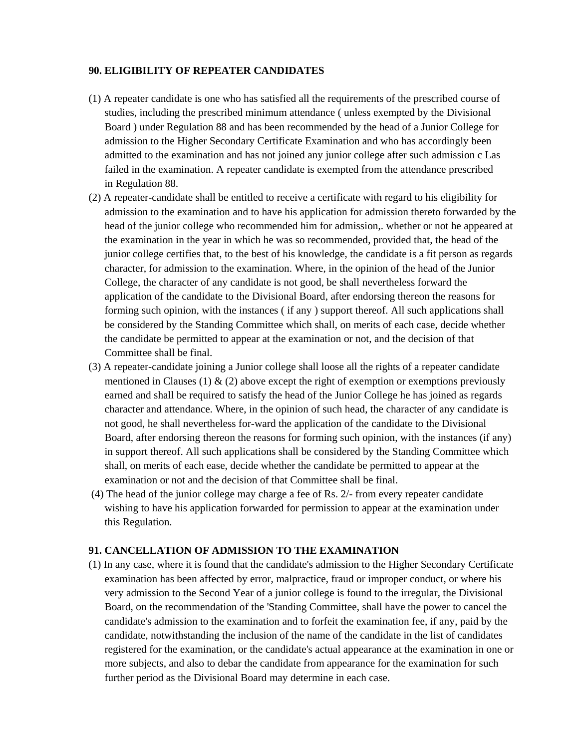#### **90. ELIGIBILITY OF REPEATER CANDIDATES**

- (1) A repeater candidate is one who has satisfied all the requirements of the prescribed course of studies, including the prescribed minimum attendance ( unless exempted by the Divisional Board ) under Regulation 88 and has been recommended by the head of a Junior College for admission to the Higher Secondary Certificate Examination and who has accordingly been admitted to the examination and has not joined any junior college after such admission c Las failed in the examination. A repeater candidate is exempted from the attendance prescribed in Regulation 88.
- (2) A repeater-candidate shall be entitled to receive a certificate with regard to his eligibility for admission to the examination and to have his application for admission thereto forwarded by the head of the junior college who recommended him for admission,. whether or not he appeared at the examination in the year in which he was so recommended, provided that, the head of the junior college certifies that, to the best of his knowledge, the candidate is a fit person as regards character, for admission to the examination. Where, in the opinion of the head of the Junior College, the character of any candidate is not good, be shall nevertheless forward the application of the candidate to the Divisional Board, after endorsing thereon the reasons for forming such opinion, with the instances ( if any ) support thereof. All such applications shall be considered by the Standing Committee which shall, on merits of each case, decide whether the candidate be permitted to appear at the examination or not, and the decision of that Committee shall be final.
- (3) A repeater-candidate joining a Junior college shall loose all the rights of a repeater candidate mentioned in Clauses (1) & (2) above except the right of exemption or exemptions previously earned and shall be required to satisfy the head of the Junior College he has joined as regards character and attendance. Where, in the opinion of such head, the character of any candidate is not good, he shall nevertheless for-ward the application of the candidate to the Divisional Board, after endorsing thereon the reasons for forming such opinion, with the instances (if any) in support thereof. All such applications shall be considered by the Standing Committee which shall, on merits of each ease, decide whether the candidate be permitted to appear at the examination or not and the decision of that Committee shall be final.
- (4) The head of the junior college may charge a fee of Rs. 2/- from every repeater candidate wishing to have his application forwarded for permission to appear at the examination under this Regulation.

#### **91. CANCELLATION OF ADMISSION TO THE EXAMINATION**

(1) In any case, where it is found that the candidate's admission to the Higher Secondary Certificate examination has been affected by error, malpractice, fraud or improper conduct, or where his very admission to the Second Year of a junior college is found to the irregular, the Divisional Board, on the recommendation of the 'Standing Committee, shall have the power to cancel the candidate's admission to the examination and to forfeit the examination fee, if any, paid by the candidate, notwithstanding the inclusion of the name of the candidate in the list of candidates registered for the examination, or the candidate's actual appearance at the examination in one or more subjects, and also to debar the candidate from appearance for the examination for such further period as the Divisional Board may determine in each case.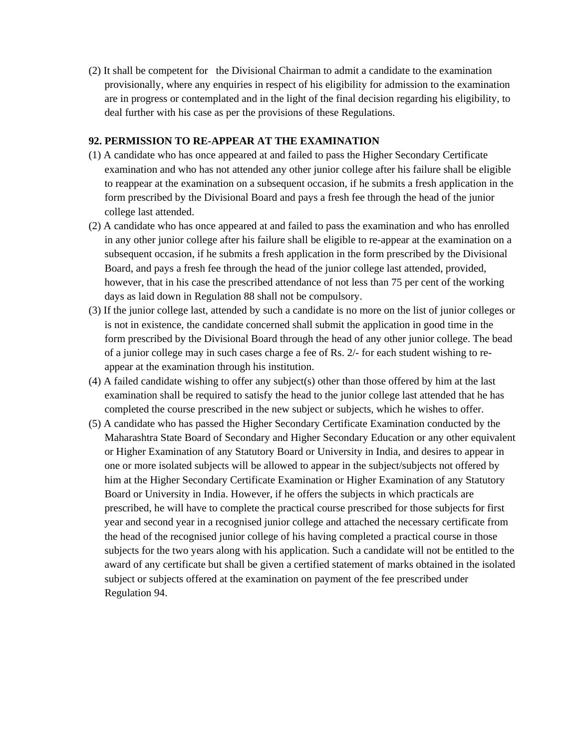(2) It shall be competent for the Divisional Chairman to admit a candidate to the examination provisionally, where any enquiries in respect of his eligibility for admission to the examination are in progress or contemplated and in the light of the final decision regarding his eligibility, to deal further with his case as per the provisions of these Regulations.

## **92. PERMISSION TO RE-APPEAR AT THE EXAMINATION**

- (1) A candidate who has once appeared at and failed to pass the Higher Secondary Certificate examination and who has not attended any other junior college after his failure shall be eligible to reappear at the examination on a subsequent occasion, if he submits a fresh application in the form prescribed by the Divisional Board and pays a fresh fee through the head of the junior college last attended.
- (2) A candidate who has once appeared at and failed to pass the examination and who has enrolled in any other junior college after his failure shall be eligible to re-appear at the examination on a subsequent occasion, if he submits a fresh application in the form prescribed by the Divisional Board, and pays a fresh fee through the head of the junior college last attended, provided, however, that in his case the prescribed attendance of not less than 75 per cent of the working days as laid down in Regulation 88 shall not be compulsory.
- (3) If the junior college last, attended by such a candidate is no more on the list of junior colleges or is not in existence, the candidate concerned shall submit the application in good time in the form prescribed by the Divisional Board through the head of any other junior college. The bead of a junior college may in such cases charge a fee of Rs. 2/- for each student wishing to re appear at the examination through his institution.
- (4) A failed candidate wishing to offer any subject(s) other than those offered by him at the last examination shall be required to satisfy the head to the junior college last attended that he has completed the course prescribed in the new subject or subjects, which he wishes to offer.
- (5) A candidate who has passed the Higher Secondary Certificate Examination conducted by the Maharashtra State Board of Secondary and Higher Secondary Education or any other equivalent or Higher Examination of any Statutory Board or University in India, and desires to appear in one or more isolated subjects will be allowed to appear in the subject/subjects not offered by him at the Higher Secondary Certificate Examination or Higher Examination of any Statutory Board or University in India. However, if he offers the subjects in which practicals are prescribed, he will have to complete the practical course prescribed for those subjects for first year and second year in a recognised junior college and attached the necessary certificate from the head of the recognised junior college of his having completed a practical course in those subjects for the two years along with his application. Such a candidate will not be entitled to the award of any certificate but shall be given a certified statement of marks obtained in the isolated subject or subjects offered at the examination on payment of the fee prescribed under Regulation 94.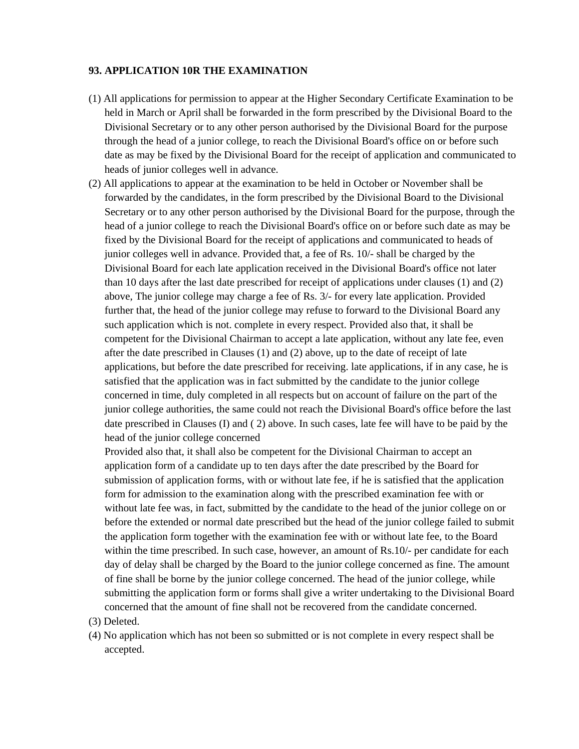#### **93. APPLICATION 10R THE EXAMINATION**

- (1) All applications for permission to appear at the Higher Secondary Certificate Examination to be held in March or April shall be forwarded in the form prescribed by the Divisional Board to the Divisional Secretary or to any other person authorised by the Divisional Board for the purpose through the head of a junior college, to reach the Divisional Board's office on or before such date as may be fixed by the Divisional Board for the receipt of application and communicated to heads of junior colleges well in advance.
- (2) All applications to appear at the examination to be held in October or November shall be forwarded by the candidates, in the form prescribed by the Divisional Board to the Divisional Secretary or to any other person authorised by the Divisional Board for the purpose, through the head of a junior college to reach the Divisional Board's office on or before such date as may be fixed by the Divisional Board for the receipt of applications and communicated to heads of junior colleges well in advance. Provided that, a fee of Rs. 10/- shall be charged by the Divisional Board for each late application received in the Divisional Board's office not later than 10 days after the last date prescribed for receipt of applications under clauses (1) and (2) above, The junior college may charge a fee of Rs. 3/- for every late application. Provided further that, the head of the junior college may refuse to forward to the Divisional Board any such application which is not. complete in every respect. Provided also that, it shall be competent for the Divisional Chairman to accept a late application, without any late fee, even after the date prescribed in Clauses (1) and (2) above, up to the date of receipt of late applications, but before the date prescribed for receiving. late applications, if in any case, he is satisfied that the application was in fact submitted by the candidate to the junior college concerned in time, duly completed in all respects but on account of failure on the part of the junior college authorities, the same could not reach the Divisional Board's office before the last date prescribed in Clauses (I) and ( 2) above. In such cases, late fee will have to be paid by the head of the junior college concerned

 Provided also that, it shall also be competent for the Divisional Chairman to accept an application form of a candidate up to ten days after the date prescribed by the Board for submission of application forms, with or without late fee, if he is satisfied that the application form for admission to the examination along with the prescribed examination fee with or without late fee was, in fact, submitted by the candidate to the head of the junior college on or before the extended or normal date prescribed but the head of the junior college failed to submit the application form together with the examination fee with or without late fee, to the Board within the time prescribed. In such case, however, an amount of Rs.10/- per candidate for each day of delay shall be charged by the Board to the junior college concerned as fine. The amount of fine shall be borne by the junior college concerned. The head of the junior college, while submitting the application form or forms shall give a writer undertaking to the Divisional Board concerned that the amount of fine shall not be recovered from the candidate concerned.

- (3) Deleted.
- (4) No application which has not been so submitted or is not complete in every respect shall be accepted.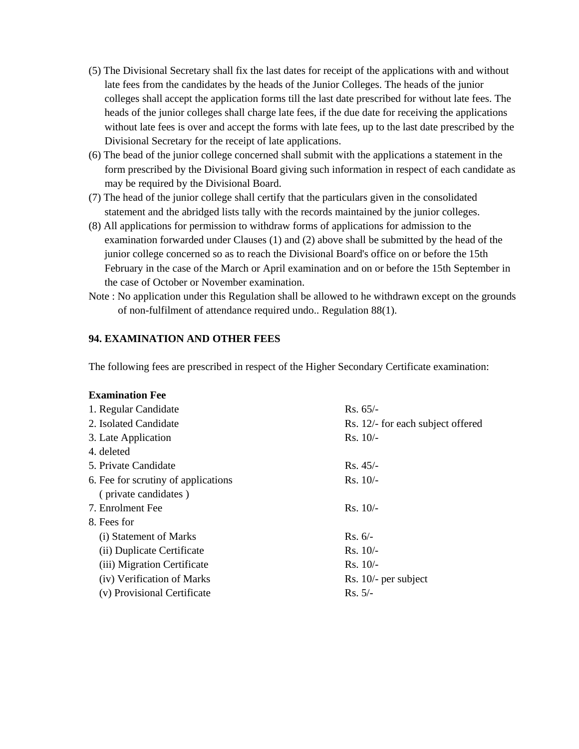- (5) The Divisional Secretary shall fix the last dates for receipt of the applications with and without late fees from the candidates by the heads of the Junior Colleges. The heads of the junior colleges shall accept the application forms till the last date prescribed for without late fees. The heads of the junior colleges shall charge late fees, if the due date for receiving the applications without late fees is over and accept the forms with late fees, up to the last date prescribed by the Divisional Secretary for the receipt of late applications.
- (6) The bead of the junior college concerned shall submit with the applications a statement in the form prescribed by the Divisional Board giving such information in respect of each candidate as may be required by the Divisional Board.
- (7) The head of the junior college shall certify that the particulars given in the consolidated statement and the abridged lists tally with the records maintained by the junior colleges.
- (8) All applications for permission to withdraw forms of applications for admission to the examination forwarded under Clauses (1) and (2) above shall be submitted by the head of the junior college concerned so as to reach the Divisional Board's office on or before the 15th February in the case of the March or April examination and on or before the 15th September in the case of October or November examination.
- Note : No application under this Regulation shall be allowed to he withdrawn except on the grounds of non-fulfilment of attendance required undo.. Regulation 88(1).

#### **94. EXAMINATION AND OTHER FEES**

The following fees are prescribed in respect of the Higher Secondary Certificate examination:

#### **Examination Fee**

| 1. Regular Candidate                | $Rs. 65/-$                        |  |
|-------------------------------------|-----------------------------------|--|
| 2. Isolated Candidate               | Rs. 12/- for each subject offered |  |
| 3. Late Application                 | $Rs. 10/-$                        |  |
| 4. deleted                          |                                   |  |
| 5. Private Candidate                | $Rs. 45/-$                        |  |
| 6. Fee for scrutiny of applications | $Rs. 10/-$                        |  |
| (private candidates)                |                                   |  |
| 7. Enrolment Fee                    | $Rs. 10/-$                        |  |
| 8. Fees for                         |                                   |  |
| (i) Statement of Marks              | $Rs. 6/-$                         |  |
| (ii) Duplicate Certificate          | $Rs. 10/-$                        |  |
| (iii) Migration Certificate         | $Rs. 10/-$                        |  |
| (iv) Verification of Marks          | Rs. $10/-$ per subject            |  |
| (v) Provisional Certificate         | $Rs. 5/-$                         |  |
|                                     |                                   |  |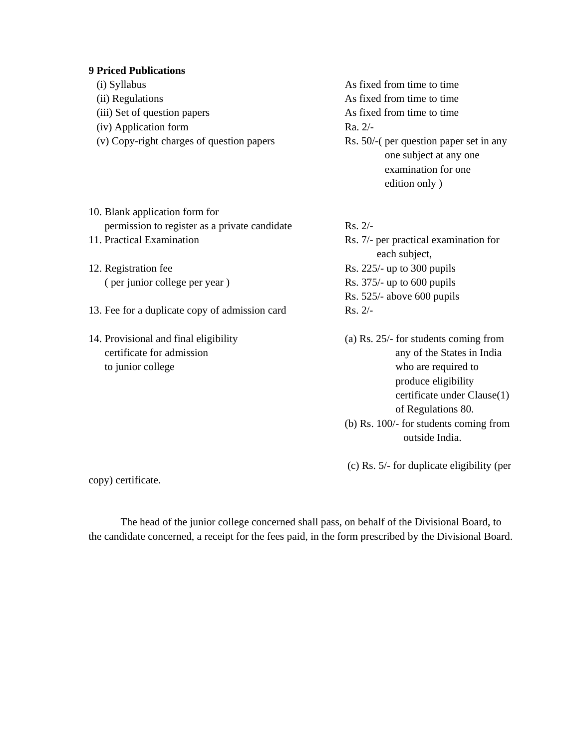#### **9 Priced Publications**

- (i) Syllabus As fixed from time to time (ii) Regulations As fixed from time to time (iii) Set of question papers As fixed from time to time (iv) Application form Ra. 2/- (v) Copy-right charges of question papers Rs. 50/-( per question paper set in any one subject at any one examination for one edition only )
- 10. Blank application form for permission to register as a private candidate Rs. 2/-
- 
- 12. Registration fee Rs. 225/- up to 300 pupils ( per junior college per year ) Rs. 375/- up to 600 pupils
- 13. Fee for a duplicate copy of admission card Rs. 2/-
- 14. Provisional and final eligibility (a) Rs. 25/- for students coming from to junior college who are required to

11. Practical Examination Rs. 7/- per practical examination for each subject, Rs. 525/- above 600 pupils

- certificate for admission any of the States in India produce eligibility certificate under Clause(1) of Regulations 80.
	- (b) Rs. 100/- for students coming from outside India.

(c) Rs. 5/- for duplicate eligibility (per

copy) certificate.

The head of the junior college concerned shall pass, on behalf of the Divisional Board, to the candidate concerned, a receipt for the fees paid, in the form prescribed by the Divisional Board.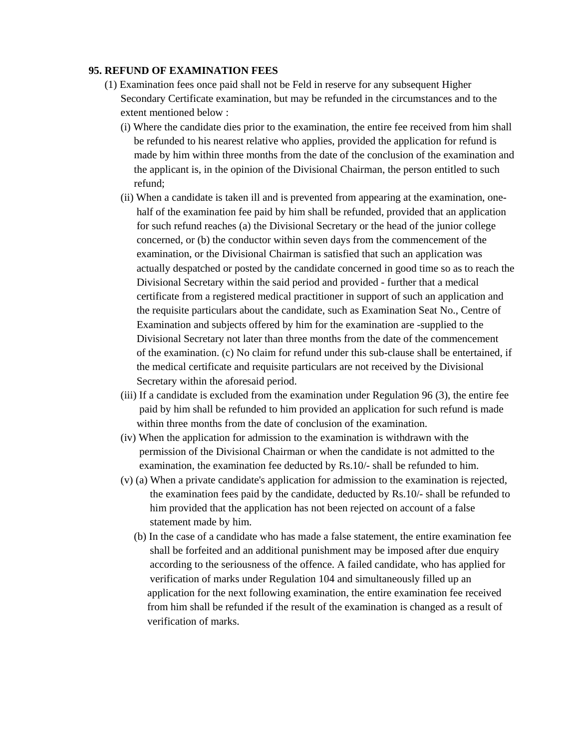#### **95. REFUND OF EXAMINATION FEES**

- (1) Examination fees once paid shall not be Feld in reserve for any subsequent Higher Secondary Certificate examination, but may be refunded in the circumstances and to the extent mentioned below :
	- (i) Where the candidate dies prior to the examination, the entire fee received from him shall be refunded to his nearest relative who applies, provided the application for refund is made by him within three months from the date of the conclusion of the examination and the applicant is, in the opinion of the Divisional Chairman, the person entitled to such refund;
	- (ii) When a candidate is taken ill and is prevented from appearing at the examination, one half of the examination fee paid by him shall be refunded, provided that an application for such refund reaches (a) the Divisional Secretary or the head of the junior college concerned, or (b) the conductor within seven days from the commencement of the examination, or the Divisional Chairman is satisfied that such an application was actually despatched or posted by the candidate concerned in good time so as to reach the Divisional Secretary within the said period and provided - further that a medical certificate from a registered medical practitioner in support of such an application and the requisite particulars about the candidate, such as Examination Seat No., Centre of Examination and subjects offered by him for the examination are -supplied to the Divisional Secretary not later than three months from the date of the commencement of the examination. (c) No claim for refund under this sub-clause shall be entertained, if the medical certificate and requisite particulars are not received by the Divisional Secretary within the aforesaid period.
	- (iii) If a candidate is excluded from the examination under Regulation 96 (3), the entire fee paid by him shall be refunded to him provided an application for such refund is made within three months from the date of conclusion of the examination.
	- (iv) When the application for admission to the examination is withdrawn with the permission of the Divisional Chairman or when the candidate is not admitted to the examination, the examination fee deducted by Rs.10/- shall be refunded to him.
	- (v) (a) When a private candidate's application for admission to the examination is rejected, the examination fees paid by the candidate, deducted by Rs.10/- shall be refunded to him provided that the application has not been rejected on account of a false statement made by him.
		- (b) In the case of a candidate who has made a false statement, the entire examination fee shall be forfeited and an additional punishment may be imposed after due enquiry according to the seriousness of the offence. A failed candidate, who has applied for verification of marks under Regulation 104 and simultaneously filled up an application for the next following examination, the entire examination fee received from him shall be refunded if the result of the examination is changed as a result of verification of marks.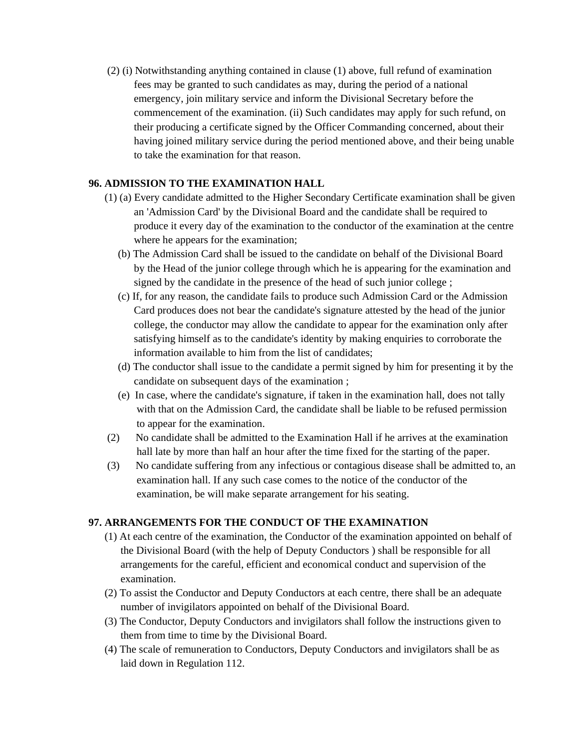(2) (i) Notwithstanding anything contained in clause (1) above, full refund of examination fees may be granted to such candidates as may, during the period of a national emergency, join military service and inform the Divisional Secretary before the commencement of the examination. (ii) Such candidates may apply for such refund, on their producing a certificate signed by the Officer Commanding concerned, about their having joined military service during the period mentioned above, and their being unable to take the examination for that reason.

## **96. ADMISSION TO THE EXAMINATION HALL**

- (1) (a) Every candidate admitted to the Higher Secondary Certificate examination shall be given an 'Admission Card' by the Divisional Board and the candidate shall be required to produce it every day of the examination to the conductor of the examination at the centre where he appears for the examination;
	- (b) The Admission Card shall be issued to the candidate on behalf of the Divisional Board by the Head of the junior college through which he is appearing for the examination and signed by the candidate in the presence of the head of such junior college ;
	- (c) If, for any reason, the candidate fails to produce such Admission Card or the Admission Card produces does not bear the candidate's signature attested by the head of the junior college, the conductor may allow the candidate to appear for the examination only after satisfying himself as to the candidate's identity by making enquiries to corroborate the information available to him from the list of candidates;
	- (d) The conductor shall issue to the candidate a permit signed by him for presenting it by the candidate on subsequent days of the examination ;
	- (e) In case, where the candidate's signature, if taken in the examination hall, does not tally with that on the Admission Card, the candidate shall be liable to be refused permission to appear for the examination.
- (2) No candidate shall be admitted to the Examination Hall if he arrives at the examination hall late by more than half an hour after the time fixed for the starting of the paper.
- (3) No candidate suffering from any infectious or contagious disease shall be admitted to, an examination hall. If any such case comes to the notice of the conductor of the examination, be will make separate arrangement for his seating.

## **97. ARRANGEMENTS FOR THE CONDUCT OF THE EXAMINATION**

- (1) At each centre of the examination, the Conductor of the examination appointed on behalf of the Divisional Board (with the help of Deputy Conductors ) shall be responsible for all arrangements for the careful, efficient and economical conduct and supervision of the examination.
- (2) To assist the Conductor and Deputy Conductors at each centre, there shall be an adequate number of invigilators appointed on behalf of the Divisional Board.
- (3) The Conductor, Deputy Conductors and invigilators shall follow the instructions given to them from time to time by the Divisional Board.
- (4) The scale of remuneration to Conductors, Deputy Conductors and invigilators shall be as laid down in Regulation 112.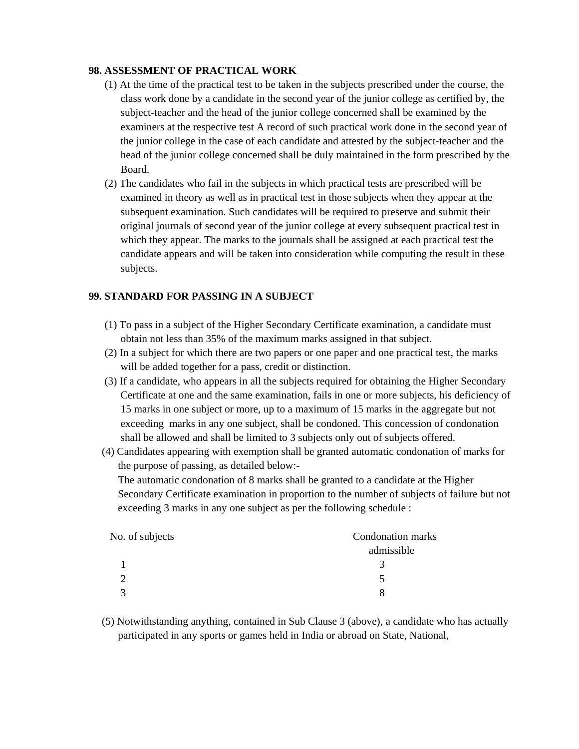## **98. ASSESSMENT OF PRACTICAL WORK**

- (1) At the time of the practical test to be taken in the subjects prescribed under the course, the class work done by a candidate in the second year of the junior college as certified by, the subject-teacher and the head of the junior college concerned shall be examined by the examiners at the respective test A record of such practical work done in the second year of the junior college in the case of each candidate and attested by the subject-teacher and the head of the junior college concerned shall be duly maintained in the form prescribed by the Board.
- (2) The candidates who fail in the subjects in which practical tests are prescribed will be examined in theory as well as in practical test in those subjects when they appear at the subsequent examination. Such candidates will be required to preserve and submit their original journals of second year of the junior college at every subsequent practical test in which they appear. The marks to the journals shall be assigned at each practical test the candidate appears and will be taken into consideration while computing the result in these subjects.

## **99. STANDARD FOR PASSING IN A SUBJECT**

- (1) To pass in a subject of the Higher Secondary Certificate examination, a candidate must obtain not less than 35% of the maximum marks assigned in that subject.
- (2) In a subject for which there are two papers or one paper and one practical test, the marks will be added together for a pass, credit or distinction.
- (3) If a candidate, who appears in all the subjects required for obtaining the Higher Secondary Certificate at one and the same examination, fails in one or more subjects, his deficiency of 15 marks in one subject or more, up to a maximum of 15 marks in the aggregate but not exceeding marks in any one subject, shall be condoned. This concession of condonation shall be allowed and shall be limited to 3 subjects only out of subjects offered.
- (4) Candidates appearing with exemption shall be granted automatic condonation of marks for the purpose of passing, as detailed below:-

 The automatic condonation of 8 marks shall be granted to a candidate at the Higher Secondary Certificate examination in proportion to the number of subjects of failure but not exceeding 3 marks in any one subject as per the following schedule :

| No. of subjects | Condonation marks |
|-----------------|-------------------|
|                 | admissible        |
|                 |                   |
|                 |                   |
|                 |                   |

 (5) Notwithstanding anything, contained in Sub Clause 3 (above), a candidate who has actually participated in any sports or games held in India or abroad on State, National,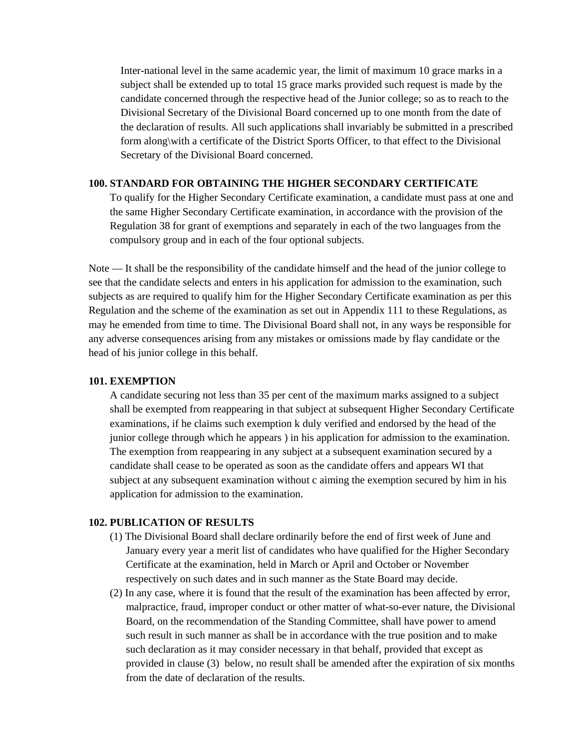Inter-national level in the same academic year, the limit of maximum 10 grace marks in a subject shall be extended up to total 15 grace marks provided such request is made by the candidate concerned through the respective head of the Junior college; so as to reach to the Divisional Secretary of the Divisional Board concerned up to one month from the date of the declaration of results. All such applications shall invariably be submitted in a prescribed form along\with a certificate of the District Sports Officer, to that effect to the Divisional Secretary of the Divisional Board concerned.

#### **100. STANDARD FOR OBTAINING THE HIGHER SECONDARY CERTIFICATE**

 To qualify for the Higher Secondary Certificate examination, a candidate must pass at one and the same Higher Secondary Certificate examination, in accordance with the provision of the Regulation 38 for grant of exemptions and separately in each of the two languages from the compulsory group and in each of the four optional subjects.

Note — It shall be the responsibility of the candidate himself and the head of the junior college to see that the candidate selects and enters in his application for admission to the examination, such subjects as are required to qualify him for the Higher Secondary Certificate examination as per this Regulation and the scheme of the examination as set out in Appendix 111 to these Regulations, as may he emended from time to time. The Divisional Board shall not, in any ways be responsible for any adverse consequences arising from any mistakes or omissions made by flay candidate or the head of his junior college in this behalf.

#### **101. EXEMPTION**

 A candidate securing not less than 35 per cent of the maximum marks assigned to a subject shall be exempted from reappearing in that subject at subsequent Higher Secondary Certificate examinations, if he claims such exemption k duly verified and endorsed by the head of the junior college through which he appears ) in his application for admission to the examination. The exemption from reappearing in any subject at a subsequent examination secured by a candidate shall cease to be operated as soon as the candidate offers and appears WI that subject at any subsequent examination without c aiming the exemption secured by him in his application for admission to the examination.

#### **102. PUBLICATION OF RESULTS**

- (1) The Divisional Board shall declare ordinarily before the end of first week of June and January every year a merit list of candidates who have qualified for the Higher Secondary Certificate at the examination, held in March or April and October or November respectively on such dates and in such manner as the State Board may decide.
- (2) In any case, where it is found that the result of the examination has been affected by error, malpractice, fraud, improper conduct or other matter of what-so-ever nature, the Divisional Board, on the recommendation of the Standing Committee, shall have power to amend such result in such manner as shall be in accordance with the true position and to make such declaration as it may consider necessary in that behalf, provided that except as provided in clause (3) below, no result shall be amended after the expiration of six months from the date of declaration of the results.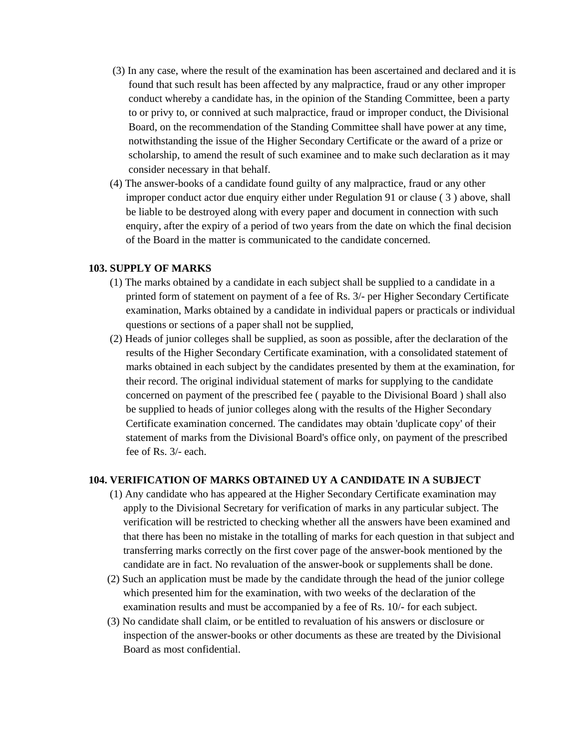- (3) In any case, where the result of the examination has been ascertained and declared and it is found that such result has been affected by any malpractice, fraud or any other improper conduct whereby a candidate has, in the opinion of the Standing Committee, been a party to or privy to, or connived at such malpractice, fraud or improper conduct, the Divisional Board, on the recommendation of the Standing Committee shall have power at any time, notwithstanding the issue of the Higher Secondary Certificate or the award of a prize or scholarship, to amend the result of such examinee and to make such declaration as it may consider necessary in that behalf.
- (4) The answer-books of a candidate found guilty of any malpractice, fraud or any other improper conduct actor due enquiry either under Regulation 91 or clause ( 3 ) above, shall be liable to be destroyed along with every paper and document in connection with such enquiry, after the expiry of a period of two years from the date on which the final decision of the Board in the matter is communicated to the candidate concerned.

#### **103. SUPPLY OF MARKS**

- (1) The marks obtained by a candidate in each subject shall be supplied to a candidate in a printed form of statement on payment of a fee of Rs. 3/- per Higher Secondary Certificate examination, Marks obtained by a candidate in individual papers or practicals or individual questions or sections of a paper shall not be supplied,
- (2) Heads of junior colleges shall be supplied, as soon as possible, after the declaration of the results of the Higher Secondary Certificate examination, with a consolidated statement of marks obtained in each subject by the candidates presented by them at the examination, for their record. The original individual statement of marks for supplying to the candidate concerned on payment of the prescribed fee ( payable to the Divisional Board ) shall also be supplied to heads of junior colleges along with the results of the Higher Secondary Certificate examination concerned. The candidates may obtain 'duplicate copy' of their statement of marks from the Divisional Board's office only, on payment of the prescribed fee of Rs. 3/- each.

#### **104. VERIFICATION OF MARKS OBTAINED UY A CANDIDATE IN A SUBJECT**

- (1) Any candidate who has appeared at the Higher Secondary Certificate examination may apply to the Divisional Secretary for verification of marks in any particular subject. The verification will be restricted to checking whether all the answers have been examined and that there has been no mistake in the totalling of marks for each question in that subject and transferring marks correctly on the first cover page of the answer-book mentioned by the candidate are in fact. No revaluation of the answer-book or supplements shall be done.
- (2) Such an application must be made by the candidate through the head of the junior college which presented him for the examination, with two weeks of the declaration of the examination results and must be accompanied by a fee of Rs. 10/- for each subject.
- (3) No candidate shall claim, or be entitled to revaluation of his answers or disclosure or inspection of the answer-books or other documents as these are treated by the Divisional Board as most confidential.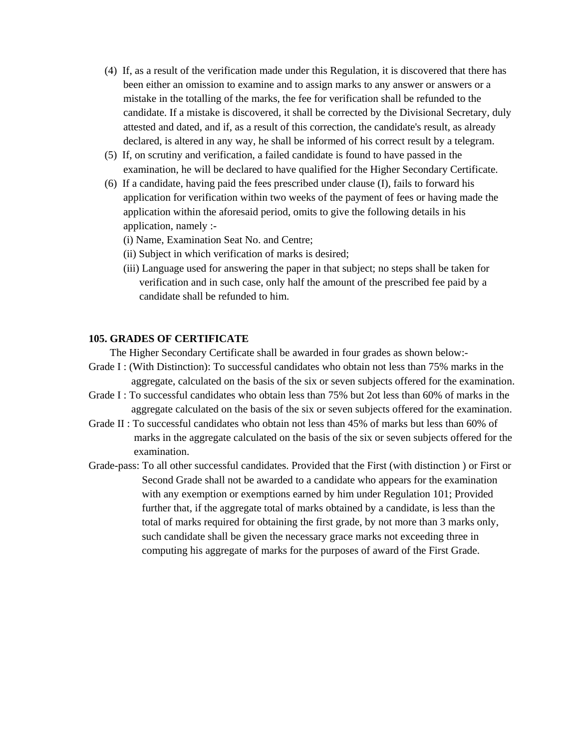- (4) If, as a result of the verification made under this Regulation, it is discovered that there has been either an omission to examine and to assign marks to any answer or answers or a mistake in the totalling of the marks, the fee for verification shall be refunded to the candidate. If a mistake is discovered, it shall be corrected by the Divisional Secretary, duly attested and dated, and if, as a result of this correction, the candidate's result, as already declared, is altered in any way, he shall be informed of his correct result by a telegram.
- (5) If, on scrutiny and verification, a failed candidate is found to have passed in the examination, he will be declared to have qualified for the Higher Secondary Certificate.
- (6) If a candidate, having paid the fees prescribed under clause (I), fails to forward his application for verification within two weeks of the payment of fees or having made the application within the aforesaid period, omits to give the following details in his application, namely :-
	- (i) Name, Examination Seat No. and Centre;
	- (ii) Subject in which verification of marks is desired;
	- (iii) Language used for answering the paper in that subject; no steps shall be taken for verification and in such case, only half the amount of the prescribed fee paid by a candidate shall be refunded to him.

#### **105. GRADES OF CERTIFICATE**

The Higher Secondary Certificate shall be awarded in four grades as shown below:-

- Grade I : (With Distinction): To successful candidates who obtain not less than 75% marks in the aggregate, calculated on the basis of the six or seven subjects offered for the examination.
- Grade I : To successful candidates who obtain less than 75% but 2ot less than 60% of marks in the aggregate calculated on the basis of the six or seven subjects offered for the examination.
- Grade II : To successful candidates who obtain not less than 45% of marks but less than 60% of marks in the aggregate calculated on the basis of the six or seven subjects offered for the examination.
- Grade-pass: To all other successful candidates. Provided that the First (with distinction ) or First or Second Grade shall not be awarded to a candidate who appears for the examination with any exemption or exemptions earned by him under Regulation 101; Provided further that, if the aggregate total of marks obtained by a candidate, is less than the total of marks required for obtaining the first grade, by not more than 3 marks only, such candidate shall be given the necessary grace marks not exceeding three in computing his aggregate of marks for the purposes of award of the First Grade.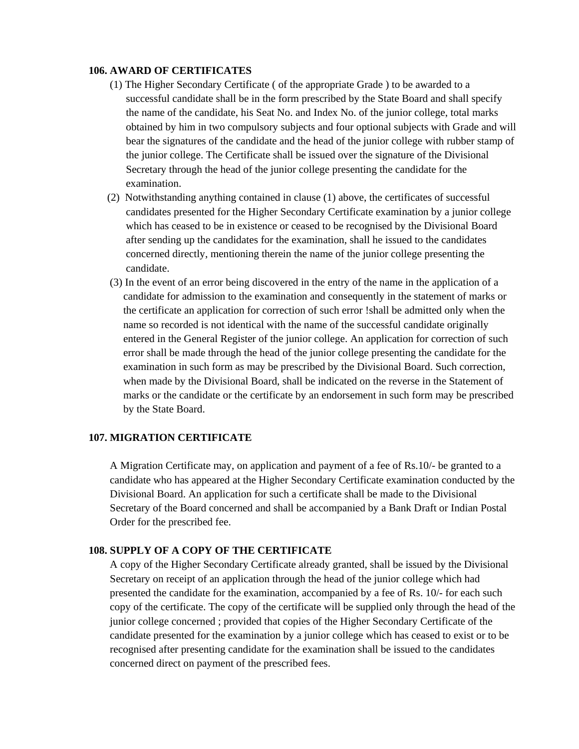#### **106. AWARD OF CERTIFICATES**

- (1) The Higher Secondary Certificate ( of the appropriate Grade ) to be awarded to a successful candidate shall be in the form prescribed by the State Board and shall specify the name of the candidate, his Seat No. and Index No. of the junior college, total marks obtained by him in two compulsory subjects and four optional subjects with Grade and will bear the signatures of the candidate and the head of the junior college with rubber stamp of the junior college. The Certificate shall be issued over the signature of the Divisional Secretary through the head of the junior college presenting the candidate for the examination.
- (2) Notwithstanding anything contained in clause (1) above, the certificates of successful candidates presented for the Higher Secondary Certificate examination by a junior college which has ceased to be in existence or ceased to be recognised by the Divisional Board after sending up the candidates for the examination, shall he issued to the candidates concerned directly, mentioning therein the name of the junior college presenting the candidate.
- (3) In the event of an error being discovered in the entry of the name in the application of a candidate for admission to the examination and consequently in the statement of marks or the certificate an application for correction of such error !shall be admitted only when the name so recorded is not identical with the name of the successful candidate originally entered in the General Register of the junior college. An application for correction of such error shall be made through the head of the junior college presenting the candidate for the examination in such form as may be prescribed by the Divisional Board. Such correction, when made by the Divisional Board, shall be indicated on the reverse in the Statement of marks or the candidate or the certificate by an endorsement in such form may be prescribed by the State Board.

#### **107. MIGRATION CERTIFICATE**

 A Migration Certificate may, on application and payment of a fee of Rs.10/- be granted to a candidate who has appeared at the Higher Secondary Certificate examination conducted by the Divisional Board. An application for such a certificate shall be made to the Divisional Secretary of the Board concerned and shall be accompanied by a Bank Draft or Indian Postal Order for the prescribed fee.

#### **108. SUPPLY OF A COPY OF THE CERTIFICATE**

 A copy of the Higher Secondary Certificate already granted, shall be issued by the Divisional Secretary on receipt of an application through the head of the junior college which had presented the candidate for the examination, accompanied by a fee of Rs. 10/- for each such copy of the certificate. The copy of the certificate will be supplied only through the head of the junior college concerned ; provided that copies of the Higher Secondary Certificate of the candidate presented for the examination by a junior college which has ceased to exist or to be recognised after presenting candidate for the examination shall be issued to the candidates concerned direct on payment of the prescribed fees.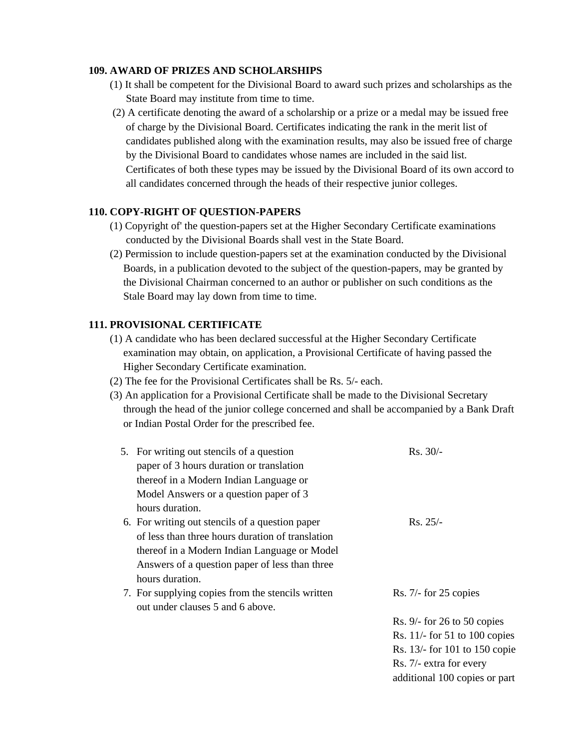#### **109. AWARD OF PRIZES AND SCHOLARSHIPS**

- (1) It shall be competent for the Divisional Board to award such prizes and scholarships as the State Board may institute from time to time.
- (2) A certificate denoting the award of a scholarship or a prize or a medal may be issued free of charge by the Divisional Board. Certificates indicating the rank in the merit list of candidates published along with the examination results, may also be issued free of charge by the Divisional Board to candidates whose names are included in the said list. Certificates of both these types may be issued by the Divisional Board of its own accord to all candidates concerned through the heads of their respective junior colleges.

#### **110. COPY-RIGHT OF QUESTION-PAPERS**

- (1) Copyright of' the question-papers set at the Higher Secondary Certificate examinations conducted by the Divisional Boards shall vest in the State Board.
- (2) Permission to include question-papers set at the examination conducted by the Divisional Boards, in a publication devoted to the subject of the question-papers, may be granted by the Divisional Chairman concerned to an author or publisher on such conditions as the Stale Board may lay down from time to time.

## **111. PROVISIONAL CERTIFICATE**

- (1) A candidate who has been declared successful at the Higher Secondary Certificate examination may obtain, on application, a Provisional Certificate of having passed the Higher Secondary Certificate examination.
- (2) The fee for the Provisional Certificates shall be Rs. 5/- each.
- (3) An application for a Provisional Certificate shall be made to the Divisional Secretary through the head of the junior college concerned and shall be accompanied by a Bank Draft or Indian Postal Order for the prescribed fee.

| 5. For writing out stencils of a question<br>paper of 3 hours duration or translation | $Rs. 30/-$                      |
|---------------------------------------------------------------------------------------|---------------------------------|
| thereof in a Modern Indian Language or                                                |                                 |
| Model Answers or a question paper of 3                                                |                                 |
| hours duration.                                                                       |                                 |
| 6. For writing out stencils of a question paper                                       | $Rs. 25/-$                      |
| of less than three hours duration of translation                                      |                                 |
| thereof in a Modern Indian Language or Model                                          |                                 |
| Answers of a question paper of less than three                                        |                                 |
| hours duration.                                                                       |                                 |
| 7. For supplying copies from the stencils written                                     | $Rs. 7/-$ for 25 copies         |
| out under clauses 5 and 6 above.                                                      |                                 |
|                                                                                       | Rs. $9/-$ for 26 to 50 copies   |
|                                                                                       | Rs. $11/-$ for 51 to 100 copies |
|                                                                                       | Rs. 13/- for 101 to 150 copie   |
|                                                                                       | Rs. 7/- extra for every         |
|                                                                                       | additional 100 copies or part   |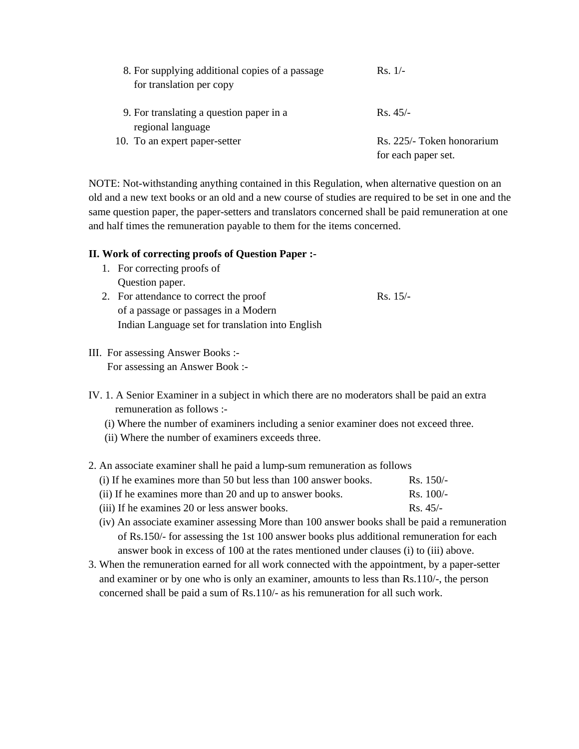| 8. For supplying additional copies of a passage<br>for translation per copy | $Rs. 1/-$                                         |
|-----------------------------------------------------------------------------|---------------------------------------------------|
| 9. For translating a question paper in a<br>regional language               | $Rs.45/-$                                         |
| 10. To an expert paper-setter                                               | Rs. 225/- Token honorarium<br>for each paper set. |

NOTE: Not-withstanding anything contained in this Regulation, when alternative question on an old and a new text books or an old and a new course of studies are required to be set in one and the same question paper, the paper-setters and translators concerned shall be paid remuneration at one and half times the remuneration payable to them for the items concerned.

## **II. Work of correcting proofs of Question Paper :-**

1. For correcting proofs of Question paper.

2. For attendance to correct the proof Rs. 15/-

- of a passage or passages in a Modern Indian Language set for translation into English
- III. For assessing Answer Books :- For assessing an Answer Book :-
- IV. 1. A Senior Examiner in a subject in which there are no moderators shall be paid an extra remuneration as follows :-
	- (i) Where the number of examiners including a senior examiner does not exceed three.
	- (ii) Where the number of examiners exceeds three.

## 2. An associate examiner shall he paid a lump-sum remuneration as follows

| (i) If he examines more than 50 but less than 100 answer books. | Rs. $150/-$        |
|-----------------------------------------------------------------|--------------------|
| (ii) If he examines more than 20 and up to answer books.        | $\text{Rs.} 100/-$ |

- (iii) If he examines 20 or less answer books. Rs. 45/-
- (iv) An associate examiner assessing More than 100 answer books shall be paid a remuneration of Rs.150/- for assessing the 1st 100 answer books plus additional remuneration for each answer book in excess of 100 at the rates mentioned under clauses (i) to (iii) above.
- 3. When the remuneration earned for all work connected with the appointment, by a paper-setter and examiner or by one who is only an examiner, amounts to less than Rs.110/-, the person concerned shall be paid a sum of Rs.110/- as his remuneration for all such work.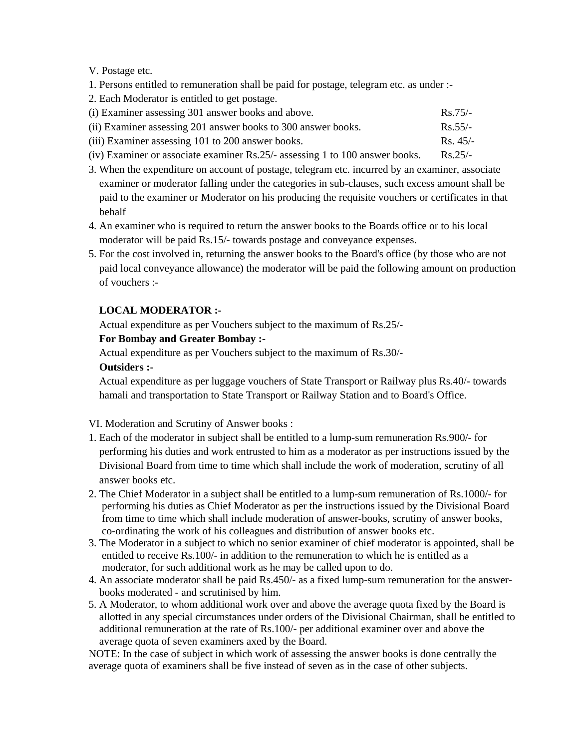V. Postage etc.

- 1. Persons entitled to remuneration shall be paid for postage, telegram etc. as under :-
- 2. Each Moderator is entitled to get postage.

| (i) Examiner assessing 301 answer books and above.                                                                                                                                                                                                                                                                             | $Rs.75/-$         |
|--------------------------------------------------------------------------------------------------------------------------------------------------------------------------------------------------------------------------------------------------------------------------------------------------------------------------------|-------------------|
| (ii) Examiner assessing 201 answer books to 300 answer books.                                                                                                                                                                                                                                                                  | $\text{Rs } 55/-$ |
| (iii) Examiner assessing 101 to 200 answer books.                                                                                                                                                                                                                                                                              | $\text{Rs. }45/-$ |
| $\mathcal{C} \setminus \Gamma$ (1) $\mathcal{C}$ (1) $\mathcal{C}$ (1) $\mathcal{C}$ (1) $\mathcal{C}$ (1) $\mathcal{C}$ (1) $\mathcal{C}$ (1) $\mathcal{C}$ (1) $\mathcal{C}$ (1) $\mathcal{C}$ (1) $\mathcal{C}$ (1) $\mathcal{C}$ (1) $\mathcal{C}$ (1) $\mathcal{C}$ (1) $\mathcal{C}$ (1) $\mathcal{C}$ (1) $\mathcal{C}$ | $E_{\rm{L}}$      |

- (iv) Examiner or associate examiner Rs.25/- assessing 1 to 100 answer books. Rs.25/-
- 3. When the expenditure on account of postage, telegram etc. incurred by an examiner, associate examiner or moderator falling under the categories in sub-clauses, such excess amount shall be paid to the examiner or Moderator on his producing the requisite vouchers or certificates in that behalf
- 4. An examiner who is required to return the answer books to the Boards office or to his local moderator will be paid Rs.15/- towards postage and conveyance expenses.
- 5. For the cost involved in, returning the answer books to the Board's office (by those who are not paid local conveyance allowance) the moderator will be paid the following amount on production of vouchers :-

## **LOCAL MODERATOR :-**

Actual expenditure as per Vouchers subject to the maximum of Rs.25/-

## **For Bombay and Greater Bombay :-**

Actual expenditure as per Vouchers subject to the maximum of Rs.30/-

## **Outsiders :-**

 Actual expenditure as per luggage vouchers of State Transport or Railway plus Rs.40/- towards hamali and transportation to State Transport or Railway Station and to Board's Office.

VI. Moderation and Scrutiny of Answer books :

- 1. Each of the moderator in subject shall be entitled to a lump-sum remuneration Rs.900/- for performing his duties and work entrusted to him as a moderator as per instructions issued by the Divisional Board from time to time which shall include the work of moderation, scrutiny of all answer books etc.
- 2. The Chief Moderator in a subject shall be entitled to a lump-sum remuneration of Rs.1000/- for performing his duties as Chief Moderator as per the instructions issued by the Divisional Board from time to time which shall include moderation of answer-books, scrutiny of answer books, co-ordinating the work of his colleagues and distribution of answer books etc.
- 3. The Moderator in a subject to which no senior examiner of chief moderator is appointed, shall be entitled to receive Rs.100/- in addition to the remuneration to which he is entitled as a moderator, for such additional work as he may be called upon to do.
- 4. An associate moderator shall be paid Rs.450/- as a fixed lump-sum remuneration for the answer books moderated - and scrutinised by him.
- 5. A Moderator, to whom additional work over and above the average quota fixed by the Board is allotted in any special circumstances under orders of the Divisional Chairman, shall be entitled to additional remuneration at the rate of Rs.100/- per additional examiner over and above the average quota of seven examiners axed by the Board.

NOTE: In the case of subject in which work of assessing the answer books is done centrally the average quota of examiners shall be five instead of seven as in the case of other subjects.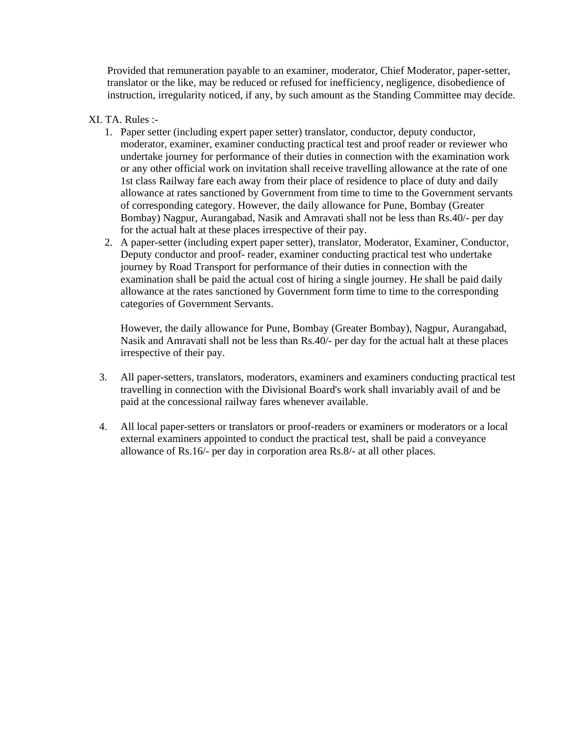Provided that remuneration payable to an examiner, moderator, Chief Moderator, paper-setter, translator or the like, may be reduced or refused for inefficiency, negligence, disobedience of instruction, irregularity noticed, if any, by such amount as the Standing Committee may decide.

## XI. TA. Rules :-

- 1. Paper setter (including expert paper setter) translator, conductor, deputy conductor, moderator, examiner, examiner conducting practical test and proof reader or reviewer who undertake journey for performance of their duties in connection with the examination work or any other official work on invitation shall receive travelling allowance at the rate of one 1st class Railway fare each away from their place of residence to place of duty and daily allowance at rates sanctioned by Government from time to time to the Government servants of corresponding category. However, the daily allowance for Pune, Bombay (Greater Bombay) Nagpur, Aurangabad, Nasik and Amravati shall not be less than Rs.40/- per day for the actual halt at these places irrespective of their pay.
- 2. A paper-setter (including expert paper setter), translator, Moderator, Examiner, Conductor, Deputy conductor and proof- reader, examiner conducting practical test who undertake journey by Road Transport for performance of their duties in connection with the examination shall be paid the actual cost of hiring a single journey. He shall be paid daily allowance at the rates sanctioned by Government form time to time to the corresponding categories of Government Servants.

However, the daily allowance for Pune, Bombay (Greater Bombay), Nagpur, Aurangabad, Nasik and Amravati shall not be less than Rs.40/- per day for the actual halt at these places irrespective of their pay.

- 3. All paper-setters, translators, moderators, examiners and examiners conducting practical test travelling in connection with the Divisional Board's work shall invariably avail of and be paid at the concessional railway fares whenever available.
- 4. All local paper-setters or translators or proof-readers or examiners or moderators or a local external examiners appointed to conduct the practical test, shall be paid a conveyance allowance of Rs.16/- per day in corporation area Rs.8/- at all other places.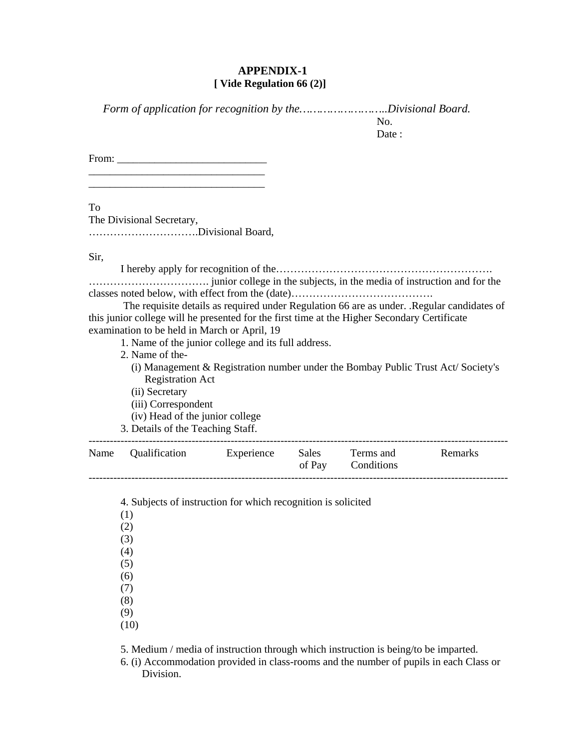#### **APPENDIX-1 [ Vide Regulation 66 (2)]**

 *Form of application for recognition by the……………………..Divisional Board.* 

No. Date :

From: \_\_\_\_\_\_\_\_\_\_\_\_\_\_\_\_\_\_\_\_\_\_\_\_\_\_\_\_

\_\_\_\_\_\_\_\_\_\_\_\_\_\_\_\_\_\_\_\_\_\_\_\_\_\_\_\_\_\_\_\_\_

To

The Divisional Secretary, ………………………….Divisional Board,

Sir,

I hereby apply for recognition of the……………………………………………………. ……………………………. junior college in the subjects, in the media of instruction and for the classes noted below, with effect from the (date)………………………………….

 The requisite details as required under Regulation 66 are as under. .Regular candidates of this junior college will he presented for the first time at the Higher Secondary Certificate examination to be held in March or April, 19

- 1. Name of the junior college and its full address.
- 2. Name of the-
	- (i) Management & Registration number under the Bombay Public Trust Act/ Society's Registration Act
	- (ii) Secretary
	- (iii) Correspondent
	- (iv) Head of the junior college
- 3. Details of the Teaching Staff.

| Name Qualification |  | Experience Sales Terms and<br>of Pay Conditions | Remarks |
|--------------------|--|-------------------------------------------------|---------|
|                    |  |                                                 |         |

4. Subjects of instruction for which recognition is solicited

- (1)
- (2)
- (3)
- (4)
- (5)
- (6)
- (7)
- (8) (9)
- (10)

5. Medium / media of instruction through which instruction is being/to be imparted.

 6. (i) Accommodation provided in class-rooms and the number of pupils in each Class or Division.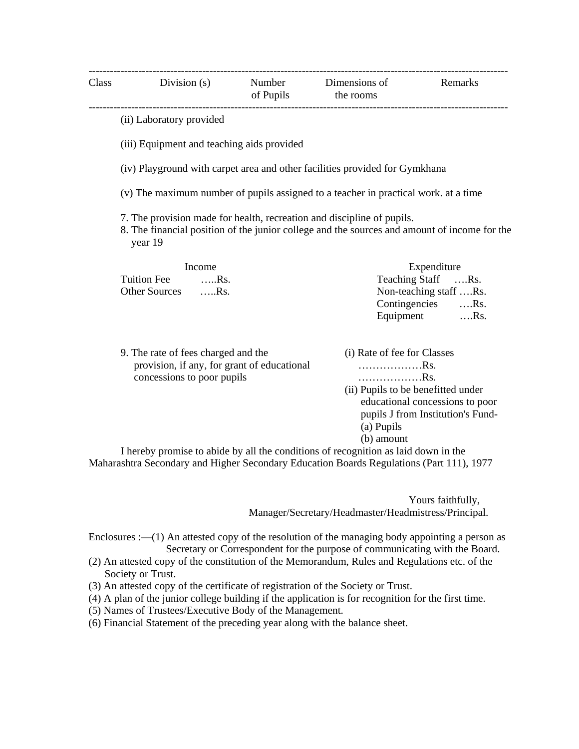|                                                                                                                                                                                   | Class Division (s) Number Dimensions of                                             |  | of Pupils the rooms         | Remarks                            |  |
|-----------------------------------------------------------------------------------------------------------------------------------------------------------------------------------|-------------------------------------------------------------------------------------|--|-----------------------------|------------------------------------|--|
|                                                                                                                                                                                   | (ii) Laboratory provided                                                            |  |                             |                                    |  |
|                                                                                                                                                                                   | (iii) Equipment and teaching aids provided                                          |  |                             |                                    |  |
|                                                                                                                                                                                   | (iv) Playground with carpet area and other facilities provided for Gymkhana         |  |                             |                                    |  |
|                                                                                                                                                                                   | (v) The maximum number of pupils assigned to a teacher in practical work. at a time |  |                             |                                    |  |
| 7. The provision made for health, recreation and discipline of pupils.<br>8. The financial position of the junior college and the sources and amount of income for the<br>year 19 |                                                                                     |  |                             |                                    |  |
|                                                                                                                                                                                   | Income                                                                              |  |                             | Expenditure                        |  |
|                                                                                                                                                                                   | <b>Tuition Fee</b><br>$\dots$ Rs.                                                   |  |                             | Teaching Staff Rs.                 |  |
|                                                                                                                                                                                   | Other Sources Rs.                                                                   |  | Non-teaching staff Rs.      |                                    |  |
|                                                                                                                                                                                   |                                                                                     |  |                             | Contingencies Rs.                  |  |
|                                                                                                                                                                                   |                                                                                     |  |                             | Equipment Rs.                      |  |
|                                                                                                                                                                                   | 9. The rate of fees charged and the                                                 |  | (i) Rate of fee for Classes |                                    |  |
|                                                                                                                                                                                   | provision, if any, for grant of educational                                         |  | Rs.                         |                                    |  |
|                                                                                                                                                                                   | concessions to poor pupils                                                          |  | . Rs.                       |                                    |  |
|                                                                                                                                                                                   |                                                                                     |  |                             | (ii) Pupils to be benefitted under |  |
|                                                                                                                                                                                   |                                                                                     |  |                             | educational concessions to poor    |  |

 (b) amount I hereby promise to abide by all the conditions of recognition as laid down in the Maharashtra Secondary and Higher Secondary Education Boards Regulations (Part 111), 1977

> Yours faithfully, Manager/Secretary/Headmaster/Headmistress/Principal.

(a) Pupils

pupils J from Institution's Fund-

Enclosures :—(1) An attested copy of the resolution of the managing body appointing a person as Secretary or Correspondent for the purpose of communicating with the Board.

- (2) An attested copy of the constitution of the Memorandum, Rules and Regulations etc. of the Society or Trust.
- (3) An attested copy of the certificate of registration of the Society or Trust.
- (4) A plan of the junior college building if the application is for recognition for the first time.
- (5) Names of Trustees/Executive Body of the Management.
- (6) Financial Statement of the preceding year along with the balance sheet.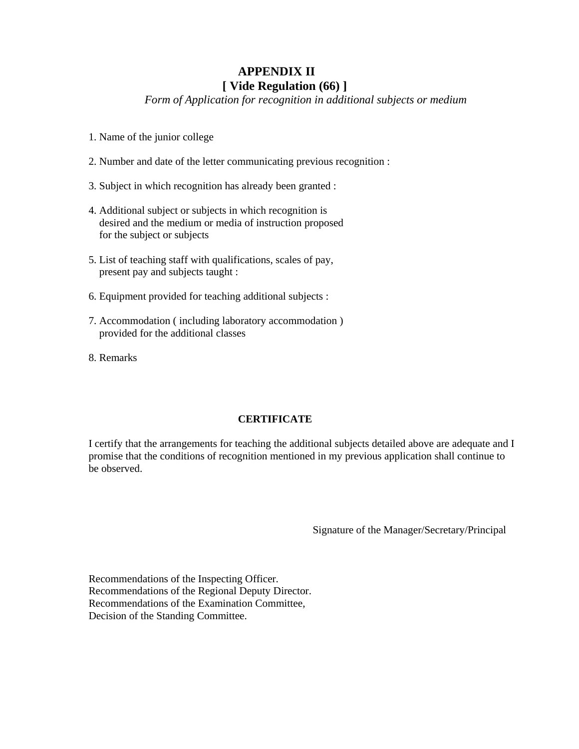## **APPENDIX II [ Vide Regulation (66) ]**

*Form of Application for recognition in additional subjects or medium* 

- 1. Name of the junior college
- 2. Number and date of the letter communicating previous recognition :
- 3. Subject in which recognition has already been granted :
- 4. Additional subject or subjects in which recognition is desired and the medium or media of instruction proposed for the subject or subjects
- 5. List of teaching staff with qualifications, scales of pay, present pay and subjects taught :
- 6. Equipment provided for teaching additional subjects :
- 7. Accommodation ( including laboratory accommodation ) provided for the additional classes
- 8. Remarks

## **CERTIFICATE**

I certify that the arrangements for teaching the additional subjects detailed above are adequate and I promise that the conditions of recognition mentioned in my previous application shall continue to be observed.

Signature of the Manager/Secretary/Principal

Recommendations of the Inspecting Officer. Recommendations of the Regional Deputy Director. Recommendations of the Examination Committee, Decision of the Standing Committee.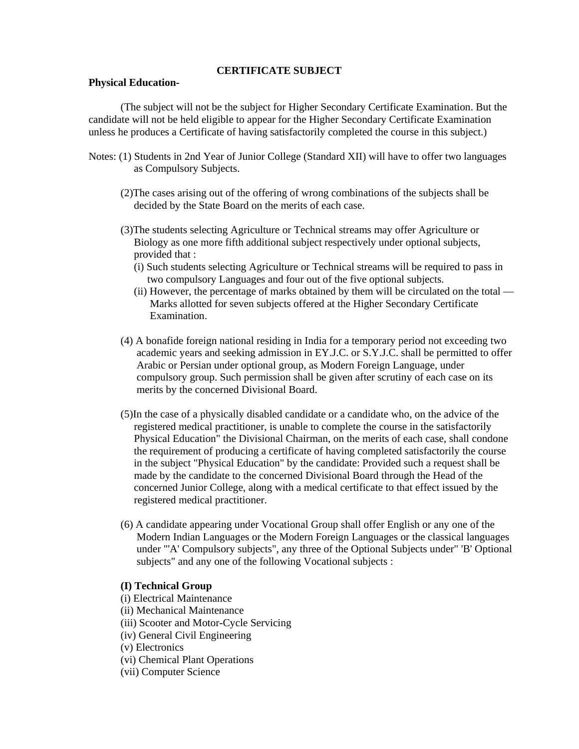#### **CERTIFICATE SUBJECT**

#### **Physical Education-**

(The subject will not be the subject for Higher Secondary Certificate Examination. But the candidate will not be held eligible to appear for the Higher Secondary Certificate Examination unless he produces a Certificate of having satisfactorily completed the course in this subject.)

- Notes: (1) Students in 2nd Year of Junior College (Standard XII) will have to offer two languages as Compulsory Subjects.
	- (2)The cases arising out of the offering of wrong combinations of the subjects shall be decided by the State Board on the merits of each case.
	- (3)The students selecting Agriculture or Technical streams may offer Agriculture or Biology as one more fifth additional subject respectively under optional subjects, provided that :
		- (i) Such students selecting Agriculture or Technical streams will be required to pass in two compulsory Languages and four out of the five optional subjects.
		- (ii) However, the percentage of marks obtained by them will be circulated on the total Marks allotted for seven subjects offered at the Higher Secondary Certificate Examination.
	- (4) A bonafide foreign national residing in India for a temporary period not exceeding two academic years and seeking admission in EY.J.C. or S.Y.J.C. shall be permitted to offer Arabic or Persian under optional group, as Modern Foreign Language, under compulsory group. Such permission shall be given after scrutiny of each case on its merits by the concerned Divisional Board.
	- (5)In the case of a physically disabled candidate or a candidate who, on the advice of the registered medical practitioner, is unable to complete the course in the satisfactorily Physical Education" the Divisional Chairman, on the merits of each case, shall condone the requirement of producing a certificate of having completed satisfactorily the course in the subject "Physical Education" by the candidate: Provided such a request shall be made by the candidate to the concerned Divisional Board through the Head of the concerned Junior College, along with a medical certificate to that effect issued by the registered medical practitioner.
	- (6) A candidate appearing under Vocational Group shall offer English or any one of the Modern Indian Languages or the Modern Foreign Languages or the classical languages under "'A' Compulsory subjects", any three of the Optional Subjects under" 'B' Optional subjects" and any one of the following Vocational subjects :

#### **(I) Technical Group**

- (i) Electrical Maintenance
- (ii) Mechanical Maintenance
- (iii) Scooter and Motor-Cycle Servicing
- (iv) General Civil Engineering
- (v) Electronics
- (vi) Chemical Plant Operations
- (vii) Computer Science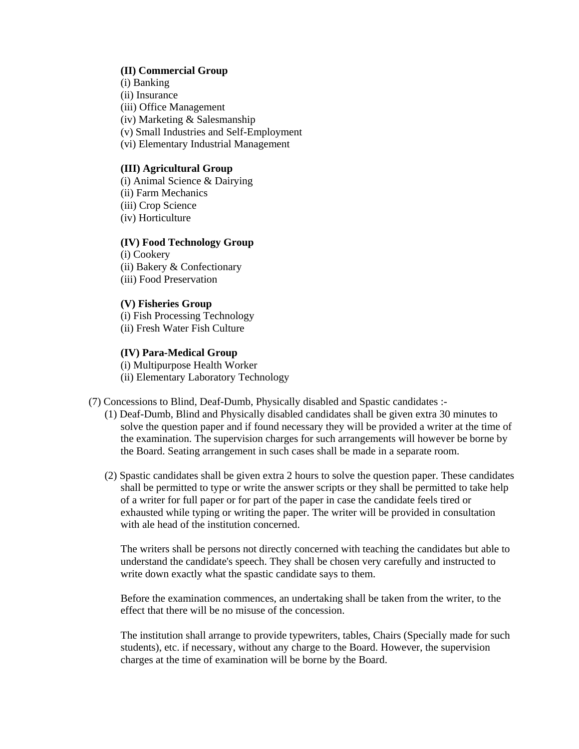#### **(II) Commercial Group**

- (i) Banking
- (ii) Insurance
- (iii) Office Management
- (iv) Marketing & Salesmanship
- (v) Small Industries and Self-Employment
- (vi) Elementary Industrial Management

#### **(III) Agricultural Group**

- (i) Animal Science & Dairying
- (ii) Farm Mechanics
- (iii) Crop Science
- (iv) Horticulture

#### **(IV) Food Technology Group**

(i) Cookery (ii) Bakery & Confectionary (iii) Food Preservation

#### **(V) Fisheries Group**

(i) Fish Processing Technology

(ii) Fresh Water Fish Culture

#### **(IV) Para-Medical Group**

- (i) Multipurpose Health Worker
- (ii) Elementary Laboratory Technology

(7) Concessions to Blind, Deaf-Dumb, Physically disabled and Spastic candidates :-

- (1) Deaf-Dumb, Blind and Physically disabled candidates shall be given extra 30 minutes to solve the question paper and if found necessary they will be provided a writer at the time of the examination. The supervision charges for such arrangements will however be borne by the Board. Seating arrangement in such cases shall be made in a separate room.
- (2) Spastic candidates shall be given extra 2 hours to solve the question paper. These candidates shall be permitted to type or write the answer scripts or they shall be permitted to take help of a writer for full paper or for part of the paper in case the candidate feels tired or exhausted while typing or writing the paper. The writer will be provided in consultation with ale head of the institution concerned.

The writers shall be persons not directly concerned with teaching the candidates but able to understand the candidate's speech. They shall be chosen very carefully and instructed to write down exactly what the spastic candidate says to them.

Before the examination commences, an undertaking shall be taken from the writer, to the effect that there will be no misuse of the concession.

The institution shall arrange to provide typewriters, tables, Chairs (Specially made for such students), etc. if necessary, without any charge to the Board. However, the supervision charges at the time of examination will be borne by the Board.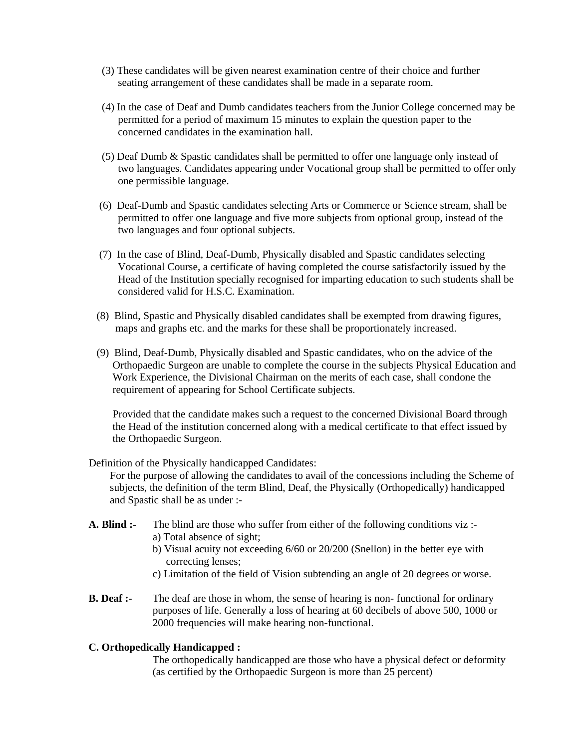- (3) These candidates will be given nearest examination centre of their choice and further seating arrangement of these candidates shall be made in a separate room.
- (4) In the case of Deaf and Dumb candidates teachers from the Junior College concerned may be permitted for a period of maximum 15 minutes to explain the question paper to the concerned candidates in the examination hall.
- (5) Deaf Dumb & Spastic candidates shall be permitted to offer one language only instead of two languages. Candidates appearing under Vocational group shall be permitted to offer only one permissible language.
- (6) Deaf-Dumb and Spastic candidates selecting Arts or Commerce or Science stream, shall be permitted to offer one language and five more subjects from optional group, instead of the two languages and four optional subjects.
- (7) In the case of Blind, Deaf-Dumb, Physically disabled and Spastic candidates selecting Vocational Course, a certificate of having completed the course satisfactorily issued by the Head of the Institution specially recognised for imparting education to such students shall be considered valid for H.S.C. Examination.
- (8) Blind, Spastic and Physically disabled candidates shall be exempted from drawing figures, maps and graphs etc. and the marks for these shall be proportionately increased.
- (9) Blind, Deaf-Dumb, Physically disabled and Spastic candidates, who on the advice of the Orthopaedic Surgeon are unable to complete the course in the subjects Physical Education and Work Experience, the Divisional Chairman on the merits of each case, shall condone the requirement of appearing for School Certificate subjects.

 Provided that the candidate makes such a request to the concerned Divisional Board through the Head of the institution concerned along with a medical certificate to that effect issued by the Orthopaedic Surgeon.

Definition of the Physically handicapped Candidates:

 For the purpose of allowing the candidates to avail of the concessions including the Scheme of subjects, the definition of the term Blind, Deaf, the Physically (Orthopedically) handicapped and Spastic shall be as under :-

- **A. Blind :-** The blind are those who suffer from either of the following conditions viz : a) Total absence of sight;
	- b) Visual acuity not exceeding 6/60 or 20/200 (Snellon) in the better eye with correcting lenses;
	- c) Limitation of the field of Vision subtending an angle of 20 degrees or worse.
- **B. Deaf :-** The deaf are those in whom, the sense of hearing is non-functional for ordinary purposes of life. Generally a loss of hearing at 60 decibels of above 500, 1000 or 2000 frequencies will make hearing non-functional.

## **C. Orthopedically Handicapped :**

The orthopedically handicapped are those who have a physical defect or deformity (as certified by the Orthopaedic Surgeon is more than 25 percent)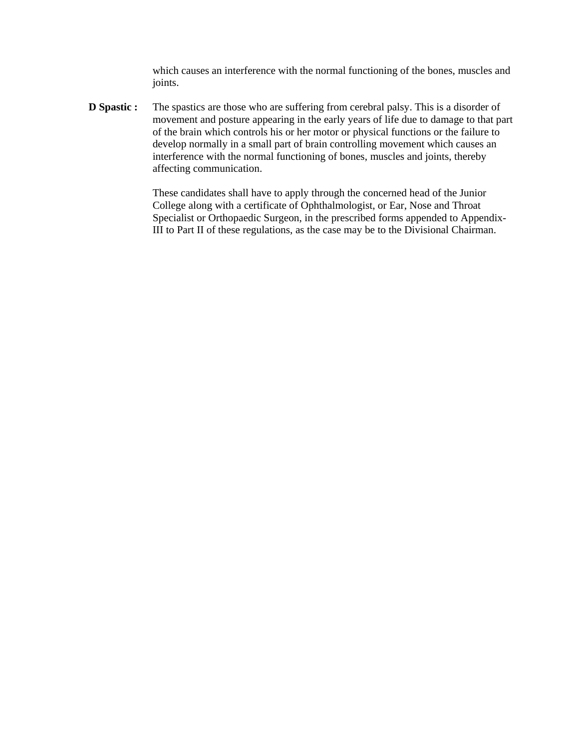which causes an interference with the normal functioning of the bones, muscles and joints.

**D Spastic :** The spastics are those who are suffering from cerebral palsy. This is a disorder of movement and posture appearing in the early years of life due to damage to that part of the brain which controls his or her motor or physical functions or the failure to develop normally in a small part of brain controlling movement which causes an interference with the normal functioning of bones, muscles and joints, thereby affecting communication.

> These candidates shall have to apply through the concerned head of the Junior College along with a certificate of Ophthalmologist, or Ear, Nose and Throat Specialist or Orthopaedic Surgeon, in the prescribed forms appended to Appendix-III to Part II of these regulations, as the case may be to the Divisional Chairman.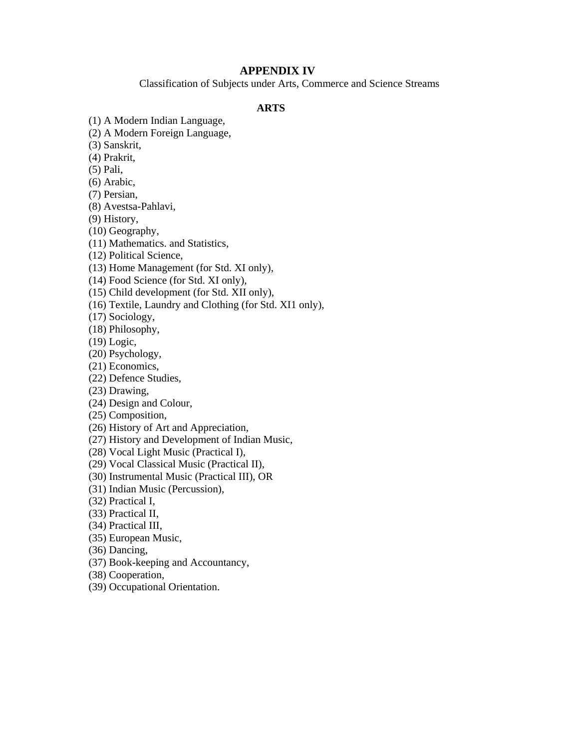## **APPENDIX IV**

Classification of Subjects under Arts, Commerce and Science Streams

## **ARTS**

(1) A Modern Indian Language,

(2) A Modern Foreign Language,

(3) Sanskrit,

(4) Prakrit,

(5) Pali,

(6) Arabic,

(7) Persian,

(8) Avestsa-Pahlavi,

(9) History,

(10) Geography,

(11) Mathematics. and Statistics,

(12) Political Science,

(13) Home Management (for Std. XI only),

(14) Food Science (for Std. XI only),

(15) Child development (for Std. XII only),

(16) Textile, Laundry and Clothing (for Std. XI1 only),

(17) Sociology,

(18) Philosophy,

(19) Logic,

(20) Psychology,

(21) Economics,

(22) Defence Studies,

(23) Drawing,

(24) Design and Colour,

(25) Composition,

(26) History of Art and Appreciation,

(27) History and Development of Indian Music,

(28) Vocal Light Music (Practical I),

(29) Vocal Classical Music (Practical II),

(30) Instrumental Music (Practical III), OR

(31) Indian Music (Percussion),

(32) Practical I,

(33) Practical II,

(34) Practical III,

(35) European Music,

(36) Dancing,

(37) Book-keeping and Accountancy,

(38) Cooperation,

(39) Occupational Orientation.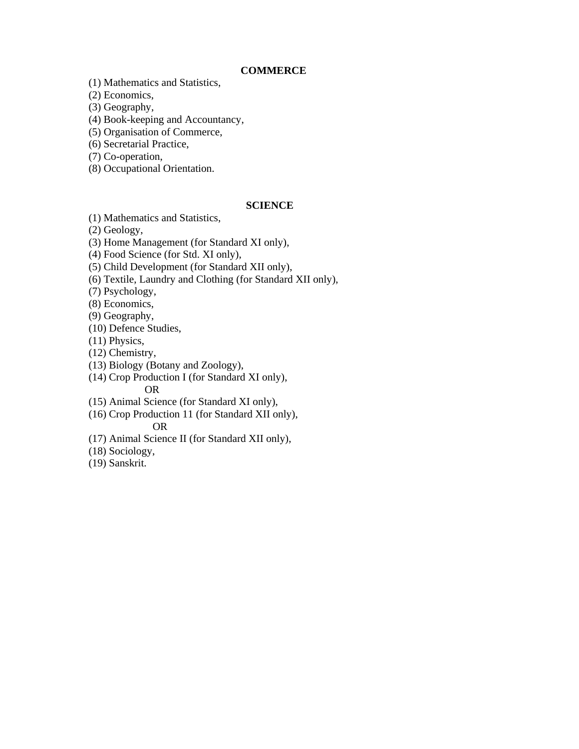#### **COMMERCE**

(1) Mathematics and Statistics,

(2) Economics,

(3) Geography,

(4) Book-keeping and Accountancy,

(5) Organisation of Commerce,

(6) Secretarial Practice,

(7) Co-operation,

(8) Occupational Orientation.

#### **SCIENCE**

(1) Mathematics and Statistics,

(2) Geology,

(3) Home Management (for Standard XI only),

(4) Food Science (for Std. XI only),

(5) Child Development (for Standard XII only),

(6) Textile, Laundry and Clothing (for Standard XII only),

(7) Psychology,

(8) Economics,

(9) Geography,

(10) Defence Studies,

(11) Physics,

(12) Chemistry,

(13) Biology (Botany and Zoology),

(14) Crop Production I (for Standard XI only), OR

(15) Animal Science (for Standard XI only),

(16) Crop Production 11 (for Standard XII only), OR

(17) Animal Science II (for Standard XII only),

(18) Sociology,

(19) Sanskrit.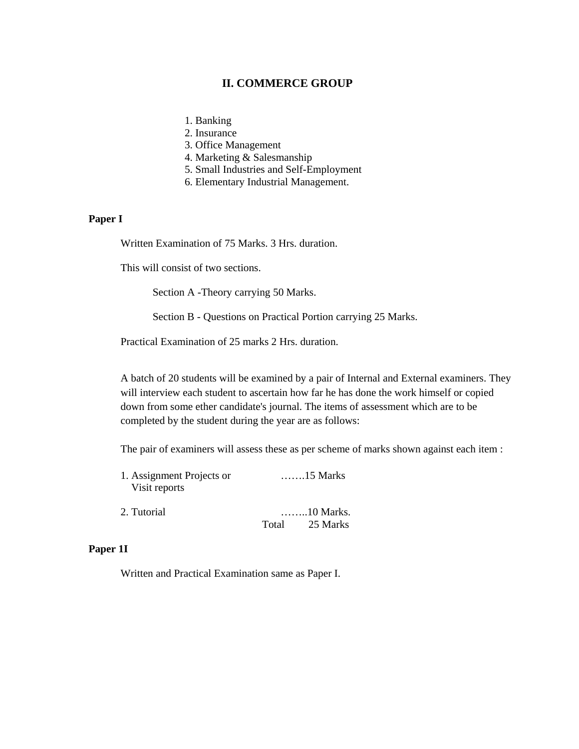## **II. COMMERCE GROUP**

- 1. Banking
- 2. Insurance
- 3. Office Management
- 4. Marketing & Salesmanship
- 5. Small Industries and Self-Employment
- 6. Elementary Industrial Management.

#### **Paper I**

Written Examination of 75 Marks. 3 Hrs. duration.

This will consist of two sections.

Section A -Theory carrying 50 Marks.

Section B - Questions on Practical Portion carrying 25 Marks.

Practical Examination of 25 marks 2 Hrs. duration.

A batch of 20 students will be examined by a pair of Internal and External examiners. They will interview each student to ascertain how far he has done the work himself or copied down from some ether candidate's journal. The items of assessment which are to be completed by the student during the year are as follows:

The pair of examiners will assess these as per scheme of marks shown against each item :

| 1. Assignment Projects or |       | $\ldots$ 15 Marks |
|---------------------------|-------|-------------------|
| Visit reports             |       |                   |
| 2. Tutorial               |       | 10 Marks.         |
|                           | Total | 25 Marks          |

#### **Paper 1I**

Written and Practical Examination same as Paper I.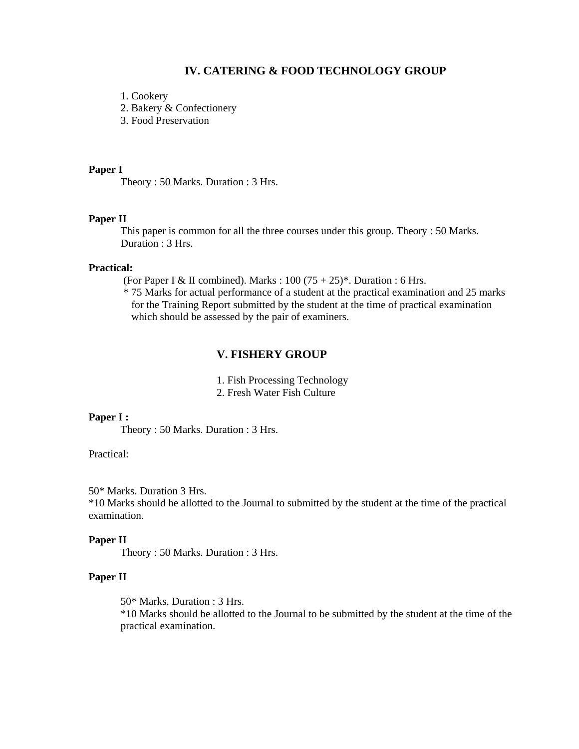#### **IV. CATERING & FOOD TECHNOLOGY GROUP**

1. Cookery

2. Bakery & Confectionery

3. Food Preservation

#### **Paper I**

Theory : 50 Marks. Duration : 3 Hrs.

#### **Paper II**

This paper is common for all the three courses under this group. Theory : 50 Marks. Duration : 3 Hrs.

#### **Practical:**

(For Paper I & II combined). Marks :  $100 (75 + 25)^*$ . Duration : 6 Hrs.

 \* 75 Marks for actual performance of a student at the practical examination and 25 marks for the Training Report submitted by the student at the time of practical examination which should be assessed by the pair of examiners.

## **V. FISHERY GROUP**

1. Fish Processing Technology

2. Fresh Water Fish Culture

#### **Paper I :**

Theory : 50 Marks. Duration : 3 Hrs.

#### Practical:

50\* Marks. Duration 3 Hrs.

\*10 Marks should he allotted to the Journal to submitted by the student at the time of the practical examination.

#### **Paper II**

Theory : 50 Marks. Duration : 3 Hrs.

### **Paper II**

50\* Marks. Duration : 3 Hrs.

\*10 Marks should be allotted to the Journal to be submitted by the student at the time of the practical examination.